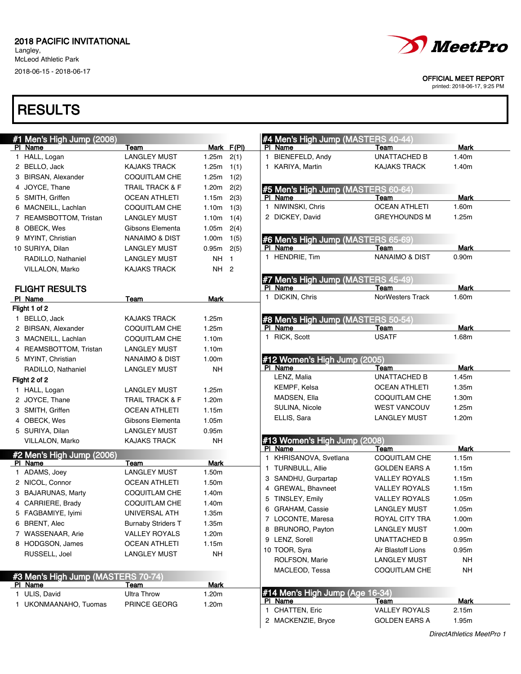Langley, McLeod Athletic Park 2018-06-15 - 2018-06-17



#### OFFICIAL MEET REPORT

printed: 2018-06-17, 9:25 PM

| #1 Men's High Jump (2008)          |                            |             |            | #4 Men's High Jump (MASTERS 40-44)         |                           |                   |
|------------------------------------|----------------------------|-------------|------------|--------------------------------------------|---------------------------|-------------------|
| PI Name                            | Team                       |             | Mark F(PI) | PI Name                                    | Team                      | Mark              |
| 1 HALL, Logan                      | <b>LANGLEY MUST</b>        | 1.25m       | 2(1)       | 1 BIENEFELD, Andy                          | <b>UNATTACHED B</b>       | 1.40m             |
| 2 BELLO, Jack                      | <b>KAJAKS TRACK</b>        | 1.25m       | 1(1)       | 1 KARIYA, Martin                           | <b>KAJAKS TRACK</b>       | 1.40m             |
| 3 BIRSAN, Alexander                | <b>COQUITLAM CHE</b>       | 1.25m       | 1(2)       |                                            |                           |                   |
| 4 JOYCE, Thane                     | <b>TRAIL TRACK &amp; F</b> | 1.20m       | 2(2)       | #5 Men's High Jump (MASTERS 60-64)         |                           |                   |
| 5 SMITH, Griffen                   | <b>OCEAN ATHLETI</b>       | 1.15m       | 2(3)       | PI Name                                    | Team                      | <b>Mark</b>       |
| 6 MACNEILL, Lachlan                | <b>COQUITLAM CHE</b>       | 1.10m       | 1(3)       | 1 NIWINSKI, Chris                          | <b>OCEAN ATHLETI</b>      | 1.60m             |
| 7 REAMSBOTTOM, Tristan             | <b>LANGLEY MUST</b>        | 1.10m       | 1(4)       | 2 DICKEY, David                            | <b>GREYHOUNDS M</b>       | 1.25m             |
| 8 OBECK, Wes                       | Gibsons Elementa           | 1.05m       | 2(4)       |                                            |                           |                   |
| 9 MYINT, Christian                 | NANAIMO & DIST             | 1.00m       | 1(5)       | #6 Men's High Jump (MASTERS 65-69)         |                           |                   |
| 10 SURIYA, Dilan                   | <b>LANGLEY MUST</b>        | 0.95m       | 2(5)       | PI Name                                    | Team                      | Mark              |
| RADILLO, Nathaniel                 | <b>LANGLEY MUST</b>        | NH 1        |            | 1 HENDRIE, Tim                             | <b>NANAIMO &amp; DIST</b> | 0.90 <sub>m</sub> |
| VILLALON, Marko                    | <b>KAJAKS TRACK</b>        | NH 2        |            |                                            |                           |                   |
|                                    |                            |             |            | #7 Men's High Jump (MASTERS 45-49)         |                           |                   |
| <b>FLIGHT RESULTS</b>              |                            |             |            | PI Name                                    | Team                      | <b>Mark</b>       |
| PI Name                            | Team                       | Mark        |            | 1 DICKIN, Chris                            | <b>NorWesters Track</b>   | 1.60m             |
| Flight 1 of 2                      |                            |             |            |                                            |                           |                   |
| 1 BELLO, Jack                      | <b>KAJAKS TRACK</b>        | 1.25m       |            | #8 Men's High Jump (MASTERS 50-54)         |                           |                   |
| 2 BIRSAN, Alexander                | <b>COQUITLAM CHE</b>       | 1.25m       |            | PI Name                                    | Team                      | <b>Mark</b>       |
| 3 MACNEILL, Lachlan                | <b>COQUITLAM CHE</b>       | 1.10m       |            | 1 RICK, Scott                              | <b>USATF</b>              | 1.68m             |
| 4 REAMSBOTTOM, Tristan             | <b>LANGLEY MUST</b>        | 1.10m       |            |                                            |                           |                   |
| 5 MYINT, Christian                 | <b>NANAIMO &amp; DIST</b>  | 1.00m       |            | #12 Women's High Jump (2005)               |                           |                   |
| RADILLO, Nathaniel                 | <b>LANGLEY MUST</b>        | NΗ          |            | PI Name                                    | Team                      | Mark              |
| Flight 2 of 2                      |                            |             |            | LENZ, Malia                                | <b>UNATTACHED B</b>       | 1.45m             |
| 1 HALL, Logan                      | <b>LANGLEY MUST</b>        | 1.25m       |            | KEMPF, Kelsa                               | <b>OCEAN ATHLETI</b>      | 1.35m             |
| 2 JOYCE, Thane                     | <b>TRAIL TRACK &amp; F</b> | 1.20m       |            | MADSEN, Ella                               | <b>COQUITLAM CHE</b>      | 1.30m             |
| 3 SMITH, Griffen                   | <b>OCEAN ATHLETI</b>       | 1.15m       |            | SULINA, Nicole                             | <b>WEST VANCOUV</b>       | 1.25m             |
| 4 OBECK, Wes                       | Gibsons Elementa           | 1.05m       |            | ELLIS, Sara                                | <b>LANGLEY MUST</b>       | 1.20m             |
| 5 SURIYA, Dilan                    | <b>LANGLEY MUST</b>        | 0.95m       |            |                                            |                           |                   |
| VILLALON, Marko                    | <b>KAJAKS TRACK</b>        | NΗ          |            | #13 Women's High Jump (2008)               |                           |                   |
|                                    |                            |             |            | PI Name                                    | Team                      | <b>Mark</b>       |
| #2 Men's High Jump (2006)          |                            |             |            | 1 KHRISANOVA, Svetlana                     | <b>COQUITLAM CHE</b>      | 1.15m             |
| PI Name                            | Team                       | Mark        |            | 1 TURNBULL, Allie                          | <b>GOLDEN EARS A</b>      | 1.15m             |
| 1 ADAMS, Joey                      | <b>LANGLEY MUST</b>        | 1.50m       |            | 3 SANDHU, Gurpartap                        | <b>VALLEY ROYALS</b>      | 1.15m             |
| 2 NICOL, Connor                    | <b>OCEAN ATHLETI</b>       | 1.50m       |            | 4 GREWAL, Bhavneet                         | <b>VALLEY ROYALS</b>      | 1.15m             |
| 3 BAJARUNAS, Marty                 | <b>COQUITLAM CHE</b>       | 1.40m       |            | 5 TINSLEY, Emily                           | <b>VALLEY ROYALS</b>      | 1.05m             |
| 4 CARRIERE, Brady                  | <b>COQUITLAM CHE</b>       | 1.40m       |            | 6 GRAHAM, Cassie                           | <b>LANGLEY MUST</b>       | 1.05m             |
| 5 FAGBAMIYE, Iyimi                 | UNIVERSAL ATH              | 1.35m       |            | 7 LOCONTE, Maresa                          | ROYAL CITY TRA            | 1.00m             |
| 6 BRENT, Alec                      | <b>Burnaby Striders T</b>  | 1.35m       |            | 8 BRUNORO, Payton                          | <b>LANGLEY MUST</b>       | 1.00m             |
| 7 WASSENAAR, Arie                  | <b>VALLEY ROYALS</b>       | 1.20m       |            | 9 LENZ, Sorell                             | <b>UNATTACHED B</b>       | 0.95m             |
| 8 HODGSON, James                   | <b>OCEAN ATHLETI</b>       | 1.15m       |            | 10 TOOR, Syra                              | Air Blastoff Lions        | 0.95m             |
| RUSSELL, Joel                      | <b>LANGLEY MUST</b>        | <b>NH</b>   |            | ROLFSON, Marie                             | <b>LANGLEY MUST</b>       | <b>NH</b>         |
|                                    |                            |             |            | MACLEOD, Tessa                             | <b>COQUITLAM CHE</b>      | <b>NH</b>         |
| #3 Men's High Jump (MASTERS 70-74) |                            |             |            |                                            |                           |                   |
| PI Name                            | Team                       | <b>Mark</b> |            |                                            |                           |                   |
| 1 ULIS, David                      | <b>Ultra Throw</b>         | 1.20m       |            | #14 Men's High Jump (Age 16-34)<br>PI Name | Team                      | Mark              |
| 1 UKONMAANAHO, Tuomas              | PRINCE GEORG               | 1.20m       |            | 1 CHATTEN, Eric                            | <b>VALLEY ROYALS</b>      | 2.15m             |
|                                    |                            |             |            | 2 MACKENZIE, Bryce                         | <b>GOLDEN EARS A</b>      | 1.95m             |
|                                    |                            |             |            |                                            |                           |                   |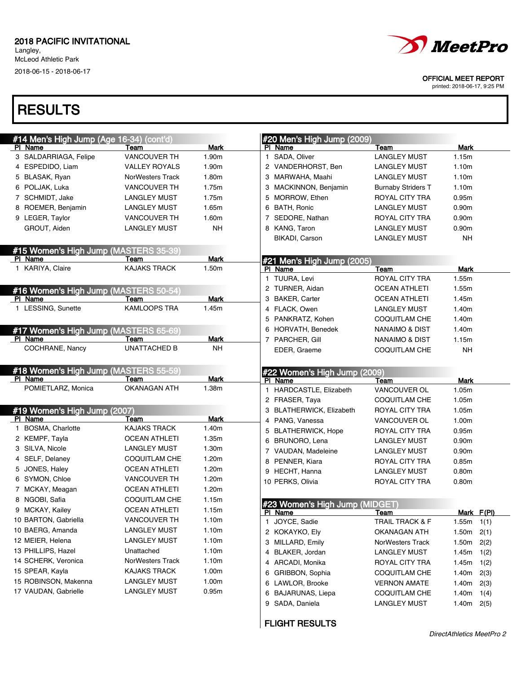Langley, McLeod Athletic Park 2018-06-15 - 2018-06-17

### **RESULTS**

| #14 Men's High Jump (Age 16-34) (cont'd) |                      |             | #20 Men's High Jump (2009)                |                                      |                   |              |
|------------------------------------------|----------------------|-------------|-------------------------------------------|--------------------------------------|-------------------|--------------|
| PI Name                                  | Team                 | <b>Mark</b> | PI Name                                   | Team                                 | Mark              |              |
| 3 SALDARRIAGA, Felipe                    | <b>VANCOUVER TH</b>  | 1.90m       | 1 SADA, Oliver                            | <b>LANGLEY MUST</b>                  | 1.15m             |              |
| 4 ESPEDIDO, Liam                         | <b>VALLEY ROYALS</b> | 1.90m       | 2 VANDERHORST, Ben                        | <b>LANGLEY MUST</b>                  | 1.10m             |              |
| 5 BLASAK, Ryan                           | NorWesters Track     | 1.80m       | 3 MARWAHA, Maahi                          | <b>LANGLEY MUST</b>                  | 1.10m             |              |
| 6 POLJAK, Luka                           | <b>VANCOUVER TH</b>  | 1.75m       | 3 MACKINNON, Benjamin                     | <b>Burnaby Striders T</b>            | 1.10m             |              |
| 7 SCHMIDT, Jake                          | <b>LANGLEY MUST</b>  | 1.75m       | 5 MORROW, Ethen                           | ROYAL CITY TRA                       | 0.95m             |              |
| 8 ROEMER, Benjamin                       | <b>LANGLEY MUST</b>  | 1.65m       | 6 BATH, Ronic                             | <b>LANGLEY MUST</b>                  | 0.90 <sub>m</sub> |              |
| 9 LEGER, Taylor                          | <b>VANCOUVER TH</b>  | 1.60m       | 7 SEDORE, Nathan                          | ROYAL CITY TRA                       | 0.90 <sub>m</sub> |              |
| GROUT, Aiden                             | <b>LANGLEY MUST</b>  | NΗ          | 8 KANG, Taron                             | <b>LANGLEY MUST</b>                  | 0.90 <sub>m</sub> |              |
|                                          |                      |             | BIKADI, Carson                            | <b>LANGLEY MUST</b>                  | <b>NH</b>         |              |
| #15 Women's High Jump (MASTERS 35-39     |                      |             |                                           |                                      |                   |              |
| PI Name                                  | Team                 | <b>Mark</b> | #21 Men's High Jump (2005)                |                                      |                   |              |
| 1 KARIYA, Claire                         | <b>KAJAKS TRACK</b>  | 1.50m       | PI Name                                   | Team                                 | Mark              |              |
|                                          |                      |             | 1 TUURA, Levi                             | <b>ROYAL CITY TRA</b>                | 1.55m             |              |
| #16 Women's High Jump (MASTERS 50-54)    |                      |             | 2 TURNER, Aidan                           | <b>OCEAN ATHLETI</b>                 | 1.55m             |              |
| PI Name                                  | Team                 | Mark        | 3 BAKER, Carter                           | <b>OCEAN ATHLETI</b>                 | 1.45m             |              |
| 1 LESSING, Sunette                       | <b>KAMLOOPS TRA</b>  | 1.45m       | 4 FLACK, Owen                             | <b>LANGLEY MUST</b>                  | 1.40m             |              |
|                                          |                      |             | 5 PANKRATZ, Kohen                         | <b>COQUITLAM CHE</b>                 | 1.40m             |              |
| #17 Women's High Jump (MASTERS 65-69     |                      |             | 6 HORVATH, Benedek                        | <b>NANAIMO &amp; DIST</b>            | 1.40m             |              |
| PI Name                                  | Team                 | Mark        | 7 PARCHER, Gill                           | NANAIMO & DIST                       | 1.15m             |              |
| COCHRANE, Nancy                          | <b>UNATTACHED B</b>  | NΗ          | EDER, Graeme                              | <b>COQUITLAM CHE</b>                 | <b>NH</b>         |              |
| #18 Women's High Jump (MASTERS 55-59)    |                      |             |                                           |                                      |                   |              |
| PI Name                                  | Team                 | <b>Mark</b> | #22 Women's High Jump (2009)<br>PI Name   | Team                                 | Mark              |              |
| POMIETLARZ, Monica                       | <b>OKANAGAN ATH</b>  | 1.38m       | 1 HARDCASTLE, Elizabeth                   | VANCOUVER OL                         | 1.05m             |              |
|                                          |                      |             | 2 FRASER, Taya                            | COQUITLAM CHE                        | 1.05m             |              |
| #19 Women's High Jump (2007)             |                      |             | 3 BLATHERWICK, Elizabeth                  | ROYAL CITY TRA                       | 1.05m             |              |
| PI Name                                  | Team                 | Mark        | 4 PANG, Vanessa                           | VANCOUVER OL                         | 1.00m             |              |
| 1 BOSMA, Charlotte                       | <b>KAJAKS TRACK</b>  | 1.40m       | 5 BLATHERWICK, Hope                       | ROYAL CITY TRA                       | 0.95m             |              |
| 2 KEMPF, Tayla                           | <b>OCEAN ATHLETI</b> | 1.35m       | 6 BRUNORO, Lena                           | <b>LANGLEY MUST</b>                  | 0.90m             |              |
| 3 SILVA, Nicole                          | <b>LANGLEY MUST</b>  | 1.30m       | 7 VAUDAN, Madeleine                       | <b>LANGLEY MUST</b>                  | 0.90m             |              |
| 4 SELF, Delaney                          | <b>COQUITLAM CHE</b> | 1.20m       | 8 PENNER, Kiara                           | ROYAL CITY TRA                       | 0.85m             |              |
| 5 JONES, Haley                           | <b>OCEAN ATHLETI</b> | 1.20m       | 9 HECHT, Hanna                            | <b>LANGLEY MUST</b>                  | 0.80m             |              |
| 6 SYMON, Chloe                           | <b>VANCOUVER TH</b>  | 1.20m       | 10 PERKS, Olivia                          | ROYAL CITY TRA                       | 0.80m             |              |
| 7 MCKAY, Meagan                          | <b>OCEAN ATHLETI</b> | 1.20m       |                                           |                                      |                   |              |
| 8 NGOBI, Safia                           | <b>COQUITLAM CHE</b> | 1.15m       |                                           |                                      |                   |              |
| 9 MCKAY, Kailey                          | <b>OCEAN ATHLETI</b> | 1.15m       | #23 Women's High Jump (MIDGET)<br>PI Name |                                      |                   | Mark F(PI)   |
| 10 BARTON, Gabriella                     | VANCOUVER TH         | 1.10m       | 1 JOYCE, Sadie                            | Team<br><b>TRAIL TRACK &amp; F</b>   | 1.55m             |              |
| 10 BAERG, Amanda                         | <b>LANGLEY MUST</b>  | 1.10m       | 2 KOKAYKO, Ely                            | OKANAGAN ATH                         | 1.50m             | 1(1)         |
| 12 MEIER, Helena                         | <b>LANGLEY MUST</b>  | 1.10m       |                                           |                                      |                   | 2(1)         |
| 13 PHILLIPS, Hazel                       | Unattached           | 1.10m       | MILLARD, Emily<br>З                       | NorWesters Track                     | 1.50m             | 2(2)         |
| 14 SCHERK, Veronica                      | NorWesters Track     | 1.10m       | 4 BLAKER, Jordan                          | <b>LANGLEY MUST</b>                  | 1.45m             | 1(2)         |
| 15 SPEAR, Kayla                          | <b>KAJAKS TRACK</b>  | 1.00m       | 4 ARCADI, Monika                          | ROYAL CITY TRA                       | 1.45m             | 1(2)         |
|                                          |                      |             | GRIBBON, Sophia<br>6                      | COQUITLAM CHE                        | 1.40m             | 2(3)         |
|                                          |                      |             |                                           |                                      |                   |              |
| 15 ROBINSON, Makenna                     | <b>LANGLEY MUST</b>  | 1.00m       | 6 LAWLOR, Brooke                          | <b>VERNON AMATE</b>                  | 1.40m             | 2(3)         |
| 17 VAUDAN, Gabrielle                     | <b>LANGLEY MUST</b>  | 0.95m       | BAJARUNAS, Liepa<br>6<br>SADA, Daniela    | COQUITLAM CHE<br><b>LANGLEY MUST</b> | 1.40m<br>1.40m    | 1(4)<br>2(5) |

FLIGHT RESULTS



OFFICIAL MEET REPORT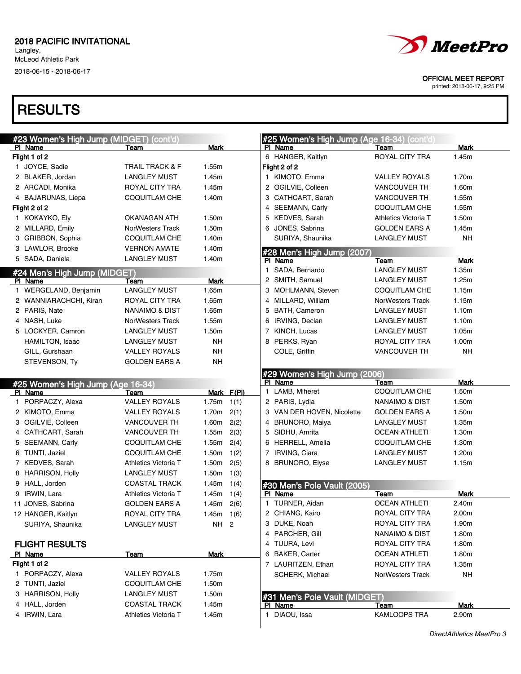# **RESULTS**

| #23 Women's High Jump (MIDGET) (cont'd)<br>PI Name | Team                       | Mark           |            | PI. | #25 Women's High Jump (Age 16-34) (cont'd)<br>Name | Team                             | <b>Mark</b>    |
|----------------------------------------------------|----------------------------|----------------|------------|-----|----------------------------------------------------|----------------------------------|----------------|
| Flight 1 of 2                                      |                            |                |            |     | 6 HANGER, Kaitlyn                                  | ROYAL CITY TRA                   | 1.45m          |
| 1 JOYCE, Sadie                                     | <b>TRAIL TRACK &amp; F</b> | 1.55m          |            |     | Flight 2 of 2                                      |                                  |                |
| 2 BLAKER, Jordan                                   | LANGLEY MUST               | 1.45m          |            |     | 1 KIMOTO, Emma                                     | <b>VALLEY ROYALS</b>             | 1.70m          |
| 2 ARCADI, Monika                                   | ROYAL CITY TRA             | 1.45m          |            |     | 2 OGILVIE, Colleen                                 | <b>VANCOUVER TH</b>              | 1.60m          |
| 4 BAJARUNAS, Liepa                                 | COQUITLAM CHE              | 1.40m          |            |     | 3 CATHCART, Sarah                                  | <b>VANCOUVER TH</b>              | 1.55m          |
| Flight 2 of 2                                      |                            |                |            |     | 4 SEEMANN, Carly                                   | COQUITLAM CHE                    | 1.55m          |
| 1 KOKAYKO, Ely                                     | OKANAGAN ATH               | 1.50m          |            |     | 5 KEDVES, Sarah                                    | <b>Athletics Victoria T</b>      | 1.50m          |
| 2 MILLARD, Emily                                   | <b>NorWesters Track</b>    | 1.50m          |            |     | 6 JONES, Sabrina                                   | <b>GOLDEN EARS A</b>             | 1.45m          |
| 3 GRIBBON, Sophia                                  | COQUITLAM CHE              | 1.40m          |            |     | SURIYA, Shaunika                                   | <b>LANGLEY MUST</b>              | <b>NH</b>      |
| 3 LAWLOR, Brooke                                   | VERNON AMATE               | 1.40m          |            |     | #28 Men's High Jump (2007)                         |                                  |                |
| 5 SADA, Daniela                                    | <b>LANGLEY MUST</b>        | 1.40m          |            |     | PI Name                                            | Team                             | Mark           |
| #24 Men's High Jump (MIDGET)                       |                            |                |            |     | 1 SADA, Bernardo                                   | <b>LANGLEY MUST</b>              | 1.35m          |
| PI Name                                            | Team                       | Mark           |            |     | 2 SMITH, Samuel                                    | <b>LANGLEY MUST</b>              | 1.25m          |
| 1 WERGELAND, Benjamin                              | <b>LANGLEY MUST</b>        | 1.65m          |            |     | 3 MOHLMANN, Steven                                 | <b>COQUITLAM CHE</b>             | 1.15m          |
| 2 WANNIARACHCHI, Kiran                             | ROYAL CITY TRA             | 1.65m          |            |     | 4 MILLARD, William                                 | <b>NorWesters Track</b>          | 1.15m          |
| 2 PARIS, Nate                                      | NANAIMO & DIST             | 1.65m          |            |     | 5 BATH, Cameron                                    | <b>LANGLEY MUST</b>              | 1.10m          |
| 4 NASH, Luke                                       | <b>NorWesters Track</b>    | 1.55m          |            |     | 6 IRVING, Declan                                   | <b>LANGLEY MUST</b>              | 1.10m          |
| 5 LOCKYER, Camron                                  | <b>LANGLEY MUST</b>        | 1.50m          |            |     | 7 KINCH, Lucas                                     | <b>LANGLEY MUST</b>              | 1.05m          |
| HAMILTON, Isaac                                    | <b>LANGLEY MUST</b>        | NΗ             |            |     | 8 PERKS, Ryan                                      | ROYAL CITY TRA                   | 1.00m          |
| GILL, Gurshaan                                     | <b>VALLEY ROYALS</b>       | NΗ             |            |     | COLE, Griffin                                      | <b>VANCOUVER TH</b>              | <b>NH</b>      |
| STEVENSON, Ty                                      | GOLDEN EARS A              | NΗ             |            |     |                                                    |                                  |                |
|                                                    |                            |                |            |     | #29 Women's High Jump (2006)                       |                                  |                |
| <b>#25 Women's High Jump (Age 16-34)</b>           |                            |                |            |     | PI Name                                            | Team                             | <b>Mark</b>    |
| PI Name                                            | Team                       |                | Mark F(PI) |     | 1 LAMB, Miheret                                    | <b>COQUITLAM CHE</b>             | 1.50m          |
| 1 PORPACZY, Alexa                                  | <b>VALLEY ROYALS</b>       | 1.75m          | 1(1)       |     | 2 PARIS, Lydia                                     | NANAIMO & DIST                   | 1.50m          |
| 2 KIMOTO, Emma                                     | VALLEY ROYALS              | 1.70m          | 2(1)       |     | 3 VAN DER HOVEN, Nicolette                         | <b>GOLDEN EARS A</b>             | 1.50m          |
| 3 OGILVIE, Colleen                                 | VANCOUVER TH               | 1.60m          | 2(2)       |     | 4 BRUNORO, Maiya                                   | <b>LANGLEY MUST</b>              | 1.35m          |
| 4 CATHCART, Sarah                                  | VANCOUVER TH               | 1.55m<br>1.55m | 2(3)       |     | 5 SIDHU, Amrita<br>6 HERRELL, Amelia               | <b>OCEAN ATHLETI</b>             | 1.30m<br>1.30m |
| 5 SEEMANN, Carly<br>6 TUNTI, Jaziel                | COQUITLAM CHE              | 1.50m          | 2(4)       |     | 7 IRVING, Ciara                                    | COQUITLAM CHE                    | 1.20m          |
|                                                    | COQUITLAM CHE              |                | 1(2)       |     |                                                    | <b>LANGLEY MUST</b>              |                |
| 7 KEDVES, Sarah                                    | Athletics Victoria T       | 1.50m          | 2(5)       |     | 8 BRUNORO, Elyse                                   | <b>LANGLEY MUST</b>              | 1.15m          |
| 8 HARRISON, Holly                                  | <b>LANGLEY MUST</b>        | 1.50m          | 1(3)       |     |                                                    |                                  |                |
| 9 HALL, Jorden                                     | <b>COASTAL TRACK</b>       | 1.45m          | 1(4)       |     | #30 Men's Pole Vault (2005)                        |                                  |                |
| 9 IRWIN, Lara                                      | Athletics Victoria T       | 1.45m          | 1(4)       |     | PI Name<br>1 TURNER, Aidan                         | Team<br><b>OCEAN ATHLETI</b>     | Mark<br>2.40m  |
| 11 JONES, Sabrina                                  | <b>GOLDEN EARS A</b>       | 1.45m          | 2(6)       |     |                                                    |                                  | 2.00m          |
| 12 HANGER, Kaitlyn                                 | ROYAL CITY TRA             | $1.45m$ 1(6)   |            |     | 2 CHIANG, Kairo<br>3 DUKE, Noah                    | ROYAL CITY TRA<br>ROYAL CITY TRA | 1.90m          |
| SURIYA, Shaunika                                   | <b>LANGLEY MUST</b>        | NH 2           |            |     | 4 PARCHER, Gill                                    | NANAIMO & DIST                   | 1.80m          |
|                                                    |                            |                |            |     | 4 TUURA, Levi                                      | ROYAL CITY TRA                   | 1.80m          |
| <b>FLIGHT RESULTS</b>                              |                            |                |            |     | 6 BAKER, Carter                                    | <b>OCEAN ATHLETI</b>             | 1.80m          |
| PI Name<br>Flight 1 of 2                           | Team                       | Mark           |            |     | 7 LAURITZEN, Ethan                                 | <b>ROYAL CITY TRA</b>            | 1.35m          |
| 1 PORPACZY, Alexa                                  | <b>VALLEY ROYALS</b>       | 1.75m          |            |     |                                                    |                                  | <b>NH</b>      |
| 2 TUNTI, Jaziel                                    | COQUITLAM CHE              | 1.50m          |            |     | SCHERK, Michael                                    | NorWesters Track                 |                |
| 3 HARRISON, Holly                                  | <b>LANGLEY MUST</b>        | 1.50m          |            |     |                                                    |                                  |                |
| 4 HALL, Jorden                                     | <b>COASTAL TRACK</b>       | 1.45m          |            |     | #31 Men's Pole Vault (MIDGET)<br>PI Name           |                                  |                |
| 4 IRWIN, Lara                                      | Athletics Victoria T       | 1.45m          |            |     | 1 DIAOU, Issa                                      | Team<br><b>KAMLOOPS TRA</b>      | Mark<br>2.90m  |
|                                                    |                            |                |            |     |                                                    |                                  |                |



OFFICIAL MEET REPORT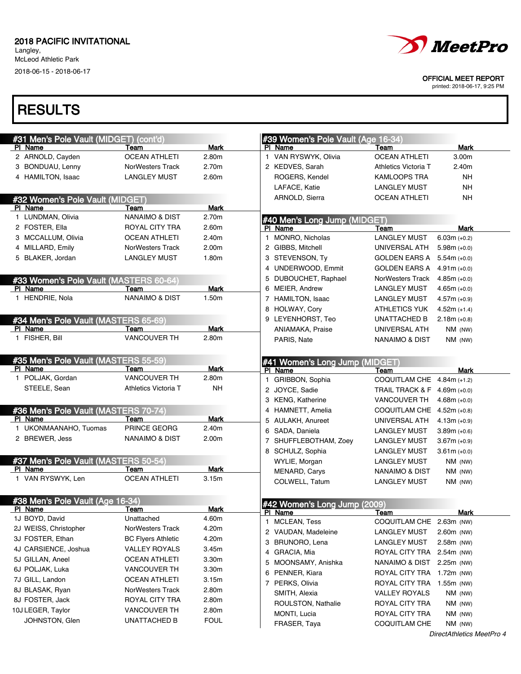Langley, McLeod Athletic Park 2018-06-15 - 2018-06-17

### **RESULTS**

| #31 Men's Pole Vault (MIDGET) (cont'd) |                           |             |    | #39 Women's Pole Vault (Age 16-34)        |                            |                |  |
|----------------------------------------|---------------------------|-------------|----|-------------------------------------------|----------------------------|----------------|--|
| PI Name                                | Team                      | <b>Mark</b> |    | PI Name                                   | Team                       | <b>Mark</b>    |  |
| 2 ARNOLD, Cayden                       | <b>OCEAN ATHLETI</b>      | 2.80m       |    | 1 VAN RYSWYK, Olivia                      | <b>OCEAN ATHLETI</b>       | 3.00m          |  |
| 3 BONDUAU, Lenny                       | <b>NorWesters Track</b>   | 2.70m       |    | 2 KEDVES, Sarah                           | Athletics Victoria T       | 2.40m          |  |
| 4 HAMILTON, Isaac                      | <b>LANGLEY MUST</b>       | 2.60m       |    | ROGERS, Kendel                            | <b>KAMLOOPS TRA</b>        | NΗ             |  |
|                                        |                           |             |    | LAFACE, Katie                             | <b>LANGLEY MUST</b>        | <b>NH</b>      |  |
| #32 Women's Pole Vault (MIDGET)        |                           |             |    | ARNOLD, Sierra                            | <b>OCEAN ATHLETI</b>       | <b>NH</b>      |  |
| PI Name                                | Team                      | Mark        |    |                                           |                            |                |  |
| 1 LUNDMAN, Olivia                      | <b>NANAIMO &amp; DIST</b> | 2.70m       |    | #40 Men's Long Jump (MIDGET)              |                            |                |  |
| 2 FOSTER, Ella                         | ROYAL CITY TRA            | 2.60m       |    | PI Name                                   | Team                       | Mark           |  |
| 3 MCCALLUM, Olivia                     | <b>OCEAN ATHLETI</b>      | 2.40m       |    | 1 MONRO, Nicholas                         | <b>LANGLEY MUST</b>        | $6.03m (+0.2)$ |  |
| 4 MILLARD, Emily                       | NorWesters Track          | 2.00m       |    | 2 GIBBS, Mitchell                         | UNIVERSAL ATH              | $5.98m (+0.0)$ |  |
| 5 BLAKER, Jordan                       | <b>LANGLEY MUST</b>       | 1.80m       |    | 3 STEVENSON, Ty                           | <b>GOLDEN EARS A</b>       | $5.54m (+0.0)$ |  |
|                                        |                           |             |    | 4 UNDERWOOD, Emmit                        | <b>GOLDEN EARS A</b>       | $4.91m (+0.0)$ |  |
| #33 Women's Pole Vault (MASTERS 60-64) |                           |             |    | 5 DUBOUCHET, Raphael                      | NorWesters Track           | $4.85m (+0.0)$ |  |
| PI Name                                | Team                      | Mark        |    | 6 MEIER, Andrew                           | <b>LANGLEY MUST</b>        | $4.65m (+0.0)$ |  |
| 1 HENDRIE, Nola                        | <b>NANAIMO &amp; DIST</b> | 1.50m       |    | 7 HAMILTON, Isaac                         | <b>LANGLEY MUST</b>        | $4.57m (+0.9)$ |  |
|                                        |                           |             |    | 8 HOLWAY, Cory                            | <b>ATHLETICS YUK</b>       | $4.52m (+1.4)$ |  |
| #34 Men's Pole Vault (MASTERS 65-69)   |                           |             |    | 9 LEYENHORST, Teo                         | UNATTACHED B               | $2.18m (+0.8)$ |  |
| PI Name                                | Team                      | <b>Mark</b> |    | ANIAMAKA, Praise                          | UNIVERSAL ATH              | $NM$ (NW)      |  |
| 1 FISHER, Bill                         | <b>VANCOUVER TH</b>       | 2.80m       |    | PARIS, Nate                               | NANAIMO & DIST             | $NM$ (NW)      |  |
|                                        |                           |             |    |                                           |                            |                |  |
| #35 Men's Pole Vault (MASTERS 55-59)   |                           |             |    |                                           |                            |                |  |
| PI Name                                | Team                      | Mark        |    | #41 Women's Long Jump (MIDGET)<br>PI Name | Team                       | Mark           |  |
| 1 POLJAK, Gordan                       | <b>VANCOUVER TH</b>       | 2.80m       | 1. | GRIBBON, Sophia                           | COQUITLAM CHE              | $4.84m (+1.2)$ |  |
| STEELE, Sean                           | Athletics Victoria T      | NΗ          |    | 2 JOYCE, Sadie                            | <b>TRAIL TRACK &amp; F</b> | $4.69m (+0.0)$ |  |
|                                        |                           |             |    | 3 KENG, Katherine                         | <b>VANCOUVER TH</b>        | $4.68m (+0.0)$ |  |
| #36 Men's Pole Vault (MASTERS 70-74)   |                           |             |    | 4 HAMNETT, Amelia                         | COQUITLAM CHE              | $4.52m (+0.8)$ |  |
| PI Name                                | Team                      | Mark        |    | 5 AULAKH, Anureet                         | UNIVERSAL ATH              | $4.13m (+0.9)$ |  |
| 1 UKONMAANAHO, Tuomas                  | PRINCE GEORG              | 2.40m       |    | 6 SADA, Daniela                           | <b>LANGLEY MUST</b>        | $3.89m (+0.6)$ |  |
| 2 BREWER, Jess                         | <b>NANAIMO &amp; DIST</b> | 2.00m       |    | 7 SHUFFLEBOTHAM, Zoey                     | <b>LANGLEY MUST</b>        | $3.67m (+0.9)$ |  |
|                                        |                           |             |    | 8 SCHULZ, Sophia                          | <b>LANGLEY MUST</b>        | $3.61m (+0.0)$ |  |
| #37 Men's Pole Vault (MASTERS 50-54)   |                           |             |    | WYLIE, Morgan                             |                            |                |  |
| PI Name                                | Team                      | <b>Mark</b> |    |                                           | <b>LANGLEY MUST</b>        | $NM$ (NW)      |  |
| 1 VAN RYSWYK, Len                      | <b>OCEAN ATHLETI</b>      | 3.15m       |    | MENARD, Carys                             | NANAIMO & DIST             | $NM$ (NW)      |  |
|                                        |                           |             |    | COLWELL, Tatum                            | LANGLEY MUST               | $NM$ (NW)      |  |
| #38 Men's Pole Vault (Age 16-34)       |                           |             |    |                                           |                            |                |  |
| PI Name                                | Team                      | Mark        |    | #42 Women's Long Jump (2009)              |                            |                |  |
| 1J BOYD, David                         | Unattached                | 4.60m       |    | PI Name                                   | Team                       | Mark           |  |
| 2J WEISS, Christopher                  | NorWesters Track          | 4.20m       | 1  | MCLEAN, Tess                              | COQUITLAM CHE 2.63m (NW)   |                |  |
| 3J FOSTER, Ethan                       | <b>BC Flyers Athletic</b> | 4.20m       |    | 2 VAUDAN, Madeleine                       | <b>LANGLEY MUST</b>        | 2.60m (NW)     |  |
| 4J CARSIENCE, Joshua                   | <b>VALLEY ROYALS</b>      | 3.45m       |    | 3 BRUNORO, Lena                           | <b>LANGLEY MUST</b>        | 2.58m (NW)     |  |
| 5J GILLAN, Aneel                       | <b>OCEAN ATHLETI</b>      | 3.30m       |    | 4 GRACIA, Mia                             | ROYAL CITY TRA             | 2.54m (NW)     |  |
| 6J POLJAK, Luka                        | <b>VANCOUVER TH</b>       | 3.30m       |    | 5 MOONSAMY, Anishka                       | NANAIMO & DIST             | 2.25m (NW)     |  |
| 7J GILL, Landon                        | <b>OCEAN ATHLETI</b>      |             |    | 6 PENNER, Kiara                           | ROYAL CITY TRA             | 1.72m (NW)     |  |
|                                        |                           | 3.15m       |    | 7 PERKS, Olivia                           | ROYAL CITY TRA             | $1.55m$ (NW)   |  |
| 8J BLASAK, Ryan                        | NorWesters Track          | 2.80m       |    | SMITH, Alexia                             | <b>VALLEY ROYALS</b>       | NM (NW)        |  |
| 8J FOSTER, Jack                        | ROYAL CITY TRA            | 2.80m       |    | ROULSTON, Nathalie                        | ROYAL CITY TRA             | NM (NW)        |  |
| 10J LEGER, Taylor                      | <b>VANCOUVER TH</b>       | 2.80m       |    | MONTI, Lucia                              | ROYAL CITY TRA             | NM (NW)        |  |
| JOHNSTON, Glen                         | UNATTACHED B              | <b>FOUL</b> |    | FRASER, Taya                              | COQUITLAM CHE              | NM (NW)        |  |



OFFICIAL MEET REPORT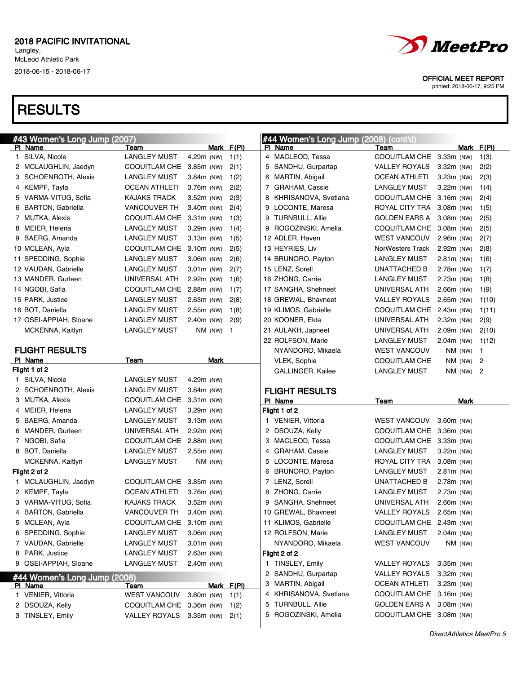# **RESULTS**

| #43 Women's Long Jump (2007) |                          |              |                | #44 Women's Long Jump (2008) (cont'd) |                          |              |            |                |
|------------------------------|--------------------------|--------------|----------------|---------------------------------------|--------------------------|--------------|------------|----------------|
| PI Name                      | Team                     |              | Mark F(PI)     | PI Name                               | Team                     |              | Mark F(PI) |                |
| 1 SILVA, Nicole              | <b>LANGLEY MUST</b>      | 4.29m (NW)   | 1(1)           | 4 MACLEOD, Tessa                      | COQUITLAM CHE 3.33m (NW) |              |            | 1(3)           |
| 2 MCLAUGHLIN, Jaedyn         | COQUITLAM CHE 3.85m (NW) |              | 2(1)           | 5 SANDHU, Gurpartap                   | VALLEY ROYALS            | $3.32m$ (NW) |            | 2(2)           |
| 3 SCHOENROTH, Alexis         | <b>LANGLEY MUST</b>      | 3.84m (NW)   | 1(2)           | 6 MARTIN, Abigail                     | <b>OCEAN ATHLETI</b>     | $3.23m$ (NW) |            | 2(3)           |
| 4 KEMPF, Tayla               | <b>OCEAN ATHLETI</b>     | 3.76m (NW)   | 2(2)           | 7 GRAHAM, Cassie                      | LANGLEY MUST             | $3.22m$ (NW) |            | 1(4)           |
| 5 VARMA-VITUG, Sofia         | <b>KAJAKS TRACK</b>      | 3.52m (NW)   | 2(3)           | KHRISANOVA, Svetlana                  | COQUITLAM CHE 3.16m (NW) |              |            | 2(4)           |
| 6 BARTON, Gabriella          | <b>VANCOUVER TH</b>      | 3.40m (NW)   | 2(4)           | 9 LOCONTE, Maresa                     | ROYAL CITY TRA           | $3.08m$ (NW) |            | 1(5)           |
| 7 MUTKA, Alexis              | COQUITLAM CHE 3.31m (NW) |              | 1(3)           | 9 TURNBULL, Allie                     | <b>GOLDEN EARS A</b>     | $3.08m$ (NW) |            | 2(5)           |
| 8 MEIER, Helena              | <b>LANGLEY MUST</b>      | 3.29m (NW)   | 1(4)           | 9 ROGOZINSKI, Amelia                  | COQUITLAM CHE 3.08m (NW) |              |            | 2(5)           |
| 9 BAERG, Amanda              | <b>LANGLEY MUST</b>      | $3.13m$ (NW) | 1(5)           | 12 ADLER, Haven                       | <b>WEST VANCOUV</b>      | 2.96m (NW)   |            | 2(7)           |
| 10 MCLEAN, Ayla              | COQUITLAM CHE 3.10m (NW) |              | 2(5)           | 13 HEYRIES, Liv                       | NorWesters Track         | 2.92m (NW)   |            | 2(8)           |
| 11 SPEDDING, Sophie          | <b>LANGLEY MUST</b>      | 3.06m (NW)   | 2(6)           | 14 BRUNORO, Payton                    | <b>LANGLEY MUST</b>      | $2.81m$ (NW) |            | 1(6)           |
| 12 VAUDAN, Gabrielle         | <b>LANGLEY MUST</b>      | $3.01m$ (NW) | 2(7)           | 15 LENZ, Sorell                       | UNATTACHED B             | 2.78m (NW)   |            | 1(7)           |
| 13 MANDER, Gurleen           | UNIVERSAL ATH            | 2.92m (NW)   | 1(6)           | 16 ZHONG, Carrie                      | <b>LANGLEY MUST</b>      | 2.73m (NW)   |            | 1(8)           |
| 14 NGOBI, Safia              | COQUITLAM CHE 2.88m (NW) |              | 1(7)           | 17 SANGHA, Shehneet                   | UNIVERSAL ATH            | $2.66m$ (NW) |            | 1(9)           |
| 15 PARK, Justice             | <b>LANGLEY MUST</b>      | $2.63m$ (NW) | 2(8)           | 18 GREWAL, Bhavneet                   | <b>VALLEY ROYALS</b>     | $2.65m$ (NW) |            | 1(10)          |
| 16 BOT, Daniella             | <b>LANGLEY MUST</b>      | 2.55m (NW)   | 1(8)           | 19 KLIMOS, Gabrielle                  | COQUITLAM CHE 2.43m (NW) |              |            | 1(11)          |
| 17 OSEI-APPIAH, Sloane       | <b>LANGLEY MUST</b>      | 2.40m (NW)   | 2(9)           | 20 KOONER, Ekta                       | UNIVERSAL ATH            | $2.32m$ (NW) |            | 2(9)           |
| MCKENNA, Kaitlyn             | <b>LANGLEY MUST</b>      | NM (NW)      | $\overline{1}$ | 21 AULAKH, Japneet                    | UNIVERSAL ATH            | $2.09m$ (NW) |            | 2(10)          |
|                              |                          |              |                | 22 ROLFSON, Marie                     | <b>LANGLEY MUST</b>      | $2.04m$ (NW) |            | 1(12)          |
| <b>FLIGHT RESULTS</b>        |                          |              |                | NYANDORO, Mikaela                     | <b>WEST VANCOUV</b>      |              | $NM$ (NW)  | $\overline{1}$ |
| PI Name                      | Team                     | Mark         |                | VLEK, Sophie                          | COQUITLAM CHE            |              | NM (NW)    | 2              |
| Flight 1 of 2                |                          |              |                | GALLINGER, Kailee                     | LANGLEY MUST             |              | NM (NW)    | $\overline{c}$ |
| 1 SILVA, Nicole              | <b>LANGLEY MUST</b>      | 4.29m (NW)   |                |                                       |                          |              |            |                |
| 2 SCHOENROTH, Alexis         | <b>LANGLEY MUST</b>      | $3.84m$ (NW) |                | <b>FLIGHT RESULTS</b>                 |                          |              |            |                |
| 3 MUTKA, Alexis              | COQUITLAM CHE 3.31m (NW) |              |                | PI Name                               | Team                     |              | Mark       |                |
| 4 MEIER, Helena              | <b>LANGLEY MUST</b>      | $3.29m$ (NW) |                | Flight 1 of 2                         |                          |              |            |                |
| 5 BAERG, Amanda              | <b>LANGLEY MUST</b>      | $3.13m$ (NW) |                | 1 VENIER, Vittoria                    | WEST VANCOUV 3.60m (NW)  |              |            |                |
| 6 MANDER, Gurleen            | UNIVERSAL ATH            | $2.92m$ (NW) |                | 2 DSOUZA, Kelly                       | COQUITLAM CHE 3.36m (NW) |              |            |                |
| 7 NGOBI, Safia               | COQUITLAM CHE 2.88m (NW) |              |                | 3 MACLEOD, Tessa                      | COQUITLAM CHE 3.33m (NW) |              |            |                |
| 8 BOT, Daniella              | <b>LANGLEY MUST</b>      | $2.55m$ (NW) |                | 4 GRAHAM, Cassie                      | LANGLEY MUST             | $3.22m$ (NW) |            |                |
| MCKENNA, Kaitlyn             | <b>LANGLEY MUST</b>      | $NM$ (NW)    |                | 5 LOCONTE, Maresa                     | ROYAL CITY TRA           | $3.08m$ (NW) |            |                |
| Flight 2 of 2                |                          |              |                | 6 BRUNORO, Payton                     | <b>LANGLEY MUST</b>      | $2.81m$ (NW) |            |                |
| 1 MCLAUGHLIN, Jaedyn         | COQUITLAM CHE 3.85m (NW) |              |                | 7 LENZ, Sorell                        | UNATTACHED B             | 2.78m (NW)   |            |                |
| 2 KEMPF, Tayla               | <b>OCEAN ATHLETI</b>     | 3.76m (NW)   |                | 8 ZHONG, Carrie                       | <b>LANGLEY MUST</b>      | $2.73m$ (NW) |            |                |
| 3 VARMA-VITUG, Sofia         | <b>KAJAKS TRACK</b>      | $3.52m$ (NW) |                | 9 SANGHA, Shehneet                    | UNIVERSAL ATH            | $2.66m$ (NW) |            |                |
| 4 BARTON, Gabriella          | VANCOUVER TH             | 3.40m (NW)   |                | 10 GREWAL, Bhavneet                   | VALLEY ROYALS 2.65m (NW) |              |            |                |
| 5 MCLEAN, Ayla               | COQUITLAM CHE 3.10m (NW) |              |                | 11 KLIMOS, Gabrielle                  | COQUITLAM CHE 2.43m (NW) |              |            |                |
| 6 SPEDDING, Sophie           | <b>LANGLEY MUST</b>      | 3.06m (NW)   |                | 12 ROLFSON, Marie                     | <b>LANGLEY MUST</b>      | $2.04m$ (NW) |            |                |
| 7 VAUDAN, Gabrielle          | <b>LANGLEY MUST</b>      | $3.01m$ (NW) |                | NYANDORO, Mikaela                     | <b>WEST VANCOUV</b>      |              | NM (NW)    |                |
| 8 PARK, Justice              | <b>LANGLEY MUST</b>      | $2.63m$ (NW) |                | Flight 2 of 2                         |                          |              |            |                |
| 9 OSEI-APPIAH, Sloane        | <b>LANGLEY MUST</b>      | 2.40m (NW)   |                | 1 TINSLEY, Emily                      | VALLEY ROYALS 3.35m (NW) |              |            |                |
| #44 Women's Long Jump (2008) |                          |              |                | 2 SANDHU, Gurpartap                   | <b>VALLEY ROYALS</b>     | 3.32m (NW)   |            |                |
| PI Name                      | <b>Team</b>              |              | Mark F(PI)     | 3 MARTIN, Abigail                     | <b>OCEAN ATHLETI</b>     | $3.23m$ (NW) |            |                |
| 1 VENIER, Vittoria           | <b>WEST VANCOUV</b>      | 3.60m (NW)   | 1(1)           | 4 KHRISANOVA, Svetlana                | COQUITLAM CHE 3.16m (NW) |              |            |                |
| 2 DSOUZA, Kelly              | COQUITLAM CHE 3.36m (NW) |              | 1(2)           | 5 TURNBULL, Allie                     | GOLDEN EARS A 3.08m (NW) |              |            |                |
| 3 TINSLEY, Emily             | VALLEY ROYALS 3.35m (NW) |              | 2(1)           | 5 ROGOZINSKI, Amelia                  | COQUITLAM CHE 3.08m (NW) |              |            |                |
|                              |                          |              |                |                                       |                          |              |            |                |



OFFICIAL MEET REPORT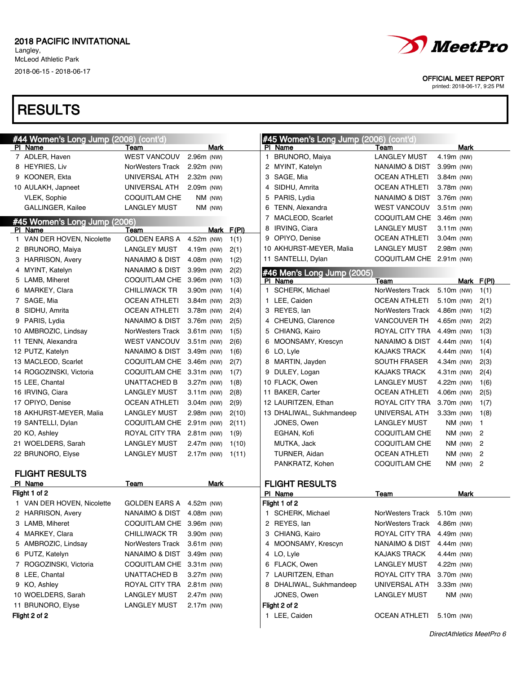Langley, McLeod Athletic Park

2018-06-15 - 2018-06-17



OFFICIAL MEET REPORT

printed: 2018-06-17, 9:25 PM

| #44 Women's Long Jump (2008) (cont'd) |                                             |              |              |              | #45 Women's Long Jump (2006) (cont'd) |                                             |                            |            |                |
|---------------------------------------|---------------------------------------------|--------------|--------------|--------------|---------------------------------------|---------------------------------------------|----------------------------|------------|----------------|
| PI Name                               | Team                                        | Mark         |              |              | PI Name                               | Team                                        |                            | Mark       |                |
| 7 ADLER, Haven                        | <b>WEST VANCOUV</b>                         | 2.96m (NW)   |              | $\mathbf{1}$ | BRUNORO, Maiya                        | <b>LANGLEY MUST</b>                         | 4.19m (NW)                 |            |                |
| 8 HEYRIES, Liv                        | NorWesters Track                            | 2.92m (NW)   |              |              | 2 MYINT, Katelyn                      | NANAIMO & DIST                              | 3.99m (NW)                 |            |                |
| 9 KOONER, Ekta                        | UNIVERSAL ATH                               | 2.32m (NW)   |              |              | 3 SAGE, Mia                           | <b>OCEAN ATHLETI</b>                        | $3.84m$ (NW)               |            |                |
| 10 AULAKH, Japneet                    | UNIVERSAL ATH                               | 2.09m (NW)   |              |              | 4 SIDHU, Amrita                       | <b>OCEAN ATHLETI</b>                        | 3.78m (NW)                 |            |                |
| <b>VLEK, Sophie</b>                   | COQUITLAM CHE                               | NM (NW)      |              |              | 5 PARIS, Lydia                        | <b>NANAIMO &amp; DIST</b>                   | 3.76m (NW)                 |            |                |
| GALLINGER, Kailee                     | LANGLEY MUST                                | NM (NW)      |              |              | 6 TENN, Alexandra                     | <b>WEST VANCOUV</b><br>COQUITLAM CHE        | $3.51m$ (NW)               |            |                |
| #45 Women's Long Jump (2006)          |                                             |              |              |              | 7 MACLEOD, Scarlet                    | <b>LANGLEY MUST</b>                         | 3.46m (NW)                 |            |                |
| PI Name                               | Team                                        | Mark         | F(PI)        |              | 8 IRVING, Ciara<br>9 OPIYO, Denise    |                                             | $3.11m$ (NW)               |            |                |
| 1 VAN DER HOVEN, Nicolette            | <b>GOLDEN EARS A</b><br><b>LANGLEY MUST</b> | 4.52m (NW)   | 1(1)         |              | 10 AKHURST-MEYER, Malia               | <b>OCEAN ATHLETI</b><br><b>LANGLEY MUST</b> | $3.04m$ (NW)<br>2.98m (NW) |            |                |
| 2 BRUNORO, Maiya                      |                                             | 4.19m (NW)   | 2(1)         |              | 11 SANTELLI, Dylan                    | COQUITLAM CHE 2.91m (NW)                    |                            |            |                |
| 3 HARRISON, Avery                     | NANAIMO & DIST                              | 4.08m (NW)   | 1(2)         |              |                                       |                                             |                            |            |                |
| 4 MYINT, Katelyn<br>5 LAMB, Miheret   | NANAIMO & DIST<br>COQUITLAM CHE 3.96m (NW)  | 3.99m (NW)   | 2(2)         |              | #46 Men's Long Jump (2005)            |                                             |                            |            |                |
| 6 MARKEY, Clara                       | <b>CHILLIWACK TR</b>                        | 3.90m (NW)   | 1(3)         | $\mathbf{1}$ | PI Name<br>SCHERK, Michael            | Team<br>NorWesters Track                    | 5.10m (NW)                 | Mark F(PI) | 1(1)           |
| 7 SAGE, Mia                           | <b>OCEAN ATHLETI</b>                        | 3.84m (NW)   | 1(4)         | 1            | LEE, Caiden                           | <b>OCEAN ATHLETI</b>                        | 5.10m (NW)                 |            | 2(1)           |
| 8 SIDHU, Amrita                       | <b>OCEAN ATHLETI</b>                        | 3.78m (NW)   | 2(3)<br>2(4) |              | 3 REYES, lan                          | NorWesters Track                            | 4.86m (NW)                 |            | 1(2)           |
| 9 PARIS, Lydia                        | NANAIMO & DIST                              | 3.76m (NW)   | 2(5)         |              | 4 CHEUNG, Clarence                    | <b>VANCOUVER TH</b>                         | 4.65m (NW)                 |            | 2(2)           |
| 10 AMBROZIC, Lindsay                  | NorWesters Track                            | $3.61m$ (NW) | 1(5)         |              | 5 CHIANG, Kairo                       | ROYAL CITY TRA                              | 4.49m (NW)                 |            | 1(3)           |
| 11 TENN, Alexandra                    | <b>WEST VANCOUV</b>                         | $3.51m$ (NW) | 2(6)         |              | 6 MOONSAMY, Krescyn                   | NANAIMO & DIST                              | 4.44m (NW)                 |            | 1(4)           |
| 12 PUTZ, Katelyn                      | NANAIMO & DIST                              | 3.49m (NW)   | 1(6)         |              | 6 LO, Lyle                            | <b>KAJAKS TRACK</b>                         | 4.44m (NW)                 |            | 1(4)           |
| 13 MACLEOD, Scarlet                   | COQUITLAM CHE 3.46m (NW)                    |              | 2(7)         |              | 8 MARTIN, Jayden                      | <b>SOUTH FRASER</b>                         | 4.34m (NW)                 |            | 2(3)           |
| 14 ROGOZINSKI, Victoria               | COQUITLAM CHE 3.31m (NW)                    |              | 1(7)         |              | 9 DULEY, Logan                        | <b>KAJAKS TRACK</b>                         | 4.31m (NW)                 |            | 2(4)           |
| 15 LEE, Chantal                       | <b>UNATTACHED B</b>                         | 3.27m (NW)   | 1(8)         |              | 10 FLACK, Owen                        | <b>LANGLEY MUST</b>                         | 4.22m (NW)                 |            | 1(6)           |
| 16 IRVING, Ciara                      | <b>LANGLEY MUST</b>                         | $3.11m$ (NW) | 2(8)         |              | 11 BAKER, Carter                      | <b>OCEAN ATHLETI</b>                        | 4.06m (NW)                 |            | 2(5)           |
| 17 OPIYO, Denise                      | <b>OCEAN ATHLETI</b>                        | $3.04m$ (NW) | 2(9)         |              | 12 LAURITZEN, Ethan                   | ROYAL CITY TRA                              | 3.70m (NW)                 |            | 1(7)           |
| 18 AKHURST-MEYER, Malia               | <b>LANGLEY MUST</b>                         | 2.98m (NW)   | 2(10)        |              | 13 DHALIWAL, Sukhmandeep              | UNIVERSAL ATH                               | $3.33m$ (NW)               |            | 1(8)           |
| 19 SANTELLI, Dylan                    | COQUITLAM CHE 2.91m (NW)                    |              | 2(11)        |              | JONES, Owen                           | <b>LANGLEY MUST</b>                         |                            | $NM$ (NW)  | 1              |
| 20 KO, Ashley                         | ROYAL CITY TRA                              | $2.81m$ (NW) | 1(9)         |              | EGHAN, Kofi                           | <b>COQUITLAM CHE</b>                        |                            | $NM$ (NW)  | $\overline{c}$ |
| 21 WOELDERS, Sarah                    | <b>LANGLEY MUST</b>                         | 2.47m (NW)   | 1(10)        |              | MUTKA, Jack                           | <b>COQUITLAM CHE</b>                        |                            | $NM$ (NW)  | $\overline{c}$ |
| 22 BRUNORO, Elyse                     | <b>LANGLEY MUST</b>                         | 2.17m (NW)   | 1(11)        |              | TURNER, Aidan                         | <b>OCEAN ATHLETI</b>                        |                            | $NM$ (NW)  | $\overline{c}$ |
|                                       |                                             |              |              |              | PANKRATZ, Kohen                       | <b>COQUITLAM CHE</b>                        |                            | NM (NW)    | $\overline{c}$ |
| <b>FLIGHT RESULTS</b>                 |                                             |              |              |              |                                       |                                             |                            |            |                |
| PI Name                               | Team                                        | Mark         |              |              | <b>FLIGHT RESULTS</b>                 |                                             |                            |            |                |
| Flight 1 of 2                         |                                             |              |              |              | PI Name                               | Team                                        |                            | Mark       |                |
| 1 VAN DER HOVEN, Nicolette            | GOLDEN EARS A 4.52m (NW)                    |              |              |              | Flight 1 of 2                         |                                             |                            |            |                |
| 2 HARRISON, Avery                     | NANAIMO & DIST 4.08m (NW)                   |              |              |              | 1 SCHERK, Michael                     | NorWesters Track 5.10m (NW)                 |                            |            |                |
| 3 LAMB, Miheret                       | COQUITLAM CHE 3.96m (NW)                    |              |              |              | 2 REYES, lan                          | NorWesters Track                            | 4.86m (NW)                 |            |                |
| 4 MARKEY, Clara                       | <b>CHILLIWACK TR</b>                        | 3.90m (NW)   |              |              | 3 CHIANG, Kairo                       | ROYAL CITY TRA                              | 4.49m (NW)                 |            |                |
| 5 AMBROZIC, Lindsay                   | NorWesters Track                            | $3.61m$ (NW) |              |              | 4 MOONSAMY, Krescyn                   | <b>NANAIMO &amp; DIST</b>                   | 4.44m (NW)                 |            |                |
| 6 PUTZ, Katelyn                       | NANAIMO & DIST                              | 3.49m (NW)   |              |              | 4 LO, Lyle                            | <b>KAJAKS TRACK</b>                         | 4.44m (NW)                 |            |                |
| 7 ROGOZINSKI, Victoria                | COQUITLAM CHE                               | $3.31m$ (NW) |              |              | 6 FLACK, Owen                         | <b>LANGLEY MUST</b>                         | 4.22m (NW)                 |            |                |
| 8 LEE, Chantal                        | UNATTACHED B                                | 3.27m (NW)   |              |              | 7 LAURITZEN, Ethan                    | ROYAL CITY TRA                              | 3.70m (NW)                 |            |                |
| 9 KO, Ashley                          | ROYAL CITY TRA                              | $2.81m$ (NW) |              |              | 8 DHALIWAL, Sukhmandeep               | UNIVERSAL ATH                               | 3.33m (NW)                 |            |                |
| 10 WOELDERS, Sarah                    | <b>LANGLEY MUST</b>                         | 2.47m (NW)   |              |              | JONES, Owen                           | <b>LANGLEY MUST</b>                         |                            | NM (NW)    |                |
| 11 BRUNORO, Elyse                     | <b>LANGLEY MUST</b>                         | 2.17m (NW)   |              |              | Flight 2 of 2                         |                                             |                            |            |                |
| Flight 2 of 2                         |                                             |              |              |              | 1 LEE, Caiden                         | <b>OCEAN ATHLETI</b>                        | 5.10m (NW)                 |            |                |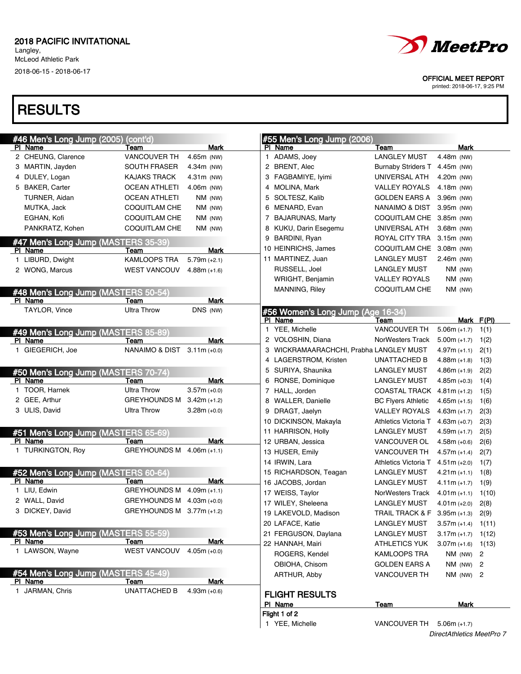# **RESULTS**

| #46 Men's Long Jump (2005)          | (cont'd)                     |                |   | #55 Men's Long Jump (2006)            |                              |                      |            |
|-------------------------------------|------------------------------|----------------|---|---------------------------------------|------------------------------|----------------------|------------|
| PI Name                             | Team                         | Mark           |   | PI Name                               | Team                         | <b>Mark</b>          |            |
| 2 CHEUNG, Clarence                  | <b>VANCOUVER TH</b>          | 4.65m (NW)     |   | 1 ADAMS, Joey                         | <b>LANGLEY MUST</b>          | 4.48m (NW)           |            |
| 3 MARTIN, Jayden                    | <b>SOUTH FRASER</b>          | 4.34m (NW)     |   | 2 BRENT, Alec                         | <b>Burnaby Striders T</b>    | 4.45m (NW)           |            |
| 4 DULEY, Logan                      | <b>KAJAKS TRACK</b>          | $4.31m$ (NW)   |   | 3 FAGBAMIYE, Iyimi                    | UNIVERSAL ATH                | 4.20m (NW)           |            |
| 5 BAKER, Carter                     | <b>OCEAN ATHLETI</b>         | 4.06m (NW)     |   | 4 MOLINA, Mark                        | <b>VALLEY ROYALS</b>         | 4.18m (NW)           |            |
| TURNER, Aidan                       | <b>OCEAN ATHLETI</b>         | NM (NW)        | 5 | SOLTESZ, Kalib                        | <b>GOLDEN EARS A</b>         | 3.96m (NW)           |            |
| MUTKA, Jack                         | COQUITLAM CHE                | NM (NW)        | 6 | MENARD, Evan                          | NANAIMO & DIST               | 3.95m (NW)           |            |
| EGHAN, Kofi                         | <b>COQUITLAM CHE</b>         | NM (NW)        |   | 7 BAJARUNAS, Marty                    | COQUITLAM CHE                | $3.85m$ (NW)         |            |
| PANKRATZ, Kohen                     | <b>COQUITLAM CHE</b>         | NM (NW)        | 8 | KUKU, Darin Esegemu                   | UNIVERSAL ATH                | 3.68m (NW)           |            |
| #47 Men's Long Jump (MASTERS 35-39) |                              |                | 9 | BARDINI, Ryan                         | ROYAL CITY TRA               | 3.15m (NW)           |            |
| PI Name                             | Team                         | Mark           |   | 10 HEINRICHS, James                   | COQUITLAM CHE                | 3.08m (NW)           |            |
| 1 LIBURD, Dwight                    | KAMLOOPS TRA                 | $5.79m (+2.1)$ |   | 11 MARTINEZ, Juan                     | <b>LANGLEY MUST</b>          | 2.46m (NW)           |            |
| 2 WONG, Marcus                      | <b>WEST VANCOUV</b>          | $4.88m (+1.6)$ |   | RUSSELL, Joel                         | <b>LANGLEY MUST</b>          | NM (NW)              |            |
|                                     |                              |                |   | WRIGHT, Benjamin                      | <b>VALLEY ROYALS</b>         | NM (NW)              |            |
| #48 Men's Long Jump (MASTERS 50-54) |                              |                |   | <b>MANNING, Riley</b>                 | COQUITLAM CHE                | NM (NW)              |            |
| PI Name                             | Team                         | <b>Mark</b>    |   |                                       |                              |                      |            |
| TAYLOR, Vince                       | <b>Ultra Throw</b>           | DNS (NW)       |   | #56 Women's Long Jump (Age 16-34)     |                              |                      |            |
|                                     |                              |                |   | PI Name                               | Team                         |                      | Mark F(PI) |
| #49 Men's Long Jump (MASTERS 85-89) |                              |                |   | 1 YEE, Michelle                       | VANCOUVER TH                 | $5.06m (+1.7)$       | 1(1)       |
| PI Name                             | Team                         | Mark           |   | 2 VOLOSHIN, Diana                     | NorWesters Track             | $5.00m (+1.7)$       | 1(2)       |
| 1 GIEGERICH, Joe                    | NANAIMO & DIST 3.11m (+0.0)  |                | 3 | WICKRAMAARACHCHI, Prabha LANGLEY MUST |                              | $4.97m (+1.1)$       | 2(1)       |
|                                     |                              |                |   | 4 LAGERSTROM, Kristen                 | UNATTACHED B                 | $4.88m (+1.8)$       | 1(3)       |
| #50 Men's Long Jump (MASTERS 70-74) |                              |                | 5 | SURIYA, Shaunika                      | <b>LANGLEY MUST</b>          | $4.86m (+1.9)$       | 2(2)       |
| PI Name                             | Team                         | Mark           |   | 6 RONSE, Dominique                    | <b>LANGLEY MUST</b>          | $4.85m (+0.3)$       | 1(4)       |
| 1 TOOR, Harnek                      | <b>Ultra Throw</b>           | $3.57m (+0.0)$ |   | 7 HALL, Jorden                        | <b>COASTAL TRACK</b>         | $4.81m (+1.2)$       | 1(5)       |
| 2 GEE, Arthur                       | <b>GREYHOUNDS M</b>          | $3.42m (+1.2)$ | 8 | <b>WALLER, Danielle</b>               | <b>BC Flyers Athletic</b>    | $4.65m (+1.5)$       | 1(6)       |
| 3 ULIS, David                       | <b>Ultra Throw</b>           | $3.28m (+0.0)$ | 9 | DRAGT, Jaelyn                         | <b>VALLEY ROYALS</b>         | $4.63m (+1.7)$       | 2(3)       |
|                                     |                              |                |   | 10 DICKINSON, Makayla                 | Athletics Victoria T         | $4.63m (+0.7)$       | 2(3)       |
| #51 Men's Long Jump (MASTERS 65-69) |                              |                |   | 11 HARRISON, Holly                    | <b>LANGLEY MUST</b>          | $4.59m (+1.7)$       | 2(5)       |
| PI Name                             | Team                         | Mark           |   | 12 URBAN, Jessica                     | VANCOUVER OL                 | $4.58m (+0.6)$       | 2(6)       |
| 1 TURKINGTON, Roy                   | <b>GREYHOUNDS M</b>          | $4.06m (+1.1)$ |   | 13 HUSER, Emily                       | VANCOUVER TH                 | $4.57m (+1.4)$       | 2(7)       |
|                                     |                              |                |   | 14 IRWIN, Lara                        | Athletics Victoria T         | $4.51m (+2.0)$       | 1(7)       |
| #52 Men's Long Jump (MASTERS 60-64) |                              |                |   | 15 RICHARDSON, Teagan                 | <b>LANGLEY MUST</b>          | $4.21m (+1.1)$       | 1(8)       |
| PI Name                             | Team                         | Mark           |   | 16 JACOBS, Jordan                     | <b>LANGLEY MUST</b>          | $4.11m (+1.7)$       | 1(9)       |
| 1 LIU, Edwin                        | <b>GREYHOUNDS M</b>          | $4.09m (+1.1)$ |   | 17 WEISS, Taylor                      | NorWesters Track             | $4.01m (+1.1)$       | 1(10)      |
| 2 WALL, David                       | <b>GREYHOUNDS M</b>          | $4.03m (+0.0)$ |   | 17 WILEY, Sheleena                    | <b>LANGLEY MUST</b>          | $4.01m (+2.0)$       | 2(8)       |
| 3 DICKEY, David                     | GREYHOUNDS M $3.77$ m (+1.2) |                |   | 19 LAKEVOLD, Madison                  | TRAIL TRACK & F 3.95m (+1.3) |                      | 2(9)       |
|                                     |                              |                |   | 20 LAFACE, Katie                      | LANGLEY MUST                 | $3.57m (+1.4)$ 1(11) |            |
| #53 Men's Long Jump (MASTERS 55-59) |                              |                |   | 21 FERGUSON, Daylana                  | LANGLEY MUST                 | $3.17m (+1.7) 1(12)$ |            |
| PI Name                             | Team                         | Mark           |   | 22 HANNAH, Mairi                      | <b>ATHLETICS YUK</b>         | $3.07m (+1.6)$ 1(13) |            |
| 1 LAWSON, Wayne                     | WEST VANCOUV                 | $4.05m (+0.0)$ |   | ROGERS, Kendel                        | KAMLOOPS TRA                 | NM (NW) 2            |            |
|                                     |                              |                |   | OBIOHA, Chisom                        | <b>GOLDEN EARS A</b>         | $NM$ (NW) $2$        |            |
| #54 Men's Long Jump (MASTERS 45-49) |                              |                |   | ARTHUR, Abby                          | VANCOUVER TH                 | $NM$ (NW) $2$        |            |
| PI Name                             | Team                         | <b>Mark</b>    |   |                                       |                              |                      |            |
| 1 JARMAN, Chris                     | <b>UNATTACHED B</b>          | $4.93m (+0.6)$ |   | <b>FLIGHT RESULTS</b>                 |                              |                      |            |
|                                     |                              |                |   | PI Name                               | Team                         | <b>Mark</b>          |            |
|                                     |                              |                |   | Flight 1 of 2                         |                              |                      |            |
|                                     |                              |                |   | 1 YEE, Michelle                       | VANCOUVER TH                 | $5.06m (+1.7)$       |            |



OFFICIAL MEET REPORT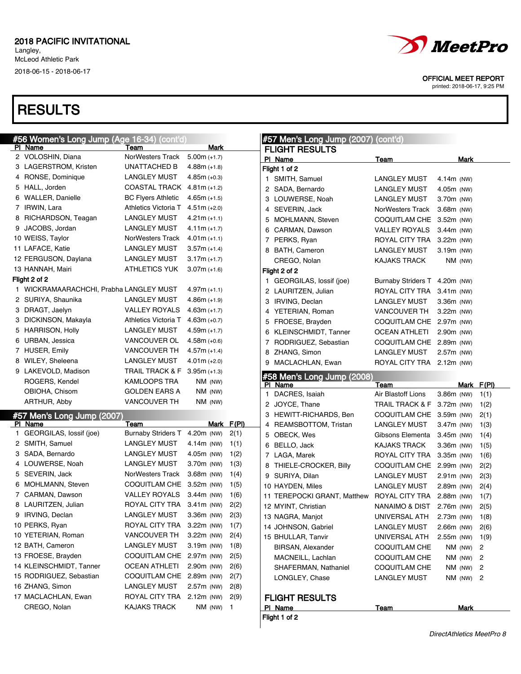### **RESULTS**

| <b>#56 Women's Long Jump (Age 16-34) (cont'd)</b> |                                                   |                         |            | #57 Men's Long Jump (2007) (cont'd) |                               |              |             |                |
|---------------------------------------------------|---------------------------------------------------|-------------------------|------------|-------------------------------------|-------------------------------|--------------|-------------|----------------|
| PI Name                                           | Team                                              | Mark                    |            | <b>FLIGHT RESULTS</b>               |                               |              |             |                |
| 2 VOLOSHIN, Diana                                 | NorWesters Track                                  | $5.00m (+1.7)$          |            | PI Name                             | <u>Team</u>                   |              | Mark        |                |
| 3 LAGERSTROM, Kristen                             | <b>UNATTACHED B</b>                               | $4.88m (+1.8)$          |            | Flight 1 of 2                       |                               |              |             |                |
| 4 RONSE, Dominique                                | <b>LANGLEY MUST</b>                               | $4.85m (+0.3)$          |            | 1 SMITH, Samuel                     | <b>LANGLEY MUST</b>           | 4.14m (NW)   |             |                |
| 5 HALL, Jorden                                    | COASTAL TRACK 4.81m (+1.2)                        |                         |            | 2 SADA, Bernardo                    | <b>LANGLEY MUST</b>           | 4.05m (NW)   |             |                |
| 6 WALLER, Danielle                                | <b>BC Flyers Athletic</b>                         | $4.65m (+1.5)$          |            | 3 LOUWERSE, Noah                    | <b>LANGLEY MUST</b>           | 3.70m (NW)   |             |                |
| 7 IRWIN, Lara                                     | Athletics Victoria T                              | $4.51m (+2.0)$          |            | 4 SEVERIN, Jack                     | NorWesters Track              | $3.68m$ (NW) |             |                |
| 8 RICHARDSON, Teagan                              | <b>LANGLEY MUST</b>                               | $4.21m (+1.1)$          |            | 5 MOHLMANN, Steven                  | COQUITLAM CHE                 | $3.52m$ (NW) |             |                |
| 9 JACOBS, Jordan                                  | <b>LANGLEY MUST</b>                               | $4.11m (+1.7)$          |            | 6 CARMAN, Dawson                    | <b>VALLEY ROYALS</b>          | $3.44m$ (NW) |             |                |
| 10 WEISS, Taylor                                  | <b>NorWesters Track</b>                           | $4.01m (+1.1)$          |            | 7 PERKS, Ryan                       | ROYAL CITY TRA                | $3.22m$ (NW) |             |                |
| 11 LAFACE, Katie                                  | <b>LANGLEY MUST</b>                               | $3.57m (+1.4)$          |            | 8 BATH, Cameron                     | <b>LANGLEY MUST</b>           | 3.19m (NW)   |             |                |
| 12 FERGUSON, Daylana                              | <b>LANGLEY MUST</b>                               | $3.17m (+1.7)$          |            | CREGO, Nolan                        | <b>KAJAKS TRACK</b>           |              | NM (NW)     |                |
| 13 HANNAH, Mairi                                  | <b>ATHLETICS YUK</b>                              | $3.07m (+1.6)$          |            | Flight 2 of 2                       |                               |              |             |                |
| Flight 2 of 2                                     |                                                   |                         |            | 1 GEORGILAS, lossif (joe)           | Burnaby Striders T 4.20m (NW) |              |             |                |
| 1 WICKRAMAARACHCHI, Prabha LANGLEY MUST           |                                                   | $4.97m (+1.1)$          |            | 2 LAURITZEN, Julian                 | ROYAL CITY TRA                | $3.41m$ (NW) |             |                |
| 2 SURIYA, Shaunika                                | <b>LANGLEY MUST</b>                               | $4.86m (+1.9)$          |            | 3 IRVING, Declan                    | <b>LANGLEY MUST</b>           | 3.36m (NW)   |             |                |
| 3 DRAGT, Jaelyn                                   | VALLEY ROYALS                                     | $4.63m (+1.7)$          |            | 4 YETERIAN, Roman                   | <b>VANCOUVER TH</b>           | $3.22m$ (NW) |             |                |
| 3 DICKINSON, Makayla                              | Athletics Victoria T                              | $4.63m (+0.7)$          |            | 5 FROESE, Brayden                   | COQUITLAM CHE 2.97m (NW)      |              |             |                |
| 5 HARRISON, Holly                                 | <b>LANGLEY MUST</b>                               | $4.59m (+1.7)$          |            | 6 KLEINSCHMIDT, Tanner              | <b>OCEAN ATHLETI</b>          | 2.90m (NW)   |             |                |
| 6 URBAN, Jessica                                  | VANCOUVER OL                                      | $4.58m (+0.6)$          |            | 7 RODRIGUEZ, Sebastian              | COQUITLAM CHE 2.89m (NW)      |              |             |                |
| 7 HUSER, Emily                                    | <b>VANCOUVER TH</b>                               | $4.57m (+1.4)$          |            | 8 ZHANG, Simon                      | <b>LANGLEY MUST</b>           | 2.57m (NW)   |             |                |
| 8 WILEY, Sheleena                                 | <b>LANGLEY MUST</b>                               | $4.01m (+2.0)$          |            | 9 MACLACHLAN, Ewan                  | ROYAL CITY TRA 2.12m (NW)     |              |             |                |
| 9 LAKEVOLD, Madison                               | <b>TRAIL TRACK &amp; F</b>                        | $3.95m (+1.3)$          |            |                                     |                               |              |             |                |
| ROGERS, Kendel                                    | <b>KAMLOOPS TRA</b>                               | NM (NW)                 |            | #58 Men's Long Jump (2008)          |                               |              |             |                |
| OBIOHA, Chisom                                    | <b>GOLDEN EARS A</b>                              | NM (NW)                 |            | PI Name<br>1 DACRES, Isaiah         | Team<br>Air Blastoff Lions    |              | Mark        | F(PI)          |
| ARTHUR, Abby                                      | <b>VANCOUVER TH</b>                               | NM (NW)                 |            |                                     |                               | 3.86m (NW)   |             | 1(1)           |
|                                                   |                                                   |                         |            | 2 JOYCE, Thane                      | TRAIL TRACK & F               | 3.72m (NW)   |             | 1(2)           |
| #57 Men's Long Jump (2007)<br>PI Name             | Team                                              |                         | Mark F(PI) | 3 HEWITT-RICHARDS, Ben              | COQUITLAM CHE 3.59m (NW)      |              |             | 2(1)           |
| 1 GEORGILAS, lossif (joe)                         | Burnaby Striders T 4.20m (NW)                     |                         | 2(1)       | 4 REAMSBOTTOM, Tristan              | <b>LANGLEY MUST</b>           | 3.47m (NW)   |             | 1(3)           |
| 2 SMITH, Samuel                                   | <b>LANGLEY MUST</b>                               | 4.14m (NW)              | 1(1)       | 5 OBECK, Wes                        | Gibsons Elementa              | 3.45m (NW)   |             | 1(4)           |
| 3 SADA, Bernardo                                  | <b>LANGLEY MUST</b>                               | 4.05m (NW)              | 1(2)       | 6 BELLO, Jack                       | <b>KAJAKS TRACK</b>           | 3.36m (NW)   |             | 1(5)           |
| 4 LOUWERSE, Noah                                  | <b>LANGLEY MUST</b>                               | 3.70m (NW)              |            | 7 LAGA, Marek                       | ROYAL CITY TRA                | 3.35m (NW)   |             | 1(6)           |
| 5 SEVERIN, Jack                                   | NorWesters Track                                  | $3.68m$ (NW)            | 1(3)       | 8 THIELE-CROCKER, Billy             | COQUITLAM CHE                 | 2.99m (NW)   |             | 2(2)           |
|                                                   |                                                   |                         | 1(4)       | 9 SURIYA, Dilan                     | <b>LANGLEY MUST</b>           | 2.91m (NW)   |             | 2(3)           |
| 6 MOHLMANN, Steven<br>7 CARMAN, Dawson            | COQUITLAM CHE 3.52m (NW)                          |                         | 1(5)       | 10 HAYDEN, Miles                    | <b>LANGLEY MUST</b>           | 2.89m (NW)   |             | 2(4)           |
|                                                   | <b>VALLEY ROYALS</b><br>ROYAL CITY TRA 3.41m (NW) | 3.44m (NW)              | 1(6)       | 11 TEREPOCKI GRANT, Matthew         | ROYAL CITY TRA                | 2.88m (NW)   |             | 1(7)           |
| 8 LAURITZEN, Julian                               |                                                   |                         | 2(2)       | 12 MYINT, Christian                 | NANAIMO & DIST                | 2.76m (NW)   |             | 2(5)           |
|                                                   |                                                   |                         |            |                                     |                               |              |             | 1(8)           |
| 9 IRVING, Declan                                  | <b>LANGLEY MUST</b>                               | 3.36m (NW)              | 2(3)       | 13 NAGRA, Manjot                    | UNIVERSAL ATH                 | $2.73m$ (NW) |             |                |
| 10 PERKS, Ryan                                    | ROYAL CITY TRA                                    | 3.22m (NW)              | 1(7)       | 14 JOHNSON, Gabriel                 | <b>LANGLEY MUST</b>           | 2.66m (NW)   |             | 2(6)           |
| 10 YETERIAN, Roman                                | <b>VANCOUVER TH</b>                               | 3.22m (NW)              | 2(4)       | 15 BHULLAR, Tanvir                  | UNIVERSAL ATH                 | 2.55m (NW)   |             | 1(9)           |
| 12 BATH, Cameron                                  | <b>LANGLEY MUST</b>                               | 3.19m (NW)              | 1(8)       | BIRSAN, Alexander                   | COQUITLAM CHE                 |              | NM (NW)     | 2              |
| 13 FROESE, Brayden                                | COQUITLAM CHE 2.97m (NW)                          |                         | 2(5)       | MACNEILL, Lachlan                   | COQUITLAM CHE                 |              | NM (NW)     | 2              |
| 14 KLEINSCHMIDT, Tanner                           | <b>OCEAN ATHLETI</b>                              | 2.90m (NW)              | 2(6)       | SHAFERMAN, Nathaniel                | <b>COQUITLAM CHE</b>          |              | NM (NW)     | $\overline{c}$ |
| 15 RODRIGUEZ, Sebastian                           | COQUITLAM CHE 2.89m (NW)                          |                         | 2(7)       | LONGLEY, Chase                      | <b>LANGLEY MUST</b>           |              | $NM$ (NW) 2 |                |
| 16 ZHANG, Simon                                   | <b>LANGLEY MUST</b>                               | 2.57m (NW)              | 2(8)       |                                     |                               |              |             |                |
| 17 MACLACHLAN, Ewan<br>CREGO, Nolan               | ROYAL CITY TRA<br>KAJAKS TRACK                    | $2.12m$ (NW)<br>NM (NW) | 2(9)       | <b>FLIGHT RESULTS</b>               |                               |              |             |                |

Flight 1 of 2



OFFICIAL MEET REPORT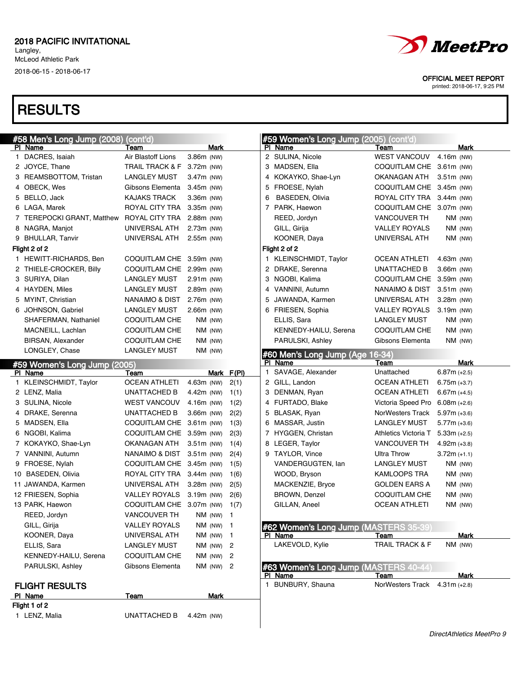# **RESULTS**

| #58 Men's Long Jump (2008)   | (cont'd)                      |              |            |   | #59 Women's Long Jump (2005) (cont'd) |                           |                |         |
|------------------------------|-------------------------------|--------------|------------|---|---------------------------------------|---------------------------|----------------|---------|
| PI Name                      | Team                          | Mark         |            |   | PI Name                               | Team                      |                | Mark    |
| 1 DACRES, Isaiah             | Air Blastoff Lions            | 3.86m (NW)   |            |   | 2 SULINA, Nicole                      | <b>WEST VANCOUV</b>       | 4.16m (NW)     |         |
| 2 JOYCE, Thane               | TRAIL TRACK & F 3.72m (NW)    |              |            |   | 3 MADSEN, Ella                        | COQUITLAM CHE 3.61m (NW)  |                |         |
| 3 REAMSBOTTOM, Tristan       | <b>LANGLEY MUST</b>           | 3.47m (NW)   |            |   | 4 KOKAYKO, Shae-Lyn                   | OKANAGAN ATH              | 3.51m (NW)     |         |
| 4 OBECK, Wes                 | Gibsons Elementa              | $3.45m$ (NW) |            |   | 5 FROESE, Nylah                       | COQUITLAM CHE 3.45m (NW)  |                |         |
| 5 BELLO, Jack                | <b>KAJAKS TRACK</b>           | 3.36m (NW)   |            | 6 | <b>BASEDEN, Olivia</b>                | ROYAL CITY TRA 3.44m (NW) |                |         |
| 6 LAGA, Marek                | ROYAL CITY TRA 3.35m (NW)     |              |            |   | 7 PARK, Haewon                        | COQUITLAM CHE 3.07m (NW)  |                |         |
| 7 TEREPOCKI GRANT, Matthew   | ROYAL CITY TRA 2.88m (NW)     |              |            |   | REED, Jordyn                          | <b>VANCOUVER TH</b>       |                | NM (NW) |
| 8 NAGRA, Manjot              | UNIVERSAL ATH                 | 2.73m (NW)   |            |   | GILL, Girija                          | <b>VALLEY ROYALS</b>      |                | NM (NW) |
| 9 BHULLAR, Tanvir            | UNIVERSAL ATH                 | 2.55m (NW)   |            |   | KOONER, Daya                          | UNIVERSAL ATH             |                | NM (NW) |
| Flight 2 of 2                |                               |              |            |   | Flight 2 of 2                         |                           |                |         |
| 1 HEWITT-RICHARDS, Ben       | COQUITLAM CHE 3.59m (NW)      |              |            |   | 1 KLEINSCHMIDT, Taylor                | <b>OCEAN ATHLETI</b>      | 4.63m (NW)     |         |
| 2 THIELE-CROCKER, Billy      | COQUITLAM CHE 2.99m (NW)      |              |            |   | 2 DRAKE, Serenna                      | UNATTACHED B              | 3.66m (NW)     |         |
| 3 SURIYA, Dilan              | <b>LANGLEY MUST</b>           | $2.91m$ (NW) |            |   | 3 NGOBI, Kalima                       | COQUITLAM CHE             | 3.59m (NW)     |         |
| 4 HAYDEN, Miles              | <b>LANGLEY MUST</b>           | 2.89m (NW)   |            |   | 4 VANNINI, Autumn                     | NANAIMO & DIST            | $3.51m$ (NW)   |         |
| 5 MYINT, Christian           | NANAIMO & DIST                | 2.76m (NW)   |            | 5 | JAWANDA, Karmen                       | UNIVERSAL ATH             | 3.28m (NW)     |         |
| 6 JOHNSON, Gabriel           | <b>LANGLEY MUST</b>           | 2.66m (NW)   |            |   | 6 FRIESEN, Sophia                     | <b>VALLEY ROYALS</b>      | 3.19m (NW)     |         |
| SHAFERMAN, Nathaniel         | <b>COQUITLAM CHE</b>          | NM (NW)      |            |   | ELLIS, Sara                           | <b>LANGLEY MUST</b>       |                | NM (NW) |
| MACNEILL, Lachlan            | COQUITLAM CHE                 | NM (NW)      |            |   | KENNEDY-HAILU, Serena                 | <b>COQUITLAM CHE</b>      |                | NM (NW) |
| <b>BIRSAN, Alexander</b>     | COQUITLAM CHE                 | NM (NW)      |            |   | PARULSKI, Ashley                      | Gibsons Elementa          |                | NM (NW) |
| LONGLEY, Chase               | <b>LANGLEY MUST</b>           | NM (NW)      |            |   | #60 Men's Long Jump (Age 16-34)       |                           |                |         |
| #59 Women's Long Jump (2005) |                               |              |            |   | PI Name                               | Team                      |                | Mark    |
| PI Name                      | Team                          |              | Mark F(PI) |   | 1 SAVAGE, Alexander                   | Unattached                | $6.87m (+2.5)$ |         |
| 1 KLEINSCHMIDT, Taylor       | <b>OCEAN ATHLETI</b>          | 4.63m (NW)   | 2(1)       |   | 2 GILL, Landon                        | <b>OCEAN ATHLETI</b>      | $6.75m (+3.7)$ |         |
| 2 LENZ, Malia                | UNATTACHED B                  | 4.42m (NW)   | 1(1)       |   | 3 DENMAN, Ryan                        | <b>OCEAN ATHLETI</b>      | $6.67m (+4.5)$ |         |
| 3 SULINA, Nicole             | <b>WEST VANCOUV</b>           | 4.16m (NW)   | 1(2)       |   | 4 FURTADO, Blake                      | Victoria Speed Pro        | $6.08m (+2.6)$ |         |
| 4 DRAKE, Serenna             | UNATTACHED B                  | 3.66m (NW)   | 2(2)       |   | 5 BLASAK, Ryan                        | NorWesters Track          | $5.97m (+3.6)$ |         |
| 5 MADSEN, Ella               | COQUITLAM CHE 3.61m (NW)      |              | 1(3)       |   | 6 MASSAR, Justin                      | <b>LANGLEY MUST</b>       | $5.77m (+3.6)$ |         |
| 6 NGOBI, Kalima              | COQUITLAM CHE 3.59m (NW)      |              | 2(3)       |   | 7 HYGGEN, Christan                    | Athletics Victoria T      | $5.33m (+2.5)$ |         |
| 7 KOKAYKO, Shae-Lyn          | OKANAGAN ATH                  | $3.51m$ (NW) | 1(4)       |   | 8 LEGER, Taylor                       | <b>VANCOUVER TH</b>       | $4.92m (+3.8)$ |         |
| 7 VANNINI, Autumn            | NANAIMO & DIST 3.51m (NW)     |              | 2(4)       |   | 9 TAYLOR, Vince                       | Ultra Throw               | $3.72m (+1.1)$ |         |
| 9 FROESE, Nylah              | COQUITLAM CHE 3.45m (NW)      |              | 1(5)       |   | VANDERGUGTEN, lan                     | <b>LANGLEY MUST</b>       |                | NM (NW) |
| 10 BASEDEN, Olivia           | ROYAL CITY TRA 3.44m (NW)     |              | 1(6)       |   | WOOD, Bryson                          | <b>KAMLOOPS TRA</b>       |                | NM (NW) |
| 11 JAWANDA, Karmen           | UNIVERSAL ATH                 | 3.28m (NW)   | 2(5)       |   | MACKENZIE, Bryce                      | <b>GOLDEN EARS A</b>      |                | NM (NW) |
| 12 FRIESEN, Sophia           | <b>VALLEY ROYALS</b>          | 3.19m (NW)   | 2(6)       |   | <b>BROWN, Denzel</b>                  | <b>COQUITLAM CHE</b>      |                | NM (NW) |
| 13 PARK, Haewon              | COQUITLAM CHE 3.07m (NW) 1(7) |              |            |   | GILLAN, Aneel                         | <b>OCEAN ATHLETI</b>      |                | NM (NW) |
| REED, Jordyn                 | VANCOUVER TH                  | NM $(NW)$ 1  |            |   |                                       |                           |                |         |
| GILL, Girija                 | <b>VALLEY ROYALS</b>          | NM (NW) 1    |            |   | #62 Women's Long Jump (MASTERS 35-39) |                           |                |         |
| KOONER, Daya                 | UNIVERSAL ATH                 | NM (NW) 1    |            |   | PI Name                               | Team                      |                | Mark    |
| ELLIS, Sara                  | <b>LANGLEY MUST</b>           | NM (NW) 2    |            |   | LAKEVOLD, Kylie                       | TRAIL TRACK & F           |                | NM (NW) |
| KENNEDY-HAILU, Serena        | <b>COQUITLAM CHE</b>          | NM (NW)      | 2          |   |                                       |                           |                |         |
| PARULSKI, Ashley             | Gibsons Elementa              | NM (NW) 2    |            |   | #63 Women's Long Jump (MASTERS 40-44  |                           |                |         |
|                              |                               |              |            |   | PI Name                               | Team                      |                | Mark    |
| <b>FLIGHT RESULTS</b>        |                               |              |            |   | 1 BUNBURY, Shauna                     | NorWesters Track          | $4.31m (+2.8)$ |         |
| PI Name                      | <b>Team</b>                   | <b>Mark</b>  |            |   |                                       |                           |                |         |
| Flight 1 of 2                |                               |              |            |   |                                       |                           |                |         |



OFFICIAL MEET REPORT

printed: 2018-06-17, 9:25 PM

#### 1 LENZ, Malia UNATTACHED B 4.42m (NW)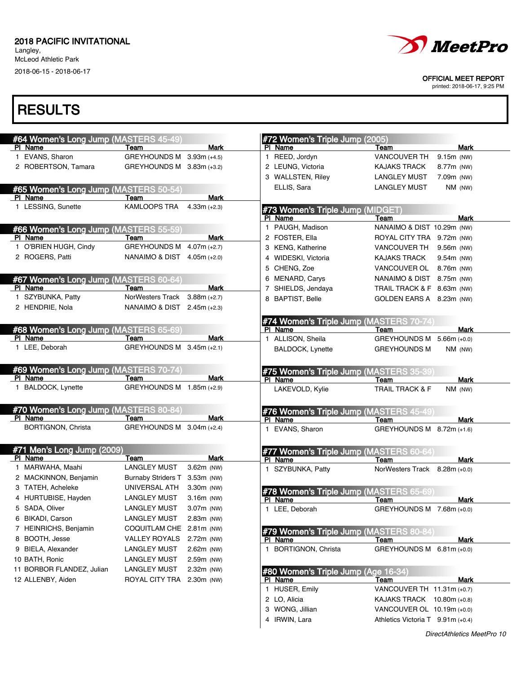Langley, McLeod Athletic Park

2018-06-15 - 2018-06-17



OFFICIAL MEET REPORT

printed: 2018-06-17, 9:25 PM

| #64 Women's Long Jump (MASTERS 45-49) |                               |                | #72 Women's Triple Jump (2005)          |                                        |                |
|---------------------------------------|-------------------------------|----------------|-----------------------------------------|----------------------------------------|----------------|
| PI Name                               | Team                          | Mark           | PI Name                                 | Team                                   | <b>Mark</b>    |
| 1 EVANS, Sharon                       | GREYHOUNDS M 3.93m (+4.5)     |                | 1 REED, Jordyn                          | VANCOUVER TH                           | 9.15m (NW)     |
| 2 ROBERTSON, Tamara                   | GREYHOUNDS M 3.83m (+3.2)     |                | 2 LEUNG, Victoria                       | <b>KAJAKS TRACK</b>                    | 8.77m (NW)     |
|                                       |                               |                | 3 WALLSTEN, Riley                       | <b>LANGLEY MUST</b>                    | 7.09m (NW)     |
| #65 Women's Long Jump (MASTERS 50-54) |                               |                | ELLIS, Sara                             | <b>LANGLEY MUST</b>                    | NM (NW)        |
| PI Name                               | Team                          | <b>Mark</b>    |                                         |                                        |                |
| 1 LESSING, Sunette                    | KAMLOOPS TRA                  | $4.33m (+2.3)$ | #73 Women's Triple Jump (MIDGET)        |                                        |                |
|                                       |                               |                | PI Name                                 | Team                                   | Mark           |
| #66 Women's Long Jump (MASTERS 55-59) |                               |                | 1 PAUGH, Madison                        | NANAIMO & DIST 10.29m (NW)             |                |
| PI Name                               | Team                          | Mark           | 2 FOSTER, Ella                          | ROYAL CITY TRA 9.72m (NW)              |                |
| 1 O'BRIEN HUGH, Cindy                 | <b>GREYHOUNDS M</b>           | $4.07m (+2.7)$ | 3 KENG, Katherine                       | VANCOUVER TH                           | 9.56m (NW)     |
| 2 ROGERS, Patti                       | NANAIMO & DIST $4.05m (+2.0)$ |                | 4 WIDESKI, Victoria                     | <b>KAJAKS TRACK</b>                    | 9.54m (NW)     |
|                                       |                               |                | 5 CHENG, Zoe                            | VANCOUVER OL                           | 8.76m (NW)     |
| #67 Women's Long Jump (MASTERS 60-64) |                               |                | 6 MENARD, Carys                         | NANAIMO & DIST 8.75m (NW)              |                |
| PI Name                               | Team                          | <b>Mark</b>    | 7 SHIELDS, Jendaya                      | TRAIL TRACK & F 8.63m (NW)             |                |
| 1 SZYBUNKA, Patty                     | <b>NorWesters Track</b>       | $3.88m (+2.7)$ | 8 BAPTIST, Belle                        | GOLDEN EARS A 8.23m (NW)               |                |
| 2 HENDRIE, Nola                       | NANAIMO & DIST                | $2.45m (+2.3)$ |                                         |                                        |                |
|                                       |                               |                | #74 Women's Triple Jump (MASTERS 70-74) |                                        |                |
| #68 Women's Long Jump (MASTERS 65-69  |                               |                | PI Name                                 | Team                                   | Mark           |
| PI Name                               | Team                          | Mark           | 1 ALLISON, Sheila                       | <b>GREYHOUNDS M</b>                    | $5.66m (+0.0)$ |
| 1 LEE, Deborah                        | GREYHOUNDS M 3.45m (+2.1)     |                | <b>BALDOCK, Lynette</b>                 | <b>GREYHOUNDS M</b>                    | $NM$ (NW)      |
|                                       |                               |                |                                         |                                        |                |
| #69 Women's Long Jump (MASTERS 70-74) |                               |                | #75 Women's Triple Jump (MASTERS 35-39  |                                        |                |
| PI Name                               | Team                          | Mark           | PI Name                                 | Team                                   | Mark           |
| 1 BALDOCK, Lynette                    | GREYHOUNDS M 1.85m (+2.9)     |                | LAKEVOLD, Kylie                         | <b>TRAIL TRACK &amp; F</b>             | NM (NW)        |
|                                       |                               |                |                                         |                                        |                |
| #70 Women's Long Jump (MASTERS 80-84) |                               |                | #76 Women's Triple Jump (MASTERS 45-49  |                                        |                |
| PI Name                               | Team                          | <b>Mark</b>    | PI Name                                 | Team                                   | Mark           |
| BORTIGNON, Christa                    | GREYHOUNDS M 3.04m (+2.4)     |                | 1 EVANS, Sharon                         | GREYHOUNDS M 8.72m (+1.6)              |                |
|                                       |                               |                |                                         |                                        |                |
| #71 Men's Long Jump (2009)            |                               |                | #77 Women's Triple Jump (MASTERS 60-64) |                                        |                |
| PI Name                               | Team                          | <b>Mark</b>    | PI Name                                 | Team                                   | Mark           |
| 1 MARWAHA, Maahi                      | <b>LANGLEY MUST</b>           | 3.62m (NW)     | 1 SZYBUNKA, Patty                       | NorWesters Track 8.28m (+0.0)          |                |
| 2 MACKINNON, Benjamin                 | <b>Burnaby Striders T</b>     | $3.53m$ (NW)   |                                         |                                        |                |
| 3 TATEH, Acheleke                     | UNIVERSAL ATH                 | 3.30m (NW)     | #78 Women's Triple Jump (MASTERS 65-69  |                                        |                |
| 4 HURTUBISE, Hayden                   | <b>LANGLEY MUST</b>           | 3.16m (NW)     | PI Name                                 | Team                                   | Mark           |
| 5 SADA, Oliver                        | LANGLEY MUST                  | 3.07m (NW)     | 1 LEE, Deborah                          | GREYHOUNDS M 7.68m (+0.0)              |                |
| 6 BIKADI, Carson                      | LANGLEY MUST                  | 2.83m (NW)     |                                         |                                        |                |
| 7 HEINRICHS, Benjamin                 | COQUITLAM CHE 2.81m (NW)      |                | #79 Women's Triple Jump (MASTERS 80-84) |                                        |                |
| 8 BOOTH, Jesse                        | VALLEY ROYALS                 | 2.72m (NW)     | PI Name                                 | Team                                   | Mark           |
| 9 BIELA, Alexander                    | <b>LANGLEY MUST</b>           | 2.62m (NW)     | 1 BORTIGNON, Christa                    | GREYHOUNDS M 6.81m (+0.0)              |                |
| 10 BATH, Ronic                        | <b>LANGLEY MUST</b>           | 2.59m (NW)     |                                         |                                        |                |
| 11 BORBOR FLANDEZ, Julian             | <b>LANGLEY MUST</b>           | 2.32m (NW)     | #80 Women's Triple Jump (Age 16-34)     |                                        |                |
| 12 ALLENBY, Aiden                     | ROYAL CITY TRA                | 2.30m (NW)     | PI Name                                 | Team                                   | Mark           |
|                                       |                               |                | 1 HUSER, Emily                          | VANCOUVER TH 11.31m (+0.7)             |                |
|                                       |                               |                | 2 LO, Alicia                            | KAJAKS TRACK 10.80m (+0.8)             |                |
|                                       |                               |                | 3 WONG, Jillian                         | VANCOUVER OL 10.19m (+0.0)             |                |
|                                       |                               |                | 4 IRWIN, Lara                           | Athletics Victoria $T = 9.91$ m (+0.4) |                |
|                                       |                               |                |                                         |                                        |                |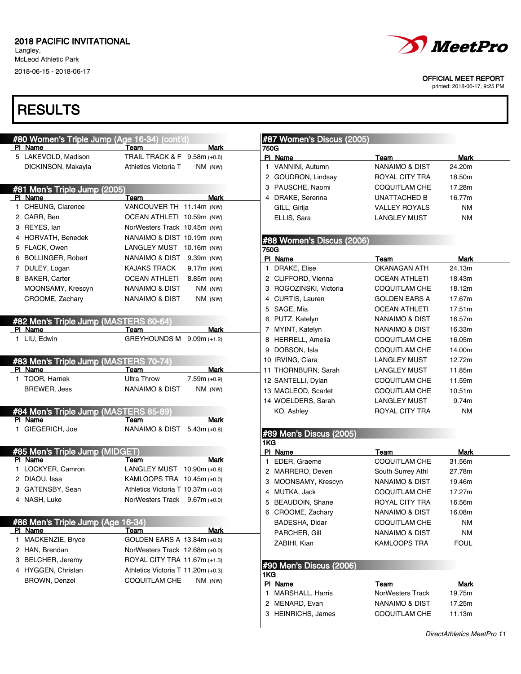Langley, McLeod Athletic Park 2018-06-15 - 2018-06-17



OFFICIAL MEET REPORT

printed: 2018-06-17, 9:25 PM

| #80 Women's Triple Jump (Age 16-34) (cont'd)     |                                                                 | #87 Women's Discus (2005)      |                                   |                       |
|--------------------------------------------------|-----------------------------------------------------------------|--------------------------------|-----------------------------------|-----------------------|
| PI Name                                          | <b>Mark</b><br>Team                                             | 750G                           |                                   |                       |
| 5 LAKEVOLD, Madison<br>DICKINSON, Makayla        | TRAIL TRACK & F 9.58m (+0.6)<br>Athletics Victoria T<br>NM (NW) | PI Name<br>1 VANNINI, Autumn   | Team<br><b>NANAIMO &amp; DIST</b> | <b>Mark</b><br>24.20m |
|                                                  |                                                                 | 2 GOUDRON, Lindsay             | <b>ROYAL CITY TRA</b>             | 18.50m                |
|                                                  |                                                                 | 3 PAUSCHE, Naomi               | <b>COQUITLAM CHE</b>              | 17.28m                |
| #81 Men's Triple Jump (2005)<br>PI Name          | Mark                                                            | 4 DRAKE, Serenna               | <b>UNATTACHED B</b>               | 16.77m                |
| 1 CHEUNG, Clarence                               | Team<br>VANCOUVER TH 11.14m (NW)                                | GILL, Girija                   | <b>VALLEY ROYALS</b>              | <b>NM</b>             |
| 2 CARR, Ben                                      | OCEAN ATHLETI 10.59m (NW)                                       | ELLIS, Sara                    | <b>LANGLEY MUST</b>               | <b>NM</b>             |
| 3 REYES, lan                                     | NorWesters Track 10.45m (NW)                                    |                                |                                   |                       |
| 4 HORVATH, Benedek                               | NANAIMO & DIST 10.19m (NW)                                      |                                |                                   |                       |
| 5 FLACK, Owen                                    | LANGLEY MUST 10.16m (NW)                                        | #88 Women's Discus (2006)      |                                   |                       |
| 6 BOLLINGER, Robert                              |                                                                 | 750G                           |                                   |                       |
| 7 DULEY, Logan                                   | NANAIMO & DIST 9.39m (NW)<br><b>KAJAKS TRACK</b>                | PI Name<br>1 DRAKE, Elise      | Team<br><b>OKANAGAN ATH</b>       | Mark<br>24.13m        |
|                                                  | 9.17m (NW)                                                      |                                |                                   |                       |
| 8 BAKER, Carter                                  | <b>OCEAN ATHLETI</b><br>8.85m (NW)                              | 2 CLIFFORD, Vienna             | <b>OCEAN ATHLETI</b>              | 18.43m                |
| MOONSAMY, Krescyn                                | NANAIMO & DIST<br>$NM$ (NW)                                     | 3 ROGOZINSKI, Victoria         | <b>COQUITLAM CHE</b>              | 18.12m                |
| CROOME, Zachary                                  | NANAIMO & DIST<br>NM (NW)                                       | 4 CURTIS, Lauren               | <b>GOLDEN EARS A</b>              | 17.67m                |
|                                                  |                                                                 | 5 SAGE, Mia                    | <b>OCEAN ATHLETI</b>              | 17.51m                |
| #82 Men's Triple Jump (MASTERS 60-64)            |                                                                 | 6 PUTZ, Katelyn                | <b>NANAIMO &amp; DIST</b>         | 16.57m                |
| PI Name                                          | Mark<br>Team                                                    | 7 MYINT, Katelyn               | NANAIMO & DIST                    | 16.33m                |
| 1 LIU, Edwin                                     | GREYHOUNDS M 9.09m (+1.2)                                       | 8 HERRELL, Amelia              | <b>COQUITLAM CHE</b>              | 16.05m                |
|                                                  |                                                                 | 9 DOBSON, Isla                 | <b>COQUITLAM CHE</b>              | 14.00m                |
| #83 Men's Triple Jump (MASTERS 70-74)            |                                                                 | 10 IRVING, Ciara               | <b>LANGLEY MUST</b>               | 12.72m                |
| PI Name                                          | <b>Mark</b><br>Team                                             | 11 THORNBURN, Sarah            | <b>LANGLEY MUST</b>               | 11.85m                |
| 1 TOOR, Harnek                                   | <b>Ultra Throw</b><br>$7.59m (+0.9)$                            | 12 SANTELLI, Dylan             | <b>COQUITLAM CHE</b>              | 11.59m                |
| <b>BREWER, Jess</b>                              | <b>NANAIMO &amp; DIST</b><br>$NM$ (NW)                          | 13 MACLEOD, Scarlet            | <b>COQUITLAM CHE</b>              | 10.51m                |
|                                                  |                                                                 | 14 WOELDERS, Sarah             | <b>LANGLEY MUST</b>               | 9.74m                 |
| #84 Men's Triple Jump (MASTERS 85-89)<br>PI Name | <b>Mark</b><br>Team                                             | KO, Ashley                     | ROYAL CITY TRA                    | <b>NM</b>             |
| 1 GIEGERICH, Joe                                 | NANAIMO & DIST<br>$5.43m (+0.8)$                                | #89 Men's Discus (2005)<br>1KG |                                   |                       |
| #85 Men's Triple Jump (MIDGET)                   |                                                                 | PI Name                        | Team                              | Mark                  |
| PI Name                                          | Mark<br>Team                                                    | EDER, Graeme<br>1.             | <b>COQUITLAM CHE</b>              | 31.56m                |
| 1 LOCKYER, Camron                                | LANGLEY MUST $10.90$ m (+0.8)                                   | 2 MARRERO, Deven               | South Surrey Athl                 | 27.78m                |
| 2 DIAOU, Issa                                    | KAMLOOPS TRA 10.45m (+0.0)                                      | 3 MOONSAMY, Krescyn            | NANAIMO & DIST                    | 19.46m                |
| 3 GATENSBY, Sean                                 | Athletics Victoria T 10.37m (+0.0)                              | 4 MUTKA, Jack                  | <b>COQUITLAM CHE</b>              | 17.27m                |
| 4 NASH, Luke                                     | NorWesters Track 9.67m (+0.0)                                   | 5 BEAUDOIN, Shane              | <b>ROYAL CITY TRA</b>             | 16.56m                |
|                                                  |                                                                 | 6 CROOME, Zachary              | <b>NANAIMO &amp; DIST</b>         | 16.08m                |
| #86 Men's Triple Jump (Age 16-34)                |                                                                 | BADESHA, Didar                 | COQUITLAM CHE                     | ΝM                    |
| PI Name                                          | <b>Mark</b><br>Team                                             | PARCHER, Gill                  | NANAIMO & DIST                    | ΝM                    |
| 1 MACKENZIE, Bryce                               | GOLDEN EARS A 13.84m (+0.6)                                     | ZABIHI, Kian                   | <b>KAMLOOPS TRA</b>               | <b>FOUL</b>           |
| 2 HAN, Brendan                                   | NorWesters Track 12.68m (+0.0)                                  |                                |                                   |                       |
| 3 BELCHER, Jeremy                                | ROYAL CITY TRA 11.67m (+1.3)                                    | #90 Men's Discus (2006)        |                                   |                       |
| 4 HYGGEN, Christan                               | Athletics Victoria T 11.20m $(+0.3)$                            | 1KG                            |                                   |                       |
| <b>BROWN, Denzel</b>                             | <b>COQUITLAM CHE</b><br>$NM$ (NW)                               | PI Name                        | Team                              | Mark                  |
|                                                  |                                                                 | 1 MARSHALL, Harris             | NorWesters Track                  | 19.75m                |
|                                                  |                                                                 | 2 MENARD, Evan                 | NANAIMO & DIST                    | 17.25m                |
|                                                  |                                                                 | 3 HEINRICHS, James             | <b>COQUITLAM CHE</b>              | 11.13m                |
|                                                  |                                                                 |                                |                                   |                       |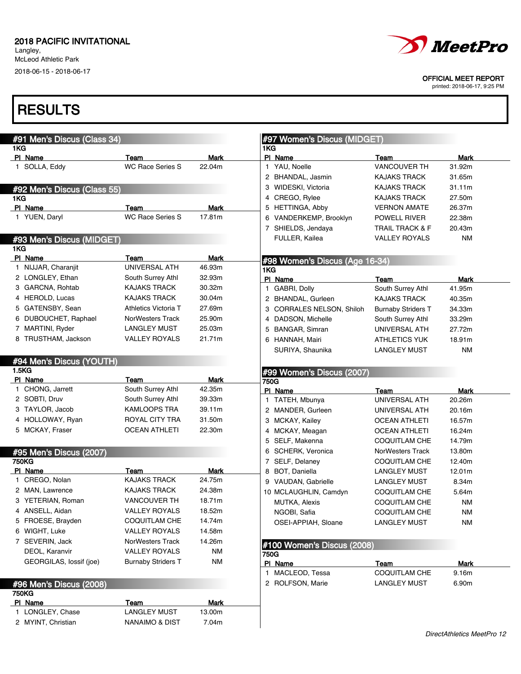Langley, McLeod Athletic Park 2018-06-15 - 2018-06-17 *MeetPro* 

OFFICIAL MEET REPORT

printed: 2018-06-17, 9:25 PM

| #91 Men's Discus (Class 34)      |                                 |                       | #97 Women's Discus (MIDGET)    |                             |                       |
|----------------------------------|---------------------------------|-----------------------|--------------------------------|-----------------------------|-----------------------|
| 1KG                              |                                 |                       | 1KG                            |                             |                       |
| PI Name<br>1 SOLLA, Eddy         | Team<br><b>WC Race Series S</b> | <b>Mark</b><br>22.04m | PI Name<br>1 YAU, Noelle       | Team<br><b>VANCOUVER TH</b> | <b>Mark</b><br>31.92m |
|                                  |                                 |                       | 2 BHANDAL, Jasmin              | <b>KAJAKS TRACK</b>         | 31.65m                |
|                                  |                                 |                       | 3 WIDESKI, Victoria            | <b>KAJAKS TRACK</b>         | 31.11m                |
| #92 Men's Discus (Class 55)      |                                 |                       | 4 CREGO, Rylee                 | <b>KAJAKS TRACK</b>         | 27.50m                |
| 1KG<br>PI Name                   | Team                            | Mark                  | 5 HETTINGA, Abby               |                             | 26.37m                |
| 1 YUEN, Daryl                    | <b>WC Race Series S</b>         | 17.81m                |                                | <b>VERNON AMATE</b>         |                       |
|                                  |                                 |                       | 6 VANDERKEMP, Brooklyn         | POWELL RIVER                | 22.38m                |
|                                  |                                 |                       | 7 SHIELDS, Jendaya             | TRAIL TRACK & F             | 20.43m                |
| #93 Men's Discus (MIDGET)<br>1KG |                                 |                       | FULLER, Kailea                 | VALLEY ROYALS               | NM                    |
| PI Name                          | Team                            | <b>Mark</b>           | #98 Women's Discus (Age 16-34) |                             |                       |
| 1 NIJJAR, Charanjit              | UNIVERSAL ATH                   | 46.93m                | 1KG                            |                             |                       |
| 2 LONGLEY, Ethan                 | South Surrey Athl               | 32.93m                | PI Name                        | Team                        | Mark                  |
| 3 GARCNA, Rohtab                 | <b>KAJAKS TRACK</b>             | 30.32m                | 1 GABRI, Dolly                 | South Surrey Athl           | 41.95m                |
| 4 HEROLD, Lucas                  | <b>KAJAKS TRACK</b>             | 30.04m                | 2 BHANDAL, Gurleen             | <b>KAJAKS TRACK</b>         | 40.35m                |
| 5 GATENSBY, Sean                 | Athletics Victoria T            | 27.69m                | 3 CORRALES NELSON, Shiloh      | <b>Burnaby Striders T</b>   | 34.33m                |
| 6 DUBOUCHET, Raphael             | NorWesters Track                | 25.90m                | 4 DADSON, Michelle             | South Surrey Athl           | 33.29m                |
| 7 MARTINI, Ryder                 | <b>LANGLEY MUST</b>             | 25.03m                | 5 BANGAR, Simran               | UNIVERSAL ATH               | 27.72m                |
| 8 TRUSTHAM, Jackson              | <b>VALLEY ROYALS</b>            | 21.71m                | 6 HANNAH, Mairi                | <b>ATHLETICS YUK</b>        | 18.91m                |
|                                  |                                 |                       | SURIYA, Shaunika               | <b>LANGLEY MUST</b>         | NM                    |
| #94 Men's Discus (YOUTH)         |                                 |                       |                                |                             |                       |
| 1.5KG                            |                                 |                       | #99 Women's Discus (2007)      |                             |                       |
| PI Name                          | Team                            | Mark                  | 750G                           |                             |                       |
| 1 CHONG, Jarrett                 | South Surrey Athl               | 42.35m                | PI Name                        | Team                        | Mark                  |
| 2 SOBTI, Druv                    | South Surrey Athl               | 39.33m                | 1 TATEH, Mbunya                | UNIVERSAL ATH               | 20.26m                |
| 3 TAYLOR, Jacob                  | KAMLOOPS TRA                    | 39.11m                | 2 MANDER, Gurleen              | UNIVERSAL ATH               | 20.16m                |
| 4 HOLLOWAY, Ryan                 | ROYAL CITY TRA                  | 31.50m                | 3 MCKAY, Kailey                | <b>OCEAN ATHLETI</b>        | 16.57m                |
| 5 MCKAY, Fraser                  | <b>OCEAN ATHLETI</b>            | 22.30m                | 4 MCKAY, Meagan                | <b>OCEAN ATHLETI</b>        | 16.24m                |
|                                  |                                 |                       | 5 SELF, Makenna                | <b>COQUITLAM CHE</b>        | 14.79m                |
| #95 Men's Discus (2007)          |                                 |                       | 6 SCHERK, Veronica             | NorWesters Track            | 13.80m                |
| <b>750KG</b>                     |                                 |                       | 7 SELF, Delaney                | <b>COQUITLAM CHE</b>        | 12.40m                |
| PI Name                          | Team                            | Mark                  | 8 BOT, Daniella                | <b>LANGLEY MUST</b>         | 12.01m                |
| 1 CREGO, Nolan                   | <b>KAJAKS TRACK</b>             | 24.75m                | 9 VAUDAN, Gabrielle            | <b>LANGLEY MUST</b>         | 8.34m                 |
| 2 MAN, Lawrence                  | <b>KAJAKS TRACK</b>             | 24.38m                | 10 MCLAUGHLIN, Camdyn          | <b>COQUITLAM CHE</b>        | 5.64m                 |
| 3 YETERIAN, Roman                | <b>VANCOUVER TH</b>             | 18.71m                | <b>MUTKA, Alexis</b>           | <b>COQUITLAM CHE</b>        | NM                    |
| 4 ANSELL, Aidan                  | <b>VALLEY ROYALS</b>            | 18.52m                | NGOBI, Safia                   | COQUITLAM CHE               | <b>NM</b>             |
| 5 FROESE, Brayden                | COQUITLAM CHE                   | 14.74m                | OSEI-APPIAH, Sloane            | <b>LANGLEY MUST</b>         | NM                    |
| 6 WIGHT, Luke                    | <b>VALLEY ROYALS</b>            | 14.58m                |                                |                             |                       |
| 7 SEVERIN, Jack                  | NorWesters Track                | 14.26m                | #100 Women's Discus (2008)     |                             |                       |
| DEOL, Karanvir                   | <b>VALLEY ROYALS</b>            | <b>NM</b>             | 750G                           |                             |                       |
| GEORGILAS, lossif (joe)          | <b>Burnaby Striders T</b>       | <b>NM</b>             | PI Name                        | Team                        | <b>Mark</b>           |
|                                  |                                 |                       | 1 MACLEOD, Tessa               | <b>COQUITLAM CHE</b>        | 9.16m                 |
| #96 Men's Discus (2008)          |                                 |                       | 2 ROLFSON, Marie               | <b>LANGLEY MUST</b>         | 6.90m                 |
| <b>750KG</b>                     |                                 |                       |                                |                             |                       |
| PI Name                          | Team                            | <b>Mark</b>           |                                |                             |                       |
| 1 LONGLEY, Chase                 | <b>LANGLEY MUST</b>             | 13.00m                |                                |                             |                       |
| 2 MYINT, Christian               | <b>NANAIMO &amp; DIST</b>       | 7.04m                 |                                |                             |                       |
|                                  |                                 |                       |                                |                             |                       |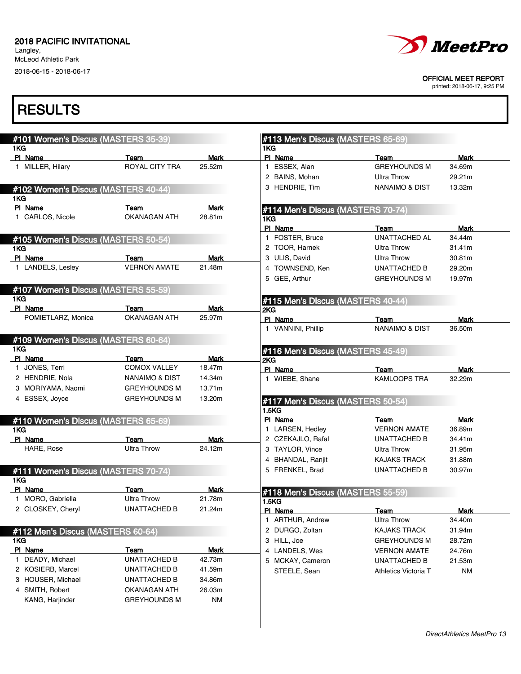Langley, McLeod Athletic Park 2018-06-15 - 2018-06-17

# MeetPro

OFFICIAL MEET REPORT

printed: 2018-06-17, 9:25 PM

| #101 Women's Discus (MASTERS 35-39)         |                             |             | #113 Men's Discus (MASTERS 65-69) |                                   |                       |
|---------------------------------------------|-----------------------------|-------------|-----------------------------------|-----------------------------------|-----------------------|
| 1KG<br>PI Name                              | Team                        | <b>Mark</b> | 1KG<br>PI Name                    | Team                              | <b>Mark</b>           |
| 1 MILLER, Hilary                            | ROYAL CITY TRA              | 25.52m      | 1 ESSEX, Alan                     | <b>GREYHOUNDS M</b>               | 34.69m                |
|                                             |                             |             | 2 BAINS, Mohan                    | <b>Ultra Throw</b>                | 29.21m                |
|                                             |                             |             | 3 HENDRIE, Tim                    | NANAIMO & DIST                    | 13.32m                |
| #102 Women's Discus (MASTERS 40-44)<br>1KG  |                             |             |                                   |                                   |                       |
| PI Name                                     | Team                        | <b>Mark</b> | #114 Men's Discus (MASTERS 70-74) |                                   |                       |
| 1 CARLOS, Nicole                            | <b>OKANAGAN ATH</b>         | 28.81m      | 1KG                               |                                   |                       |
|                                             |                             |             | PI Name<br>1 FOSTER, Bruce        | Team<br><b>UNATTACHED AL</b>      | <b>Mark</b><br>34.44m |
| #105 Women's Discus (MASTERS 50-54)<br>1KG. |                             |             | 2 TOOR, Harnek                    | Ultra Throw                       | 31.41m                |
| PI Name                                     | Team                        | <b>Mark</b> | 3 ULIS, David                     | <b>Ultra Throw</b>                | 30.81m                |
| 1 LANDELS, Lesley                           | <b>VERNON AMATE</b>         | 21.48m      | 4 TOWNSEND, Ken                   | <b>UNATTACHED B</b>               | 29.20m                |
|                                             |                             |             | 5 GEE, Arthur                     | <b>GREYHOUNDS M</b>               | 19.97m                |
| #107 Women's Discus (MASTERS 55-59)         |                             |             |                                   |                                   |                       |
| 1KG<br>PI Name                              |                             | <b>Mark</b> | #115 Men's Discus (MASTERS 40-44) |                                   |                       |
| POMIETLARZ, Monica                          | Team<br><b>OKANAGAN ATH</b> | 25.97m      | 2KG                               |                                   |                       |
|                                             |                             |             | PI Name<br>1 VANNINI, Phillip     | Team<br><b>NANAIMO &amp; DIST</b> | Mark<br>36.50m        |
| #109 Women's Discus (MASTERS 60-64)         |                             |             |                                   |                                   |                       |
| 1KG                                         |                             |             | #116 Men's Discus (MASTERS 45-49) |                                   |                       |
| PI Name                                     | Team                        | <b>Mark</b> | 2KG                               |                                   |                       |
| 1 JONES, Terri                              | <b>COMOX VALLEY</b>         | 18.47m      | PI Name                           | Team                              | <b>Mark</b>           |
| 2 HENDRIE, Nola                             | <b>NANAIMO &amp; DIST</b>   | 14.34m      | 1 WIEBE, Shane                    | <b>KAMLOOPS TRA</b>               | 32.29m                |
| 3 MORIYAMA, Naomi                           | <b>GREYHOUNDS M</b>         | 13.71m      |                                   |                                   |                       |
| 4 ESSEX, Joyce                              | <b>GREYHOUNDS M</b>         | 13.20m      | #117 Men's Discus (MASTERS 50-54) |                                   |                       |
|                                             |                             |             | <b>1.5KG</b><br>PI Name           | Team                              | <b>Mark</b>           |
| #110 Women's Discus (MASTERS 65-69)<br>1KG  |                             |             | 1 LARSEN, Hedley                  | <b>VERNON AMATE</b>               | 36.89m                |
| PI Name                                     | Team                        | <b>Mark</b> | 2 CZEKAJLO, Rafal                 | UNATTACHED B                      | 34.41m                |
| HARE, Rose                                  | <b>Ultra Throw</b>          | 24.12m      | 3 TAYLOR, Vince                   | <b>Ultra Throw</b>                | 31.95m                |
|                                             |                             |             | 4 BHANDAL, Ranjit                 | <b>KAJAKS TRACK</b>               | 31.88m                |
|                                             |                             |             | 5 FRENKEL, Brad                   | <b>UNATTACHED B</b>               | 30.97m                |
| #111 Women's Discus (MASTERS 70-74)<br>1KG  |                             |             |                                   |                                   |                       |
| PI Name                                     | Team                        | Mark        | #118 Men's Discus (MASTERS 55-59) |                                   |                       |
| 1 MORO, Gabriella                           | <b>Ultra Throw</b>          | 21.78m      | 1.5 <sub>K</sub> G                |                                   |                       |
| 2 CLOSKEY, Cheryl                           | <b>UNATTACHED B</b>         | 21.24m      | PI Name                           | <u>Team</u>                       | <b>Mark</b>           |
|                                             |                             |             | 1 ARTHUR, Andrew                  | Ultra Throw                       | 34.40m                |
| #112 Men's Discus (MASTERS 60-64)           |                             |             | 2 DURGO, Zoltan                   | <b>KAJAKS TRACK</b>               | 31.94m                |
| 1KG                                         |                             |             | 3 HILL, Joe                       | <b>GREYHOUNDS M</b>               | 28.72m                |
| PI Name                                     | Team                        | <b>Mark</b> | 4 LANDELS, Wes                    | <b>VERNON AMATE</b>               | 24.76m                |
| 1 DEADY, Michael                            | UNATTACHED B                | 42.73m      | 5 MCKAY, Cameron                  | UNATTACHED B                      | 21.53m                |
| 2 KOSIERB, Marcel                           | UNATTACHED B                | 41.59m      | STEELE, Sean                      | Athletics Victoria T              | <b>NM</b>             |
|                                             | UNATTACHED B                | 34.86m      |                                   |                                   |                       |
| 3 HOUSER, Michael                           |                             |             |                                   |                                   |                       |
| 4 SMITH, Robert                             | OKANAGAN ATH                | 26.03m      |                                   |                                   |                       |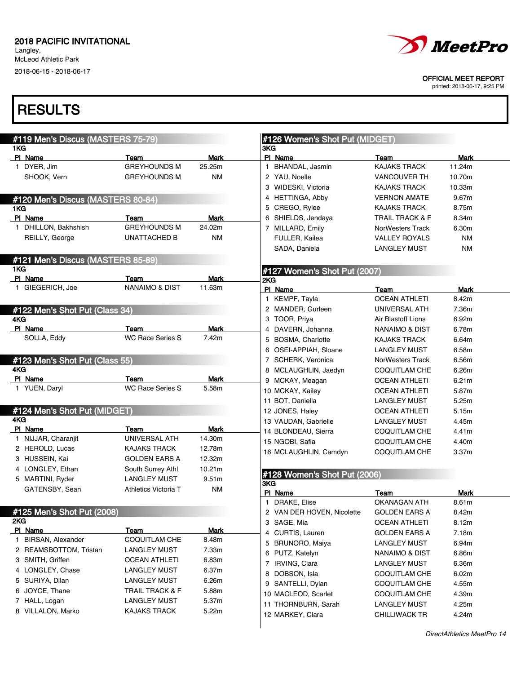Langley, McLeod Athletic Park 2018-06-15 - 2018-06-17

# *MeetPro*

OFFICIAL MEET REPORT

printed: 2018-06-17, 9:25 PM

|     | #119 Men's Discus (MASTERS 75-79) |                           |             |     | #126 Women's Shot Put (MIDGET) |                            |             |
|-----|-----------------------------------|---------------------------|-------------|-----|--------------------------------|----------------------------|-------------|
| 1KG |                                   |                           |             | 3KG |                                |                            |             |
|     | PI Name                           | Team                      | Mark        |     | PI Name                        | Team                       | Mark        |
|     | 1 DYER, Jim                       | <b>GREYHOUNDS M</b>       | 25.25m      |     | 1 BHANDAL, Jasmin              | <b>KAJAKS TRACK</b>        | 11.24m      |
|     | SHOOK, Vern                       | <b>GREYHOUNDS M</b>       | <b>NM</b>   |     | 2 YAU, Noelle                  | <b>VANCOUVER TH</b>        | 10.70m      |
|     |                                   |                           |             |     | 3 WIDESKI, Victoria            | <b>KAJAKS TRACK</b>        | 10.33m      |
|     | #120 Men's Discus (MASTERS 80-84) |                           |             |     | 4 HETTINGA, Abby               | <b>VERNON AMATE</b>        | 9.67m       |
| 1KG |                                   |                           |             |     | 5 CREGO, Rylee                 | <b>KAJAKS TRACK</b>        | 8.75m       |
|     | PI Name                           | Team                      | Mark        |     | 6 SHIELDS, Jendaya             | <b>TRAIL TRACK &amp; F</b> | 8.34m       |
|     | 1 DHILLON, Bakhshish              | <b>GREYHOUNDS M</b>       | 24.02m      |     | 7 MILLARD, Emily               | NorWesters Track           | 6.30m       |
|     | REILLY, George                    | <b>UNATTACHED B</b>       | <b>NM</b>   |     | FULLER, Kailea                 | <b>VALLEY ROYALS</b>       | <b>NM</b>   |
|     |                                   |                           |             |     | SADA, Daniela                  | <b>LANGLEY MUST</b>        | <b>NM</b>   |
|     | #121 Men's Discus (MASTERS 85-89) |                           |             |     |                                |                            |             |
| 1KG |                                   |                           |             |     | #127 Women's Shot Put (2007)   |                            |             |
|     | PI Name                           | Team                      | <b>Mark</b> | 2KG |                                |                            |             |
|     | 1 GIEGERICH, Joe                  | <b>NANAIMO &amp; DIST</b> | 11.63m      |     | PI Name                        | Team                       | <b>Mark</b> |
|     |                                   |                           |             |     | 1 KEMPF, Tayla                 | <b>OCEAN ATHLETI</b>       | 8.42m       |
|     | #122 Men's Shot Put (Class 34)    |                           |             |     | 2 MANDER, Gurleen              | UNIVERSAL ATH              | 7.36m       |
| 4KG |                                   |                           |             |     | 3 TOOR, Priya                  | Air Blastoff Lions         | 6.92m       |
|     | PI Name                           | Team                      | <b>Mark</b> |     | 4 DAVERN, Johanna              | <b>NANAIMO &amp; DIST</b>  | 6.78m       |
|     | SOLLA, Eddy                       | <b>WC Race Series S</b>   | 7.42m       |     | 5 BOSMA, Charlotte             | <b>KAJAKS TRACK</b>        | 6.64m       |
|     |                                   |                           |             |     | 6 OSEI-APPIAH, Sloane          | <b>LANGLEY MUST</b>        | 6.58m       |
|     | #123 Men's Shot Put (Class 55)    |                           |             |     | 7 SCHERK, Veronica             | <b>NorWesters Track</b>    | 6.56m       |
| 4KG |                                   |                           |             |     | 8 MCLAUGHLIN, Jaedyn           | <b>COQUITLAM CHE</b>       | 6.26m       |
|     | PI Name                           | Team                      | <b>Mark</b> |     | 9 MCKAY, Meagan                | <b>OCEAN ATHLETI</b>       | 6.21m       |
|     | 1 YUEN, Daryl                     | <b>WC Race Series S</b>   | 5.58m       |     | 10 MCKAY, Kailey               | <b>OCEAN ATHLETI</b>       | 5.87m       |
|     |                                   |                           |             |     | 11 BOT, Daniella               | <b>LANGLEY MUST</b>        | 5.25m       |
|     | #124 Men's Shot Put (MIDGET)      |                           |             |     | 12 JONES, Haley                | OCEAN ATHLETI              | 5.15m       |
| 4KG |                                   |                           |             |     | 13 VAUDAN, Gabrielle           | <b>LANGLEY MUST</b>        | 4.45m       |
|     | PI Name                           | Team                      | Mark        |     | 14 BLONDEAU, Sierra            | <b>COQUITLAM CHE</b>       | 4.41m       |
|     | 1 NIJJAR, Charanjit               | UNIVERSAL ATH             | 14.30m      |     | 15 NGOBI, Safia                | <b>COQUITLAM CHE</b>       | 4.40m       |
|     | 2 HEROLD, Lucas                   | <b>KAJAKS TRACK</b>       | 12.78m      |     | 16 MCLAUGHLIN, Camdyn          | <b>COQUITLAM CHE</b>       | 3.37m       |
|     | 3 HUSSEIN, Kai                    | <b>GOLDEN EARS A</b>      | 12.32m      |     |                                |                            |             |
|     | 4 LONGLEY, Ethan                  | South Surrey Athl         | 10.21m      |     | #128 Women's Shot Put (2006)   |                            |             |
|     | 5 MARTINI, Ryder                  | <b>LANGLEY MUST</b>       | 9.51m       | 3KG |                                |                            |             |
|     | GATENSBY, Sean                    | Athletics Victoria T      | <b>NM</b>   |     | PI Name                        | Team                       | Mark        |
|     |                                   |                           |             |     | 1 DRAKE, Elise                 | <b>OKANAGAN ATH</b>        | 8.61m       |
|     | #125 Men's Shot Put (2008)        |                           |             |     | 2 VAN DER HOVEN, Nicolette     | <b>GOLDEN EARS A</b>       | 8.42m       |
| 2KG |                                   |                           |             |     | 3 SAGE, Mia                    | <b>OCEAN ATHLETI</b>       | 8.12m       |
|     | PI Name                           | Team                      | <b>Mark</b> |     | 4 CURTIS, Lauren               | <b>GOLDEN EARS A</b>       | 7.18m       |
|     | 1 BIRSAN, Alexander               | <b>COQUITLAM CHE</b>      | 8.48m       | 5   | <b>BRUNORO, Maiya</b>          | LANGLEY MUST               | 6.94m       |
|     | 2 REAMSBOTTOM, Tristan            | <b>LANGLEY MUST</b>       | 7.33m       | 6   | PUTZ, Katelyn                  | NANAIMO & DIST             | 6.86m       |
|     | 3 SMITH, Griffen                  | <b>OCEAN ATHLETI</b>      | 6.83m       |     | 7 IRVING, Ciara                | LANGLEY MUST               | 6.36m       |
|     | 4 LONGLEY, Chase                  | <b>LANGLEY MUST</b>       | 6.37m       | 8   | DOBSON, Isla                   | <b>COQUITLAM CHE</b>       | 6.02m       |
|     | 5 SURIYA, Dilan                   | <b>LANGLEY MUST</b>       | 6.26m       | 9   | SANTELLI, Dylan                | COQUITLAM CHE              | 4.55m       |
|     | 6 JOYCE, Thane                    | TRAIL TRACK & F           | 5.88m       |     | 10 MACLEOD, Scarlet            |                            |             |
|     | 7 HALL, Logan                     | <b>LANGLEY MUST</b>       | 5.37m       |     |                                | COQUITLAM CHE              | 4.39m       |
|     | 8 VILLALON, Marko                 | <b>KAJAKS TRACK</b>       | 5.22m       |     | 11 THORNBURN, Sarah            | <b>LANGLEY MUST</b>        | 4.25m       |
|     |                                   |                           |             |     | 12 MARKEY, Clara               | CHILLIWACK TR              | 4.24m       |
|     |                                   |                           |             |     |                                |                            |             |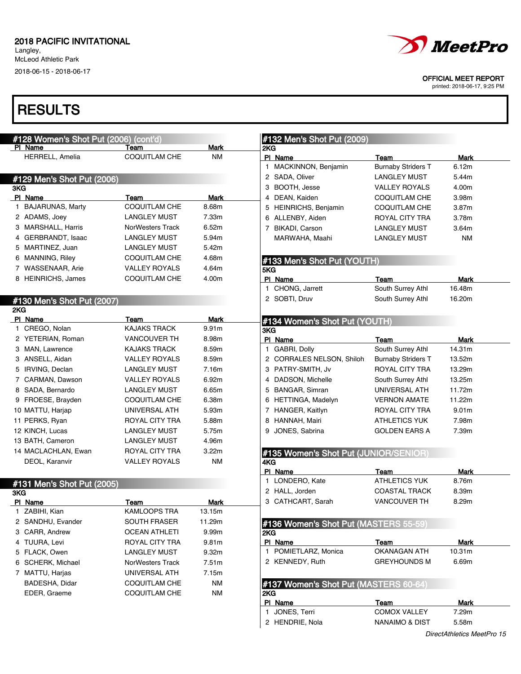Langley, McLeod Athletic Park

2018-06-15 - 2018-06-17

# **RESULTS**

| #128 Women's Shot Put (2006) (cont'd) |                              |                   | #132 Men's Shot Put (2009)            |                                   |                |
|---------------------------------------|------------------------------|-------------------|---------------------------------------|-----------------------------------|----------------|
| PI Name<br><b>HERRELL, Amelia</b>     | Team<br><b>COQUITLAM CHE</b> | Mark<br><b>NM</b> | 2KG                                   |                                   |                |
|                                       |                              |                   | PI Name<br>1 MACKINNON, Benjamin      | Team<br><b>Burnaby Striders T</b> | Mark<br>6.12m  |
|                                       |                              |                   | 2 SADA, Oliver                        | <b>LANGLEY MUST</b>               | 5.44m          |
| #129 Men's Shot Put (2006)<br>3KG     |                              |                   | 3 BOOTH, Jesse                        | <b>VALLEY ROYALS</b>              | 4.00m          |
| PI Name                               | Team                         | Mark              | 4 DEAN, Kaiden                        | COQUITLAM CHE                     | 3.98m          |
| 1 BAJARUNAS, Marty                    | COQUITLAM CHE                | 8.68m             | 5 HEINRICHS, Benjamin                 | COQUITLAM CHE                     | 3.87m          |
| 2 ADAMS, Joey                         | LANGLEY MUST                 | 7.33m             | 6 ALLENBY, Aiden                      | ROYAL CITY TRA                    | 3.78m          |
| 3 MARSHALL, Harris                    | NorWesters Track             | 6.52m             | 7 BIKADI, Carson                      | <b>LANGLEY MUST</b>               | 3.64m          |
| 4 GERBRANDT, Isaac                    | <b>LANGLEY MUST</b>          | 5.94m             | MARWAHA, Maahi                        | <b>LANGLEY MUST</b>               | <b>NM</b>      |
| 5 MARTINEZ, Juan                      | <b>LANGLEY MUST</b>          | 5.42m             |                                       |                                   |                |
| 6 MANNING, Riley                      | COQUITLAM CHE                | 4.68m             |                                       |                                   |                |
| 7 WASSENAAR, Arie                     | <b>VALLEY ROYALS</b>         | 4.64m             | #133 Men's Shot Put (YOUTH)           |                                   |                |
| 8 HEINRICHS, James                    | COQUITLAM CHE                | 4.00m             | 5KG<br>PI Name                        |                                   |                |
|                                       |                              |                   | 1 CHONG, Jarrett                      | Team<br>South Surrey Athl         | Mark<br>16.48m |
|                                       |                              |                   | 2 SOBTI, Druv                         | South Surrey Athl                 | 16.20m         |
| #130 Men's Shot Put (2007)<br>2KG     |                              |                   |                                       |                                   |                |
| PI Name                               | Team                         | Mark              | #134 Women's Shot Put (YOUTH)         |                                   |                |
| 1 CREGO, Nolan                        | <b>KAJAKS TRACK</b>          | 9.91m             | 3KG                                   |                                   |                |
| 2 YETERIAN, Roman                     | <b>VANCOUVER TH</b>          | 8.98m             | PI Name                               | Team                              | Mark           |
| 3 MAN, Lawrence                       | <b>KAJAKS TRACK</b>          | 8.59m             | 1 GABRI, Dolly                        | South Surrey Athl                 | 14.31m         |
| 3 ANSELL, Aidan                       | <b>VALLEY ROYALS</b>         | 8.59m             | 2 CORRALES NELSON, Shiloh             | <b>Burnaby Striders T</b>         | 13.52m         |
| 5 IRVING, Declan                      | <b>LANGLEY MUST</b>          | 7.16m             | 3 PATRY-SMITH, Jv                     | <b>ROYAL CITY TRA</b>             | 13.29m         |
| 7 CARMAN, Dawson                      | <b>VALLEY ROYALS</b>         | 6.92m             | 4 DADSON, Michelle                    | South Surrey Athl                 | 13.25m         |
| 8 SADA, Bernardo                      | <b>LANGLEY MUST</b>          | 6.65m             | 5 BANGAR, Simran                      | UNIVERSAL ATH                     | 11.72m         |
| 9 FROESE, Brayden                     | <b>COQUITLAM CHE</b>         | 6.38m             | 6 HETTINGA, Madelyn                   | <b>VERNON AMATE</b>               | 11.22m         |
| 10 MATTU, Harjap                      | UNIVERSAL ATH                | 5.93m             | 7 HANGER, Kaitlyn                     | ROYAL CITY TRA                    | 9.01m          |
| 11 PERKS, Ryan                        | ROYAL CITY TRA               | 5.88m             | HANNAH, Mairi<br>8                    | <b>ATHLETICS YUK</b>              | 7.98m          |
| 12 KINCH, Lucas                       | <b>LANGLEY MUST</b>          | 5.75m             | JONES, Sabrina<br>9                   | <b>GOLDEN EARS A</b>              | 7.39m          |
| 13 BATH, Cameron                      | <b>LANGLEY MUST</b>          | 4.96m             |                                       |                                   |                |
| 14 MACLACHLAN, Ewan                   | ROYAL CITY TRA               | 3.22m             | #135 Women's Shot Put (JUNIOR/SENIOR) |                                   |                |
| DEOL, Karanvir                        | <b>VALLEY ROYALS</b>         | <b>NM</b>         | 4KG                                   |                                   |                |
|                                       |                              |                   | PI Name                               | Team                              | Mark           |
| #131 Men's Shot Put (2005)            |                              |                   | 1 LONDERO, Kate                       | <b>ATHLETICS YUK</b>              | 8.76m          |
| 3KG                                   |                              |                   | 2 HALL, Jorden                        | <b>COASTAL TRACK</b>              | 8.39m          |
| <b>PI Name</b>                        | <u>Team</u>                  | <b>Mark</b>       | 3 CATHCART, Sarah                     | VANCOUVER TH                      | 8.29m          |
| 1 ZABIHI, Kian                        | KAMLOOPS TRA                 | 13.15m            |                                       |                                   |                |
| 2 SANDHU, Evander                     | <b>SOUTH FRASER</b>          | 11.29m            | #136 Women's Shot Put (MASTERS 55-59) |                                   |                |
| 3 CARR, Andrew                        | <b>OCEAN ATHLETI</b>         | 9.99m             | 2KG                                   |                                   |                |
| 4 TUURA, Levi                         | ROYAL CITY TRA               | 9.81m             | PI Name                               | Team                              | Mark           |
| 5 FLACK, Owen                         | <b>LANGLEY MUST</b>          | 9.32m             | 1 POMIETLARZ, Monica                  | OKANAGAN ATH                      | 10.31m         |
| 6 SCHERK, Michael                     | NorWesters Track             | 7.51m             | 2 KENNEDY, Ruth                       | <b>GREYHOUNDS M</b>               | 6.69m          |
| 7 MATTU, Harjas                       | UNIVERSAL ATH                | 7.15m             |                                       |                                   |                |
| BADESHA, Didar                        | <b>COQUITLAM CHE</b>         | <b>NM</b>         | #137 Women's Shot Put (MASTERS 60-64) |                                   |                |
| EDER, Graeme                          | COQUITLAM CHE                | <b>NM</b>         | 2KG                                   |                                   |                |
|                                       |                              |                   | PI Name                               | Team                              | Mark           |
|                                       |                              |                   | 1 JONES, Terri                        | <b>COMOX VALLEY</b>               | 7.29m          |
|                                       |                              |                   | 2 HENDRIE, Nola                       | NANAIMO & DIST                    | 5.58m          |



OFFICIAL MEET REPORT

printed: 2018-06-17, 9:25 PM

DirectAthletics MeetPro 15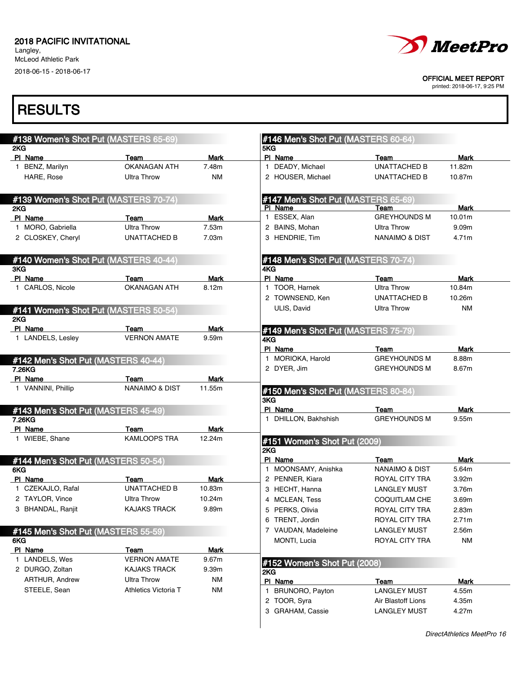Langley, McLeod Athletic Park 2018-06-15 - 2018-06-17



OFFICIAL MEET REPORT

printed: 2018-06-17, 9:25 PM

| #138 Women's Shot Put (MASTERS 65-69)<br>2KG  |                             |               | #146 Men's Shot Put (MASTERS 60-64)<br>5KG |                             |                |
|-----------------------------------------------|-----------------------------|---------------|--------------------------------------------|-----------------------------|----------------|
| PI Name                                       | Team                        | <b>Mark</b>   | PI Name                                    | Team                        | <b>Mark</b>    |
| 1 BENZ, Marilyn                               | <b>OKANAGAN ATH</b>         | 7.48m         | 1 DEADY, Michael                           | <b>UNATTACHED B</b>         | 11.82m         |
| HARE, Rose                                    | <b>Ultra Throw</b>          | <b>NM</b>     | 2 HOUSER, Michael                          | UNATTACHED B                | 10.87m         |
| #139 Women's Shot Put (MASTERS 70-74)         |                             |               | #147 Men's Shot Put (MASTERS 65-69)        |                             |                |
| 2KG                                           |                             |               | PI Name                                    | Team                        | <b>Mark</b>    |
| PI Name                                       | Team                        | Mark          | 1 ESSEX, Alan                              | <b>GREYHOUNDS M</b>         | 10.01m         |
| 1 MORO, Gabriella                             | <b>Ultra Throw</b>          | 7.53m         | 2 BAINS, Mohan                             | <b>Ultra Throw</b>          | 9.09m          |
| 2 CLOSKEY, Cheryl                             | UNATTACHED B                | 7.03m         | 3 HENDRIE, Tim                             | <b>NANAIMO &amp; DIST</b>   | 4.71m          |
| #140 Women's Shot Put (MASTERS 40-44)         |                             |               | #148 Men's Shot Put (MASTERS 70-74)        |                             |                |
| 3KG                                           |                             |               | 4KG<br>PI Name                             |                             |                |
| PI Name<br>1 CARLOS, Nicole                   | Team<br><b>OKANAGAN ATH</b> | Mark<br>8.12m | 1 TOOR, Harnek                             | Team<br><b>Ultra Throw</b>  | Mark<br>10.84m |
|                                               |                             |               | 2 TOWNSEND, Ken                            | <b>UNATTACHED B</b>         | 10.26m         |
|                                               |                             |               | ULIS, David                                | <b>Ultra Throw</b>          | <b>NM</b>      |
| #141 Women's Shot Put (MASTERS 50-54)<br>2KG  |                             |               |                                            |                             |                |
| PI Name                                       | Team                        | <b>Mark</b>   | #149 Men's Shot Put (MASTERS 75-79)        |                             |                |
| 1 LANDELS, Lesley                             | <b>VERNON AMATE</b>         | 9.59m         | 4KG                                        |                             |                |
|                                               |                             |               | PI Name                                    | Team                        | <b>Mark</b>    |
| #142 Men's Shot Put (MASTERS 40-44)           |                             |               | 1 MORIOKA, Harold                          | <b>GREYHOUNDS M</b>         | 8.88m          |
| 7.26KG                                        |                             |               | 2 DYER, Jim                                | <b>GREYHOUNDS M</b>         | 8.67m          |
| PI Name                                       | Team                        | Mark          |                                            |                             |                |
| 1 VANNINI, Phillip                            | <b>NANAIMO &amp; DIST</b>   | 11.55m        | #150 Men's Shot Put (MASTERS 80-84)        |                             |                |
|                                               |                             |               | 3KG<br>PI Name                             |                             |                |
| #143 Men's Shot Put (MASTERS 45-49)<br>7.26KG |                             |               | 1 DHILLON, Bakhshish                       | Team<br><b>GREYHOUNDS M</b> | Mark<br>9.55m  |
| PI Name                                       | Team                        | <b>Mark</b>   |                                            |                             |                |
| 1 WIEBE, Shane                                | <b>KAMLOOPS TRA</b>         | 12.24m        |                                            |                             |                |
|                                               |                             |               | #151 Women's Shot Put (2009)<br>2KG        |                             |                |
| #144 Men's Shot Put (MASTERS 50-54)           |                             |               | PI Name                                    | Team                        | <b>Mark</b>    |
| 6KG                                           |                             |               | 1 MOONSAMY, Anishka                        | <b>NANAIMO &amp; DIST</b>   | 5.64m          |
| PI Name                                       | Team                        | Mark          | 2 PENNER, Kiara                            | ROYAL CITY TRA              | 3.92m          |
| 1 CZEKAJLO, Rafal                             | UNATTACHED B                | 10.83m        | 3 HECHT, Hanna                             | <b>LANGLEY MUST</b>         | 3.76m          |
| 2 TAYLOR, Vince                               | <b>Ultra Throw</b>          | 10.24m        | 4 MCLEAN, Tess                             | <b>COQUITLAM CHE</b>        | 3.69m          |
| 3 BHANDAL, Ranjit                             | <b>KAJAKS TRACK</b>         | 9.89m         | 5 PERKS, Olivia                            | ROYAL CITY TRA              | 2.83m          |
|                                               |                             |               | 6 TRENT, Jordin                            | ROYAL CITY TRA              | 2.71m          |
| #145 Men's Shot Put (MASTERS 55-59)           |                             |               | 7 VAUDAN, Madeleine                        | <b>LANGLEY MUST</b>         | 2.56m          |
| 6KG                                           |                             |               | MONTI, Lucia                               | ROYAL CITY TRA              | <b>NM</b>      |
| PI Name                                       | Team                        | <b>Mark</b>   |                                            |                             |                |
| 1 LANDELS, Wes                                | <b>VERNON AMATE</b>         | 9.67m         | #152 Women's Shot Put (2008)               |                             |                |
| 2 DURGO, Zoltan                               | KAJAKS TRACK                | 9.39m         | 2KG                                        |                             |                |
| ARTHUR, Andrew                                | <b>Ultra Throw</b>          | <b>NM</b>     | PI Name                                    | Team                        | Mark           |
| STEELE, Sean                                  | Athletics Victoria T        | <b>NM</b>     | 1 BRUNORO, Payton                          | <b>LANGLEY MUST</b>         | 4.55m          |
|                                               |                             |               | 2 TOOR, Syra                               | Air Blastoff Lions          | 4.35m          |
|                                               |                             |               | 3 GRAHAM, Cassie                           | <b>LANGLEY MUST</b>         | 4.27m          |
|                                               |                             |               |                                            |                             |                |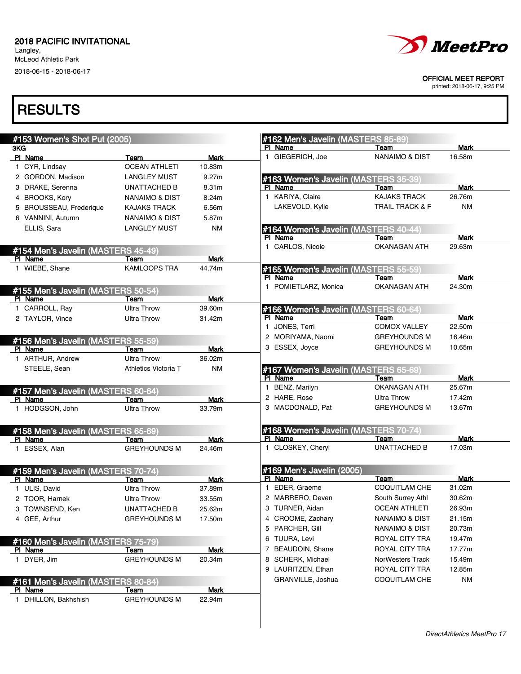Langley, McLeod Athletic Park 2018-06-15 - 2018-06-17



#### OFFICIAL MEET REPORT

printed: 2018-06-17, 9:25 PM

| #153 Women's Shot Put (2005)                  |                           |             | #162 Men's Javelin (MASTERS 85-89)              |                             |             |
|-----------------------------------------------|---------------------------|-------------|-------------------------------------------------|-----------------------------|-------------|
| 3KG                                           |                           |             | PI Name                                         | Team                        | Mark        |
| PI Name                                       | Team                      | Mark        | 1 GIEGERICH, Joe                                | <b>NANAIMO &amp; DIST</b>   | 16.58m      |
| 1 CYR, Lindsay                                | <b>OCEAN ATHLETI</b>      | 10.83m      |                                                 |                             |             |
| 2 GORDON, Madison                             | <b>LANGLEY MUST</b>       | 9.27m       | #163 Women's Javelin (MASTERS 35-39             |                             |             |
| 3 DRAKE, Serenna                              | UNATTACHED B              | 8.31m       | PI Name                                         | Team                        | <b>Mark</b> |
| 4 BROOKS, Kory                                | <b>NANAIMO &amp; DIST</b> | 8.24m       | 1 KARIYA, Claire                                | <b>KAJAKS TRACK</b>         | 26.76m      |
| <b>BROUSSEAU, Frederique</b>                  | <b>KAJAKS TRACK</b>       | 6.56m       | LAKEVOLD, Kylie                                 | <b>TRAIL TRACK &amp; F</b>  | <b>NM</b>   |
| 6 VANNINI, Autumn                             | <b>NANAIMO &amp; DIST</b> | 5.87m       |                                                 |                             |             |
| ELLIS, Sara                                   | <b>LANGLEY MUST</b>       | <b>NM</b>   | #164 Women's Javelin (MASTERS 40-44)            |                             |             |
|                                               |                           |             | PI Name                                         | Team                        | Mark        |
| #154 Men's Javelin (MASTERS 45-49)            |                           |             | 1 CARLOS, Nicole                                | <b>OKANAGAN ATH</b>         | 29.63m      |
| PI Name                                       | Team                      | <b>Mark</b> |                                                 |                             |             |
| 1 WIEBE, Shane                                | <b>KAMLOOPS TRA</b>       | 44.74m      | #165 Women's Javelin (MASTERS 55-59)            |                             |             |
|                                               |                           |             | PI Name                                         | Team                        | <b>Mark</b> |
|                                               |                           |             | 1 POMIETLARZ, Monica                            | <b>OKANAGAN ATH</b>         | 24.30m      |
| #155 Men's Javelin (MASTERS 50-54)            |                           |             |                                                 |                             |             |
| PI Name                                       | Team                      | <b>Mark</b> |                                                 |                             |             |
| 1 CARROLL, Ray                                | <b>Ultra Throw</b>        | 39.60m      | #166 Women's Javelin (MASTERS 60-64)<br>PI Name |                             | <b>Mark</b> |
| 2 TAYLOR, Vince                               | <b>Ultra Throw</b>        | 31.42m      | 1 JONES, Terri                                  | Team<br><b>COMOX VALLEY</b> | 22.50m      |
|                                               |                           |             |                                                 |                             |             |
| #156 Men's Javelin (MASTERS 55-59)            |                           |             | 2 MORIYAMA, Naomi                               | <b>GREYHOUNDS M</b>         | 16.46m      |
| PI Name                                       | Team                      | <b>Mark</b> | 3 ESSEX, Joyce                                  | <b>GREYHOUNDS M</b>         | 10.65m      |
| 1 ARTHUR, Andrew                              | <b>Ultra Throw</b>        | 36.02m      |                                                 |                             |             |
| STEELE, Sean                                  | Athletics Victoria T      | ΝM          | #167 Women's Javelin (MASTERS 65-69)            |                             |             |
|                                               |                           |             | PI Name                                         | Team                        | Mark        |
| #157 Men's Javelin (MASTERS 60-64)            |                           |             | 1 BENZ, Marilyn                                 | OKANAGAN ATH                | 25.67m      |
| PI Name                                       | Team                      | Mark        | 2 HARE, Rose                                    | <b>Ultra Throw</b>          | 17.42m      |
| 1 HODGSON, John                               | <b>Ultra Throw</b>        | 33.79m      | 3 MACDONALD, Pat                                | <b>GREYHOUNDS M</b>         | 13.67m      |
|                                               |                           |             |                                                 |                             |             |
| #158 Men's Javelin (MASTERS 65-69)            |                           |             | #168 Women's Javelin (MASTERS 70-74)            |                             |             |
| PI Name                                       | Team                      | Mark        | PI Name                                         | Team                        | <b>Mark</b> |
| 1 ESSEX, Alan                                 | <b>GREYHOUNDS M</b>       | 24.46m      | 1 CLOSKEY, Cheryl                               | <b>UNATTACHED B</b>         | 17.03m      |
|                                               |                           |             |                                                 |                             |             |
|                                               |                           |             | #169 Men's Javelin (2005)                       |                             |             |
| #159 Men's Javelin (MASTERS 70-74)<br>PI Name | Team                      | Mark        | PI Name                                         | Team                        | Mark        |
| 1 ULIS, David                                 | <b>Ultra Throw</b>        | 37.89m      | 1 EDER, Graeme                                  | <b>COQUITLAM CHE</b>        | 31.02m      |
| 2 TOOR, Harnek                                | <b>Ultra Throw</b>        | 33.55m      | 2 MARRERO, Deven                                | South Surrey Athl           | 30.62m      |
| 3 TOWNSEND, Ken                               | <b>UNATTACHED B</b>       | 25.62m      | 3 TURNER, Aidan                                 | <b>OCEAN ATHLETI</b>        | 26.93m      |
| 4 GEE, Arthur                                 | <b>GREYHOUNDS M</b>       |             | 4 CROOME, Zachary                               | <b>NANAIMO &amp; DIST</b>   | 21.15m      |
|                                               |                           | 17.50m      | 5 PARCHER, Gill                                 | <b>NANAIMO &amp; DIST</b>   | 20.73m      |
|                                               |                           |             |                                                 |                             |             |
| #160 Men's Javelin (MASTERS 75-79)            |                           |             | 6 TUURA, Levi                                   | ROYAL CITY TRA              | 19.47m      |
| <b>PI Name</b>                                | <u>Team</u>               | <b>Mark</b> | 7 BEAUDOIN, Shane                               | ROYAL CITY TRA              | 17.77m      |
| 1 DYER, Jim                                   | <b>GREYHOUNDS M</b>       | 20.34m      | 8 SCHERK, Michael                               | NorWesters Track            | 15.49m      |
|                                               |                           |             | 9 LAURITZEN, Ethan                              | <b>ROYAL CITY TRA</b>       | 12.85m      |
| #161 Men's Javelin (MASTERS 80-84)            |                           |             | GRANVILLE, Joshua                               | COQUITLAM CHE               | <b>NM</b>   |
| PI Name                                       | Team                      | <b>Mark</b> |                                                 |                             |             |
| 1 DHILLON, Bakhshish                          | <b>GREYHOUNDS M</b>       | 22.94m      |                                                 |                             |             |
|                                               |                           |             |                                                 |                             |             |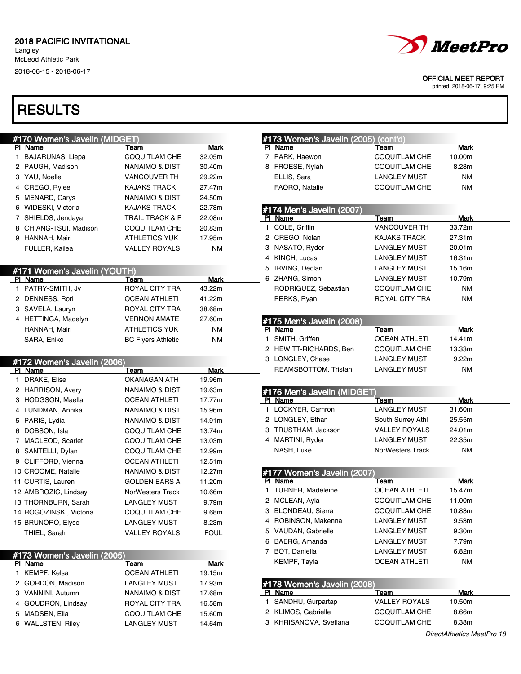Langley, McLeod Athletic Park 2018-06-15 - 2018-06-17

# **RESULTS**

#### OFFICIAL MEET REPORT

|                                               | #170 Women's Javelin (MIDGET) |             | #173 Women's Javelin (2005) (cont'd)   |                             |             |
|-----------------------------------------------|-------------------------------|-------------|----------------------------------------|-----------------------------|-------------|
| PI Name                                       | Team                          | Mark        | PI Name                                | Team                        | Mark        |
| 1 BAJARUNAS, Liepa                            | COQUITLAM CHE                 | 32.05m      | 7 PARK, Haewon                         | <b>COQUITLAM CHE</b>        | 10.00m      |
| 2 PAUGH, Madison                              | NANAIMO & DIST                | 30.40m      | 8 FROESE, Nylah                        | <b>COQUITLAM CHE</b>        | 8.28m       |
| 3 YAU, Noelle                                 | <b>VANCOUVER TH</b>           | 29.22m      | ELLIS, Sara                            | <b>LANGLEY MUST</b>         | ΝM          |
| 4 CREGO, Rylee                                | <b>KAJAKS TRACK</b>           | 27.47m      | FAORO, Natalie                         | <b>COQUITLAM CHE</b>        | <b>NM</b>   |
| 5 MENARD, Carys                               | <b>NANAIMO &amp; DIST</b>     | 24.50m      |                                        |                             |             |
| 6 WIDESKI, Victoria                           | <b>KAJAKS TRACK</b>           | 22.78m      | #174 Men's Javelin (2007)              |                             |             |
| 7 SHIELDS, Jendaya                            | <b>TRAIL TRACK &amp; F</b>    | 22.08m      | PI Name                                | Team                        | Mark        |
| 8 CHIANG-TSUI, Madison                        | COQUITLAM CHE                 | 20.83m      | 1 COLE, Griffin                        | <b>VANCOUVER TH</b>         | 33.72m      |
| 9 HANNAH, Mairi                               | <b>ATHLETICS YUK</b>          | 17.95m      | 2 CREGO, Nolan                         | <b>KAJAKS TRACK</b>         | 27.31m      |
| FULLER, Kailea                                | <b>VALLEY ROYALS</b>          | <b>NM</b>   | 3 NASATO, Ryder                        | <b>LANGLEY MUST</b>         | 20.01m      |
|                                               |                               |             | 4 KINCH, Lucas                         | <b>LANGLEY MUST</b>         | 16.31m      |
|                                               | #171 Women's Javelin (YOUTH)  |             | 5 IRVING, Declan                       | <b>LANGLEY MUST</b>         | 15.16m      |
| PI Name                                       | Team                          | Mark        | 6 ZHANG, Simon                         | <b>LANGLEY MUST</b>         | 10.79m      |
| 1 PATRY-SMITH, Jv                             | ROYAL CITY TRA                | 43.22m      | RODRIGUEZ, Sebastian                   | <b>COQUITLAM CHE</b>        | <b>NM</b>   |
| 2 DENNESS, Rori                               | <b>OCEAN ATHLETI</b>          | 41.22m      | PERKS, Ryan                            | <b>ROYAL CITY TRA</b>       | <b>NM</b>   |
| 3 SAVELA, Lauryn                              | ROYAL CITY TRA                | 38.68m      |                                        |                             |             |
| 4 HETTINGA, Madelyn                           | <b>VERNON AMATE</b>           | 27.60m      |                                        |                             |             |
| HANNAH, Mairi                                 | <b>ATHLETICS YUK</b>          | <b>NM</b>   | #175 Men's Javelin (2008)<br>PI Name   | Team                        | <b>Mark</b> |
| SARA, Eniko                                   | <b>BC Flyers Athletic</b>     | <b>NM</b>   | 1 SMITH, Griffen                       | <b>OCEAN ATHLETI</b>        | 14.41m      |
|                                               |                               |             | 2 HEWITT-RICHARDS, Ben                 | COQUITLAM CHE               | 13.33m      |
|                                               |                               |             | 3 LONGLEY, Chase                       | <b>LANGLEY MUST</b>         | 9.22m       |
| #172 Women's Javelin (2006)                   |                               | <b>Mark</b> | REAMSBOTTOM, Tristan                   | <b>LANGLEY MUST</b>         | ΝM          |
| PI Name<br>1 DRAKE, Elise                     | Team<br>OKANAGAN ATH          | 19.96m      |                                        |                             |             |
| 2 HARRISON, Avery                             | NANAIMO & DIST                | 19.63m      |                                        |                             |             |
| 3 HODGSON, Maella                             | <b>OCEAN ATHLETI</b>          | 17.77m      | #176 Men's Javelin (MIDGET)<br>PI Name |                             | Mark        |
|                                               |                               | 15.96m      | 1 LOCKYER, Camron                      | Team<br><b>LANGLEY MUST</b> | 31.60m      |
| 4 LUNDMAN, Annika                             | NANAIMO & DIST                |             | 2 LONGLEY, Ethan                       | South Surrey Athl           | 25.55m      |
| 5 PARIS, Lydia                                | NANAIMO & DIST                | 14.91m      | 3 TRUSTHAM, Jackson                    |                             | 24.01m      |
| 6 DOBSON, Isla                                | COQUITLAM CHE                 | 13.74m      |                                        | <b>VALLEY ROYALS</b>        |             |
| 7 MACLEOD, Scarlet                            | COQUITLAM CHE                 | 13.03m      | 4 MARTINI, Ryder                       | <b>LANGLEY MUST</b>         | 22.35m      |
| 8 SANTELLI, Dylan                             | COQUITLAM CHE                 | 12.99m      | NASH, Luke                             | NorWesters Track            | ΝM          |
| 9 CLIFFORD, Vienna                            | <b>OCEAN ATHLETI</b>          | 12.51m      |                                        |                             |             |
| 10 CROOME, Natalie                            | <b>NANAIMO &amp; DIST</b>     | 12.27m      | #177 Women's Javelin (2007)            |                             |             |
| 11 CURTIS, Lauren                             | <b>GOLDEN EARS A</b>          | 11.20m      | PI Name                                | Team                        | Mark        |
| 12 AMBROZIC, Lindsay                          | NorWesters Track              | 10.66m      | 1 TURNER, Madeleine                    | <b>OCEAN ATHLETI</b>        | 15.47m      |
| 13 THORNBURN, Sarah                           | <b>LANGLEY MUST</b>           | 9.79m       | 2 MCLEAN, Ayla                         | <b>COQUITLAM CHE</b>        | 11.00m      |
| 14 ROGOZINSKI, Victoria                       | COQUITLAM CHE                 | 9.68m       | 3 BLONDEAU, Sierra                     | <b>COQUITLAM CHE</b>        | 10.83m      |
| 15 BRUNORO, Elyse                             | <b>LANGLEY MUST</b>           | 8.23m       | 4 ROBINSON, Makenna                    | <b>LANGLEY MUST</b>         | 9.53m       |
| THIEL, Sarah                                  | <b>VALLEY ROYALS</b>          | <b>FOUL</b> | 5 VAUDAN, Gabrielle                    | <b>LANGLEY MUST</b>         | 9.30m       |
|                                               |                               |             | 6 BAERG, Amanda                        | <b>LANGLEY MUST</b>         | 7.79m       |
|                                               |                               |             | 7 BOT, Daniella                        | <b>LANGLEY MUST</b>         | 6.82m       |
|                                               | <u>Team</u>                   | Mark        | KEMPF, Tayla                           | <b>OCEAN ATHLETI</b>        | <b>NM</b>   |
| PI Name                                       |                               |             |                                        |                             |             |
| #173 Women's Javelin (2005)<br>1 KEMPF, Kelsa | <b>OCEAN ATHLETI</b>          | 19.15m      |                                        |                             |             |
| 2 GORDON, Madison                             | <b>LANGLEY MUST</b>           | 17.93m      |                                        |                             |             |
| 3 VANNINI, Autumn                             | NANAIMO & DIST                | 17.68m      | #178 Women's Javelin (2008)<br>PI Name | Team                        | Mark        |
| 4 GOUDRON, Lindsav                            | ROYAL CITY TRA                | 16.58m      | 1 SANDHU, Gurpartap                    | <b>VALLEY ROYALS</b>        | 10.50m      |
| 5 MADSEN, Ella                                | <b>COQUITLAM CHE</b>          | 15.60m      | 2 KLIMOS, Gabrielle                    | COQUITLAM CHE               | 8.66m       |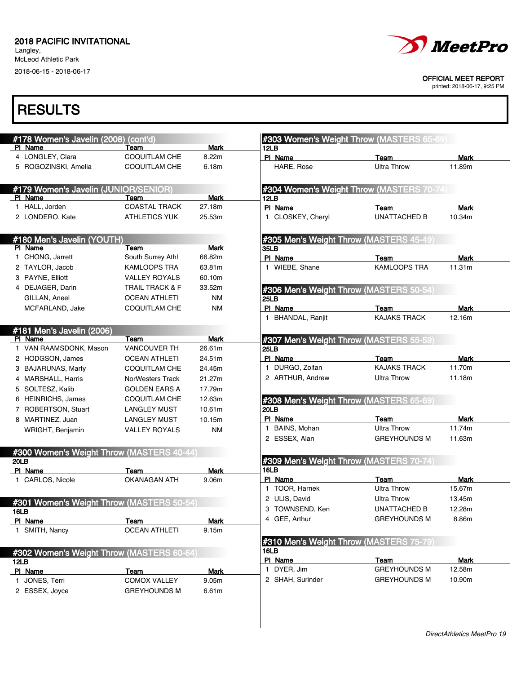Langley, McLeod Athletic Park 2018-06-15 - 2018-06-17



#### OFFICIAL MEET REPORT

printed: 2018-06-17, 9:25 PM

|             | #178 Women's Javelin (2008) (cont'd)<br>PI Name | Team                        | <b>Mark</b>           | #303 Women's Weight Throw (MASTERS 65-69)<br>12LB |                                           |             |
|-------------|-------------------------------------------------|-----------------------------|-----------------------|---------------------------------------------------|-------------------------------------------|-------------|
|             | 4 LONGLEY, Clara                                | <b>COQUITLAM CHE</b>        | 8.22m                 | PI Name                                           | Team                                      | Mark        |
|             | 5 ROGOZINSKI, Amelia                            | <b>COQUITLAM CHE</b>        | 6.18m                 | HARE, Rose                                        | <b>Ultra Throw</b>                        | 11.89m      |
|             | #179 Women's Javelin (JUNIOR/SENIOR)            |                             |                       |                                                   | #304 Women's Weight Throw (MASTERS 70-74) |             |
|             | PI Name                                         | Team                        | <b>Mark</b>           | 12LB                                              |                                           |             |
|             | 1 HALL, Jorden                                  | <b>COASTAL TRACK</b>        | 27.18m                | PI Name                                           | Team                                      | Mark        |
|             | 2 LONDERO, Kate                                 | <b>ATHLETICS YUK</b>        | 25.53m                | 1 CLOSKEY, Cheryl                                 | <b>UNATTACHED B</b>                       | 10.34m      |
|             | #180 Men's Javelin (YOUTH)                      |                             |                       | #305 Men's Weight Throw (MASTERS 45-49)           |                                           |             |
|             | PI Name                                         | Team                        | <b>Mark</b>           | 35LB                                              |                                           |             |
|             | 1 CHONG, Jarrett                                | South Surrey Athl           | 66.82m                | PI Name                                           | Team                                      | Mark        |
|             | 2 TAYLOR, Jacob                                 | <b>KAMLOOPS TRA</b>         | 63.81m                | 1 WIEBE, Shane                                    | <b>KAMLOOPS TRA</b>                       | 11.31m      |
|             | 3 PAYNE, Elliott                                | <b>VALLEY ROYALS</b>        | 60.10m                |                                                   |                                           |             |
|             | 4 DEJAGER, Darin                                | <b>TRAIL TRACK &amp; F</b>  | 33.52m                | #306 Men's Weight Throw (MASTERS 50-54)           |                                           |             |
|             | GILLAN, Aneel                                   | <b>OCEAN ATHLETI</b>        | ΝM                    | <b>25LB</b>                                       |                                           |             |
|             | MCFARLAND, Jake                                 | <b>COQUITLAM CHE</b>        | ΝM                    | PI Name                                           | Team                                      | Mark        |
|             |                                                 |                             |                       | 1 BHANDAL, Ranjit                                 | <b>KAJAKS TRACK</b>                       | 12.16m      |
|             | #181 Men's Javelin (2006)                       |                             |                       |                                                   |                                           |             |
|             | PI Name<br>1 VAN RAAMSDONK, Mason               | Team<br><b>VANCOUVER TH</b> | <b>Mark</b><br>26.61m | #307 Men's Weight Throw (MASTERS 55-59)           |                                           |             |
|             |                                                 |                             |                       | <b>25LB</b><br>PI Name                            |                                           | <b>Mark</b> |
|             | 2 HODGSON, James                                | <b>OCEAN ATHLETI</b>        | 24.51m                | 1 DURGO, Zoltan                                   | Team<br><b>KAJAKS TRACK</b>               | 11.70m      |
|             | 3 BAJARUNAS, Marty                              | <b>COQUITLAM CHE</b>        | 24.45m                |                                                   | <b>Ultra Throw</b>                        |             |
|             | 4 MARSHALL, Harris                              | <b>NorWesters Track</b>     | 21.27m                | 2 ARTHUR, Andrew                                  |                                           | 11.18m      |
|             | 5 SOLTESZ, Kalib                                | <b>GOLDEN EARS A</b>        | 17.79m                |                                                   |                                           |             |
|             | 6 HEINRICHS, James                              | <b>COQUITLAM CHE</b>        | 12.63m                | #308 Men's Weight Throw (MASTERS 65-69)           |                                           |             |
|             | 7 ROBERTSON, Stuart                             | <b>LANGLEY MUST</b>         | 10.61m                | 20LB                                              |                                           |             |
|             | 8 MARTINEZ, Juan                                | <b>LANGLEY MUST</b>         | 10.15m                | PI Name                                           | Team                                      | <b>Mark</b> |
|             | WRIGHT, Benjamin                                | <b>VALLEY ROYALS</b>        | ΝM                    | 1 BAINS, Mohan                                    | <b>Ultra Throw</b>                        | 11.74m      |
|             |                                                 |                             |                       | 2 ESSEX, Alan                                     | <b>GREYHOUNDS M</b>                       | 11.63m      |
| 20LB        | #300 Women's Weight Throw (MASTERS 40-44)       |                             |                       | #309 Men's Weight Throw (MASTERS 70-74)           |                                           |             |
|             | PI Name                                         | Team                        | <b>Mark</b>           | 16LB                                              |                                           |             |
|             | 1 CARLOS, Nicole                                | <b>OKANAGAN ATH</b>         | 9.06m                 | PI Name                                           | Team                                      | Mark        |
|             |                                                 |                             |                       | 1 TOOR, Harnek                                    | <b>Ultra Throw</b>                        | 15.67m      |
|             |                                                 |                             |                       | 2 ULIS, David                                     | <b>Ultra Throw</b>                        | 13.45m      |
| <b>16LB</b> | #301 Women's Weight Throw (MASTERS 50-54)       |                             |                       | 3 TOWNSEND, Ken                                   | UNATTACHED B                              | 12.28m      |
|             | PI Name                                         | Team                        | <b>Mark</b>           | 4 GEE, Arthur                                     | <b>GREYHOUNDS M</b>                       | 8.86m       |
|             | 1 SMITH, Nancy                                  | <b>OCEAN ATHLETI</b>        | 9.15m                 |                                                   |                                           |             |
|             |                                                 |                             |                       | #310 Men's Weight Throw (MASTERS 75-79)           |                                           |             |
|             | #302 Women's Weight Throw (MASTERS 60-64)       |                             |                       | 16LB                                              |                                           |             |
|             |                                                 |                             |                       | PI Name                                           | Team                                      | Mark        |
| 12LB        |                                                 | Team                        | <b>Mark</b>           | 1 DYER, Jim                                       | <b>GREYHOUNDS M</b>                       | 12.58m      |
|             | PI Name                                         |                             |                       |                                                   |                                           |             |
|             | 1 JONES, Terri<br>2 ESSEX, Joyce                | COMOX VALLEY                | 9.05m                 | 2 SHAH, Surinder                                  | <b>GREYHOUNDS M</b>                       | 10.90m      |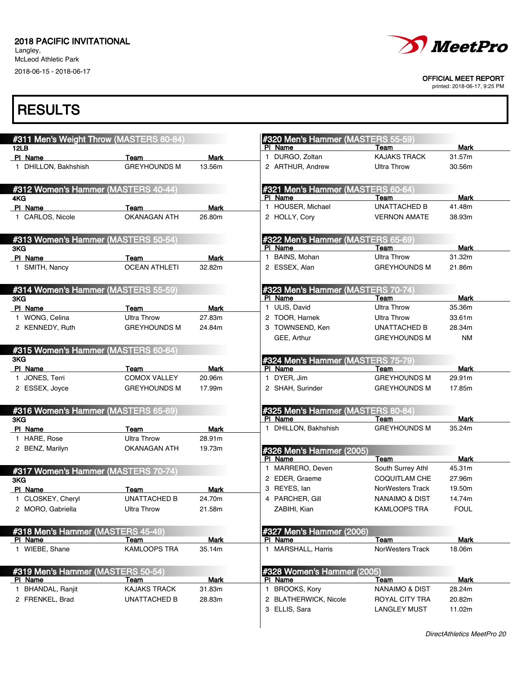Langley, McLeod Athletic Park 2018-06-15 - 2018-06-17



#### OFFICIAL MEET REPORT

printed: 2018-06-17, 9:25 PM

| #311 Men's Weight Throw (MASTERS 80-84)           |                             |                | #320 Men's Hammer (MASTERS 55-59)                   |                                       |                       |
|---------------------------------------------------|-----------------------------|----------------|-----------------------------------------------------|---------------------------------------|-----------------------|
| 12LB<br>PI Name                                   | Team                        | <b>Mark</b>    | PI Name<br>1 DURGO, Zoltan                          | Team<br><b>KAJAKS TRACK</b>           | Mark<br>31.57m        |
| 1 DHILLON, Bakhshish                              | <b>GREYHOUNDS M</b>         | 13.56m         | 2 ARTHUR, Andrew                                    | <b>Ultra Throw</b>                    | 30.56m                |
|                                                   |                             |                |                                                     |                                       |                       |
| #312 Women's Hammer (MASTERS 40-44)               |                             |                | #321 Men's Hammer (MASTERS 60-64)<br>PI Name        | Team                                  | Mark                  |
| 4KG<br>PI Name                                    |                             |                | 1 HOUSER, Michael                                   | <b>UNATTACHED B</b>                   | 41.48m                |
| 1 CARLOS, Nicole                                  | Team<br><b>OKANAGAN ATH</b> | Mark<br>26.80m | 2 HOLLY, Cory                                       | <b>VERNON AMATE</b>                   | 38.93m                |
|                                                   |                             |                |                                                     |                                       |                       |
| #313 Women's Hammer (MASTERS 50-54)<br>3KG        |                             |                | #322 Men's Hammer (MASTERS 65-69)<br>PI Name        | Team                                  | Mark                  |
| PI Name                                           | Team                        | Mark           | 1 BAINS, Mohan                                      | <b>Ultra Throw</b>                    | 31.32m                |
| 1 SMITH, Nancy                                    | <b>OCEAN ATHLETI</b>        | 32.82m         | 2 ESSEX, Alan                                       | <b>GREYHOUNDS M</b>                   | 21.86m                |
|                                                   |                             |                |                                                     |                                       |                       |
| #314 Women's Hammer (MASTERS 55-59)               |                             |                | #323 Men's Hammer (MASTERS 70-74)                   |                                       |                       |
| 3KG                                               |                             |                | PI Name<br>1 ULIS, David                            | Team<br><b>Ultra Throw</b>            | <b>Mark</b><br>35.36m |
| PI Name                                           | Team                        | Mark<br>27.83m | 2 TOOR, Harnek                                      |                                       | 33.61m                |
| 1 WONG, Celina                                    | <b>Ultra Throw</b>          |                |                                                     | <b>Ultra Throw</b>                    |                       |
| 2 KENNEDY, Ruth                                   | <b>GREYHOUNDS M</b>         | 24.84m         | 3 TOWNSEND, Ken                                     | UNATTACHED B                          | 28.34m                |
| #315 Women's Hammer (MASTERS 60-64)               |                             |                | GEE, Arthur                                         | <b>GREYHOUNDS M</b>                   | <b>NM</b>             |
| 3KG                                               |                             |                | #324 Men's Hammer (MASTERS 75-79)                   |                                       |                       |
| PI Name                                           | Team                        | Mark           | PI Name                                             | Team                                  | Mark                  |
| 1 JONES, Terri                                    | <b>COMOX VALLEY</b>         | 20.96m         | 1 DYER, Jim                                         | <b>GREYHOUNDS M</b>                   | 29.91m                |
| 2 ESSEX, Joyce                                    | <b>GREYHOUNDS M</b>         | 17.99m         | 2 SHAH, Surinder                                    | <b>GREYHOUNDS M</b>                   | 17.85m                |
|                                                   |                             |                |                                                     |                                       |                       |
| #316 Women's Hammer (MASTERS 65-69)<br>3KG        |                             |                | <b>#325 Men's Hammer (MASTERS 80-84)</b><br>PI Name | Team                                  | Mark                  |
| PI Name                                           | Team                        | Mark           | 1 DHILLON, Bakhshish                                | <b>GREYHOUNDS M</b>                   | 35.24m                |
| 1 HARE, Rose                                      | <b>Ultra Throw</b>          | 28.91m         |                                                     |                                       |                       |
| 2 BENZ, Marilyn                                   | OKANAGAN ATH                | 19.73m         |                                                     |                                       |                       |
|                                                   |                             |                | #326 Men's Hammer (2005)<br>PI Name                 | Team                                  | <b>Mark</b>           |
|                                                   |                             |                | 1 MARRERO, Deven                                    | South Surrey Athl                     | 45.31m                |
| #317 Women's Hammer (MASTERS 70-74)<br><b>3KG</b> |                             |                | 2 EDER, Graeme                                      | <b>COQUITLAM CHE</b>                  | 27.96m                |
| PI Name                                           | Team                        | Mark           | 3 REYES, lan                                        | NorWesters Track                      | 19.50m                |
| 1 CLOSKEY, Cheryl                                 | <b>UNATTACHED B</b>         | 24.70m         | 4 PARCHER, Gill                                     | NANAIMO & DIST                        | 14.74m                |
|                                                   |                             |                |                                                     |                                       |                       |
| 2 MORO, Gabriella                                 | <b>Ultra Throw</b>          | 21.58m         | ZABIHI, Kian                                        | KAMLOOPS TRA                          | <b>FOUL</b>           |
| #318 Men's Hammer (MASTERS 45-49)                 |                             |                | #327 Men's Hammer (2006)                            |                                       |                       |
| PI Name                                           | Team                        | <b>Mark</b>    | PI Name                                             | <b>Team</b>                           | Mark                  |
| 1 WIEBE, Shane                                    | KAMLOOPS TRA                | 35.14m         | 1 MARSHALL, Harris                                  | NorWesters Track                      | 18.06m                |
| #319 Men's Hammer (MASTERS 50-54)                 |                             |                | #328 Women's Hammer (2005)                          |                                       |                       |
| PI Name                                           | Team                        | Mark           | PI Name                                             | Team                                  | Mark                  |
| 1 BHANDAL, Ranjit                                 | <b>KAJAKS TRACK</b>         | 31.83m         | 1 BROOKS, Kory                                      | <b>NANAIMO &amp; DIST</b>             | 28.24m                |
|                                                   |                             |                |                                                     |                                       |                       |
| 2 FRENKEL, Brad                                   | UNATTACHED B                | 28.83m         | 2 BLATHERWICK, Nicole<br>3 ELLIS, Sara              | ROYAL CITY TRA<br><b>LANGLEY MUST</b> | 20.82m                |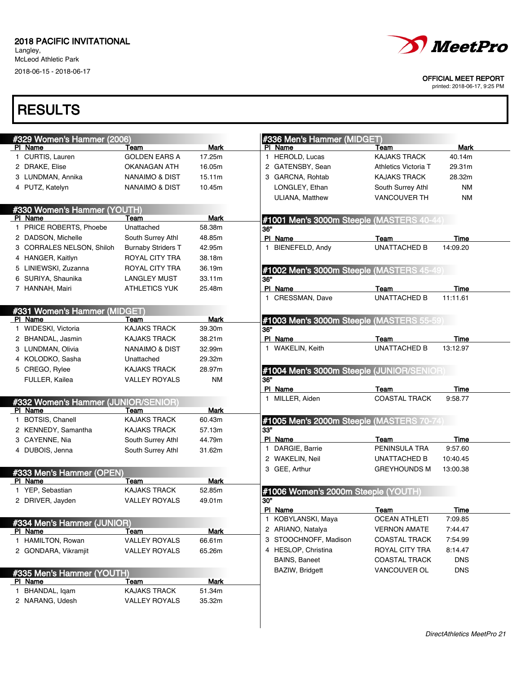Langley, McLeod Athletic Park

2018-06-15 - 2018-06-17



#### OFFICIAL MEET REPORT

printed: 2018-06-17, 9:25 PM

| #329 Women's Hammer (2006)            |                           |             | #336 Men's Hammer (MIDGET)                |                       |            |
|---------------------------------------|---------------------------|-------------|-------------------------------------------|-----------------------|------------|
| PI Name                               | Team                      | Mark        | PI Name                                   | Team                  | Mark       |
| 1 CURTIS, Lauren                      | <b>GOLDEN EARS A</b>      | 17.25m      | 1 HEROLD, Lucas                           | <b>KAJAKS TRACK</b>   | 40.14m     |
| 2 DRAKE, Elise                        | OKANAGAN ATH              | 16.05m      | 2 GATENSBY, Sean                          | Athletics Victoria T  | 29.31m     |
| 3 LUNDMAN, Annika                     | <b>NANAIMO &amp; DIST</b> | 15.11m      | 3 GARCNA, Rohtab                          | KAJAKS TRACK          | 28.32m     |
| 4 PUTZ, Katelyn                       | <b>NANAIMO &amp; DIST</b> | 10.45m      | LONGLEY, Ethan                            | South Surrey Athl     | ΝM         |
|                                       |                           |             | <b>ULIANA, Matthew</b>                    | <b>VANCOUVER TH</b>   | <b>NM</b>  |
| #330 Women's Hammer (YOUTH)           |                           |             |                                           |                       |            |
| PI Name                               | Team                      | <b>Mark</b> | #1001 Men's 3000m Steeple (MASTERS 40-44) |                       |            |
| 1 PRICE ROBERTS, Phoebe               | Unattached                | 58.38m      | 36"                                       |                       |            |
| 2 DADSON, Michelle                    | South Surrey Athl         | 48.85m      | PI Name                                   | Team                  | Time       |
| 3 CORRALES NELSON, Shiloh             | <b>Burnaby Striders T</b> | 42.95m      | 1 BIENEFELD, Andy                         | <b>UNATTACHED B</b>   | 14:09.20   |
| 4 HANGER, Kaitlyn                     | ROYAL CITY TRA            | 38.18m      |                                           |                       |            |
| 5 LINIEWSKI, Zuzanna                  | ROYAL CITY TRA            | 36.19m      | #1002 Men's 3000m Steeple (MASTERS 45-49) |                       |            |
| 6 SURIYA, Shaunika                    | <b>LANGLEY MUST</b>       | 33.11m      | 36"                                       |                       |            |
| 7 HANNAH, Mairi                       | <b>ATHLETICS YUK</b>      | 25.48m      | PI Name                                   | Team                  | Time       |
|                                       |                           |             | 1 CRESSMAN, Dave                          | <b>UNATTACHED B</b>   | 11:11.61   |
| #331 Women's Hammer (MIDGET)          |                           |             |                                           |                       |            |
| PI Name                               | Team                      | <b>Mark</b> | #1003 Men's 3000m Steeple (MASTERS 55-59) |                       |            |
| 1 WIDESKI, Victoria                   | <b>KAJAKS TRACK</b>       | 39.30m      | 36"                                       |                       |            |
| 2 BHANDAL, Jasmin                     | <b>KAJAKS TRACK</b>       | 38.21m      | PI Name                                   | Team                  | Time       |
| 3 LUNDMAN, Olivia                     | <b>NANAIMO &amp; DIST</b> | 32.99m      | 1 WAKELIN, Keith                          | <b>UNATTACHED B</b>   | 13:12.97   |
| 4 KOLODKO, Sasha                      | Unattached                | 29.32m      |                                           |                       |            |
| 5 CREGO, Rylee                        | <b>KAJAKS TRACK</b>       | 28.97m      | #1004 Men's 3000m Steeple (JUNIOR/SENIOR) |                       |            |
| FULLER, Kailea                        | <b>VALLEY ROYALS</b>      | <b>NM</b>   | 36"                                       |                       |            |
|                                       |                           |             | PI Name                                   | Team                  | Time       |
| #332 Women's Hammer (JUNIOR/SENIOR)   |                           |             | 1 MILLER, Aiden                           | <b>COASTAL TRACK</b>  | 9:58.77    |
| PI Name                               | Team                      | <b>Mark</b> |                                           |                       |            |
| 1 BOTSIS, Chanell                     | <b>KAJAKS TRACK</b>       | 60.43m      | #1005 Men's 2000m Steeple (MASTERS 70-7   |                       |            |
| 2 KENNEDY, Samantha                   | <b>KAJAKS TRACK</b>       | 57.13m      | 33"                                       |                       |            |
| 3 CAYENNE, Nia                        | South Surrey Athl         | 44.79m      | PI Name                                   | Team                  | Time       |
| 4 DUBOIS, Jenna                       | South Surrey Athl         | 31.62m      | 1 DARGIE, Barrie                          | PENINSULA TRA         | 9:57.60    |
|                                       |                           |             | 2 WAKELIN, Neil                           | UNATTACHED B          | 10:40.45   |
| #333 Men's Hammer (OPEN)              |                           |             | 3 GEE, Arthur                             | <b>GREYHOUNDS M</b>   | 13:00.38   |
| PI Name                               | Team                      | Mark        |                                           |                       |            |
| 1 YEP, Sebastian                      | <b>KAJAKS TRACK</b>       | 52.85m      | #1006 Women's 2000m Steeple (YOUTH)       |                       |            |
| 2 DRIVER, Jayden                      | <b>VALLEY ROYALS</b>      | 49.01m      | 30"                                       |                       |            |
|                                       |                           |             | PI Name                                   | Team                  | Time       |
|                                       |                           |             | KOBYLANSKI, Maya<br>$\mathbf{1}$          | <b>OCEAN ATHLETI</b>  | 7:09.85    |
| #334 Men's Hammer (JUNIOR)<br>PI Name | Team                      | Mark        | 2 ARIANO, Natalya                         | <b>VERNON AMATE</b>   | 7:44.47    |
| 1 HAMILTON, Rowan                     | <b>VALLEY ROYALS</b>      | 66.61m      | 3 STOOCHNOFF, Madison                     | <b>COASTAL TRACK</b>  | 7:54.99    |
|                                       | <b>VALLEY ROYALS</b>      | 65.26m      | 4 HESLOP, Christina                       | <b>ROYAL CITY TRA</b> | 8:14.47    |
|                                       |                           |             | <b>BAINS, Baneet</b>                      | <b>COASTAL TRACK</b>  | <b>DNS</b> |
| 2 GONDARA, Vikramjit                  |                           |             |                                           |                       |            |
|                                       |                           |             |                                           |                       |            |
| #335 Men's Hammer (YOUTH)             |                           |             | BAZIW, Bridgett                           | VANCOUVER OL          |            |
|                                       | <u>Team</u>               | <b>Mark</b> |                                           |                       |            |
| PI Name<br>1 BHANDAL, Iqam            | KAJAKS TRACK              | 51.34m      |                                           |                       | DNS        |
| 2 NARANG, Udesh                       | <b>VALLEY ROYALS</b>      | 35.32m      |                                           |                       |            |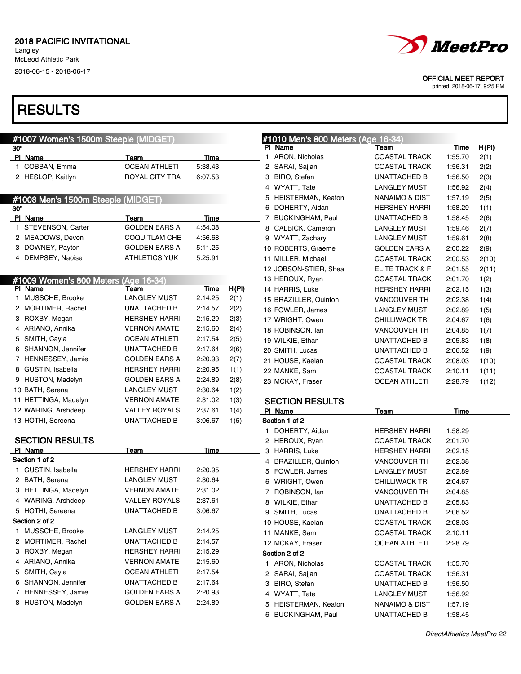Langley, McLeod Athletic Park 2018-06-15 - 2018-06-17

### **RESULTS**

|     | #1007 Women's 1500m Steeple (MIDGET) |                      |         |              | #1010 Men's 800 Meters (Age 16-34) |                      |             |
|-----|--------------------------------------|----------------------|---------|--------------|------------------------------------|----------------------|-------------|
| 30" |                                      |                      |         |              | PI Name                            | Team                 | <u>Time</u> |
|     | PI Name                              | Team                 | Time    |              | ARON, Nicholas<br>1                | <b>COASTAL TRACK</b> | 1:55.70     |
|     | 1 COBBAN, Emma                       | <b>OCEAN ATHLETI</b> | 5:38.43 |              | 2 SARAI, Sajjan                    | <b>COASTAL TRACK</b> | 1:56.31     |
|     | 2 HESLOP, Kaitlyn                    | ROYAL CITY TRA       | 6:07.53 |              | 3 BIRO, Stefan                     | UNATTACHED B         | 1:56.50     |
|     |                                      |                      |         |              | 4 WYATT, Tate                      | <b>LANGLEY MUST</b>  | 1:56.92     |
|     | #1008 Men's 1500m Steeple (MIDGET)   |                      |         |              | 5 HEISTERMAN, Keaton               | NANAIMO & DIST       | 1:57.19     |
| 30" |                                      |                      |         |              | 6 DOHERTY, Aidan                   | <b>HERSHEY HARRI</b> | 1:58.29     |
|     | PI Name                              | Team                 | Time    |              | 7 BUCKINGHAM, Paul                 | UNATTACHED B         | 1:58.45     |
|     | 1 STEVENSON, Carter                  | <b>GOLDEN EARS A</b> | 4:54.08 |              | 8 CALBICK, Cameron                 | LANGLEY MUST         | 1:59.46     |
|     | 2 MEADOWS, Devon                     | <b>COQUITLAM CHE</b> | 4:56.68 |              | 9 WYATT, Zachary                   | LANGLEY MUST         | 1:59.61     |
|     | 3 DOWNEY, Payton                     | <b>GOLDEN EARS A</b> | 5:11.25 |              | 10 ROBERTS, Graeme                 | <b>GOLDEN EARS A</b> | 2:00.22     |
|     | 4 DEMPSEY, Naoise                    | <b>ATHLETICS YUK</b> | 5:25.91 |              | 11 MILLER, Michael                 | <b>COASTAL TRACK</b> | 2:00.53     |
|     |                                      |                      |         |              | 12 JOBSON-STIER, Shea              | ELITE TRACK & F      | 2:01.55     |
|     | #1009 Women's 800 Meters (Age 16-34) |                      |         |              | 13 HEROUX, Ryan                    | <b>COASTAL TRACK</b> | 2:01.70     |
|     | PI Name                              | Team                 | Time    | <u>H(PI)</u> | 14 HARRIS, Luke                    | <b>HERSHEY HARRI</b> | 2:02.15     |
|     | 1 MUSSCHE, Brooke                    | <b>LANGLEY MUST</b>  | 2:14.25 | 2(1)         | 15 BRAZILLER, Quinton              | <b>VANCOUVER TH</b>  | 2:02.38     |
|     | 2 MORTIMER, Rachel                   | <b>UNATTACHED B</b>  | 2:14.57 | 2(2)         | 16 FOWLER, James                   | LANGLEY MUST         | 2:02.89     |
|     | 3 ROXBY, Megan                       | <b>HERSHEY HARRI</b> | 2:15.29 | 2(3)         | 17 WRIGHT, Owen                    | <b>CHILLIWACK TR</b> | 2:04.67     |
|     | 4 ARIANO, Annika                     | <b>VERNON AMATE</b>  | 2:15.60 | 2(4)         | 18 ROBINSON, Ian                   | <b>VANCOUVER TH</b>  | 2:04.85     |
| 5.  | SMITH, Cayla                         | <b>OCEAN ATHLETI</b> | 2:17.54 | 2(5)         | 19 WILKIE, Ethan                   | UNATTACHED B         | 2:05.83     |
| 6   | SHANNON, Jennifer                    | UNATTACHED B         | 2:17.64 | 2(6)         | 20 SMITH, Lucas                    | UNATTACHED B         | 2:06.52     |
|     | 7 HENNESSEY, Jamie                   | <b>GOLDEN EARS A</b> | 2:20.93 | 2(7)         | 21 HOUSE, Kaelan                   | <b>COASTAL TRACK</b> | 2:08.03     |
|     | 8 GUSTIN, Isabella                   | <b>HERSHEY HARRI</b> | 2:20.95 | 1(1)         | 22 MANKE, Sam                      | <b>COASTAL TRACK</b> | 2:10.11     |
|     | 9 HUSTON, Madelyn                    | <b>GOLDEN EARS A</b> | 2:24.89 | 2(8)         | 23 MCKAY, Fraser                   | <b>OCEAN ATHLETI</b> | 2:28.79     |
|     | 10 BATH, Serena                      | <b>LANGLEY MUST</b>  | 2:30.64 | 1(2)         |                                    |                      |             |
|     | 11 HETTINGA, Madelyn                 | <b>VERNON AMATE</b>  | 2:31.02 | 1(3)         | <b>SECTION RESULTS</b>             |                      |             |
|     | 12 WARING, Arshdeep                  | <b>VALLEY ROYALS</b> | 2:37.61 | 1(4)         | PI Name                            | Team                 | Time        |
|     | 13 HOTHI, Sereena                    | <b>UNATTACHED B</b>  | 3:06.67 | 1(5)         | Section 1 of 2                     |                      |             |
|     |                                      |                      |         |              | DOHERTY, Aidan<br>1                | <b>HERSHEY HARRI</b> | 1:58.29     |
|     | <b>SECTION RESULTS</b>               |                      |         |              | 2 HEROUX, Ryan                     | <b>COASTAL TRACK</b> | 2:01.70     |
|     | PI Name                              | Team                 | Time    |              | 3 HARRIS, Luke                     | <b>HERSHEY HARRI</b> | 2:02.15     |
|     | Section 1 of 2                       |                      |         |              | <b>BRAZILLER, Quinton</b><br>4     | <b>VANCOUVER TH</b>  | 2:02.38     |
|     | 1 GUSTIN, Isabella                   | <b>HERSHEY HARRI</b> | 2:20.95 |              | 5 FOWLER, James                    | <b>LANGLEY MUST</b>  | 2:02.89     |
|     | 2 BATH, Serena                       | <b>LANGLEY MUST</b>  | 2:30.64 |              | 6 WRIGHT, Owen                     | <b>CHILLIWACK TR</b> | 2:04.67     |
|     | 3 HETTINGA, Madelyn                  | <b>VERNON AMATE</b>  | 2:31.02 |              | 7 ROBINSON, Ian                    | <b>VANCOUVER TH</b>  | 2:04.85     |
|     | 4 WARING, Arshdeep                   | <b>VALLEY ROYALS</b> | 2:37.61 |              | 8 WILKIE, Ethan                    | <b>UNATTACHED B</b>  | 2:05.83     |
|     | 5 HOTHI, Sereena                     | UNATTACHED B         | 3:06.67 |              | 9 SMITH, Lucas                     | <b>UNATTACHED B</b>  | 2:06.52     |
|     | Section 2 of 2                       |                      |         |              | 10 HOUSE, Kaelan                   | <b>COASTAL TRACK</b> | 2:08.03     |
|     | 1 MUSSCHE, Brooke                    | <b>LANGLEY MUST</b>  | 2:14.25 |              | 11 MANKE, Sam                      | <b>COASTAL TRACK</b> | 2:10.11     |
|     | 2 MORTIMER, Rachel                   | UNATTACHED B         | 2:14.57 |              | 12 MCKAY, Fraser                   | <b>OCEAN ATHLETI</b> | 2:28.79     |
|     | 3 ROXBY, Megan                       | <b>HERSHEY HARRI</b> | 2:15.29 |              | Section 2 of 2                     |                      |             |
|     | 4 ARIANO, Annika                     | <b>VERNON AMATE</b>  | 2:15.60 |              | 1 ARON, Nicholas                   | <b>COASTAL TRACK</b> | 1:55.70     |
|     | 5 SMITH, Cayla                       | <b>OCEAN ATHLETI</b> | 2:17.54 |              | 2 SARAI, Sajjan                    | <b>COASTAL TRACK</b> | 1:56.31     |
|     | 6 SHANNON, Jennifer                  | UNATTACHED B         | 2:17.64 |              | 3 BIRO, Stefan                     | UNATTACHED B         | 1:56.50     |
|     | 7 HENNESSEY, Jamie                   | <b>GOLDEN EARS A</b> | 2:20.93 |              | 4 WYATT, Tate                      | <b>LANGLEY MUST</b>  | 1:56.92     |
|     | 8 HUSTON, Madelyn                    | <b>GOLDEN EARS A</b> | 2:24.89 |              | 5 HEISTERMAN, Keaton               | NANAIMO & DIST       | 1:57.19     |



OFFICIAL MEET REPORT

printed: 2018-06-17, 9:25 PM

#### #1010 Men's 800 Meters (Age 16-34) PI Name **Team** Team Team Time H(PI) ARON, Nicholas COASTAL TRACK 1:55.70 2(1) 2 SARAI, Sajjan COASTAL TRACK 1:56.31 2(2) BIRO, Stefan **UNATTACHED B** 1:56.50 2(3) WYATT, Tate LANGLEY MUST 1:56.92 2(4) HEISTERMAN, Keaton NANAIMO & DIST 1:57.19 2(5) DOHERTY, Aidan HERSHEY HARRI 1:58.29 1(1) BUCKINGHAM, Paul UNATTACHED B 1:58.45 2(6) CALBICK, Cameron LANGLEY MUST 1:59.46 2(7) WYATT, Zachary LANGLEY MUST 1:59.61 2(8) 10 ROBERTS, Graeme GOLDEN EARS A 2:00.22 2(9) MILLER, Michael COASTAL TRACK 2:00.53 2(10) 12 JOBSON-STIER, Shea ELITE TRACK & F 2:01.55 2(11) 13 HEROUX, Ryan COASTAL TRACK 2:01.70 1(2) HARRIS, Luke HERSHEY HARRI 2:02.15 1(3) BRAZILLER, Quinton VANCOUVER TH 2:02.38 1(4) FOWLER, James LANGLEY MUST 2:02.89 1(5) WRIGHT, Owen CHILLIWACK TR 2:04.67 1(6) 18 ROBINSON, Ian VANCOUVER TH 2:04.85 1(7) WILKIE, Ethan UNATTACHED B 2:05.83 1(8) SMITH, Lucas UNATTACHED B 2:06.52 1(9) 21 HOUSE, Kaelan COASTAL TRACK 2:08.03 1(10) MANKE, Sam COASTAL TRACK 2:10.11 1(11) MCKAY, Fraser **OCEAN ATHLETI** 2:28.79 1(12) **CTION RESULTS** PI Name **Team** Team Time  $tion 1 of 2$ DOHERTY, Aidan **HERSHEY HARRI** 1:58.29 HEROUX, Ryan COASTAL TRACK 2:01.70 3 HARRIS, Luke HERSHEY HARRI 2:02.15 BRAZILLER, Quinton VANCOUVER TH 2:02.38 FOWLER, James LANGLEY MUST 2:02.89

|   | 8 WILKIE, Ethan         | <b>UNATTACHED B</b>  | 2:05.83 |  |  |  |  |  |
|---|-------------------------|----------------------|---------|--|--|--|--|--|
|   | 9 SMITH, Lucas          | <b>UNATTACHED B</b>  | 2:06.52 |  |  |  |  |  |
|   | 10 HOUSE, Kaelan        | <b>COASTAL TRACK</b> | 2:08.03 |  |  |  |  |  |
|   | 11 MANKE, Sam           | <b>COASTAL TRACK</b> | 2:10.11 |  |  |  |  |  |
|   | 12 MCKAY, Fraser        | <b>OCEAN ATHLETI</b> | 2:28.79 |  |  |  |  |  |
|   | Section 2 of 2          |                      |         |  |  |  |  |  |
|   | 1 ARON, Nicholas        | <b>COASTAL TRACK</b> | 1:55.70 |  |  |  |  |  |
|   | 2 SARAI, Sajjan         | <b>COASTAL TRACK</b> | 1:56.31 |  |  |  |  |  |
|   | 3 BIRO, Stefan          | <b>UNATTACHED B</b>  | 1:56.50 |  |  |  |  |  |
|   | 4 WYATT, Tate           | <b>LANGLEY MUST</b>  | 1:56.92 |  |  |  |  |  |
|   | 5 HEISTERMAN, Keaton    | NANAIMO & DIST       | 1:57.19 |  |  |  |  |  |
| 6 | <b>BUCKINGHAM, Paul</b> | <b>UNATTACHED B</b>  | 1:58.45 |  |  |  |  |  |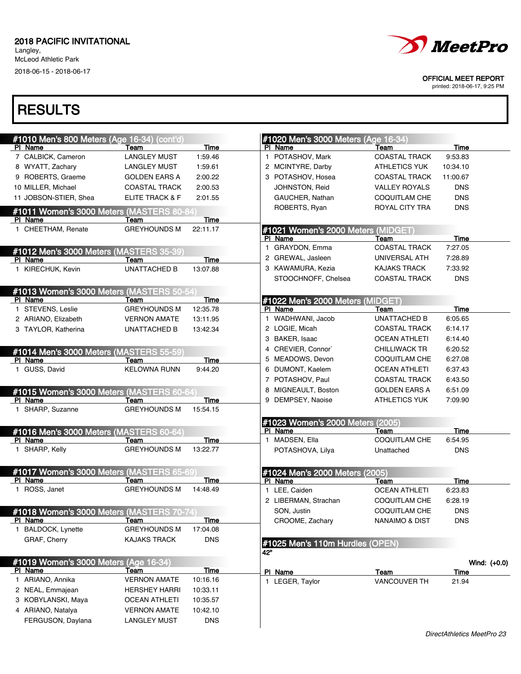Langley, McLeod Athletic Park

2018-06-15 - 2018-06-17



OFFICIAL MEET REPORT

printed: 2018-06-17, 9:25 PM

| #1010 Men's 800 Meters (Age 16-34) (cont'd) |                      |            |              | #1020 Men's 3000 Meters (Age 16-34) |                           |                |
|---------------------------------------------|----------------------|------------|--------------|-------------------------------------|---------------------------|----------------|
| PI Name                                     | Team                 | Time       |              | PI Name                             | Team                      | <b>Time</b>    |
| 7 CALBICK, Cameron                          | <b>LANGLEY MUST</b>  | 1:59.46    |              | 1 POTASHOV, Mark                    | <b>COASTAL TRACK</b>      | 9:53.83        |
| 8 WYATT, Zachary                            | <b>LANGLEY MUST</b>  | 1:59.61    |              | 2 MCINTYRE, Darby                   | <b>ATHLETICS YUK</b>      | 10:34.10       |
| 9 ROBERTS, Graeme                           | <b>GOLDEN EARS A</b> | 2:00.22    |              | 3 POTASHOV, Hosea                   | <b>COASTAL TRACK</b>      | 11:00.67       |
| 10 MILLER. Michael                          | <b>COASTAL TRACK</b> | 2:00.53    |              | JOHNSTON, Reid                      | <b>VALLEY ROYALS</b>      | <b>DNS</b>     |
| 11 JOBSON-STIER, Shea                       | ELITE TRACK & F      | 2:01.55    |              | GAUCHER, Nathan                     | <b>COQUITLAM CHE</b>      | <b>DNS</b>     |
| #1011 Women's 3000 Meters (MASTERS 80-84)   |                      |            |              | ROBERTS, Ryan                       | ROYAL CITY TRA            | <b>DNS</b>     |
| PI Name                                     | Team                 | Time       |              |                                     |                           |                |
| 1 CHEETHAM, Renate                          | <b>GREYHOUNDS M</b>  | 22:11.17   |              | #1021 Women's 2000 Meters (MIDGET)  |                           |                |
|                                             |                      |            |              | PI Name                             | Team                      | Time           |
| #1012 Men's 3000 Meters (MASTERS 35-39      |                      |            |              | 1 GRAYDON, Emma                     | <b>COASTAL TRACK</b>      | 7:27.05        |
| PI Name                                     | Team                 | Time       |              | 2 GREWAL, Jasleen                   | UNIVERSAL ATH             | 7:28.89        |
| 1 KIRECHUK, Kevin                           | <b>UNATTACHED B</b>  | 13:07.88   |              | 3 KAWAMURA, Kezia                   | KAJAKS TRACK              | 7:33.92        |
|                                             |                      |            |              | STOOCHNOFF, Chelsea                 | <b>COASTAL TRACK</b>      | <b>DNS</b>     |
| #1013 Women's 3000 Meters (MASTERS 50-54    |                      |            |              |                                     |                           |                |
| PI Name                                     | Team                 | Time       |              | #1022 Men's 2000 Meters (MIDGET)    |                           |                |
| 1 STEVENS, Leslie                           | <b>GREYHOUNDS M</b>  | 12:35.78   |              | PI Name                             | Team                      | Time           |
| 2 ARIANO, Elizabeth                         | <b>VERNON AMATE</b>  | 13:11.95   |              | 1 WADHWANI, Jacob                   | <b>UNATTACHED B</b>       | 6:05.65        |
| 3 TAYLOR, Katherina                         | <b>UNATTACHED B</b>  | 13:42.34   |              | 2 LOGIE, Micah                      | <b>COASTAL TRACK</b>      | 6:14.17        |
|                                             |                      |            |              | 3 BAKER, Isaac                      | <b>OCEAN ATHLETI</b>      | 6:14.40        |
| #1014 Men's 3000 Meters (MASTERS 55-59      |                      |            |              | 4 CREVIER, Connor`                  | <b>CHILLIWACK TR</b>      | 6:20.52        |
| PI Name                                     | Team                 | Time       |              | 5 MEADOWS, Devon                    | <b>COQUITLAM CHE</b>      | 6:27.08        |
| 1 GUSS, David                               | <b>KELOWNA RUNN</b>  | 9:44.20    |              | 6 DUMONT, Kaelem                    | <b>OCEAN ATHLETI</b>      | 6:37.43        |
|                                             |                      |            |              | 7 POTASHOV, Paul                    | <b>COASTAL TRACK</b>      | 6:43.50        |
| #1015 Women's 3000 Meters (MASTERS 60-64)   |                      |            | 8            | MIGNEAULT, Boston                   | <b>GOLDEN EARS A</b>      | 6:51.09        |
| PI Name                                     | Team                 | Time       |              | DEMPSEY, Naoise                     | <b>ATHLETICS YUK</b>      | 7:09.90        |
| 1 SHARP, Suzanne                            | <b>GREYHOUNDS M</b>  | 15:54.15   |              |                                     |                           |                |
|                                             |                      |            |              | #1023 Women's 2000 Meters (2005)    |                           |                |
| #1016 Men's 3000 Meters (MASTERS 60-64)     |                      |            |              | PI Name                             | Team                      | Time           |
| PI Name                                     | Team                 | Time       | $\mathbf{1}$ | MADSEN, Ella                        | <b>COQUITLAM CHE</b>      | 6:54.95        |
| 1 SHARP, Kelly                              | <b>GREYHOUNDS M</b>  | 13:22.77   |              | POTASHOVA, Lilya                    | Unattached                | <b>DNS</b>     |
|                                             |                      |            |              |                                     |                           |                |
| #1017 Women's 3000 Meters (MASTERS 65-69)   |                      |            |              | #1024 Men's 2000 Meters (2005)      |                           |                |
| PI Name                                     | Team                 | Time       |              | PI Name                             | Team                      | Time           |
| 1 ROSS, Janet                               | <b>GREYHOUNDS M</b>  | 14:48.49   |              | 1 LEE, Caiden                       | <b>OCEAN ATHLETI</b>      | 6:23.83        |
|                                             |                      |            |              | 2 LIBERMAN, Strachan                | <b>COQUITLAM CHE</b>      | 6:28.19        |
| #1018 Women's 3000 Meters (MASTERS 70-74    |                      |            |              | SON, Justin                         | <b>COQUITLAM CHE</b>      | <b>DNS</b>     |
| <b>PI Name</b>                              | Team                 | Time       |              | CROOME, Zachary                     | <b>NANAIMO &amp; DIST</b> | <b>DNS</b>     |
| 1 BALDOCK, Lynette                          | <b>GREYHOUNDS M</b>  | 17:04.08   |              |                                     |                           |                |
| GRAF, Cherry                                | <b>KAJAKS TRACK</b>  | <b>DNS</b> |              | #1025 Men's 110m Hurdles (OPEN)     |                           |                |
|                                             |                      |            | 42"          |                                     |                           |                |
| #1019 Women's 3000 Meters (Age 16-34)       |                      |            |              |                                     |                           | Wind: $(+0.0)$ |
| PI Name                                     | <u>Team</u>          | Time       |              | PI Name                             | Team                      | Time           |
| 1 ARIANO, Annika                            | <b>VERNON AMATE</b>  | 10:16.16   |              | 1 LEGER, Taylor                     | <b>VANCOUVER TH</b>       | 21.94          |
| 2 NEAL, Emmajean                            | <b>HERSHEY HARRI</b> | 10:33.11   |              |                                     |                           |                |
| 3 KOBYLANSKI, Maya                          | <b>OCEAN ATHLETI</b> | 10:35.57   |              |                                     |                           |                |
| 4 ARIANO, Natalya                           | <b>VERNON AMATE</b>  | 10:42.10   |              |                                     |                           |                |
| FERGUSON, Daylana                           | <b>LANGLEY MUST</b>  | <b>DNS</b> |              |                                     |                           |                |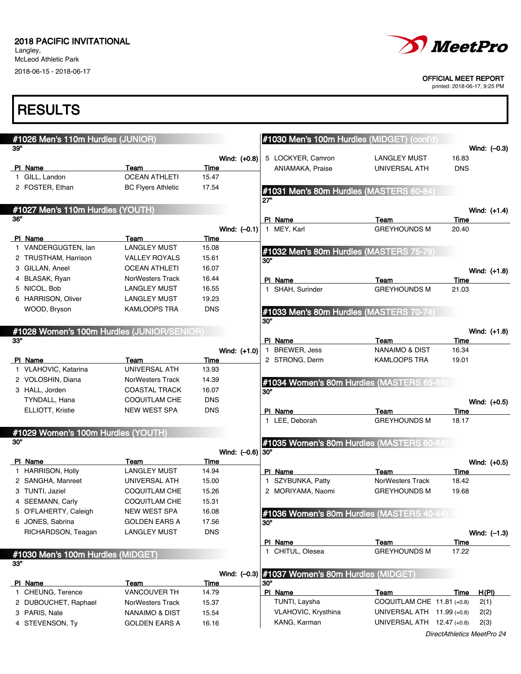Langley, McLeod Athletic Park 2018-06-15 - 2018-06-17



#### OFFICIAL MEET REPORT

| <b>RESULTS</b>                                    |                           |                    |                                                  |                              |                               |
|---------------------------------------------------|---------------------------|--------------------|--------------------------------------------------|------------------------------|-------------------------------|
| #1026 Men's 110m Hurdles (JUNIOR)                 |                           |                    | #1030 Men's 100m Hurdles (MIDGET) (cont'd)       |                              |                               |
| 39"                                               |                           |                    |                                                  |                              | Wind: $(-0.3)$                |
|                                                   |                           | Wind: $(+0.8)$     | 5 LOCKYER, Camron                                | <b>LANGLEY MUST</b>          | 16.83                         |
| PI Name                                           | Team                      | Time               | ANIAMAKA, Praise                                 | UNIVERSAL ATH                | <b>DNS</b>                    |
| 1 GILL, Landon                                    | <b>OCEAN ATHLETI</b>      | 15.47              |                                                  |                              |                               |
| 2 FOSTER, Ethan                                   | <b>BC Flyers Athletic</b> | 17.54              | #1031 Men's 80m Hurdles (MASTERS 80-84)<br>27"   |                              |                               |
| #1027 Men's 110m Hurdles (YOUTH)                  |                           |                    |                                                  |                              | Wind: (+1.4)                  |
| 36"                                               |                           |                    | PI Name                                          | Team                         | Time                          |
|                                                   |                           | Wind: $(-0.1)$     | 1 MEY, Karl                                      | <b>GREYHOUNDS M</b>          | 20.40                         |
| PI Name                                           | Team                      | Time               |                                                  |                              |                               |
| 1 VANDERGUGTEN, lan                               | <b>LANGLEY MUST</b>       | 15.08              | #1032 Men's 80m Hurdles (MASTERS 75-79)          |                              |                               |
| 2 TRUSTHAM, Harrison                              | <b>VALLEY ROYALS</b>      | 15.61              | 30"                                              |                              |                               |
| 3 GILLAN, Aneel                                   | <b>OCEAN ATHLETI</b>      | 16.07              |                                                  |                              | Wind: $(+1.8)$                |
| 4 BLASAK, Ryan                                    | <b>NorWesters Track</b>   | 16.44              | PI Name                                          | Team                         | Time                          |
| 5 NICOL, Bob                                      | <b>LANGLEY MUST</b>       | 16.55              | 1 SHAH, Surinder                                 | <b>GREYHOUNDS M</b>          | 21.03                         |
| 6 HARRISON, Oliver                                | <b>LANGLEY MUST</b>       | 19.23              |                                                  |                              |                               |
| WOOD, Bryson                                      | KAMLOOPS TRA              | <b>DNS</b>         | #1033 Men's 80m Hurdles (MASTERS 70-74)          |                              |                               |
|                                                   |                           |                    | 30"                                              |                              |                               |
| #1028 Women's 100m Hurdles (JUNIOR/SENIOR)<br>33" |                           |                    | PI Name                                          | Team                         | Wind: (+1.8)<br>Time          |
|                                                   |                           | Wind: (+1.0)       | 1 BREWER, Jess                                   | <b>NANAIMO &amp; DIST</b>    | 16.34                         |
| PI Name                                           | Team                      | Time               | 2 STRONG, Derm                                   | <b>KAMLOOPS TRA</b>          | 19.01                         |
| 1 VLAHOVIC, Katarina                              | UNIVERSAL ATH             | 13.93              |                                                  |                              |                               |
| 2 VOLOSHIN, Diana                                 | NorWesters Track          | 14.39              |                                                  |                              |                               |
| 3 HALL, Jorden                                    | <b>COASTAL TRACK</b>      | 16.07              | #1034 Women's 80m Hurdles (MASTERS 65-69)<br>30" |                              |                               |
| TYNDALL, Hana                                     | COQUITLAM CHE             | <b>DNS</b>         |                                                  |                              | Wind: (+0.5)                  |
| ELLIOTT, Kristie                                  | <b>NEW WEST SPA</b>       | <b>DNS</b>         | PI Name                                          | Team                         | Time                          |
|                                                   |                           |                    | 1 LEE, Deborah                                   | <b>GREYHOUNDS M</b>          | 18.17                         |
| #1029 Women's 100m Hurdles (YOUTH)                |                           |                    |                                                  |                              |                               |
| 30"                                               |                           | Wind: $(-0.6)$ 30" | #1035 Women's 80m Hurdles (MASTERS 60-64)        |                              |                               |
| PI Name                                           | Team                      | Time               |                                                  |                              |                               |
| 1 HARRISON, Holly                                 | <b>LANGLEY MUST</b>       | 14.94              | PI Name                                          | Team                         | Wind: $(+0.5)$<br>Time        |
| 2 SANGHA, Manreet                                 | UNIVERSAL ATH             | 15.00              | SZYBUNKA, Patty                                  | NorWesters Track             | 18.42                         |
| 3 TUNTI, Jaziel                                   | COQUITLAM CHE             | 15.26              | 2 MORIYAMA, Naomi                                | <b>GREYHOUNDS M</b>          | 19.68                         |
| 4 SEEMANN, Carly                                  | <b>COQUITLAM CHE</b>      | 15.31              |                                                  |                              |                               |
| 5 O'FLAHERTY, Caleigh                             | NEW WEST SPA              | 16.08              |                                                  |                              |                               |
| 6 JONES, Sabrina                                  | <b>GOLDEN EARS A</b>      | 17.56              | #1036 Women's 80m Hurdles (MASTERS 40-44)<br>30" |                              |                               |
| RICHARDSON, Teagan                                | <b>LANGLEY MUST</b>       | <b>DNS</b>         |                                                  |                              |                               |
|                                                   |                           |                    | PI Name                                          | Team                         | Wind: $(-1.3)$<br><u>Time</u> |
|                                                   |                           |                    | 1 CHITUL, Olesea                                 | <b>GREYHOUNDS M</b>          | 17.22                         |
| #1030 Men's 100m Hurdles (MIDGET)<br>33"          |                           |                    |                                                  |                              |                               |
|                                                   |                           | Wind: $(-0.3)$     | #1037 Women's 80m Hurdles (MIDGET)               |                              |                               |
| PI Name                                           | Team                      | <u>Time</u>        | 30"                                              |                              |                               |
| 1 CHEUNG, Terence                                 | <b>VANCOUVER TH</b>       | 14.79              | PI Name                                          | Team                         | H(PI)<br>Time                 |
| 2 DUBOUCHET, Raphael                              | NorWesters Track          | 15.37              | TUNTI, Laysha                                    | COQUITLAM CHE 11.81 (+0.8)   | 2(1)                          |
| 3 PARIS, Nate                                     | <b>NANAIMO &amp; DIST</b> | 15.54              | VLAHOVIC, Krysthina                              | UNIVERSAL ATH 11.99 (+0.8)   | 2(2)                          |
| 4 STEVENSON, Ty                                   | <b>GOLDEN EARS A</b>      | 16.16              | KANG, Karman                                     | UNIVERSAL ATH $12.47$ (+0.8) | 2(3)                          |
|                                                   |                           |                    |                                                  |                              | DirectAthletics MeetPro 24    |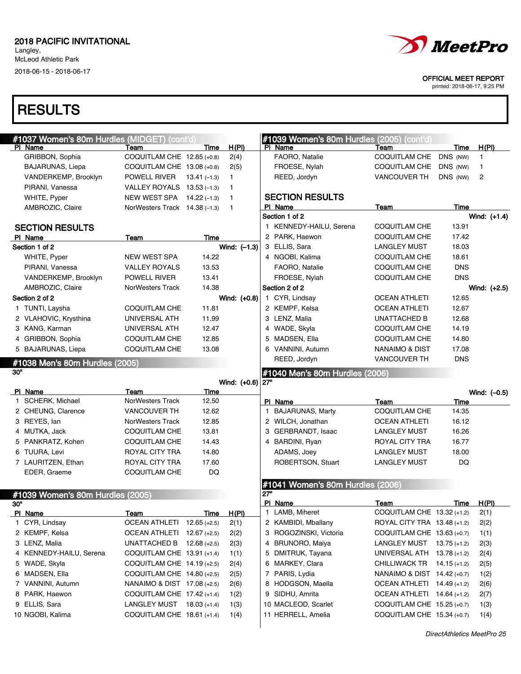

#### OFFICIAL MEET REPORT

printed: 2018-06-17, 9:25 PM

|     | #1037 Women's 80m Hurdles (MIDGET) (cont'd) |                                              |                |                    |              | #1039 Women's 80m Hurdles (2005) (cont'd) |                                                          |                |                |
|-----|---------------------------------------------|----------------------------------------------|----------------|--------------------|--------------|-------------------------------------------|----------------------------------------------------------|----------------|----------------|
|     | PI Name                                     | Team                                         | Time           | H(PI)              |              | PI Name                                   | Team                                                     | Time           | H(PI)          |
|     | GRIBBON, Sophia                             | COQUITLAM CHE 12.85 (+0.8)                   |                | 2(4)               |              | FAORO, Natalie                            | <b>COQUITLAM CHE</b>                                     | DNS (NW)       | 1              |
|     | <b>BAJARUNAS, Liepa</b>                     | COQUITLAM CHE $13.08$ (+0.8)                 |                | 2(5)               |              | FROESE, Nylah                             | COQUITLAM CHE                                            | DNS (NW)       | 1              |
|     | VANDERKEMP, Brooklyn                        | POWELL RIVER                                 | $13.41(-1.3)$  | 1                  |              | REED, Jordyn                              | <b>VANCOUVER TH</b>                                      | DNS (NW)       | 2              |
|     | PIRANI, Vanessa                             | VALLEY ROYALS 13.53 (-1.3)                   |                | 1.                 |              |                                           |                                                          |                |                |
|     | WHITE, Pyper                                | NEW WEST SPA 14.22 (-1.3)                    |                | $\mathbf{1}$       |              | <b>SECTION RESULTS</b>                    |                                                          |                |                |
|     | AMBROZIC, Claire                            | NorWesters Track 14.38 (-1.3)                |                | $\overline{1}$     |              | PI Name                                   | Team                                                     | Time           |                |
|     |                                             |                                              |                |                    |              | Section 1 of 2                            |                                                          |                | Wind: $(+1.4)$ |
|     | <b>SECTION RESULTS</b>                      |                                              |                |                    |              | 1 KENNEDY-HAILU, Serena                   | <b>COQUITLAM CHE</b>                                     | 13.91          |                |
|     | PI Name                                     | Team                                         | Time           |                    |              | 2 PARK, Haewon                            | <b>COQUITLAM CHE</b>                                     | 17.42          |                |
|     | Section 1 of 2                              |                                              |                | Wind: $(-1.3)$     |              | 3 ELLIS, Sara                             | <b>LANGLEY MUST</b>                                      | 18.03          |                |
|     | WHITE, Pyper                                | NEW WEST SPA                                 | 14.22          |                    |              | 4 NGOBI, Kalima                           | <b>COQUITLAM CHE</b>                                     | 18.61          |                |
|     | PIRANI, Vanessa                             | <b>VALLEY ROYALS</b>                         | 13.53          |                    |              | FAORO, Natalie                            | <b>COQUITLAM CHE</b>                                     | <b>DNS</b>     |                |
|     | VANDERKEMP, Brooklyn                        | POWELL RIVER                                 | 13.41          |                    |              | FROESE, Nylah                             | <b>COQUITLAM CHE</b>                                     | <b>DNS</b>     |                |
|     | AMBROZIC, Claire                            | NorWesters Track                             | 14.38          |                    |              | Section 2 of 2                            |                                                          |                | Wind: (+2.5)   |
|     | Section 2 of 2                              |                                              |                | Wind: (+0.8)       |              | 1 CYR, Lindsay                            | <b>OCEAN ATHLETI</b>                                     | 12.65          |                |
|     | 1 TUNTI, Laysha                             | COQUITLAM CHE                                | 11.81          |                    |              | 2 KEMPF, Kelsa                            | <b>OCEAN ATHLETI</b>                                     | 12.67          |                |
|     | 2 VLAHOVIC, Krysthina                       | UNIVERSAL ATH                                | 11.99          |                    |              | 3 LENZ, Malia                             | UNATTACHED B                                             | 12.68          |                |
|     | 3 KANG, Karman                              | UNIVERSAL ATH                                | 12.47          |                    |              | 4 WADE, Skyla                             | <b>COQUITLAM CHE</b>                                     | 14.19          |                |
|     | 4 GRIBBON, Sophia                           | COQUITLAM CHE                                | 12.85          |                    |              | 5 MADSEN, Ella                            | <b>COQUITLAM CHE</b>                                     | 14.80          |                |
|     | 5 BAJARUNAS, Liepa                          | COQUITLAM CHE                                | 13.08          |                    |              | 6 VANNINI, Autumn                         | NANAIMO & DIST                                           | 17.08          |                |
|     |                                             |                                              |                |                    |              | REED, Jordyn                              | <b>VANCOUVER TH</b>                                      | <b>DNS</b>     |                |
| 30" | #1038 Men's 80m Hurdles (2005)              |                                              |                |                    |              |                                           |                                                          |                |                |
|     |                                             |                                              |                |                    |              | #1040 Men's 80m Hurdles (2006)            |                                                          |                |                |
|     |                                             |                                              |                |                    |              |                                           |                                                          |                |                |
|     |                                             |                                              |                | Wind: (+0.6)   27" |              |                                           |                                                          |                |                |
|     | PI Name                                     | Team<br><b>NorWesters Track</b>              | Time<br>12.50  |                    |              |                                           |                                                          |                | Wind: $(-0.5)$ |
|     | 1 SCHERK, Michael<br>2 CHEUNG, Clarence     | VANCOUVER TH                                 | 12.62          |                    | $\mathbf{1}$ | PI Name                                   | Team<br><b>COQUITLAM CHE</b>                             | Time<br>14.35  |                |
|     |                                             | <b>NorWesters Track</b>                      | 12.85          |                    |              | BAJARUNAS, Marty<br>2 WILCH, Jonathan     | <b>OCEAN ATHLETI</b>                                     | 16.12          |                |
|     | 3 REYES, lan                                |                                              | 13.81          |                    |              |                                           |                                                          | 16.26          |                |
|     | 4 MUTKA, Jack                               | <b>COQUITLAM CHE</b><br><b>COQUITLAM CHE</b> | 14.43          |                    | 4            | 3 GERBRANDT, Isaac                        | <b>LANGLEY MUST</b><br>ROYAL CITY TRA                    | 16.77          |                |
|     | 5 PANKRATZ, Kohen                           |                                              | 14.80          |                    |              | BARDINI, Ryan                             |                                                          | 18.00          |                |
|     | 6 TUURA, Levi                               | ROYAL CITY TRA                               | 17.60          |                    |              | ADAMS, Joey                               | <b>LANGLEY MUST</b>                                      | <b>DQ</b>      |                |
|     | 7 LAURITZEN, Ethan<br>EDER, Graeme          | ROYAL CITY TRA                               |                |                    |              | ROBERTSON, Stuart                         | <b>LANGLEY MUST</b>                                      |                |                |
|     |                                             | <b>COQUITLAM CHE</b>                         | DQ             |                    |              |                                           |                                                          |                |                |
|     |                                             |                                              |                |                    | 27"          | #1041 Women's 80m Hurdles (2006)          |                                                          |                |                |
|     | #1039 Women's 80m Hurdles (2005)            |                                              |                |                    |              | PI Name                                   | Team                                                     | Time           | H(PI)          |
| 30" | PI Name                                     | Team                                         | Time           | H(PI)              | $\mathbf{1}$ | LAMB, Miheret                             | COQUITLAM CHE $13.32$ (+1.2)                             |                | 2(1)           |
|     | 1 CYR, Lindsay                              | OCEAN ATHLETI 12.65 (+2.5)                   |                | 2(1)               |              | 2 KAMBIDI, Mballany                       | ROYAL CITY TRA 13.48 (+1.2)                              |                | 2(2)           |
|     | 2 KEMPF, Kelsa                              | OCEAN ATHLETI 12.67 (+2.5)                   |                | 2(2)               |              | 3 ROGOZINSKI, Victoria                    | COQUITLAM CHE 13.63 (+0.7)                               |                | 1(1)           |
|     | 3 LENZ, Malia                               | UNATTACHED B $12.68$ (+2.5)                  |                | 2(3)               | 4            | <b>BRUNORO, Maiya</b>                     | LANGLEY MUST 13.75 (+1.2)                                |                | 2(3)           |
|     | 4 KENNEDY-HAILU, Serena                     | COQUITLAM CHE 13.91 (+1.4)                   |                | 1(1)               |              | 5 DMITRUK, Tayana                         | UNIVERSAL ATH 13.78 (+1.2)                               |                | 2(4)           |
|     | 5 WADE, Skyla                               | COQUITLAM CHE 14.19 (+2.5)                   |                | 2(4)               |              | 6 MARKEY, Clara                           | <b>CHILLIWACK TR</b>                                     | $14.15 (+1.2)$ |                |
|     | 6 MADSEN, Ella                              | COQUITLAM CHE 14.80 (+2.5)                   |                | 2(5)               |              | 7 PARIS, Lydia                            | NANAIMO & DIST 14.42 (+0.7)                              |                | 2(5)<br>1(2)   |
|     | 7 VANNINI, Autumn                           | NANAIMO & DIST 17.08 (+2.5)                  |                |                    |              | 8 HODGSON, Maella                         | OCEAN ATHLETI 14.49 (+1.2)                               |                |                |
|     | 8 PARK, Haewon                              | COQUITLAM CHE 17.42 (+1.4)                   |                | 2(6)               |              |                                           | OCEAN ATHLETI 14.64 (+1.2)                               |                | 2(6)           |
|     |                                             |                                              |                | 1(2)               |              | 9 SIDHU, Amrita                           |                                                          |                | 2(7)           |
|     | 9 ELLIS, Sara<br>10 NGOBI, Kalima           | LANGLEY MUST<br>COQUITLAM CHE 18.61 (+1.4)   | $18.03 (+1.4)$ | 1(3)<br>1(4)       |              | 10 MACLEOD, Scarlet<br>11 HERRELL, Amelia | COQUITLAM CHE 15.25 (+0.7)<br>COQUITLAM CHE 15.34 (+0.7) |                | 1(3)<br>1(4)   |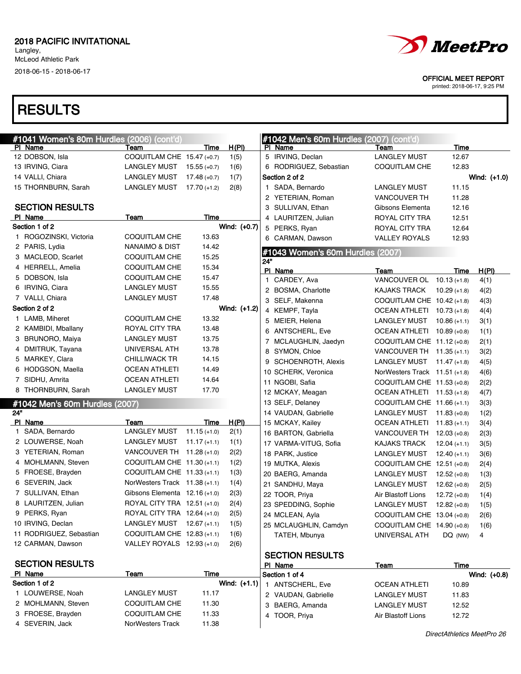# **RESULTS**

|     | #1041 Women's 80m Hurdles (2006) (cont'd) |                                 |                |              |              | #1042 Men's 60m Hurdles (2007) (cont'd) |                                            |                |              |
|-----|-------------------------------------------|---------------------------------|----------------|--------------|--------------|-----------------------------------------|--------------------------------------------|----------------|--------------|
|     | PI Name                                   | Team                            | Time           | H(PI)        |              | PI Name                                 | Team                                       | <b>Time</b>    |              |
|     | 12 DOBSON, Isla                           | COQUITLAM CHE 15.47 (+0.7)      |                | 1(5)         |              | 5 IRVING, Declan                        | <b>LANGLEY MUST</b>                        | 12.67          |              |
|     | 13 IRVING, Ciara                          | <b>LANGLEY MUST</b>             | $15.55 (+0.7)$ | 1(6)         |              | 6 RODRIGUEZ, Sebastian                  | <b>COQUITLAM CHE</b>                       | 12.83          |              |
|     | 14 VALLI, Chiara                          | <b>LANGLEY MUST</b>             | $17.48 (+0.7)$ | 1(7)         |              | Section 2 of 2                          |                                            |                | Wind: (+1.0) |
|     | 15 THORNBURN, Sarah                       | <b>LANGLEY MUST</b>             | $17.70 (+1.2)$ | 2(8)         | 1.           | SADA, Bernardo                          | <b>LANGLEY MUST</b>                        | 11.15          |              |
|     |                                           |                                 |                |              |              | 2 YETERIAN, Roman                       | <b>VANCOUVER TH</b>                        | 11.28          |              |
|     | <b>SECTION RESULTS</b><br>PI Name         | Team                            | Time           |              |              | 3 SULLIVAN, Ethan                       | Gibsons Elementa                           | 12.16          |              |
|     | Section 1 of 2                            |                                 |                | Wind: (+0.7) |              | 4 LAURITZEN, Julian                     | <b>ROYAL CITY TRA</b>                      | 12.51          |              |
|     | 1 ROGOZINSKI, Victoria                    | <b>COQUITLAM CHE</b>            | 13.63          |              |              | 5 PERKS, Ryan                           | ROYAL CITY TRA                             | 12.64          |              |
|     | 2 PARIS, Lydia                            | NANAIMO & DIST                  | 14.42          |              |              | 6 CARMAN, Dawson                        | <b>VALLEY ROYALS</b>                       | 12.93          |              |
|     | 3 MACLEOD, Scarlet                        | COQUITLAM CHE                   | 15.25          |              |              | #1043 Women's 60m Hurdles (2007)        |                                            |                |              |
|     | 4 HERRELL, Amelia                         | COQUITLAM CHE                   | 15.34          |              | 24"          |                                         |                                            |                |              |
|     | 5 DOBSON, Isla                            | COQUITLAM CHE                   | 15.47          |              |              | PI Name                                 | Team                                       | Time           | H(PI)        |
|     | 6 IRVING, Ciara                           | LANGLEY MUST                    | 15.55          |              | $\mathbf{1}$ | CARDEY, Ava                             | VANCOUVER OL 10.13 (+1.8)                  |                | 4(1)         |
|     | 7 VALLI, Chiara                           | <b>LANGLEY MUST</b>             | 17.48          |              |              | 2 BOSMA, Charlotte                      | KAJAKS TRACK                               | $10.29 (+1.8)$ | 4(2)         |
|     | Section 2 of 2                            |                                 |                | Wind: (+1.2) |              | 3 SELF, Makenna                         | COQUITLAM CHE $10.42$ (+1.8)               |                | 4(3)         |
|     | 1 LAMB, Miheret                           | COQUITLAM CHE                   | 13.32          |              |              | 4 KEMPF, Tayla<br>5 MEIER, Helena       | OCEAN ATHLETI 10.73 (+1.8)<br>LANGLEY MUST |                | 4(4)         |
|     | 2 KAMBIDI, Mballany                       | ROYAL CITY TRA                  | 13.48          |              |              | 6 ANTSCHERL, Eve                        | OCEAN ATHLETI 10.89 (+0.8)                 | $10.86(+1.1)$  | 3(1)         |
|     | 3 BRUNORO, Maiya                          | <b>LANGLEY MUST</b>             | 13.75          |              |              | 7 MCLAUGHLIN, Jaedyn                    | COQUITLAM CHE $11.12$ (+0.8)               |                | 1(1)         |
|     | 4 DMITRUK, Tayana                         | UNIVERSAL ATH                   | 13.78          |              |              | 8 SYMON, Chloe                          | VANCOUVER TH $11.35 (+1.1)$                |                | 2(1)         |
|     | 5 MARKEY, Clara                           | <b>CHILLIWACK TR</b>            | 14.15          |              |              | 9 SCHOENROTH, Alexis                    | LANGLEY MUST 11.47 (+1.8)                  |                | 3(2)<br>4(5) |
|     | 6 HODGSON, Maella                         | <b>OCEAN ATHLETI</b>            | 14.49          |              |              | 10 SCHERK, Veronica                     | NorWesters Track $11.51$ (+1.8)            |                | 4(6)         |
|     | 7 SIDHU, Amrita                           | <b>OCEAN ATHLETI</b>            | 14.64          |              |              | 11 NGOBI, Safia                         | COQUITLAM CHE $11.53$ (+0.8)               |                | 2(2)         |
|     | 8 THORNBURN, Sarah                        | <b>LANGLEY MUST</b>             | 17.70          |              |              | 12 MCKAY, Meagan                        | OCEAN ATHLETI 11.53 (+1.8)                 |                | 4(7)         |
|     |                                           |                                 |                |              |              | 13 SELF, Delaney                        | COQUITLAM CHE 11.66 $(+1.1)$               |                | 3(3)         |
| 24" | #1042 Men's 60m Hurdles (2007)            |                                 |                |              |              | 14 VAUDAN, Gabrielle                    | LANGLEY MUST $11.83$ (+0.8)                |                | 1(2)         |
|     | PI Name                                   | Team                            | <u>Time</u>    | <u>H(PI)</u> |              | 15 MCKAY, Kailey                        | OCEAN ATHLETI 11.83 (+1.1)                 |                | 3(4)         |
|     | 1 SADA, Bernardo                          | <b>LANGLEY MUST</b>             | $11.15 (+1.0)$ | 2(1)         |              | 16 BARTON, Gabriella                    | VANCOUVER TH 12.03 (+0.8)                  |                | 2(3)         |
|     | 2 LOUWERSE, Noah                          | <b>LANGLEY MUST</b>             | $11.17 (+1.1)$ | 1(1)         |              | 17 VARMA-VITUG, Sofia                   | KAJAKS TRACK                               | $12.04 (+1.1)$ | 3(5)         |
|     | 3 YETERIAN, Roman                         | VANCOUVER TH $11.28$ (+1.0)     |                | 2(2)         |              | 18 PARK, Justice                        | LANGLEY MUST                               | $12.40 (+1.1)$ | 3(6)         |
|     | 4 MOHLMANN, Steven                        | COQUITLAM CHE $11.30 (+1.1)$    |                | 1(2)         |              | 19 MUTKA, Alexis                        | COQUITLAM CHE 12.51 (+0.8)                 |                | 2(4)         |
|     | 5 FROESE, Brayden                         | COQUITLAM CHE $11.33$ (+1.1)    |                | 1(3)         |              | 20 BAERG, Amanda                        | LANGLEY MUST                               | $12.52 (+0.8)$ | 1(3)         |
|     | 6 SEVERIN, Jack                           | NorWesters Track $11.38$ (+1.1) |                | 1(4)         |              | 21 SANDHU, Maya                         | <b>LANGLEY MUST</b>                        | $12.62 (+0.8)$ | 2(5)         |
|     | 7 SULLIVAN, Ethan                         | Gibsons Elementa 12.16 (+1.0)   |                | 2(3)         |              | 22 TOOR, Priya                          | Air Blastoff Lions                         | $12.72 (+0.8)$ | 1(4)         |
|     | 8 LAURITZEN, Julian                       | ROYAL CITY TRA 12.51 (+1.0)     |                | 2(4)         |              | 23 SPEDDING, Sophie                     | LANGLEY MUST                               | $12.82$ (+0.8) | 1(5)         |
|     | 9 PERKS, Ryan                             | ROYAL CITY TRA 12.64 (+1.0)     |                | 2(5)         |              | 24 MCLEAN, Ayla                         | COQUITLAM CHE 13.04 (+0.8)                 |                | 2(6)         |
|     | 10 IRVING, Declan                         | LANGLEY MUST 12.67 (+1.1)       |                | 1(5)         |              | 25 MCLAUGHLIN, Camdyn                   | COQUITLAM CHE $14.90 (+0.8)$               |                | 1(6)         |
|     | 11 RODRIGUEZ, Sebastian                   | COQUITLAM CHE 12.83 (+1.1)      |                | 1(6)         |              | TATEH, Mbunya                           | UNIVERSAL ATH                              | $DQ$ (NW)      | 4            |
|     | 12 CARMAN, Dawson                         | VALLEY ROYALS 12.93 (+1.0)      |                | 2(6)         |              |                                         |                                            |                |              |
|     |                                           |                                 |                |              |              | <b>SECTION RESULTS</b>                  |                                            |                |              |
|     | <b>SECTION RESULTS</b>                    |                                 |                |              |              | PI Name                                 | <u>Team</u>                                | Time           |              |
|     | PI Name                                   | <u>Team</u>                     | Time           |              |              | Section 1 of 4                          |                                            |                | Wind: (+0.8) |
|     | Section 1 of 2                            |                                 |                | Wind: (+1.1) |              | 1 ANTSCHERL, Eve                        | <b>OCEAN ATHLETI</b>                       | 10.89          |              |
|     | 1 LOUWERSE, Noah                          | <b>LANGLEY MUST</b>             | 11.17          |              |              | 2 VAUDAN, Gabrielle                     | <b>LANGLEY MUST</b>                        | 11.83          |              |
|     | 2 MOHLMANN, Steven                        | COQUITLAM CHE                   | 11.30          |              |              | 3 BAERG, Amanda                         | <b>LANGLEY MUST</b>                        | 12.52          |              |
|     | 3 FROESE, Brayden                         | <b>COQUITLAM CHE</b>            | 11.33          |              |              | 4 TOOR, Priya                           | Air Blastoff Lions                         | 12.72          |              |
|     | 4 SEVERIN, Jack                           | NorWesters Track                | 11.38          |              |              |                                         |                                            |                |              |



#### OFFICIAL MEET REPORT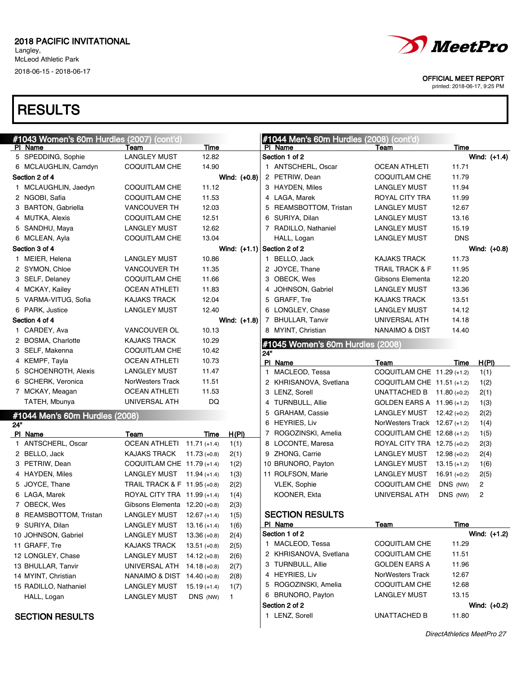Langley, McLeod Athletic Park

2018-06-15 - 2018-06-17



#### OFFICIAL MEET REPORT

printed: 2018-06-17, 9:25 PM

|     | #1043 Women's 60m Hurdles (2007) (cont'd) |                                 |                |                               |              | #1044 Men's 60m Hurdles (2008) (cont'd) |                                 |                |                |
|-----|-------------------------------------------|---------------------------------|----------------|-------------------------------|--------------|-----------------------------------------|---------------------------------|----------------|----------------|
|     | PI Name                                   | Team                            | Time           |                               |              | PI Name                                 | Team                            | Time           |                |
|     | 5 SPEDDING, Sophie                        | <b>LANGLEY MUST</b>             | 12.82          |                               |              | Section 1 of 2                          |                                 |                | Wind: $(+1.4)$ |
|     | 6 MCLAUGHLIN, Camdyn                      | <b>COQUITLAM CHE</b>            | 14.90          |                               |              | 1 ANTSCHERL, Oscar                      | <b>OCEAN ATHLETI</b>            | 11.71          |                |
|     | Section 2 of 4                            |                                 |                | Wind: (+0.8)                  |              | 2 PETRIW, Dean                          | COQUITLAM CHE                   | 11.79          |                |
|     | 1 MCLAUGHLIN, Jaedyn                      | COQUITLAM CHE                   | 11.12          |                               |              | 3 HAYDEN, Miles                         | <b>LANGLEY MUST</b>             | 11.94          |                |
|     | 2 NGOBI, Safia                            | COQUITLAM CHE                   | 11.53          |                               |              | 4 LAGA, Marek                           | ROYAL CITY TRA                  | 11.99          |                |
|     | 3 BARTON, Gabriella                       | <b>VANCOUVER TH</b>             | 12.03          |                               |              | 5 REAMSBOTTOM, Tristan                  | <b>LANGLEY MUST</b>             | 12.67          |                |
|     | 4 MUTKA, Alexis                           | COQUITLAM CHE                   | 12.51          |                               |              | 6 SURIYA, Dilan                         | <b>LANGLEY MUST</b>             | 13.16          |                |
|     | 5 SANDHU, Maya                            | <b>LANGLEY MUST</b>             | 12.62          |                               |              | 7 RADILLO, Nathaniel                    | <b>LANGLEY MUST</b>             | 15.19          |                |
|     | 6 MCLEAN, Ayla                            | COQUITLAM CHE                   | 13.04          |                               |              | HALL, Logan                             | <b>LANGLEY MUST</b>             | <b>DNS</b>     |                |
|     | Section 3 of 4                            |                                 |                | Wind: $(+1.1)$ Section 2 of 2 |              |                                         |                                 |                | Wind: $(+0.8)$ |
|     | 1 MEIER, Helena                           | <b>LANGLEY MUST</b>             | 10.86          |                               |              | 1 BELLO, Jack                           | <b>KAJAKS TRACK</b>             | 11.73          |                |
|     | 2 SYMON, Chloe                            | <b>VANCOUVER TH</b>             | 11.35          |                               |              | 2 JOYCE, Thane                          | <b>TRAIL TRACK &amp; F</b>      | 11.95          |                |
|     | 3 SELF, Delaney                           | COQUITLAM CHE                   | 11.66          |                               |              | 3 OBECK, Wes                            | Gibsons Elementa                | 12.20          |                |
|     | 4 MCKAY, Kailey                           | <b>OCEAN ATHLETI</b>            | 11.83          |                               |              | 4 JOHNSON, Gabriel                      | <b>LANGLEY MUST</b>             | 13.36          |                |
|     | 5 VARMA-VITUG, Sofia                      | <b>KAJAKS TRACK</b>             | 12.04          |                               |              | 5 GRAFF, Tre                            | <b>KAJAKS TRACK</b>             | 13.51          |                |
|     | 6 PARK, Justice                           | <b>LANGLEY MUST</b>             | 12.40          |                               |              | 6 LONGLEY, Chase                        | <b>LANGLEY MUST</b>             | 14.12          |                |
|     | Section 4 of 4                            |                                 |                | Wind: (+1.8)                  |              | 7 BHULLAR, Tanvir                       | UNIVERSAL ATH                   | 14.18          |                |
|     | 1 CARDEY, Ava                             | VANCOUVER OL                    | 10.13          |                               |              | 8 MYINT, Christian                      | <b>NANAIMO &amp; DIST</b>       | 14.40          |                |
|     | 2 BOSMA, Charlotte                        | <b>KAJAKS TRACK</b>             | 10.29          |                               |              | #1045 Women's 60m Hurdles (2008)        |                                 |                |                |
|     | 3 SELF, Makenna                           | COQUITLAM CHE                   | 10.42          |                               | 24"          |                                         |                                 |                |                |
|     | 4 KEMPF, Tayla                            | <b>OCEAN ATHLETI</b>            | 10.73          |                               |              | PI Name                                 | Team                            | Time           | <u>H(PI)</u>   |
|     | 5 SCHOENROTH, Alexis                      | <b>LANGLEY MUST</b>             | 11.47          |                               | $\mathbf{1}$ | MACLEOD, Tessa                          | COQUITLAM CHE 11.29 (+1.2)      |                | 1(1)           |
|     | 6 SCHERK, Veronica                        | NorWesters Track                | 11.51          |                               |              | 2 KHRISANOVA, Svetlana                  | COQUITLAM CHE 11.51 (+1.2)      |                | 1(2)           |
|     | 7 MCKAY, Meagan                           | <b>OCEAN ATHLETI</b>            | 11.53          |                               |              | 3 LENZ, Sorell                          | UNATTACHED B $11.80$ (+0.2)     |                | 2(1)           |
|     | TATEH, Mbunya                             | UNIVERSAL ATH                   | DQ             |                               | 4            | <b>TURNBULL, Allie</b>                  | GOLDEN EARS A 11.96 (+1.2)      |                | 1(3)           |
|     | #1044 Men's 60m Hurdles (2008)            |                                 |                |                               |              | 5 GRAHAM, Cassie                        | LANGLEY MUST $12.42 (+0.2)$     |                | 2(2)           |
| 24" |                                           |                                 |                |                               |              | 6 HEYRIES, Liv                          | NorWesters Track $12.67$ (+1.2) |                | 1(4)           |
|     | PI Name                                   | Team                            | Time           | H(PI)                         |              | 7 ROGOZINSKI, Amelia                    | COQUITLAM CHE $12.68$ (+1.2)    |                | 1(5)           |
|     | 1 ANTSCHERL, Oscar                        | OCEAN ATHLETI 11.71 (+1.4)      |                | 1(1)                          |              | 8 LOCONTE, Maresa                       | ROYAL CITY TRA 12.75 (+0.2)     |                | 2(3)           |
|     | 2 BELLO, Jack                             | KAJAKS TRACK                    | $11.73 (+0.8)$ | 2(1)                          |              | 9 ZHONG, Carrie                         | LANGLEY MUST $12.98 (+0.2)$     |                | 2(4)           |
|     | 3 PETRIW, Dean                            | COQUITLAM CHE 11.79 (+1.4)      |                | 1(2)                          |              | 10 BRUNORO, Payton                      | LANGLEY MUST                    | $13.15 (+1.2)$ | 1(6)           |
|     | 4 HAYDEN, Miles                           | LANGLEY MUST 11.94 (+1.4)       |                | 1(3)                          |              | 11 ROLFSON, Marie                       | LANGLEY MUST                    | $16.91 (+0.2)$ | 2(5)           |
|     | 5 JOYCE, Thane                            | TRAIL TRACK & F 11.95 (+0.8)    |                | 2(2)                          |              | VLEK, Sophie                            | <b>COQUITLAM CHE</b>            | DNS (NW)       | $\overline{2}$ |
|     | 6 LAGA, Marek                             | ROYAL CITY TRA 11.99 (+1.4)     |                | 1(4)                          |              | KOONER, Ekta                            | UNIVERSAL ATH                   | DNS (NW)       | 2              |
|     | 7 OBECK, Wes                              | Gibsons Elementa $12.20 (+0.8)$ |                | 2(3)                          |              |                                         |                                 |                |                |
|     | 8 REAMSBOTTOM, Tristan                    | <b>LANGLEY MUST</b>             | $12.67 (+1.4)$ | 1(5)                          |              | <b>SECTION RESULTS</b>                  |                                 |                |                |
|     | 9 SURIYA, Dilan                           | <b>LANGLEY MUST</b>             | $13.16 (+1.4)$ | 1(6)                          |              | PI Name                                 | <u>Team</u>                     | Time           |                |
|     | 10 JOHNSON, Gabriel                       | <b>LANGLEY MUST</b>             | $13.36 (+0.8)$ | 2(4)                          |              | Section 1 of 2                          |                                 |                | Wind: $(+1.2)$ |
|     | 11 GRAFF, Tre                             | <b>KAJAKS TRACK</b>             | $13.51 (+0.8)$ | 2(5)                          |              | 1 MACLEOD, Tessa                        | <b>COQUITLAM CHE</b>            | 11.29          |                |
|     | 12 LONGLEY, Chase                         | <b>LANGLEY MUST</b>             | $14.12 (+0.8)$ | 2(6)                          |              | 2 KHRISANOVA, Svetlana                  | COQUITLAM CHE                   | 11.51          |                |
|     | 13 BHULLAR, Tanvir                        | UNIVERSAL ATH                   | 14.18 (+0.8)   | 2(7)                          |              | 3 TURNBULL, Allie                       | <b>GOLDEN EARS A</b>            | 11.96          |                |
|     | 14 MYINT, Christian                       | NANAIMO & DIST 14.40 (+0.8)     |                | 2(8)                          |              | 4 HEYRIES, Liv                          | NorWesters Track                | 12.67          |                |
|     | 15 RADILLO, Nathaniel                     | <b>LANGLEY MUST</b>             | $15.19 (+1.4)$ | 1(7)                          |              | 5 ROGOZINSKI, Amelia                    | <b>COQUITLAM CHE</b>            | 12.68          |                |
|     | HALL, Logan                               | <b>LANGLEY MUST</b>             | DNS (NW)       | 1.                            |              | 6 BRUNORO, Payton                       | <b>LANGLEY MUST</b>             | 13.15          |                |
|     |                                           |                                 |                |                               |              | Section 2 of 2                          |                                 |                | Wind: $(+0.2)$ |
|     | <b>SECTION RESULTS</b>                    |                                 |                |                               |              | 1 LENZ, Sorell                          | <b>UNATTACHED B</b>             | 11.80          |                |
|     |                                           |                                 |                |                               |              |                                         |                                 |                |                |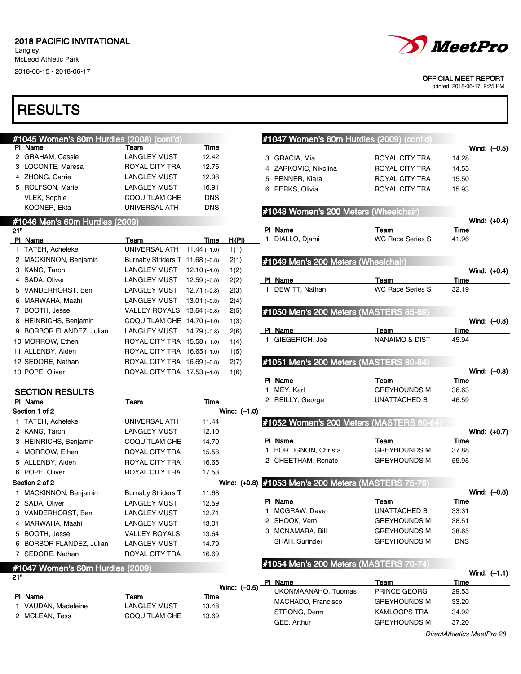Langley, McLeod Athletic Park

2018-06-15 - 2018-06-17



#### OFFICIAL MEET REPORT

printed: 2018-06-17, 9:25 PM

|     | #1045 Women's 60m Hurdles (2008) (cont'd) |                                 |                |                | #1047 Women's 60m Hurdles (2009) (cont'd)           |                           |                      |
|-----|-------------------------------------------|---------------------------------|----------------|----------------|-----------------------------------------------------|---------------------------|----------------------|
|     | PI Name                                   | Team                            | Time           |                |                                                     |                           | Wind: $(-0.5)$       |
|     | 2 GRAHAM, Cassie                          | <b>LANGLEY MUST</b>             | 12.42          |                | 3 GRACIA, Mia                                       | ROYAL CITY TRA            | 14.28                |
|     | 3 LOCONTE, Maresa                         | ROYAL CITY TRA                  | 12.75          |                | 4 ZARKOVIC, Nikolina                                | ROYAL CITY TRA            | 14.55                |
|     | 4 ZHONG, Carrie                           | <b>LANGLEY MUST</b>             | 12.98          |                | 5 PENNER, Kiara                                     | ROYAL CITY TRA            | 15.50                |
|     | 5 ROLFSON, Marie                          | <b>LANGLEY MUST</b>             | 16.91          |                | 6 PERKS, Olivia                                     | ROYAL CITY TRA            | 15.93                |
|     | VLEK, Sophie                              | <b>COQUITLAM CHE</b>            | <b>DNS</b>     |                |                                                     |                           |                      |
|     | KOONER, Ekta                              | UNIVERSAL ATH                   | <b>DNS</b>     |                | #1048 Women's 200 Meters (Wheelchair)               |                           |                      |
|     | #1046 Men's 60m Hurdles (2009)            |                                 |                |                |                                                     |                           | Wind: (+0.4)         |
| 21" |                                           |                                 |                |                | PI Name                                             | Team                      | Time                 |
|     | PI Name                                   | Team                            | Time           | H(PI)          | 1 DIALLO, Djami                                     | <b>WC Race Series S</b>   | 41.96                |
|     | 1 TATEH, Acheleke                         | UNIVERSAL ATH 11.44 (-1.0)      |                | 1(1)           |                                                     |                           |                      |
|     | 2 MACKINNON, Benjamin                     | Burnaby Striders T 11.68 (+0.8) |                | 2(1)           | #1049 Men's 200 Meters (Wheelchair)                 |                           |                      |
|     | 3 KANG, Taron                             | LANGLEY MUST $12.10$ (-1.0)     |                | 1(2)           |                                                     |                           | Wind: $(+0.4)$       |
|     | 4 SADA, Oliver                            | LANGLEY MUST                    | $12.59(+0.8)$  | 2(2)           | PI Name                                             | Team                      | Time                 |
|     | 5 VANDERHORST, Ben                        | LANGLEY MUST                    | $12.71(+0.8)$  | 2(3)           | 1 DEWITT, Nathan                                    | <b>WC Race Series S</b>   | 32.19                |
|     | 6 MARWAHA, Maahi                          | LANGLEY MUST                    | $13.01 (+0.8)$ | 2(4)           |                                                     |                           |                      |
|     | 7 BOOTH, Jesse                            | VALLEY ROYALS $13.64$ (+0.8)    |                | 2(5)           | #1050 Men's 200 Meters (MASTERS 85-89)              |                           |                      |
|     | 8 HEINRICHS, Benjamin                     | COQUITLAM CHE 14.70 (-1.0)      |                | 1(3)           |                                                     |                           | Wind: (-0.8)         |
|     | 9 BORBOR FLANDEZ, Julian                  | LANGLEY MUST $14.79 (+0.8)$     |                | 2(6)           | PI Name                                             | Team                      | Time                 |
|     | 10 MORROW, Ethen                          | ROYAL CITY TRA 15.58 (-1.0)     |                | 1(4)           | 1 GIEGERICH, Joe                                    | <b>NANAIMO &amp; DIST</b> | 45.94                |
|     | 11 ALLENBY, Aiden                         | ROYAL CITY TRA 16.65 (-1.0)     |                | 1(5)           |                                                     |                           |                      |
|     | 12 SEDORE, Nathan                         | ROYAL CITY TRA 16.69 (+0.8)     |                | 2(7)           | #1051 Men's 200 Meters (MASTERS 80-84)              |                           |                      |
|     | 13 POPE, Oliver                           | ROYAL CITY TRA 17.53 (-1.0)     |                | 1(6)           |                                                     |                           | Wind: (-0.8)         |
|     |                                           |                                 |                |                | PI Name                                             | Team                      | Time                 |
|     | <b>SECTION RESULTS</b>                    |                                 |                |                | 1 MEY, Karl                                         | <b>GREYHOUNDS M</b>       | 36.63                |
|     | PI Name                                   | Team                            | Time           |                | 2 REILLY, George                                    | UNATTACHED B              | 46.59                |
|     | Section 1 of 2                            |                                 |                | Wind: $(-1.0)$ |                                                     |                           |                      |
|     | 1 TATEH, Acheleke                         | UNIVERSAL ATH                   | 11.44          |                | #1052 Women's 200 Meters (MASTERS 80-84             |                           |                      |
|     | 2 KANG, Taron                             | <b>LANGLEY MUST</b>             | 12.10          |                |                                                     |                           | Wind: (+0.7)         |
|     | 3 HEINRICHS, Benjamin                     | <b>COQUITLAM CHE</b>            | 14.70          |                | PI Name                                             | Team                      | Time                 |
|     | 4 MORROW, Ethen                           | ROYAL CITY TRA                  | 15.58          |                | 1 BORTIGNON, Christa                                | <b>GREYHOUNDS M</b>       | 37.88                |
|     | 5 ALLENBY, Aiden                          | ROYAL CITY TRA                  | 16.65          |                | 2 CHEETHAM, Renate                                  | <b>GREYHOUNDS M</b>       | 55.95                |
|     | 6 POPE, Oliver                            | ROYAL CITY TRA                  | 17.53          |                |                                                     |                           |                      |
|     | Section 2 of 2                            |                                 |                |                | Wind: (+0.8) #1053 Men's 200 Meters (MASTERS 75-79) |                           |                      |
|     | 1 MACKINNON, Benjamin                     | <b>Burnaby Striders T</b>       | 11.68          |                |                                                     |                           | Wind: (-0.8)         |
|     | 2 SADA, Oliver                            | <b>LANGLEY MUST</b>             | 12.59          |                | PI Name<br>1 MCGRAW, Dave                           | Team                      | <b>Time</b><br>33.31 |
|     | 3 VANDERHORST, Ben                        | LANGLEY MUST                    | 12.71          |                |                                                     | UNATTACHED B              |                      |
|     | 4 MARWAHA, Maahi                          | LANGLEY MUST                    | 13.01          |                | 2 SHOOK, Vern                                       | <b>GREYHOUNDS M</b>       | 38.51                |
|     | 5 BOOTH, Jesse                            | <b>VALLEY ROYALS</b>            | 13.64          |                | 3 MCNAMARA, Bill                                    | <b>GREYHOUNDS M</b>       | 38.65                |
|     | 6 BORBOR FLANDEZ, Julian                  | <b>LANGLEY MUST</b>             | 14.79          |                | SHAH, Surinder                                      | <b>GREYHOUNDS M</b>       | <b>DNS</b>           |
|     | 7 SEDORE, Nathan                          | ROYAL CITY TRA                  | 16.69          |                |                                                     |                           |                      |
|     | #1047 Women's 60m Hurdles (2009)          |                                 |                |                | #1054 Men's 200 Meters (MASTERS 70-74)              |                           |                      |
| 21" |                                           |                                 |                |                |                                                     |                           | Wind: $(-1.1)$       |
|     |                                           |                                 |                | Wind: $(-0.5)$ | PI Name<br>UKONMAANAHO, Tuomas                      | Team<br>PRINCE GEORG      | Time<br>29.53        |
|     | PI Name                                   | Team                            | <b>Time</b>    |                | MACHADO, Francisco                                  | <b>GREYHOUNDS M</b>       | 33.20                |
|     | 1 VAUDAN, Madeleine                       | <b>LANGLEY MUST</b>             | 13.48          |                | STRONG, Derm                                        | KAMLOOPS TRA              |                      |
|     | 2 MCLEAN, Tess                            | <b>COQUITLAM CHE</b>            | 13.69          |                |                                                     |                           | 34.92                |
|     |                                           |                                 |                |                | GEE, Arthur                                         | <b>GREYHOUNDS M</b>       | 37.20                |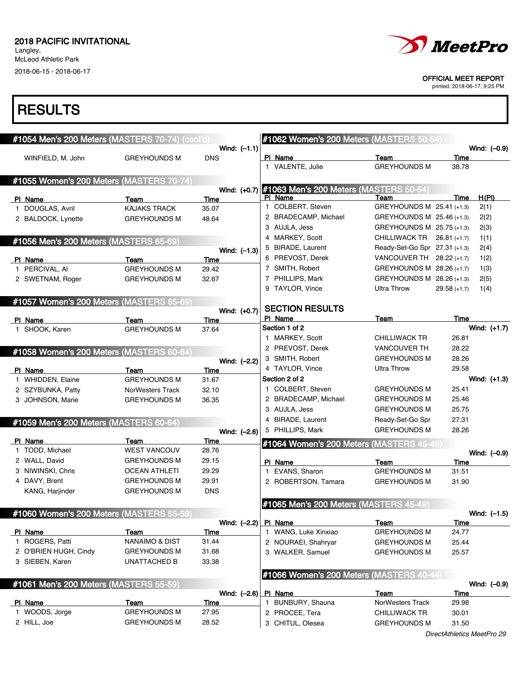Langley, McLeod Athletic Park 2018-06-15 - 2018-06-17



#### OFFICIAL MEET REPORT

printed: 2018-06-17, 9:25 PM

### **RESULTS**

T.

| #1054 Men's 200 Meters (MASTERS 70-74) (cont'd) |                           |             |                | #1062 Women's 200 Meters (MASTERS 50-54                       |                               |                |                |
|-------------------------------------------------|---------------------------|-------------|----------------|---------------------------------------------------------------|-------------------------------|----------------|----------------|
|                                                 |                           |             | Wind: $(-1.1)$ |                                                               |                               |                | Wind: (-0.9)   |
| WINFIELD, M. John                               | <b>GREYHOUNDS M</b>       | <b>DNS</b>  |                | PI Name<br>1 VALENTE, Julie                                   | Team<br><b>GREYHOUNDS M</b>   | Time<br>38.78  |                |
|                                                 |                           |             |                |                                                               |                               |                |                |
| #1055 Women's 200 Meters (MASTERS 70-74)        |                           |             |                |                                                               |                               |                |                |
| PI Name                                         | Team                      | Time        |                | Wind: (+0.7) #1063 Men's 200 Meters (MASTERS 50-54<br>PI Name | Team                          | Time           | H(PI)          |
| 1 DOUGLAS, Avril                                | <b>KAJAKS TRACK</b>       | 35.07       |                | 1 COLBERT, Steven                                             | GREYHOUNDS M 25.41 (+1.3)     |                | 2(1)           |
| 2 BALDOCK, Lynette                              | <b>GREYHOUNDS M</b>       | 48.64       |                | 2 BRADECAMP, Michael                                          | GREYHOUNDS M 25.46 (+1.3)     |                | 2(2)           |
|                                                 |                           |             |                | 3 AUJLA, Jess                                                 | GREYHOUNDS M 25.75 (+1.3)     |                | 2(3)           |
| #1056 Men's 200 Meters (MASTERS 65-69)          |                           |             |                | 4 MARKEY, Scott                                               | CHILLIWACK TR                 | $26.81(+1.7)$  | 1(1)           |
|                                                 |                           |             | Wind: $(-1.3)$ | 5 BIRADE, Laurent                                             | Ready-Set-Go Spr 27.31 (+1.3) |                | 2(4)           |
| PI Name                                         | Team                      | Time        |                | 6 PREVOST, Derek                                              | VANCOUVER TH                  | $28.22 (+1.7)$ | 1(2)           |
| 1 PERCIVAL, AI                                  | <b>GREYHOUNDS M</b>       | 29.42       |                | 7 SMITH, Robert                                               | GREYHOUNDS M 28.26 (+1.7)     |                | 1(3)           |
| 2 SWETNAM, Roger                                | <b>GREYHOUNDS M</b>       | 32.67       |                | 7 PHILLIPS, Mark                                              | GREYHOUNDS M 28.26 (+1.3)     |                | 2(5)           |
|                                                 |                           |             |                | 9 TAYLOR, Vince                                               | <b>Ultra Throw</b>            | $29.58(+1.7)$  | 1(4)           |
| #1057 Women's 200 Meters (MASTERS 65-69)        |                           |             |                |                                                               |                               |                |                |
|                                                 |                           |             | Wind: (+0.7)   | <b>SECTION RESULTS</b>                                        |                               |                |                |
| PI Name                                         | Team                      | Time        |                | PI Name                                                       | Team                          | Time           |                |
| 1 SHOOK, Karen                                  | <b>GREYHOUNDS M</b>       | 37.64       |                | Section 1 of 2                                                |                               |                | Wind: (+1.7)   |
|                                                 |                           |             |                | 1 MARKEY, Scott                                               | <b>CHILLIWACK TR</b>          | 26.81          |                |
| #1058 Women's 200 Meters (MASTERS 60-64)        |                           |             |                | 2 PREVOST, Derek                                              | <b>VANCOUVER TH</b>           | 28.22          |                |
|                                                 |                           |             | Wind: (-2.2)   | 3 SMITH, Robert                                               | <b>GREYHOUNDS M</b>           | 28.26          |                |
| PI Name                                         | Team                      | Time        |                | 4 TAYLOR, Vince                                               | Ultra Throw                   | 29.58          |                |
| 1 WHIDDEN, Elaine                               | <b>GREYHOUNDS M</b>       | 31.67       |                | Section 2 of 2                                                |                               |                | Wind: (+1.3)   |
| 2 SZYBUNKA, Patty                               | <b>NorWesters Track</b>   | 32.10       |                | 1 COLBERT, Steven                                             | <b>GREYHOUNDS M</b>           | 25.41          |                |
| 3 JOHNSON, Marie                                | <b>GREYHOUNDS M</b>       | 36.35       |                | 2 BRADECAMP, Michael                                          | <b>GREYHOUNDS M</b>           | 25.46          |                |
|                                                 |                           |             |                | 3 AUJLA, Jess                                                 | <b>GREYHOUNDS M</b>           | 25.75          |                |
| #1059 Men's 200 Meters (MASTERS 60-64)          |                           |             |                | 4 BIRADE, Laurent                                             | Ready-Set-Go Spr              | 27.31          |                |
|                                                 |                           |             | Wind: (-2.6)   | 5 PHILLIPS, Mark                                              | <b>GREYHOUNDS M</b>           | 28.26          |                |
| PI Name                                         | Team                      | <b>Time</b> |                | #1064 Women's 200 Meters (MASTERS 45-49)                      |                               |                |                |
| 1 TODD, Michael                                 | <b>WEST VANCOUV</b>       | 28.76       |                |                                                               |                               |                | Wind: (-0.9)   |
| 2 WALL, David                                   | <b>GREYHOUNDS M</b>       | 29.15       |                | PI Name                                                       | Team                          | Time           |                |
| 3 NIWINSKI, Chris                               | <b>OCEAN ATHLETI</b>      | 29.29       |                | 1 EVANS, Sharon                                               | <b>GREYHOUNDS M</b>           | 31.51          |                |
| 4 DAVY, Brent                                   | <b>GREYHOUNDS M</b>       | 29.91       |                | 2 ROBERTSON, Tamara                                           | <b>GREYHOUNDS M</b>           | 31.90          |                |
| KANG, Harjinder                                 | <b>GREYHOUNDS M</b>       | <b>DNS</b>  |                |                                                               |                               |                |                |
|                                                 |                           |             |                | #1065 Men's 200 Meters (MASTERS 45-49)                        |                               |                |                |
| #1060 Women's 200 Meters (MASTERS 55-59)        |                           |             |                |                                                               |                               |                | Wind: $(-1.5)$ |
| PI Name                                         | Team                      | <u>Time</u> | Wind: $(-2.2)$ | PI Name<br>1 WANG, Luke Xinxiao                               | Team<br><b>GREYHOUNDS M</b>   | Time<br>24.77  |                |
| 1 ROGERS, Patti                                 | <b>NANAIMO &amp; DIST</b> | 31.44       |                | 2 NOURAEI, Shahryar                                           | <b>GREYHOUNDS M</b>           | 25.44          |                |
| 2 O'BRIEN HUGH, Cindy                           | <b>GREYHOUNDS M</b>       | 31.68       |                | 3 WALKER, Samuel                                              | <b>GREYHOUNDS M</b>           | 25.57          |                |
| 3 SIEBEN, Karen                                 | <b>UNATTACHED B</b>       | 33.38       |                |                                                               |                               |                |                |
|                                                 |                           |             |                |                                                               |                               |                |                |
| #1061 Men's 200 Meters (MASTERS 55-59)          |                           |             |                | #1066 Women's 200 Meters (MASTERS 40-44                       |                               |                | Wind: (-0.9)   |
|                                                 |                           |             | Wind: $(-2.6)$ | PI Name                                                       | <b>Team</b>                   | <u>Time</u>    |                |
| PI Name                                         | Team                      | Time        |                | 1 BUNBURY, Shauna                                             | NorWesters Track              | 29.98          |                |
| 1 WOODS, Jorge                                  | <b>GREYHOUNDS M</b>       | 27.95       |                | 2 PROCEE, Tera                                                | <b>CHILLIWACK TR</b>          | 30.01          |                |
| 2 HILL, Joe                                     | <b>GREYHOUNDS M</b>       | 28.52       |                | 3 CHITUL, Olesea                                              | <b>GREYHOUNDS M</b>           | 31.50          |                |
|                                                 |                           |             |                |                                                               |                               |                |                |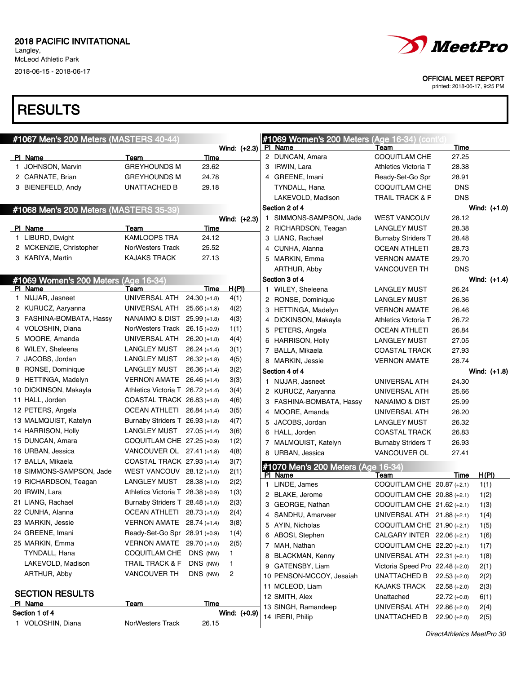### **RESULTS**

| <i>MeetPro</i> |
|----------------|
|                |

OFFICIAL MEET REPORT

| #1067 Men's 200 Meters (MASTERS 40-44) |                                   |                |              |    | #1069 Women's 200 Meters (Age 16-34) (cont'd) |                                    |                |                      |
|----------------------------------------|-----------------------------------|----------------|--------------|----|-----------------------------------------------|------------------------------------|----------------|----------------------|
|                                        |                                   |                | Wind: (+2.3) |    | <b>PI Name</b>                                | Team                               | <b>Time</b>    |                      |
| PI Name                                | Team                              | Time           |              |    | 2 DUNCAN, Amara                               | <b>COQUITLAM CHE</b>               | 27.25          |                      |
| 1 JOHNSON, Marvin                      | <b>GREYHOUNDS M</b>               | 23.62          |              |    | 3 IRWIN, Lara                                 | Athletics Victoria T               | 28.38          |                      |
| 2 CARNATE, Brian                       | <b>GREYHOUNDS M</b>               | 24.78          |              |    | 4 GREENE, Imani                               | Ready-Set-Go Spr                   | 28.91          |                      |
| 3 BIENEFELD, Andy                      | <b>UNATTACHED B</b>               | 29.18          |              |    | TYNDALL, Hana                                 | COQUITLAM CHE                      | <b>DNS</b>     |                      |
|                                        |                                   |                |              |    | LAKEVOLD, Madison                             | TRAIL TRACK & F                    | <b>DNS</b>     |                      |
| #1068 Men's 200 Meters (MASTERS 35-39) |                                   |                |              |    | Section 2 of 4                                |                                    |                | Wind: (+1.0)         |
|                                        |                                   |                | Wind: (+2.3) | 1. | SIMMONS-SAMPSON, Jade                         | <b>WEST VANCOUV</b>                | 28.12          |                      |
| PI Name                                | Team                              | Time           |              |    | 2 RICHARDSON, Teagan                          | <b>LANGLEY MUST</b>                | 28.38          |                      |
| 1 LIBURD, Dwight                       | <b>KAMLOOPS TRA</b>               | 24.12          |              |    | 3 LIANG, Rachael                              | <b>Burnaby Striders T</b>          | 28.48          |                      |
| 2 MCKENZIE, Christopher                | <b>NorWesters Track</b>           | 25.52          |              |    | 4 CUNHA, Alanna                               | OCEAN ATHLETI                      | 28.73          |                      |
| 3 KARIYA, Martin                       | <b>KAJAKS TRACK</b>               | 27.13          |              |    | 5 MARKIN, Emma                                | <b>VERNON AMATE</b>                | 29.70          |                      |
|                                        |                                   |                |              |    | ARTHUR, Abby                                  | VANCOUVER TH                       | <b>DNS</b>     |                      |
| #1069 Women's 200 Meters (Age 16-34)   |                                   |                |              |    | Section 3 of 4                                |                                    |                | Wind: (+1.4)         |
| PI Name                                | Team                              | Time           | <u>H(PI)</u> |    | 1 WILEY, Sheleena                             | <b>LANGLEY MUST</b>                | 26.24          |                      |
| 1 NIJJAR, Jasneet                      | UNIVERSAL ATH                     | $24.30(+1.8)$  | 4(1)         |    | 2 RONSE, Dominique                            | <b>LANGLEY MUST</b>                | 26.36          |                      |
| 2 KURUCZ, Aaryanna                     | UNIVERSAL ATH                     | $25.66 (+1.8)$ | 4(2)         |    | 3 HETTINGA, Madelyn                           | <b>VERNON AMATE</b>                | 26.46          |                      |
| 3 FASHINA-BOMBATA, Hassy               | NANAIMO & DIST 25.99 (+1.8)       |                | 4(3)         |    | 4 DICKINSON, Makayla                          | Athletics Victoria T               | 26.72          |                      |
| 4 VOLOSHIN, Diana                      | NorWesters Track 26.15 (+0.9)     |                | 1(1)         |    | 5 PETERS, Angela                              | <b>OCEAN ATHLETI</b>               | 26.84          |                      |
| 5 MOORE, Amanda                        | UNIVERSAL ATH                     | $26.20 (+1.8)$ | 4(4)         |    | 6 HARRISON, Holly                             | <b>LANGLEY MUST</b>                | 27.05          |                      |
| 6 WILEY, Sheleena                      | LANGLEY MUST                      | $26.24 (+1.4)$ | 3(1)         |    | 7 BALLA, Mikaela                              | <b>COASTAL TRACK</b>               | 27.93          |                      |
| 7 JACOBS, Jordan                       | LANGLEY MUST                      | $26.32 (+1.8)$ | 4(5)         |    | 8 MARKIN, Jessie                              | <b>VERNON AMATE</b>                | 28.74          |                      |
| 8 RONSE, Dominique                     | LANGLEY MUST                      | $26.36 (+1.4)$ | 3(2)         |    | Section 4 of 4                                |                                    |                | Wind: (+1.8)         |
| 9 HETTINGA, Madelyn                    | VERNON AMATE 26.46 (+1.4)         |                | 3(3)         |    | 1 NIJJAR, Jasneet                             | UNIVERSAL ATH                      | 24.30          |                      |
| 10 DICKINSON, Makayla                  | Athletics Victoria T 26.72 (+1.4) |                | 3(4)         |    | 2 KURUCZ, Aaryanna                            | UNIVERSAL ATH                      | 25.66          |                      |
| 11 HALL, Jorden                        | COASTAL TRACK 26.83 (+1.8)        |                | 4(6)         |    | 3 FASHINA-BOMBATA, Hassy                      | NANAIMO & DIST                     | 25.99          |                      |
| 12 PETERS, Angela                      | OCEAN ATHLETI 26.84 (+1.4)        |                | 3(5)         |    | 4 MOORE, Amanda                               | UNIVERSAL ATH                      | 26.20          |                      |
| 13 MALMQUIST, Katelyn                  | Burnaby Striders T 26.93 (+1.8)   |                | 4(7)         |    | 5 JACOBS, Jordan                              | <b>LANGLEY MUST</b>                | 26.32          |                      |
| 14 HARRISON, Holly                     | LANGLEY MUST                      | $27.05 (+1.4)$ | 3(6)         |    | 6 HALL, Jorden                                | <b>COASTAL TRACK</b>               | 26.83          |                      |
| 15 DUNCAN, Amara                       | COQUITLAM CHE 27.25 (+0.9)        |                | 1(2)         |    | 7 MALMQUIST, Katelyn                          | <b>Burnaby Striders T</b>          | 26.93          |                      |
| 16 URBAN, Jessica                      | VANCOUVER OL $27.41$ (+1.8)       |                | 4(8)         |    | 8 URBAN, Jessica                              | VANCOUVER OL                       | 27.41          |                      |
| 17 BALLA, Mikaela                      | COASTAL TRACK 27.93 (+1.4)        |                | 3(7)         |    |                                               |                                    |                |                      |
| 18 SIMMONS-SAMPSON, Jade               | WEST VANCOUV $28.12$ (+1.0)       |                | 2(1)         |    | #1070 Men's 200 Meters (Age 16-34)            |                                    |                |                      |
| 19 RICHARDSON, Teagan                  | LANGLEY MUST                      | $28.38(+1.0)$  | 2(2)         |    | PI Name<br>1 LINDE, James                     | Team<br>COQUITLAM CHE 20.87 (+2.1) | Time           | <u>H(PI)</u><br>1(1) |
| 20 IRWIN, Lara                         | Athletics Victoria T 28.38 (+0.9) |                | 1(3)         |    | 2 BLAKE, Jerome                               | COQUITLAM CHE 20.88 (+2.1)         |                | 1(2)                 |
| 21 LIANG, Rachael                      | Burnaby Striders T 28.48 (+1.0)   |                | 2(3)         |    | 3 GEORGE, Nathan                              | COQUITLAM CHE 21.62 (+2.1)         |                | 1(3)                 |
| 22 CUNHA, Alanna                       | OCEAN ATHLETI 28.73 (+1.0)        |                | 2(4)         |    | 4 SANDHU, Amarveer                            | UNIVERSAL ATH 21.88 (+2.1)         |                | 1(4)                 |
| 23 MARKIN, Jessie                      | VERNON AMATE $28.74 (+1.4)$       |                | 3(8)         |    | 5 AYIN, Nicholas                              |                                    |                |                      |
| 24 GREENE, Imani                       | Ready-Set-Go Spr 28.91 (+0.9)     |                | 1(4)         |    | 6 ABOSI, Stephen                              | COQUITLAM CHE $21.90$ (+2.1)       |                | 1(5)                 |
| 25 MARKIN, Emma                        | VERNON AMATE 29.70 (+1.0)         |                | 2(5)         |    |                                               | CALGARY INTER 22.06 (+2.1)         |                | 1(6)                 |
| TYNDALL, Hana                          | COQUITLAM CHE DNS (NW)            |                | 1.           |    | 7 MAH, Nathan                                 | COQUITLAM CHE 22.20 (+2.1)         |                | 1(7)                 |
| LAKEVOLD, Madison                      | TRAIL TRACK & F                   | DNS (NW)       | 1            |    | 8 BLACKMAN, Kenny                             | UNIVERSAL ATH 22.31 (+2.1)         |                | 1(8)                 |
| ARTHUR, Abby                           | <b>VANCOUVER TH</b>               | DNS (NW)       | 2            |    | 9 GATENSBY, Liam                              | Victoria Speed Pro 22.48 (+2.0)    |                | 2(1)                 |
|                                        |                                   |                |              |    | 10 PENSON-MCCOY, Jesaiah                      | UNATTACHED B $22.53 (+2.0)$        |                | 2(2)                 |
| <b>SECTION RESULTS</b>                 |                                   |                |              |    | 11 MCLEOD, Liam                               | KAJAKS TRACK                       | $22.58(+2.0)$  | 2(3)                 |
| PI Name                                | <u>Team</u>                       | Time           |              |    | 12 SMITH, Alex                                | Unattached                         | $22.72 (+0.8)$ | 6(1)                 |
| Section 1 of 4                         |                                   |                | Wind: (+0.9) |    | 13 SINGH, Ramandeep                           | UNIVERSAL ATH 22.86 (+2.0)         |                | 2(4)                 |
| 1 VOLOSHIN, Diana                      | NorWesters Track                  | 26.15          |              |    | 14 IRERI, Philip                              | UNATTACHED B                       | $22.90 (+2.0)$ | 2(5)                 |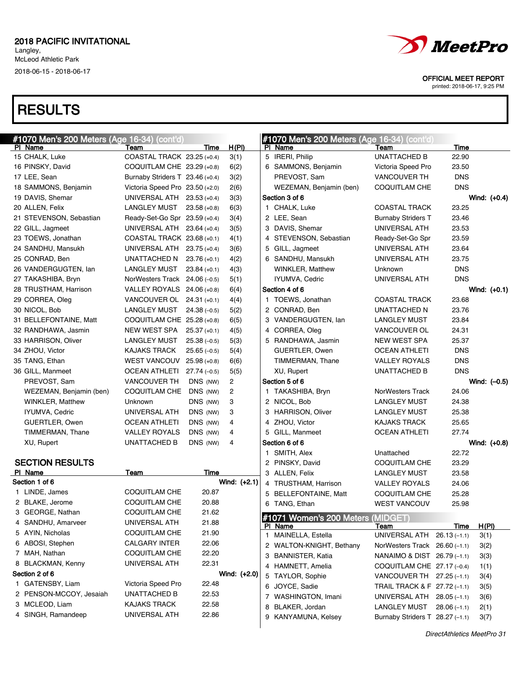# **RESULTS**



#### OFFICIAL MEET REPORT

| #1070 Men's 200 Meters (Age 16-34) (cont'd) |                                 |                |                | #1070 Men's 200 Meters (Age 16-34) (cont'd) |                                 |               |                |
|---------------------------------------------|---------------------------------|----------------|----------------|---------------------------------------------|---------------------------------|---------------|----------------|
| <b>PI Name</b>                              | Team                            | Time           | <u>H(PI)</u>   | PI Name                                     | Team                            | Time          |                |
| 15 CHALK, Luke                              | COASTAL TRACK 23.25 (+0.4)      |                | 3(1)           | 5 IRERI, Philip                             | <b>UNATTACHED B</b>             | 22.90         |                |
| 16 PINSKY, David                            | COQUITLAM CHE 23.29 (+0.8)      |                | 6(2)           | 6 SAMMONS, Benjamin                         | Victoria Speed Pro              | 23.50         |                |
| 17 LEE, Sean                                | Burnaby Striders T 23.46 (+0.4) |                | 3(2)           | PREVOST, Sam                                | <b>VANCOUVER TH</b>             | <b>DNS</b>    |                |
| 18 SAMMONS, Benjamin                        | Victoria Speed Pro 23.50 (+2.0) |                | 2(6)           | WEZEMAN, Benjamin (ben)                     | <b>COQUITLAM CHE</b>            | <b>DNS</b>    |                |
| 19 DAVIS, Shemar                            | UNIVERSAL ATH 23.53 (+0.4)      |                | 3(3)           | Section 3 of 6                              |                                 |               | Wind: $(+0.4)$ |
| 20 ALLEN, Felix                             | LANGLEY MUST                    | $23.58(+0.8)$  | 6(3)           | 1 CHALK, Luke                               | <b>COASTAL TRACK</b>            | 23.25         |                |
| 21 STEVENSON, Sebastian                     | Ready-Set-Go Spr 23.59 (+0.4)   |                | 3(4)           | 2 LEE, Sean                                 | <b>Burnaby Striders T</b>       | 23.46         |                |
| 22 GILL, Jagmeet                            | UNIVERSAL ATH 23.64 (+0.4)      |                | 3(5)           | 3 DAVIS, Shemar                             | UNIVERSAL ATH                   | 23.53         |                |
| 23 TOEWS, Jonathan                          | COASTAL TRACK 23.68 (+0.1)      |                | 4(1)           | 4 STEVENSON, Sebastian                      | Ready-Set-Go Spr                | 23.59         |                |
| 24 SANDHU, Mansukh                          | UNIVERSAL ATH 23.75 (+0.4)      |                | 3(6)           | 5 GILL, Jagmeet                             | UNIVERSAL ATH                   | 23.64         |                |
| 25 CONRAD, Ben                              | UNATTACHED N                    | $23.76 (+0.1)$ | 4(2)           | 6 SANDHU, Mansukh                           | UNIVERSAL ATH                   | 23.75         |                |
| 26 VANDERGUGTEN, lan                        | LANGLEY MUST                    | $23.84 (+0.1)$ | 4(3)           | <b>WINKLER, Matthew</b>                     | Unknown                         | <b>DNS</b>    |                |
| 27 TAKASHIBA, Bryn                          | NorWesters Track $24.06(-0.5)$  |                | 5(1)           | IYUMVA, Cedric                              | UNIVERSAL ATH                   | <b>DNS</b>    |                |
| 28 TRUSTHAM, Harrison                       | VALLEY ROYALS 24.06 (+0.8)      |                | 6(4)           | Section 4 of 6                              |                                 |               | Wind: $(+0.1)$ |
| 29 CORREA, Oleg                             | VANCOUVER OL 24.31 (+0.1)       |                | 4(4)           | 1 TOEWS, Jonathan                           | <b>COASTAL TRACK</b>            | 23.68         |                |
| 30 NICOL, Bob                               | <b>LANGLEY MUST</b>             | $24.38(-0.5)$  | 5(2)           | 2 CONRAD, Ben                               | UNATTACHED N                    | 23.76         |                |
| 31 BELLEFONTAINE, Matt                      | COQUITLAM CHE 25.28 (+0.8)      |                | 6(5)           | 3 VANDERGUGTEN, lan                         | <b>LANGLEY MUST</b>             | 23.84         |                |
| 32 RANDHAWA, Jasmin                         | NEW WEST SPA                    | $25.37 (+0.1)$ | 4(5)           | 4 CORREA, Oleg                              | VANCOUVER OL                    | 24.31         |                |
| 33 HARRISON, Oliver                         | LANGLEY MUST                    | $25.38(-0.5)$  | 5(3)           | 5 RANDHAWA, Jasmin                          | <b>NEW WEST SPA</b>             | 25.37         |                |
| 34 ZHOU, Victor                             | <b>KAJAKS TRACK</b>             | $25.65(-0.5)$  | 5(4)           | GUERTLER, Owen                              | <b>OCEAN ATHLETI</b>            | <b>DNS</b>    |                |
| 35 TANG, Ethan                              | <b>WEST VANCOUV</b>             | $25.98(+0.8)$  | 6(6)           | TIMMERMAN, Thane                            | <b>VALLEY ROYALS</b>            | <b>DNS</b>    |                |
| 36 GILL, Manmeet                            | <b>OCEAN ATHLETI</b>            | $27.74(-0.5)$  | 5(5)           | XU, Rupert                                  | <b>UNATTACHED B</b>             | <b>DNS</b>    |                |
| PREVOST, Sam                                | <b>VANCOUVER TH</b>             | DNS (NW)       | 2              | Section 5 of 6                              |                                 |               | Wind: $(-0.5)$ |
| WEZEMAN, Benjamin (ben)                     | COQUITLAM CHE                   | DNS (NW)       | $\overline{c}$ | 1 TAKASHIBA, Bryn                           | NorWesters Track                | 24.06         |                |
| <b>WINKLER, Matthew</b>                     | Unknown                         | DNS (NW)       | 3              | 2 NICOL, Bob                                | <b>LANGLEY MUST</b>             | 24.38         |                |
| IYUMVA, Cedric                              | UNIVERSAL ATH                   | DNS (NW)       | 3              | 3 HARRISON, Oliver                          | <b>LANGLEY MUST</b>             | 25.38         |                |
| GUERTLER, Owen                              | <b>OCEAN ATHLETI</b>            | DNS (NW)       | 4              | 4 ZHOU, Victor                              | <b>KAJAKS TRACK</b>             | 25.65         |                |
| TIMMERMAN, Thane                            | <b>VALLEY ROYALS</b>            | DNS (NW)       | 4              | 5 GILL, Manmeet                             | <b>OCEAN ATHLETI</b>            | 27.74         |                |
| XU, Rupert                                  | <b>UNATTACHED B</b>             | DNS (NW)       | 4              | Section 6 of 6                              |                                 |               | Wind: (+0.8)   |
|                                             |                                 |                |                | 1 SMITH, Alex                               | Unattached                      | 22.72         |                |
| <b>SECTION RESULTS</b>                      |                                 |                |                | 2 PINSKY, David                             | <b>COQUITLAM CHE</b>            | 23.29         |                |
| PI Name                                     | Team                            | Time           |                | 3 ALLEN, Felix                              | <b>LANGLEY MUST</b>             | 23.58         |                |
| Section 1 of 6                              |                                 |                | Wind: $(+2.1)$ | 4 TRUSTHAM, Harrison                        | <b>VALLEY ROYALS</b>            | 24.06         |                |
| 1 LINDE, James                              | COQUITLAM CHE                   | 20.87          |                | 5 BELLEFONTAINE, Matt                       | <b>COQUITLAM CHE</b>            | 25.28         |                |
| 2 BLAKE, Jerome                             | <b>COQUITLAM CHE</b>            | 20.88          |                | 6 TANG, Ethan                               | <b>WEST VANCOUV</b>             | 25.98         |                |
| 3 GEORGE, Nathan                            | <b>COQUITLAM CHE</b>            | 21.62          |                | #1071 Women's 200 Meters (MIDGET)           |                                 |               |                |
| 4 SANDHU, Amarveer                          | UNIVERSAL ATH                   | 21.88          |                | PI Name                                     | Team                            | Time          | <u>H(PI)</u>   |
| 5 AYIN, Nicholas                            | <b>COQUITLAM CHE</b>            | 21.90          |                | 1 MAINELLA, Estella                         | UNIVERSAL ATH                   | $26.13(-1.1)$ | 3(1)           |
| 6 ABOSI, Stephen                            | CALGARY INTER                   | 22.06          |                | 2 WALTON-KNIGHT, Bethany                    | NorWesters Track 26.60 (-1.1)   |               | 3(2)           |
| 7 MAH, Nathan                               | <b>COQUITLAM CHE</b>            | 22.20          |                | 3 BANNISTER, Katia                          | NANAIMO & DIST 26.79 (-1.1)     |               | 3(3)           |
| 8 BLACKMAN, Kenny                           | UNIVERSAL ATH                   | 22.31          |                | 4 HAMNETT, Amelia                           | COQUITLAM CHE $27.17$ (-0.4)    |               | 1(1)           |
| Section 2 of 6                              |                                 |                | Wind: (+2.0)   | 5 TAYLOR, Sophie                            | VANCOUVER TH $27.25(-1.1)$      |               | 3(4)           |
| 1 GATENSBY, Liam                            | Victoria Speed Pro              | 22.48          |                | 6 JOYCE, Sadie                              | TRAIL TRACK & F 27.72 (-1.1)    |               | 3(5)           |
| 2 PENSON-MCCOY, Jesaiah                     | UNATTACHED B                    | 22.53          |                | 7 WASHINGTON, Imani                         | UNIVERSAL ATH 28.05 (-1.1)      |               | 3(6)           |
| 3 MCLEOD, Liam                              | <b>KAJAKS TRACK</b>             | 22.58          |                | 8 BLAKER, Jordan                            | LANGLEY MUST                    | $28.06(-1.1)$ | 2(1)           |
| 4 SINGH, Ramandeep                          | UNIVERSAL ATH                   | 22.86          |                | 9 KANYAMUNA, Kelsey                         | Burnaby Striders T 28.27 (-1.1) |               | 3(7)           |
|                                             |                                 |                |                |                                             |                                 |               |                |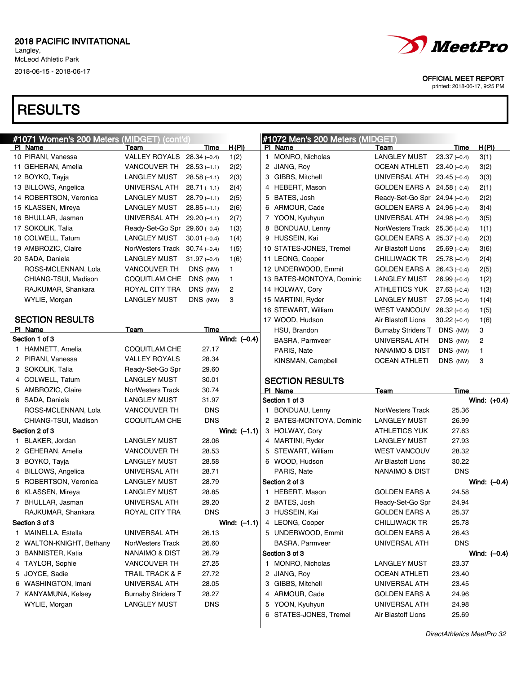# RESULTS

| #1071 Women's 200 Meters (MIDGET) (cont'd) |                                |               |                | #1072 Men's 200 Meters (MIDGET) |                                |                |              |
|--------------------------------------------|--------------------------------|---------------|----------------|---------------------------------|--------------------------------|----------------|--------------|
| PI Name                                    | Team                           | Time          | <u>H(PI)</u>   | PI Name                         | Team                           | Time           | <u>H(PI)</u> |
| 10 PIRANI, Vanessa                         | VALLEY ROYALS 28.34 (-0.4)     |               | 1(2)           | 1 MONRO, Nicholas               | <b>LANGLEY MUST</b>            | $23.37(-0.4)$  | 3(1)         |
| 11 GEHERAN, Amelia                         | VANCOUVER TH                   | $28.53(-1.1)$ | 2(2)           | 2 JIANG, Roy                    | OCEAN ATHLETI                  | $23.40(-0.4)$  | 3(2)         |
| 12 BOYKO, Tayja                            | LANGLEY MUST                   | $28.58(-1.1)$ | 2(3)           | 3 GIBBS, Mitchell               | UNIVERSAL ATH $23.45$ (-0.4)   |                | 3(3)         |
| 13 BILLOWS, Angelica                       | UNIVERSAL ATH                  | $28.71(-1.1)$ | 2(4)           | 4 HEBERT, Mason                 | GOLDEN EARS A $24.58(-0.4)$    |                | 2(1)         |
| 14 ROBERTSON, Veronica                     | LANGLEY MUST                   | $28.79(-1.1)$ | 2(5)           | 5 BATES, Josh                   | Ready-Set-Go Spr 24.94 (-0.4)  |                | 2(2)         |
| 15 KLASSEN, Mireya                         | LANGLEY MUST                   | $28.85(-1.1)$ | 2(6)           | 6 ARMOUR, Cade                  | GOLDEN EARS A $24.96(-0.4)$    |                | 3(4)         |
| 16 BHULLAR, Jasman                         | UNIVERSAL ATH                  | $29.20(-1.1)$ | 2(7)           | 7 YOON, Kyuhyun                 | UNIVERSAL ATH $24.98(-0.4)$    |                | 3(5)         |
| 17 SOKOLIK, Talia                          | Ready-Set-Go Spr 29.60 (-0.4)  |               | 1(3)           | 8 BONDUAU, Lenny                | NorWesters Track $25.36(+0.4)$ |                | 1(1)         |
| 18 COLWELL, Tatum                          | LANGLEY MUST                   | $30.01(-0.4)$ | 1(4)           | 9 HUSSEIN, Kai                  | GOLDEN EARS A 25.37 (-0.4)     |                | 2(3)         |
| 19 AMBROZIC, Claire                        | NorWesters Track $30.74(-0.4)$ |               | 1(5)           | 10 STATES-JONES, Tremel         | Air Blastoff Lions             | $25.69(-0.4)$  | 3(6)         |
| 20 SADA, Daniela                           | LANGLEY MUST                   | $31.97(-0.4)$ | 1(6)           | 11 LEONG, Cooper                | CHILLIWACK TR                  | $25.78(-0.4)$  | 2(4)         |
| ROSS-MCLENNAN, Lola                        | <b>VANCOUVER TH</b>            | DNS (NW)      | $\mathbf{1}$   | 12 UNDERWOOD, Emmit             | GOLDEN EARS A $26.43$ (-0.4)   |                | 2(5)         |
| CHIANG-TSUI, Madison                       | COQUITLAM CHE                  | DNS (NW)      | 1              | 13 BATES-MONTOYA, Dominic       | LANGLEY MUST                   | $26.99(+0.4)$  | 1(2)         |
| RAJKUMAR, Shankara                         | ROYAL CITY TRA                 | DNS (NW)      | 2              | 14 HOLWAY, Cory                 | ATHLETICS YUK                  | $27.63(+0.4)$  | 1(3)         |
| WYLIE, Morgan                              | LANGLEY MUST                   | DNS (NW)      | 3              | 15 MARTINI, Ryder               | LANGLEY MUST                   | $27.93(+0.4)$  | 1(4)         |
|                                            |                                |               |                | 16 STEWART, William             | <b>WEST VANCOUV</b>            | $28.32 (+0.4)$ | 1(5)         |
| <b>SECTION RESULTS</b>                     |                                |               |                | 17 WOOD, Hudson                 | Air Blastoff Lions             | $30.22 (+0.4)$ | 1(6)         |
| PI Name                                    | Team                           | Time          |                | HSU, Brandon                    | <b>Burnaby Striders T</b>      | DNS (NW)       | 3            |
| Section 1 of 3                             |                                |               | Wind: (-0.4)   | <b>BASRA, Parmveer</b>          | UNIVERSAL ATH                  | DNS (NW)       | 2            |
| 1 HAMNETT, Amelia                          | COQUITLAM CHE                  | 27.17         |                | PARIS, Nate                     | NANAIMO & DIST                 | DNS (NW)       | $\mathbf{1}$ |
| 2 PIRANI, Vanessa                          | <b>VALLEY ROYALS</b>           | 28.34         |                | KINSMAN, Campbell               | <b>OCEAN ATHLETI</b>           | DNS (NW)       | 3            |
| 3 SOKOLIK, Talia                           | Ready-Set-Go Spr               | 29.60         |                |                                 |                                |                |              |
| 4 COLWELL, Tatum                           | LANGLEY MUST                   | 30.01         |                | <b>SECTION RESULTS</b>          |                                |                |              |
| 5 AMBROZIC, Claire                         | NorWesters Track               | 30.74         |                | PI Name                         | Team                           | Time           |              |
| 6 SADA, Daniela                            | LANGLEY MUST                   | 31.97         |                | Section 1 of 3                  |                                |                | Wind: (+0.4) |
| ROSS-MCLENNAN, Lola                        | <b>VANCOUVER TH</b>            | <b>DNS</b>    |                | 1 BONDUAU, Lenny                | NorWesters Track               | 25.36          |              |
| CHIANG-TSUI, Madison                       | COQUITLAM CHE                  | <b>DNS</b>    |                | 2 BATES-MONTOYA, Dominic        | <b>LANGLEY MUST</b>            | 26.99          |              |
| Section 2 of 3                             |                                |               | Wind: $(-1.1)$ | 3 HOLWAY, Cory                  | <b>ATHLETICS YUK</b>           | 27.63          |              |
| 1 BLAKER, Jordan                           | LANGLEY MUST                   | 28.06         |                | 4 MARTINI, Ryder                | <b>LANGLEY MUST</b>            | 27.93          |              |
| 2 GEHERAN, Amelia                          | <b>VANCOUVER TH</b>            | 28.53         |                | 5 STEWART, William              | <b>WEST VANCOUV</b>            | 28.32          |              |
| 3 BOYKO, Tayja                             | LANGLEY MUST                   | 28.58         |                | 6 WOOD, Hudson                  | Air Blastoff Lions             | 30.22          |              |
| 4 BILLOWS, Angelica                        | UNIVERSAL ATH                  | 28.71         |                | PARIS, Nate                     | NANAIMO & DIST                 | <b>DNS</b>     |              |
| 5 ROBERTSON, Veronica                      | LANGLEY MUST                   | 28.79         |                | Section 2 of 3                  |                                |                | Wind: (-0.4) |
| 6 KLASSEN, Mireya                          | LANGLEY MUST                   | 28.85         |                | 1 HEBERT, Mason                 | <b>GOLDEN EARS A</b>           | 24.58          |              |
| 7 BHULLAR, Jasman                          | UNIVERSAL ATH                  | 29.20         |                | 2 BATES, Josh                   | Ready-Set-Go Spr               | 24.94          |              |
| RAJKUMAR, Shankara                         | ROYAL CITY TRA                 | <b>DNS</b>    |                | 3 HUSSEIN, Kai                  | <b>GOLDEN EARS A</b>           | 25.37          |              |
| Section 3 of 3                             |                                |               | Wind: $(-1.1)$ | 4 LEONG, Cooper                 | <b>CHILLIWACK TR</b>           | 25.78          |              |
| 1 MAINELLA, Estella                        | UNIVERSAL ATH                  | 26.13         |                | 5 UNDERWOOD, Emmit              | <b>GOLDEN EARS A</b>           | 26.43          |              |
| 2 WALTON-KNIGHT, Bethany                   | NorWesters Track               | 26.60         |                | <b>BASRA, Parmveer</b>          | UNIVERSAL ATH                  | <b>DNS</b>     |              |
| 3 BANNISTER, Katia                         | <b>NANAIMO &amp; DIST</b>      | 26.79         |                | Section 3 of 3                  |                                |                | Wind: (-0.4) |
| 4 TAYLOR, Sophie                           | <b>VANCOUVER TH</b>            | 27.25         |                | 1 MONRO, Nicholas               | <b>LANGLEY MUST</b>            | 23.37          |              |
| 5 JOYCE, Sadie                             | TRAIL TRACK & F                | 27.72         |                | 2 JIANG, Roy                    | <b>OCEAN ATHLETI</b>           | 23.40          |              |
| 6 WASHINGTON, Imani                        | UNIVERSAL ATH                  | 28.05         |                | 3 GIBBS, Mitchell               | UNIVERSAL ATH                  | 23.45          |              |





OFFICIAL MEET REPORT

printed: 2018-06-17, 9:25 PM

DirectAthletics MeetPro 32

4 ARMOUR, Cade GOLDEN EARS A 24.96 5 YOON, Kyuhyun UNIVERSAL ATH 24.98 6 STATES-JONES, Tremel Air Blastoff Lions 25.69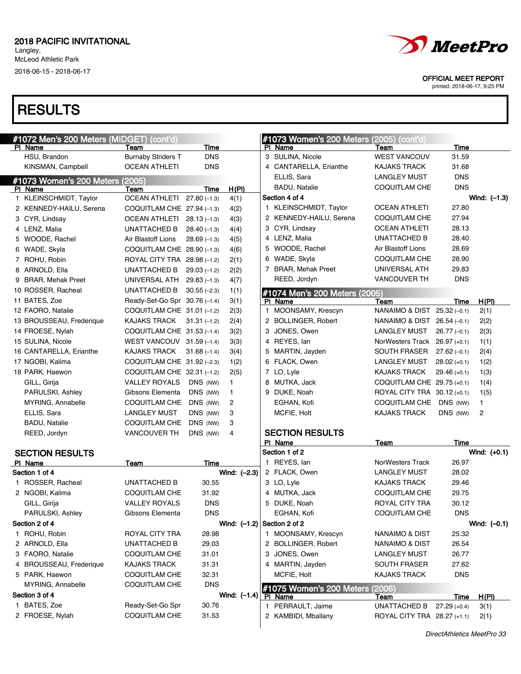Langley, McLeod Athletic Park

2018-06-15 - 2018-06-17

# **RESULTS**

| #1072 Men's 200 Meters (MIDGET) (cont'd) |                               |               |                               |   | #1073 Women's 200 Meters (2005) (cont'd) |                               |                |                |
|------------------------------------------|-------------------------------|---------------|-------------------------------|---|------------------------------------------|-------------------------------|----------------|----------------|
| PI Name                                  | Team                          | Time          |                               |   | PI Name                                  | Team                          | Time           |                |
| HSU, Brandon                             | <b>Burnaby Striders T</b>     | <b>DNS</b>    |                               |   | 3 SULINA, Nicole                         | <b>WEST VANCOUV</b>           | 31.59          |                |
| KINSMAN, Campbell                        | <b>OCEAN ATHLETI</b>          | <b>DNS</b>    |                               |   | 4 CANTARELLA, Erianthe                   | <b>KAJAKS TRACK</b>           | 31.68          |                |
| #1073 Women's 200 Meters (2005)          |                               |               |                               |   | ELLIS, Sara                              | <b>LANGLEY MUST</b>           | <b>DNS</b>     |                |
| PI Name                                  | Team                          | Time          | H(PI)                         |   | <b>BADU, Natalie</b>                     | <b>COQUITLAM CHE</b>          | <b>DNS</b>     |                |
| 1 KLEINSCHMIDT, Taylor                   | OCEAN ATHLETI 27.80 (-1.3)    |               | 4(1)                          |   | Section 4 of 4                           |                               |                | Wind: $(-1.3)$ |
| 2 KENNEDY-HAILU, Serena                  | COQUITLAM CHE $27.94(-1.3)$   |               | 4(2)                          |   | 1 KLEINSCHMIDT, Taylor                   | <b>OCEAN ATHLETI</b>          | 27.80          |                |
| 3 CYR, Lindsay                           | OCEAN ATHLETI 28.13 (-1.3)    |               | 4(3)                          |   | 2 KENNEDY-HAILU, Serena                  | COQUITLAM CHE                 | 27.94          |                |
| 4 LENZ, Malia                            | UNATTACHED B                  | $28.40(-1.3)$ | 4(4)                          |   | 3 CYR, Lindsay                           | <b>OCEAN ATHLETI</b>          | 28.13          |                |
| 5 WOODE, Rachel                          | Air Blastoff Lions            | $28.69(-1.3)$ | 4(5)                          |   | 4 LENZ, Malia                            | UNATTACHED B                  | 28.40          |                |
| 6 WADE, Skyla                            | COQUITLAM CHE 28.90 (-1.3)    |               | 4(6)                          |   | 5 WOODE, Rachel                          | Air Blastoff Lions            | 28.69          |                |
| 7 ROHU, Robin                            | ROYAL CITY TRA 28.98 (-1.2)   |               | 2(1)                          |   | 6 WADE, Skyla                            | <b>COQUITLAM CHE</b>          | 28.90          |                |
| 8 ARNOLD, Ella                           | UNATTACHED B                  | $29.03(-1.2)$ | 2(2)                          |   | 7 BRAR, Mehak Preet                      | UNIVERSAL ATH                 | 29.83          |                |
| 9 BRAR, Mehak Preet                      | UNIVERSAL ATH 29.83 (-1.3)    |               | 4(7)                          |   | REED, Jordyn                             | <b>VANCOUVER TH</b>           | <b>DNS</b>     |                |
| 10 ROSSER, Racheal                       | UNATTACHED B                  | $30.55(-2.3)$ | 1(1)                          |   | #1074 Men's 200 Meters (2005)            |                               |                |                |
| 11 BATES, Zoe                            | Ready-Set-Go Spr 30.76 (-1.4) |               | 3(1)                          |   | PI Name                                  | Team                          | Time           | H(PI)          |
| 12 FAORO, Natalie                        | COQUITLAM CHE 31.01 (-1.2)    |               | 2(3)                          |   | 1 MOONSAMY, Krescyn                      | NANAIMO & DIST 25.32 (-0.1)   |                | 2(1)           |
| 13 BROUSSEAU, Frederique                 | <b>KAJAKS TRACK</b>           | $31.31(-1.2)$ | 2(4)                          |   | 2 BOLLINGER, Robert                      | NANAIMO & DIST 26.54 (-0.1)   |                | 2(2)           |
| 14 FROESE, Nylah                         | COQUITLAM CHE 31.53 (-1.4)    |               | 3(2)                          |   | 3 JONES, Owen                            | LANGLEY MUST                  | $26.77(-0.1)$  | 2(3)           |
| 15 SULINA, Nicole                        | WEST VANCOUV 31.59 (-1.4)     |               | 3(3)                          |   | 4 REYES, lan                             | NorWesters Track 26.97 (+0.1) |                | 1(1)           |
| 16 CANTARELLA, Erianthe                  | <b>KAJAKS TRACK</b>           | $31.68(-1.4)$ | 3(4)                          |   | 5 MARTIN, Jayden                         | SOUTH FRASER                  | $27.62(-0.1)$  | 2(4)           |
| 17 NGOBI, Kalima                         | COQUITLAM CHE 31.92 (-2.3)    |               | 1(2)                          |   | 6 FLACK, Owen                            | LANGLEY MUST                  | $28.02 (+0.1)$ | 1(2)           |
| 18 PARK, Haewon                          | COQUITLAM CHE 32.31 (-1.2)    |               | 2(5)                          |   | 7 LO, Lyle                               | <b>KAJAKS TRACK</b>           | $29.46 (+0.1)$ | 1(3)           |
| GILL, Girija                             | <b>VALLEY ROYALS</b>          | DNS (NW)      | 1.                            |   | 8 MUTKA, Jack                            | COQUITLAM CHE 29.75 (+0.1)    |                | 1(4)           |
| PARULSKI, Ashley                         | Gibsons Elementa              | DNS (NW)      | 1                             |   | 9 DUKE, Noah                             | ROYAL CITY TRA 30.12 (+0.1)   |                | 1(5)           |
| MYRING, Annabelle                        | COQUITLAM CHE                 | DNS (NW)      | 2                             |   | EGHAN, Kofi                              | COQUITLAM CHE DNS (NW)        |                | $\mathbf{1}$   |
| ELLIS, Sara                              | <b>LANGLEY MUST</b>           | DNS (NW)      | 3                             |   | MCFIE, Holt                              | <b>KAJAKS TRACK</b>           | DNS (NW)       | 2              |
| <b>BADU, Natalie</b>                     | COQUITLAM CHE                 | DNS (NW)      | 3                             |   |                                          |                               |                |                |
| REED, Jordyn                             | <b>VANCOUVER TH</b>           | DNS (NW)      | 4                             |   | <b>SECTION RESULTS</b>                   |                               |                |                |
|                                          |                               |               |                               |   | PI Name                                  | Team                          | Time           |                |
| <b>SECTION RESULTS</b>                   |                               |               |                               |   | Section 1 of 2                           |                               |                | Wind: $(+0.1)$ |
| PI Name                                  | Team                          | Time          |                               |   | 1 REYES, lan                             | NorWesters Track              | 26.97          |                |
| Section 1 of 4                           |                               |               | Wind: $(-2.3)$                |   | 2 FLACK, Owen                            | <b>LANGLEY MUST</b>           | 28.02          |                |
| 1 ROSSER, Racheal                        | UNATTACHED B                  | 30.55         |                               |   | 3 LO, Lyle                               | <b>KAJAKS TRACK</b>           | 29.46          |                |
| 2 NGOBI, Kalima                          | COQUITLAM CHE                 | 31.92         |                               |   | 4 MUTKA, Jack                            | <b>COQUITLAM CHE</b>          | 29.75          |                |
| GILL, Girija                             | <b>VALLEY ROYALS</b>          | <b>DNS</b>    |                               | 5 | DUKE, Noah                               | ROYAL CITY TRA                | 30.12          |                |
| PARULSKI, Ashley                         | Gibsons Elementa              | <b>DNS</b>    |                               |   | EGHAN, Kofi                              | <b>COQUITLAM CHE</b>          | <b>DNS</b>     |                |
| Section 2 of 4                           |                               |               | Wind: $(-1.2)$ Section 2 of 2 |   |                                          |                               |                | Wind: $(-0.1)$ |
| 1 ROHU, Robin                            | ROYAL CITY TRA                | 28.98         |                               |   | 1 MOONSAMY, Krescyn                      | <b>NANAIMO &amp; DIST</b>     | 25.32          |                |
| 2 ARNOLD, Ella                           | UNATTACHED B                  | 29.03         |                               |   | 2 BOLLINGER, Robert                      | <b>NANAIMO &amp; DIST</b>     | 26.54          |                |
| 3 FAORO, Natalie                         | COQUITLAM CHE                 | 31.01         |                               | 3 | JONES, Owen                              | <b>LANGLEY MUST</b>           | 26.77          |                |
| 4 BROUSSEAU, Frederique                  | KAJAKS TRACK                  | 31.31         |                               |   | 4 MARTIN, Jayden                         | <b>SOUTH FRASER</b>           | 27.62          |                |
| 5 PARK, Haewon                           | COQUITLAM CHE                 | 32.31         |                               |   | MCFIE, Holt                              | KAJAKS TRACK                  | <b>DNS</b>     |                |
| MYRING, Annabelle                        | COQUITLAM CHE                 | <b>DNS</b>    |                               |   | #1075 Women's 200 Meters (2006)          |                               |                |                |
| Section 3 of 4                           |                               |               | Wind: $(-1.4)$                |   | PI Name                                  | Team                          | Time           | H(PI)          |
| 1 BATES, Zoe                             | Ready-Set-Go Spr              | 30.76         |                               |   | 1 PERRAULT, Jaime                        | UNATTACHED B                  | $27.29(+0.4)$  | 3(1)           |
| 2 FROESE, Nylah                          | COQUITLAM CHE                 | 31.53         |                               |   | 2 KAMBIDI, Mballany                      | ROYAL CITY TRA 28.27 (+1.1)   |                | 2(1)           |
|                                          |                               |               |                               |   |                                          |                               |                |                |



OFFICIAL MEET REPORT

printed: 2018-06-17, 9:25 PM

DirectAthletics MeetPro 33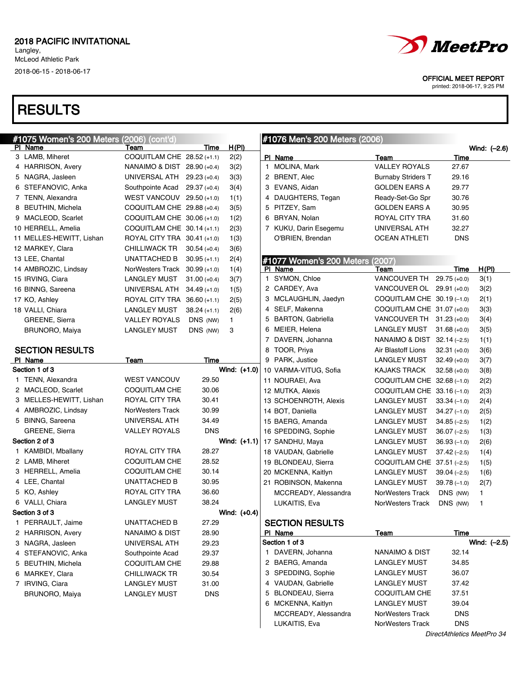# **RESULTS**

| #1075 Women's 200 Meters (2006) | (cont'd)                        |                |                |   | <b>#1076 Men's 200 Meters (2006)</b> |                             |                |                |
|---------------------------------|---------------------------------|----------------|----------------|---|--------------------------------------|-----------------------------|----------------|----------------|
| PI Name                         | Team                            | Time           | <u>H(PI)</u>   |   |                                      |                             |                | Wind: (-2.6)   |
| 3 LAMB, Miheret                 | COQUITLAM CHE 28.52 (+1.1)      |                | 2(2)           |   | PI Name                              | Team                        | Time           |                |
| 4 HARRISON, Avery               | NANAIMO & DIST 28.90 (+0.4)     |                | 3(2)           |   | 1 MOLINA, Mark                       | <b>VALLEY ROYALS</b>        | 27.67          |                |
| 5 NAGRA, Jasleen                | UNIVERSAL ATH                   | $29.23(+0.4)$  | 3(3)           |   | 2 BRENT, Alec                        | <b>Burnaby Striders T</b>   | 29.16          |                |
| 6 STEFANOVIC, Anka              | Southpointe Acad                | $29.37 (+0.4)$ | 3(4)           |   | 3 EVANS, Aidan                       | <b>GOLDEN EARS A</b>        | 29.77          |                |
| 7 TENN, Alexandra               | WEST VANCOUV 29.50 (+1.0)       |                | 1(1)           |   | 4 DAUGHTERS, Tegan                   | Ready-Set-Go Spr            | 30.76          |                |
| 8 BEUTHIN, Michela              | COQUITLAM CHE $29.88(+0.4)$     |                | 3(5)           |   | 5 PITZEY, Sam                        | <b>GOLDEN EARS A</b>        | 30.95          |                |
| 9 MACLEOD, Scarlet              | COQUITLAM CHE 30.06 (+1.0)      |                | 1(2)           |   | 6 BRYAN, Nolan                       | ROYAL CITY TRA              | 31.60          |                |
| 10 HERRELL, Amelia              | COQUITLAM CHE 30.14 (+1.1)      |                | 2(3)           |   | 7 KUKU, Darin Esegemu                | UNIVERSAL ATH               | 32.27          |                |
| 11 MELLES-HEWITT, Lishan        | ROYAL CITY TRA 30.41 (+1.0)     |                | 1(3)           |   | O'BRIEN, Brendan                     | <b>OCEAN ATHLETI</b>        | <b>DNS</b>     |                |
| 12 MARKEY, Clara                | CHILLIWACK TR                   | $30.54(+0.4)$  | 3(6)           |   |                                      |                             |                |                |
| 13 LEE, Chantal                 | UNATTACHED B                    | $30.95 (+1.1)$ | 2(4)           |   | #1077 Women's 200 Meters (2007)      |                             |                |                |
| 14 AMBROZIC, Lindsay            | NorWesters Track $30.99$ (+1.0) |                | 1(4)           |   | PI Name                              | Team                        | Time           | H(PI)          |
| 15 IRVING, Ciara                | <b>LANGLEY MUST</b>             | $31.00 (+0.4)$ | 3(7)           |   | 1 SYMON, Chloe                       | VANCOUVER TH 29.75 (+0.0)   |                | 3(1)           |
| 16 BINNG, Sareena               | UNIVERSAL ATH                   | $34.49 (+1.0)$ | 1(5)           |   | 2 CARDEY, Ava                        | VANCOUVER OL 29.91 (+0.0)   |                | 3(2)           |
| 17 KO, Ashley                   | ROYAL CITY TRA 36.60 (+1.1)     |                | 2(5)           |   | 3 MCLAUGHLIN, Jaedyn                 | COQUITLAM CHE 30.19 (-1.0)  |                | 2(1)           |
| 18 VALLI, Chiara                | <b>LANGLEY MUST</b>             | $38.24 (+1.1)$ | 2(6)           |   | 4 SELF, Makenna                      | COQUITLAM CHE 31.07 (+0.0)  |                | 3(3)           |
| GREENE, Sierra                  | <b>VALLEY ROYALS</b>            | DNS (NW)       | $\mathbf{1}$   |   | 5 BARTON, Gabriella                  | VANCOUVER TH 31.23 (+0.0)   |                | 3(4)           |
| BRUNORO, Maiya                  | <b>LANGLEY MUST</b>             | DNS (NW)       | 3              |   | 6 MEIER, Helena                      | LANGLEY MUST                | $31.68 (+0.0)$ | 3(5)           |
|                                 |                                 |                |                |   | 7 DAVERN, Johanna                    | NANAIMO & DIST 32.14 (-2.5) |                | 1(1)           |
| <b>SECTION RESULTS</b>          |                                 |                |                |   | 8 TOOR, Priya                        | Air Blastoff Lions          | $32.31 (+0.0)$ | 3(6)           |
| PI Name                         | Team                            | Time           |                |   | 9 PARK, Justice                      | LANGLEY MUST                | $32.49 (+0.0)$ | 3(7)           |
| Section 1 of 3                  |                                 |                | Wind: $(+1.0)$ |   | 10 VARMA-VITUG, Sofia                | <b>KAJAKS TRACK</b>         | $32.58(+0.0)$  | 3(8)           |
| 1 TENN, Alexandra               | <b>WEST VANCOUV</b>             | 29.50          |                |   | 11 NOURAEI, Ava                      | COQUITLAM CHE 32.68 (-1.0)  |                | 2(2)           |
| 2 MACLEOD, Scarlet              | COQUITLAM CHE                   | 30.06          |                |   | 12 MUTKA, Alexis                     | COQUITLAM CHE 33.16 (-1.0)  |                | 2(3)           |
| 3 MELLES-HEWITT, Lishan         | ROYAL CITY TRA                  | 30.41          |                |   | 13 SCHOENROTH, Alexis                | LANGLEY MUST                | $33.34(-1.0)$  | 2(4)           |
| 4 AMBROZIC, Lindsay             | NorWesters Track                | 30.99          |                |   | 14 BOT, Daniella                     | LANGLEY MUST                | $34.27(-1.0)$  | 2(5)           |
| 5 BINNG, Sareena                | UNIVERSAL ATH                   | 34.49          |                |   | 15 BAERG, Amanda                     | LANGLEY MUST                | $34.85(-2.5)$  | 1(2)           |
| GREENE, Sierra                  | <b>VALLEY ROYALS</b>            | <b>DNS</b>     |                |   | 16 SPEDDING, Sophie                  | <b>LANGLEY MUST</b>         | $36.07(-2.5)$  | 1(3)           |
| Section 2 of 3                  |                                 |                | Wind: $(+1.1)$ |   | 17 SANDHU, Maya                      | LANGLEY MUST                | $36.93(-1.0)$  | 2(6)           |
| 1 KAMBIDI, Mballany             | ROYAL CITY TRA                  | 28.27          |                |   | 18 VAUDAN, Gabrielle                 | LANGLEY MUST                | $37.42(-2.5)$  | 1(4)           |
| 2 LAMB, Miheret                 | COQUITLAM CHE                   | 28.52          |                |   | 19 BLONDEAU, Sierra                  | COQUITLAM CHE 37.51 (-2.5)  |                | 1(5)           |
| 3 HERRELL, Amelia               | COQUITLAM CHE                   | 30.14          |                |   | 20 MCKENNA, Kaitlyn                  | LANGLEY MUST                | $39.04(-2.5)$  | 1(6)           |
| 4 LEE, Chantal                  | UNATTACHED B                    | 30.95          |                |   | 21 ROBINSON, Makenna                 | <b>LANGLEY MUST</b>         | $39.78(-1.0)$  |                |
| 5 KO, Ashley                    | ROYAL CITY TRA                  | 36.60          |                |   | MCCREADY, Alessandra                 | NorWesters Track            |                | 2(7)           |
| 6 VALLI, Chiara                 | <b>LANGLEY MUST</b>             | 38.24          |                |   |                                      |                             | DNS (NW)       | $\mathbf{1}$   |
| Section 3 of 3                  |                                 |                | Wind: (+0.4)   |   | LUKAITIS, Eva                        | NorWesters Track            | DNS (NW)       | 1              |
| 1 PERRAULT, Jaime               |                                 |                |                |   |                                      |                             |                |                |
| 2 HARRISON, Avery               | UNATTACHED B                    | 27.29          |                |   | <b>SECTION RESULTS</b>               |                             |                |                |
|                                 | <b>NANAIMO &amp; DIST</b>       | 28.90          |                |   | PI Name                              | <b>Team</b>                 | <u>Time</u>    |                |
| 3 NAGRA, Jasleen                | UNIVERSAL ATH                   | 29.23          |                |   | Section 1 of 3                       |                             |                | Wind: $(-2.5)$ |
| 4 STEFANOVIC, Anka              | Southpointe Acad                | 29.37          |                |   | 1 DAVERN, Johanna                    | <b>NANAIMO &amp; DIST</b>   | 32.14          |                |
| 5 BEUTHIN, Michela              | <b>COQUITLAM CHE</b>            | 29.88          |                |   | 2 BAERG, Amanda                      | <b>LANGLEY MUST</b>         | 34.85          |                |
| 6 MARKEY, Clara                 | <b>CHILLIWACK TR</b>            | 30.54          |                |   | 3 SPEDDING, Sophie                   | <b>LANGLEY MUST</b>         | 36.07          |                |
| 7 IRVING, Ciara                 | <b>LANGLEY MUST</b>             | 31.00          |                |   | 4 VAUDAN, Gabrielle                  | <b>LANGLEY MUST</b>         | 37.42          |                |
| BRUNORO, Maiya                  | <b>LANGLEY MUST</b>             | <b>DNS</b>     |                | 5 | <b>BLONDEAU, Sierra</b>              | COQUITLAM CHE               | 37.51          |                |
|                                 |                                 |                |                |   | 6 MCKENNA, Kaitlyn                   | <b>LANGLEY MUST</b>         | 39.04          |                |
|                                 |                                 |                |                |   | MCCREADY, Alessandra                 | NorWesters Track            | <b>DNS</b>     |                |

 $\mathbf{I}$ 

#### LUKAITIS, Eva **NorWesters Track** DNS DirectAthletics MeetPro 34



#### OFFICIAL MEET REPORT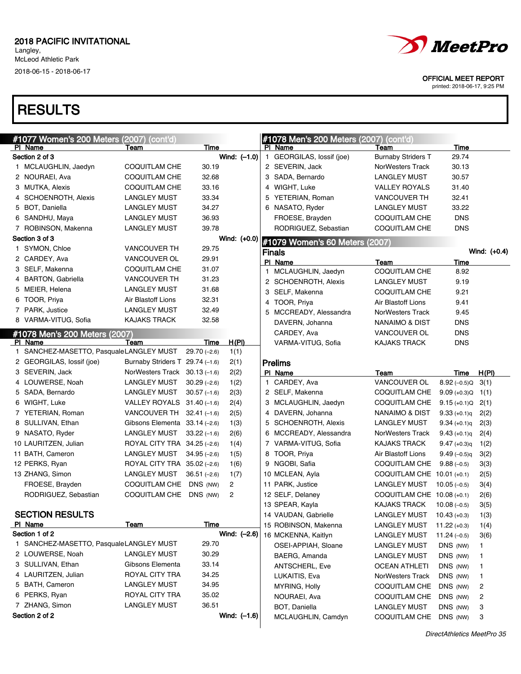Langley, McLeod Athletic Park

2018-06-15 - 2018-06-17



| #1077 Women's 200 Meters (2007)         | (cont'd)                        |               |                | #1078 Men's 200 Meters (2007) (cont'd) |                                   |                           |              |
|-----------------------------------------|---------------------------------|---------------|----------------|----------------------------------------|-----------------------------------|---------------------------|--------------|
| PI Name<br>Section 2 of 3               | Team                            | Time          | Wind: $(-1.0)$ | PI Name<br>1 GEORGILAS, lossif (joe)   | Team<br><b>Burnaby Striders T</b> | Time<br>29.74             |              |
| 1 MCLAUGHLIN, Jaedyn                    | COQUITLAM CHE                   | 30.19         |                | 2 SEVERIN, Jack                        | NorWesters Track                  | 30.13                     |              |
| 2 NOURAEI, Ava                          | <b>COQUITLAM CHE</b>            | 32.68         |                | 3 SADA, Bernardo                       | <b>LANGLEY MUST</b>               | 30.57                     |              |
| 3 MUTKA, Alexis                         | COQUITLAM CHE                   | 33.16         |                | 4 WIGHT, Luke                          | <b>VALLEY ROYALS</b>              | 31.40                     |              |
| 4 SCHOENROTH, Alexis                    | <b>LANGLEY MUST</b>             | 33.34         |                | 5 YETERIAN, Roman                      | <b>VANCOUVER TH</b>               | 32.41                     |              |
| 5 BOT, Daniella                         | <b>LANGLEY MUST</b>             | 34.27         |                | 6 NASATO, Ryder                        | <b>LANGLEY MUST</b>               | 33.22                     |              |
| 6 SANDHU, Maya                          | <b>LANGLEY MUST</b>             | 36.93         |                | FROESE, Brayden                        | COQUITLAM CHE                     | <b>DNS</b>                |              |
| 7 ROBINSON, Makenna                     | <b>LANGLEY MUST</b>             | 39.78         |                | RODRIGUEZ, Sebastian                   | COQUITLAM CHE                     | <b>DNS</b>                |              |
| Section 3 of 3                          |                                 |               | Wind: (+0.0)   |                                        |                                   |                           |              |
| 1 SYMON, Chloe                          | <b>VANCOUVER TH</b>             | 29.75         |                | #1079 Women's 60 Meters (2007)         |                                   |                           |              |
|                                         | VANCOUVER OL                    | 29.91         |                | <b>Finals</b>                          |                                   |                           | Wind: (+0.4) |
| 2 CARDEY, Ava                           |                                 |               |                | PI Name                                | Team                              | Time                      |              |
| 3 SELF, Makenna                         | COQUITLAM CHE                   | 31.07         |                | 1 MCLAUGHLIN, Jaedyn                   | COQUITLAM CHE                     | 8.92                      |              |
| 4 BARTON, Gabriella                     | <b>VANCOUVER TH</b>             | 31.23         |                | 2 SCHOENROTH, Alexis                   | LANGLEY MUST                      | 9.19                      |              |
| 5 MEIER, Helena                         | <b>LANGLEY MUST</b>             | 31.68         |                | 3 SELF, Makenna                        | COQUITLAM CHE                     | 9.21                      |              |
| 6 TOOR, Priya                           | Air Blastoff Lions              | 32.31         |                | 4 TOOR, Priya                          | Air Blastoff Lions                | 9.41                      |              |
| 7 PARK, Justice                         | <b>LANGLEY MUST</b>             | 32.49         |                | 5 MCCREADY, Alessandra                 | NorWesters Track                  | 9.45                      |              |
| 8 VARMA-VITUG, Sofia                    | <b>KAJAKS TRACK</b>             | 32.58         |                | DAVERN, Johanna                        | NANAIMO & DIST                    | DNS                       |              |
| #1078 Men's 200 Meters (2007)           |                                 |               |                | CARDEY, Ava                            | <b>VANCOUVER OL</b>               | <b>DNS</b>                |              |
| PI Name                                 | Team                            | Time          | <u>H(PI)</u>   | VARMA-VITUG, Sofia                     | <b>KAJAKS TRACK</b>               | DNS                       |              |
| 1 SANCHEZ-MASETTO, PasqualeLANGLEY MUST |                                 | $29.70(-2.6)$ | 1(1)           |                                        |                                   |                           |              |
| 2 GEORGILAS, lossif (joe)               | Burnaby Striders T 29.74 (-1.6) |               | 2(1)           | <b>Prelims</b>                         |                                   |                           |              |
| 3 SEVERIN, Jack                         | NorWesters Track $30.13(-1.6)$  |               | 2(2)           | PI Name                                | Team                              | Time                      | H(PI)        |
| 4 LOUWERSE, Noah                        | LANGLEY MUST                    | $30.29(-2.6)$ | 1(2)           | 1 CARDEY, Ava                          | VANCOUVER OL                      | $8.92(-0.5)$ Q            | 3(1)         |
| 5 SADA, Bernardo                        | LANGLEY MUST                    | $30.57(-1.6)$ | 2(3)           | 2 SELF, Makenna                        | COQUITLAM CHE                     | $9.09 (+0.3)Q \quad 1(1)$ |              |
| 6 WIGHT, Luke                           | VALLEY ROYALS $31.40$ (-1.6)    |               | 2(4)           | 3 MCLAUGHLIN, Jaedyn                   | COQUITLAM CHE                     | $9.15 (+0.1)Q$            | 2(1)         |
| 7 YETERIAN, Roman                       | VANCOUVER TH $32.41$ (-1.6)     |               | 2(5)           | 4 DAVERN, Johanna                      | NANAIMO & DIST                    | $9.33 (+0.1)q$            | 2(2)         |
| 8 SULLIVAN, Ethan                       | Gibsons Elementa $33.14$ (-2.6) |               | 1(3)           | 5 SCHOENROTH, Alexis                   | LANGLEY MUST                      | $9.34 (+0.1)q$            | 2(3)         |
| 9 NASATO, Ryder                         | LANGLEY MUST                    | $33.22(-1.6)$ | 2(6)           | 6 MCCREADY, Alessandra                 | NorWesters Track                  | $9.43 (+0.1)q$            | 2(4)         |
| 10 LAURITZEN, Julian                    | ROYAL CITY TRA 34.25 (-2.6)     |               | 1(4)           | 7 VARMA-VITUG, Sofia                   | KAJAKS TRACK                      | $9.47 (+0.3)q$            | 1(2)         |
| 11 BATH, Cameron                        | <b>LANGLEY MUST</b>             | $34.95(-2.6)$ | 1(5)           | 8 TOOR, Priya                          | Air Blastoff Lions                | $9.49(-0.5)q$             | 3(2)         |
| 12 PERKS, Ryan                          | ROYAL CITY TRA 35.02 (-2.6)     |               | 1(6)           | 9 NGOBI, Safia                         | COQUITLAM CHE                     | $9.88(-0.5)$              | 3(3)         |
| 13 ZHANG, Simon                         | LANGLEY MUST                    | $36.51(-2.6)$ | 1(7)           | 10 MCLEAN, Ayla                        | COQUITLAM CHE $10.01$ (+0.1)      |                           | 2(5)         |
| FROESE, Brayden                         | COQUITLAM CHE                   | DNS (NW)      | $\overline{2}$ | 11 PARK, Justice                       | <b>LANGLEY MUST</b>               | 10.05 (–0.5)              | 3(4)         |
| RODRIGUEZ, Sebastian                    | <b>COQUITLAM CHE</b>            | DNS (NW)      | 2              | 12 SELF, Delaney                       | COQUITLAM CHE 10.08 (+0.1)        |                           | 2(6)         |
|                                         |                                 |               |                | 13 SPEAR, Kayla                        | <b>KAJAKS TRACK</b>               | $10.08(-0.5)$             | 3(5)         |
| <b>SECTION RESULTS</b>                  |                                 |               |                | 14 VAUDAN, Gabrielle                   | <b>LANGLEY MUST</b>               | $10.43 (+0.3)$            | 1(3)         |
| PI Name                                 | <b>Team</b>                     | Time          |                | 15 ROBINSON, Makenna                   | <b>LANGLEY MUST</b>               | $11.22 (+0.3)$            | 1(4)         |
| Section 1 of 2                          |                                 |               | Wind: $(-2.6)$ | 16 MCKENNA, Kaitlyn                    | <b>LANGLEY MUST</b>               | $11.24(-0.5)$             | 3(6)         |
| 1 SANCHEZ-MASETTO, PasqualeLANGLEY MUST |                                 | 29.70         |                | OSEI-APPIAH, Sloane                    | <b>LANGLEY MUST</b>               | DNS (NW)                  | 1            |
| 2 LOUWERSE, Noah                        | <b>LANGLEY MUST</b>             | 30.29         |                | BAERG, Amanda                          | <b>LANGLEY MUST</b>               | DNS (NW)                  | 1            |
| 3 SULLIVAN, Ethan                       | Gibsons Elementa                | 33.14         |                | <b>ANTSCHERL, Eve</b>                  | <b>OCEAN ATHLETI</b>              | DNS (NW)                  | 1            |
| 4 LAURITZEN, Julian                     | ROYAL CITY TRA                  | 34.25         |                | LUKAITIS, Eva                          | NorWesters Track                  | DNS (NW)                  | $\mathbf{1}$ |
| 5 BATH, Cameron                         | <b>LANGLEY MUST</b>             | 34.95         |                | MYRING, Holly                          | COQUITLAM CHE                     | DNS (NW)                  | 2            |
| 6 PERKS, Ryan                           | ROYAL CITY TRA                  | 35.02         |                | NOURAEI, Ava                           | COQUITLAM CHE                     | DNS (NW)                  | 2            |
| 7 ZHANG, Simon                          | <b>LANGLEY MUST</b>             | 36.51         |                | BOT, Daniella                          | <b>LANGLEY MUST</b>               | DNS (NW)                  | 3            |
| Section 2 of 2                          |                                 |               | Wind: $(-1.6)$ | MCLAUGHLIN, Camdyn                     | COQUITLAM CHE                     | DNS (NW)                  | 3            |



OFFICIAL MEET REPORT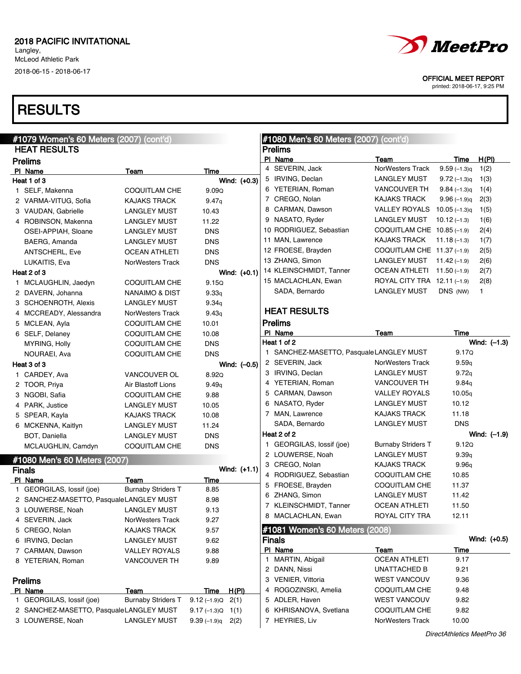Langley, McLeod Athletic Park 2018-06-15 - 2018-06-17

# **RESULTS**

| <i>MeetPro</i>              |
|-----------------------------|
| <b>OFFICIAL MEET REPORT</b> |

| #1079 Women's 60 Meters (2007) (cont'd) |                           |                          |              |   | #1080 Men's 60 Meters (2007) (cont'd)   |                              |                            |                |
|-----------------------------------------|---------------------------|--------------------------|--------------|---|-----------------------------------------|------------------------------|----------------------------|----------------|
| <b>HEAT RESULTS</b>                     |                           |                          |              |   | <b>Prelims</b>                          |                              |                            |                |
| <b>Prelims</b>                          |                           |                          |              |   | PI Name                                 | Team                         | Time                       | H(PI)          |
| PI Name                                 | Team                      | Time                     |              |   | 4 SEVERIN, Jack                         | <b>NorWesters Track</b>      | $9.59(-1.3)q$              | 1(2)           |
| Heat 1 of 3                             |                           |                          | Wind: (+0.3) |   | 5 IRVING, Declan                        | <b>LANGLEY MUST</b>          | $9.72(-1.3)q$              | 1(3)           |
| 1 SELF, Makenna                         | <b>COQUITLAM CHE</b>      | 9.09Q                    |              |   | 6 YETERIAN, Roman                       | <b>VANCOUVER TH</b>          | $9.84(-1.3)q$              | 1(4)           |
| 2 VARMA-VITUG, Sofia                    | <b>KAJAKS TRACK</b>       | 9.47q                    |              |   | 7 CREGO, Nolan                          | KAJAKS TRACK                 | $9.96(-1.9)q$              | 2(3)           |
| 3 VAUDAN, Gabrielle                     | <b>LANGLEY MUST</b>       | 10.43                    |              |   | 8 CARMAN, Dawson                        | <b>VALLEY ROYALS</b>         | $10.05(-1.3)q$             | 1(5)           |
| 4 ROBINSON, Makenna                     | <b>LANGLEY MUST</b>       | 11.22                    |              |   | 9 NASATO, Ryder                         | <b>LANGLEY MUST</b>          | $10.12(-1.3)$              | 1(6)           |
| OSEI-APPIAH, Sloane                     | <b>LANGLEY MUST</b>       | <b>DNS</b>               |              |   | 10 RODRIGUEZ, Sebastian                 | COQUITLAM CHE $10.85$ (-1.9) |                            | 2(4)           |
| BAERG, Amanda                           | <b>LANGLEY MUST</b>       | <b>DNS</b>               |              |   | 11 MAN, Lawrence                        | KAJAKS TRACK                 | $11.18(-1.3)$              | 1(7)           |
| ANTSCHERL, Eve                          | <b>OCEAN ATHLETI</b>      | <b>DNS</b>               |              |   | 12 FROESE, Brayden                      | COQUITLAM CHE 11.37 (-1.9)   |                            | 2(5)           |
| LUKAITIS, Eva                           | <b>NorWesters Track</b>   | <b>DNS</b>               |              |   | 13 ZHANG, Simon                         | <b>LANGLEY MUST</b>          | $11.42(-1.9)$              | 2(6)           |
| Heat 2 of 3                             |                           |                          | Wind: (+0.1) |   | 14 KLEINSCHMIDT, Tanner                 | OCEAN ATHLETI $11.50$ (-1.9) |                            | 2(7)           |
| 1 MCLAUGHLIN, Jaedyn                    | <b>COQUITLAM CHE</b>      | 9.15Q                    |              |   | 15 MACLACHLAN, Ewan                     | ROYAL CITY TRA 12.11 (-1.9)  |                            | 2(8)           |
| 2 DAVERN, Johanna                       | NANAIMO & DIST            | 9.33q                    |              |   | SADA, Bernardo                          | <b>LANGLEY MUST</b>          | DNS (NW)                   | 1              |
| 3 SCHOENROTH, Alexis                    | <b>LANGLEY MUST</b>       | 9.34q                    |              |   |                                         |                              |                            |                |
| 4 MCCREADY, Alessandra                  | <b>NorWesters Track</b>   | 9.43q                    |              |   | <b>HEAT RESULTS</b>                     |                              |                            |                |
| 5 MCLEAN, Ayla                          | <b>COQUITLAM CHE</b>      | 10.01                    |              |   | <b>Prelims</b>                          |                              |                            |                |
| 6 SELF, Delaney                         | <b>COQUITLAM CHE</b>      | 10.08                    |              |   | PI Name                                 | Team                         | Time                       |                |
| MYRING, Holly                           | <b>COQUITLAM CHE</b>      | <b>DNS</b>               |              |   | Heat 1 of 2                             |                              |                            | Wind: $(-1.3)$ |
| NOURAEI, Ava                            | <b>COQUITLAM CHE</b>      | <b>DNS</b>               |              |   | 1 SANCHEZ-MASETTO, PasqualeLANGLEY MUST |                              | 9.17Q                      |                |
| Heat 3 of 3                             |                           |                          | Wind: (-0.5) |   | 2 SEVERIN, Jack                         | <b>NorWesters Track</b>      | 9.59q                      |                |
| 1 CARDEY, Ava                           | VANCOUVER OL              | 8.92Q                    |              |   | 3 IRVING, Declan                        | <b>LANGLEY MUST</b>          | 9.72q                      |                |
| 2 TOOR, Priya                           | Air Blastoff Lions        | 9.49q                    |              |   | 4 YETERIAN, Roman                       | <b>VANCOUVER TH</b>          | 9.84q                      |                |
| 3 NGOBI, Safia                          | <b>COQUITLAM CHE</b>      | 9.88                     |              |   | 5 CARMAN, Dawson                        | <b>VALLEY ROYALS</b>         | 10.05q                     |                |
| 4 PARK, Justice                         | <b>LANGLEY MUST</b>       | 10.05                    |              |   | 6 NASATO, Ryder                         | LANGLEY MUST                 | 10.12                      |                |
| 5 SPEAR, Kayla                          | <b>KAJAKS TRACK</b>       | 10.08                    |              |   | 7 MAN, Lawrence                         | KAJAKS TRACK                 | 11.18                      |                |
| 6 MCKENNA, Kaitlyn                      | <b>LANGLEY MUST</b>       | 11.24                    |              |   | SADA, Bernardo                          | <b>LANGLEY MUST</b>          | <b>DNS</b>                 |                |
| BOT, Daniella                           | <b>LANGLEY MUST</b>       | <b>DNS</b>               |              |   | Heat 2 of 2                             |                              |                            | Wind: $(-1.9)$ |
| MCLAUGHLIN, Camdyn                      | <b>COQUITLAM CHE</b>      | <b>DNS</b>               |              |   | 1 GEORGILAS, lossif (joe)               | <b>Burnaby Striders T</b>    | 9.12Q                      |                |
|                                         |                           |                          |              |   | 2 LOUWERSE, Noah                        | <b>LANGLEY MUST</b>          | 9.39q                      |                |
| #1080 Men's 60 Meters (2007)            |                           |                          |              |   | 3 CREGO, Nolan                          | <b>KAJAKS TRACK</b>          | 9.96q                      |                |
| <b>Finals</b>                           |                           |                          | Wind: (+1.1) |   | 4 RODRIGUEZ, Sebastian                  | <b>COQUITLAM CHE</b>         | 10.85                      |                |
| PI Name                                 | Team                      | <b>Time</b>              |              |   | 5 FROESE, Brayden                       | <b>COQUITLAM CHE</b>         | 11.37                      |                |
| 1 GEORGILAS, lossif (joe)               | <b>Burnaby Striders T</b> | 8.85                     |              |   | 6 ZHANG, Simon                          | <b>LANGLEY MUST</b>          | 11.42                      |                |
| 2 SANCHEZ-MASETTO, PasqualeLANGLEY MUST |                           | 8.98                     |              |   | 7 KLEINSCHMIDT, Tanner                  | <b>OCEAN ATHLETI</b>         | 11.50                      |                |
| 3 LOUWERSE, Noah                        | <b>LANGLEY MUST</b>       | 9.13                     |              |   | 8 MACLACHLAN, Ewan                      | ROYAL CITY TRA               | 12.11                      |                |
| 4 SEVERIN, Jack                         | NorWesters Track          | 9.27                     |              |   |                                         |                              |                            |                |
| 5 CREGO, Nolan                          | <b>KAJAKS TRACK</b>       | 9.57                     |              |   | #1081 Women's 60 Meters (2008)          |                              |                            |                |
| 6 IRVING, Declan                        | <b>LANGLEY MUST</b>       | 9.62                     |              |   | <b>Finals</b>                           |                              |                            | Wind: (+0.5)   |
| 7 CARMAN, Dawson                        | <b>VALLEY ROYALS</b>      | 9.88                     |              |   | PI Name                                 | Team                         | <u>Time</u>                |                |
| 8 YETERIAN, Roman                       | VANCOUVER TH              | 9.89                     |              |   | 1 MARTIN, Abigail                       | <b>OCEAN ATHLETI</b>         | 9.17                       |                |
|                                         |                           |                          |              |   | 2 DANN, Nissi                           | UNATTACHED B                 | 9.21                       |                |
| <b>Prelims</b>                          |                           |                          |              |   | 3 VENIER, Vittoria                      | <b>WEST VANCOUV</b>          | 9.36                       |                |
| PI Name                                 | Team                      | Time                     | H(PI)        | 4 | ROGOZINSKI, Amelia                      | <b>COQUITLAM CHE</b>         | 9.48                       |                |
| 1 GEORGILAS, lossif (joe)               | <b>Burnaby Striders T</b> | $9.12(-1.9)$ Q           | 2(1)         |   | 5 ADLER, Haven                          | <b>WEST VANCOUV</b>          | 9.82                       |                |
| 2 SANCHEZ-MASETTO, PasqualeLANGLEY MUST |                           | $9.17(-1.3)Q \quad 1(1)$ |              |   | 6 KHRISANOVA, Svetlana                  | COQUITLAM CHE                | 9.82                       |                |
| 3 LOUWERSE, Noah                        | <b>LANGLEY MUST</b>       | $9.39(-1.9)q$            | 2(2)         |   | 7 HEYRIES, Liv                          | NorWesters Track             | 10.00                      |                |
|                                         |                           |                          |              |   |                                         |                              | DirectAthletics MeetPro 36 |                |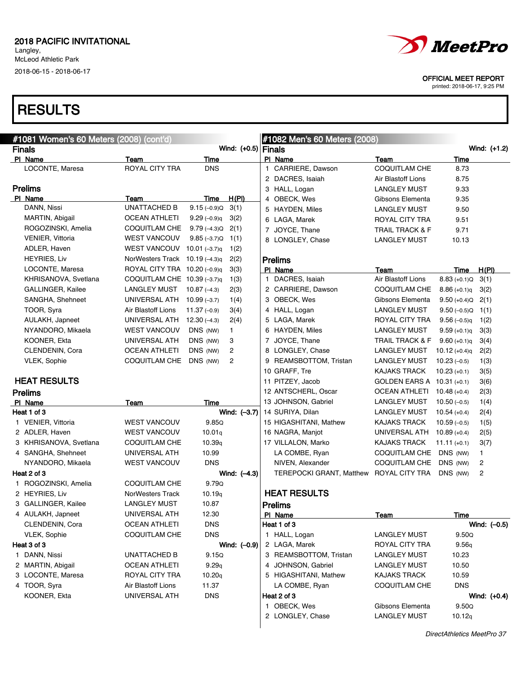### **RESULTS**

| #1081 Women's 60 Meters (2008) (cont'd) |                              |                 |                | #1082 Men's 60 Meters (2008)    |                            |                     |                |
|-----------------------------------------|------------------------------|-----------------|----------------|---------------------------------|----------------------------|---------------------|----------------|
| <b>Finals</b>                           |                              |                 | Wind: (+0.5)   | Finals                          |                            |                     | Wind: (+1.2)   |
| PI Name                                 | Team                         | Time            |                | PI Name                         | Team                       | Time                |                |
| LOCONTE, Maresa                         | <b>ROYAL CITY TRA</b>        | <b>DNS</b>      |                | 1 CARRIERE, Dawson              | COQUITLAM CHE              | 8.73                |                |
|                                         |                              |                 |                | 2 DACRES, Isaiah                | Air Blastoff Lions         | 8.75                |                |
| <b>Prelims</b>                          |                              |                 |                | 3 HALL, Logan                   | <b>LANGLEY MUST</b>        | 9.33                |                |
| PI Name                                 | Team                         | Time            | H(PI)          | 4 OBECK, Wes                    | Gibsons Elementa           | 9.35                |                |
| DANN, Nissi                             | <b>UNATTACHED B</b>          | $9.15(-0.9)Q$   | 3(1)           | 5 HAYDEN, Miles                 | <b>LANGLEY MUST</b>        | 9.50                |                |
| MARTIN, Abigail                         | <b>OCEAN ATHLETI</b>         | $9.29(-0.9)q$   | 3(2)           | 6 LAGA, Marek                   | ROYAL CITY TRA             | 9.51                |                |
| ROGOZINSKI, Amelia                      | COQUITLAM CHE                | $9.79(-4.3)Q$   | 2(1)           | 7 JOYCE, Thane                  | <b>TRAIL TRACK &amp; F</b> | 9.71                |                |
| VENIER, Vittoria                        | <b>WEST VANCOUV</b>          | $9.85(-3.7)Q$   | 1(1)           | 8 LONGLEY, Chase                | <b>LANGLEY MUST</b>        | 10.13               |                |
| ADLER, Haven                            | <b>WEST VANCOUV</b>          | 10.01 $(-3.7)q$ | 1(2)           |                                 |                            |                     |                |
| <b>HEYRIES, Liv</b>                     | NorWesters Track             | 10.19 $(-4.3)q$ | 2(2)           | <b>Prelims</b>                  |                            |                     |                |
| LOCONTE, Maresa                         | ROYAL CITY TRA 10.20 (-0.9)q |                 | 3(3)           | PI Name                         | Team                       | Time                | H(PI)          |
| KHRISANOVA, Svetlana                    | COQUITLAM CHE 10.39 (-3.7)q  |                 | 1(3)           | 1 DACRES, Isaiah                | Air Blastoff Lions         | $8.83 (+0.1)Q$      | 3(1)           |
| <b>GALLINGER, Kailee</b>                | <b>LANGLEY MUST</b>          | $10.87(-4.3)$   | 2(3)           | 2 CARRIERE, Dawson              | COQUITLAM CHE              | $8.86 (+0.1)q$      | 3(2)           |
| SANGHA, Shehneet                        | UNIVERSAL ATH                | $10.99(-3.7)$   | 1(4)           | 3 OBECK, Wes                    | Gibsons Elementa           | $9.50 (+0.4)Q$ 2(1) |                |
| TOOR, Syra                              | Air Blastoff Lions           | $11.37(-0.9)$   | 3(4)           | 4 HALL, Logan                   | <b>LANGLEY MUST</b>        | $9.50(-0.5)Q$       | 1(1)           |
| AULAKH, Japneet                         | UNIVERSAL ATH                | $12.30(-4.3)$   | 2(4)           | 5 LAGA, Marek                   | ROYAL CITY TRA             | $9.56(-0.5)q$       | 1(2)           |
| NYANDORO, Mikaela                       | <b>WEST VANCOUV</b>          | DNS (NW)        | $\mathbf{1}$   | 6 HAYDEN, Miles                 | <b>LANGLEY MUST</b>        | $9.59 (+0.1)q$      | 3(3)           |
| KOONER, Ekta                            | UNIVERSAL ATH                | DNS (NW)        | 3              | 7 JOYCE, Thane                  | <b>TRAIL TRACK &amp; F</b> | $9.60 (+0.1)q$      | 3(4)           |
| CLENDENIN, Cora                         | <b>OCEAN ATHLETI</b>         | DNS (NW)        | 2              | 8 LONGLEY, Chase                | <b>LANGLEY MUST</b>        | $10.12 (+0.4)q$     | 2(2)           |
| VLEK, Sophie                            | COQUITLAM CHE                | DNS (NW)        | 2              | 9 REAMSBOTTOM, Tristan          | <b>LANGLEY MUST</b>        | $10.23(-0.5)$       | 1(3)           |
|                                         |                              |                 |                | 10 GRAFF, Tre                   | <b>KAJAKS TRACK</b>        | $10.23 (+0.1)$      | 3(5)           |
| <b>HEAT RESULTS</b>                     |                              |                 |                | 11 PITZEY, Jacob                | GOLDEN EARS A 10.31 (+0.1) |                     | 3(6)           |
| <b>Prelims</b>                          |                              |                 |                | 12 ANTSCHERL, Oscar             | <b>OCEAN ATHLETI</b>       | $10.48(+0.4)$       | 2(3)           |
| PI Name                                 | Team                         | Time            |                | 13 JOHNSON, Gabriel             | <b>LANGLEY MUST</b>        | $10.50(-0.5)$       | 1(4)           |
| Heat 1 of 3                             |                              |                 | Wind: (-3.7)   | 14 SURIYA, Dilan                | <b>LANGLEY MUST</b>        | $10.54(+0.4)$       | 2(4)           |
| 1 VENIER, Vittoria                      | <b>WEST VANCOUV</b>          | 9.85Q           |                | 15 HIGASHITANI, Mathew          | <b>KAJAKS TRACK</b>        | $10.59(-0.5)$       | 1(5)           |
| 2 ADLER, Haven                          | <b>WEST VANCOUV</b>          | 10.01q          |                | 16 NAGRA, Manjot                | UNIVERSAL ATH              | $10.89(+0.4)$       | 2(5)           |
| 3 KHRISANOVA, Svetlana                  | COQUITLAM CHE                | 10.39q          |                | 17 VILLALON, Marko              | <b>KAJAKS TRACK</b>        | $11.11 (+0.1)$      | 3(7)           |
| 4 SANGHA, Shehneet                      | UNIVERSAL ATH                | 10.99           |                | LA COMBE, Ryan                  | COQUITLAM CHE              | DNS (NW)            | $\mathbf{1}$   |
| NYANDORO, Mikaela                       | <b>WEST VANCOUV</b>          | <b>DNS</b>      |                | NIVEN, Alexander                | <b>COQUITLAM CHE</b>       | DNS (NW)            | $\overline{c}$ |
| Heat 2 of 3                             |                              |                 | Wind: $(-4.3)$ | <b>TEREPOCKI GRANT, Matthew</b> | <b>ROYAL CITY TRA</b>      | DNS (NW)            | $\overline{c}$ |
| 1 ROGOZINSKI, Amelia                    | COQUITLAM CHE                | 9.79Q           |                |                                 |                            |                     |                |
| 2 HEYRIES, Liv                          | <b>NorWesters Track</b>      | 10.19q          |                | <b>HEAT RESULTS</b>             |                            |                     |                |
| 3 GALLINGER, Kailee                     | <b>LANGLEY MUST</b>          | 10.87           |                | <b>Prelims</b>                  |                            |                     |                |
| 4 AULAKH, Japneet                       | UNIVERSAL ATH                | 12.30           |                | PI Name                         | Team                       | Time                |                |
| CLENDENIN, Cora                         | <b>OCEAN ATHLETI</b>         | <b>DNS</b>      |                | Heat 1 of 3                     |                            |                     | Wind: $(-0.5)$ |
| VLEK, Sophie                            | COQUITLAM CHE                | <b>DNS</b>      |                | 1 HALL, Logan                   | <b>LANGLEY MUST</b>        | 9.50Q               |                |
| Heat 3 of 3                             |                              |                 | Wind: $(-0.9)$ | 2 LAGA, Marek                   | ROYAL CITY TRA             | 9.56q               |                |
| 1 DANN, Nissi                           | UNATTACHED B                 | 9.15Q           |                | 3 REAMSBOTTOM, Tristan          | <b>LANGLEY MUST</b>        | 10.23               |                |
| 2 MARTIN, Abigail                       | <b>OCEAN ATHLETI</b>         | 9.29q           |                | 4 JOHNSON, Gabriel              | <b>LANGLEY MUST</b>        | 10.50               |                |
| 3 LOCONTE, Maresa                       | ROYAL CITY TRA               | 10.20q          |                | 5 HIGASHITANI, Mathew           | KAJAKS TRACK               | 10.59               |                |
| 4 TOOR, Syra                            | Air Blastoff Lions           | 11.37           |                | LA COMBE, Ryan                  | COQUITLAM CHE              | <b>DNS</b>          |                |
| KOONER, Ekta                            | UNIVERSAL ATH                | <b>DNS</b>      |                | Heat 2 of 3                     |                            |                     | Wind: $(+0.4)$ |
|                                         |                              |                 |                | 1 OBECK, Wes                    | Gibsons Elementa           | 9.50Q               |                |
|                                         |                              |                 |                | 2 LONGLEY, Chase                | <b>LANGLEY MUST</b>        | 10.12q              |                |



OFFICIAL MEET REPORT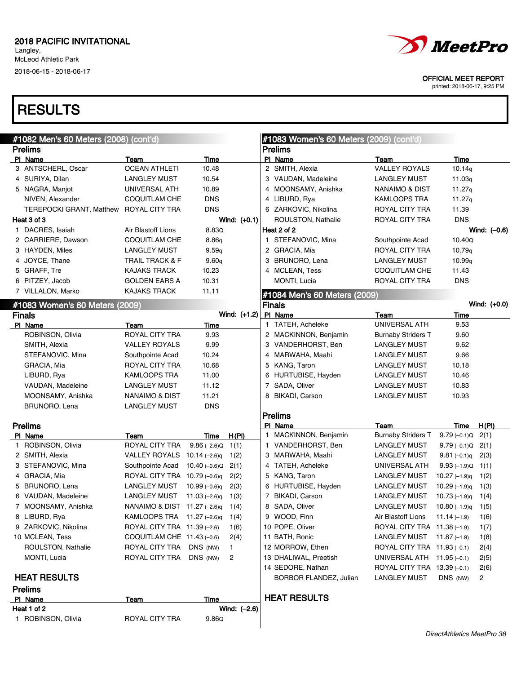Langley, McLeod Athletic Park 2018-06-15 - 2018-06-17

### **RESULTS**

| #1082 Men's 60 Meters (2008) (cont'd) |                              |                 |                | #1083 Women's 60 Meters (2009) (cont'd) |                             |                    |                |
|---------------------------------------|------------------------------|-----------------|----------------|-----------------------------------------|-----------------------------|--------------------|----------------|
| <b>Prelims</b>                        |                              |                 |                | <b>Prelims</b>                          |                             |                    |                |
| PI Name                               | Team                         | Time            |                | PI Name                                 | Team                        | Time               |                |
| 3 ANTSCHERL, Oscar                    | <b>OCEAN ATHLETI</b>         | 10.48           |                | 2 SMITH, Alexia                         | <b>VALLEY ROYALS</b>        | 10.14q             |                |
| 4 SURIYA, Dilan                       | <b>LANGLEY MUST</b>          | 10.54           |                | 3 VAUDAN, Madeleine                     | <b>LANGLEY MUST</b>         | 11.03q             |                |
| 5 NAGRA, Manjot                       | UNIVERSAL ATH                | 10.89           |                | 4 MOONSAMY, Anishka                     | NANAIMO & DIST              | 11.27q             |                |
| NIVEN, Alexander                      | COQUITLAM CHE                | <b>DNS</b>      |                | 4 LIBURD, Rya                           | KAMLOOPS TRA                | 11.27q             |                |
| <b>TEREPOCKI GRANT, Matthew</b>       | ROYAL CITY TRA               | <b>DNS</b>      |                | 6 ZARKOVIC, Nikolina                    | ROYAL CITY TRA              | 11.39              |                |
| Heat 3 of 3                           |                              |                 | Wind: $(+0.1)$ | ROULSTON, Nathalie                      | ROYAL CITY TRA              | <b>DNS</b>         |                |
| 1 DACRES, Isaiah                      | Air Blastoff Lions           | 8.83Q           |                | Heat 2 of 2                             |                             |                    | Wind: (-0.6)   |
| 2 CARRIERE, Dawson                    | COQUITLAM CHE                | 8.86q           |                | 1 STEFANOVIC, Mina                      | Southpointe Acad            | 10.40Q             |                |
| 3 HAYDEN, Miles                       | <b>LANGLEY MUST</b>          | 9.59q           |                | 2 GRACIA, Mia                           | ROYAL CITY TRA              | 10.79q             |                |
| 4 JOYCE, Thane                        | <b>TRAIL TRACK &amp; F</b>   | 9.60q           |                | 3 BRUNORO, Lena                         | <b>LANGLEY MUST</b>         | 10.99q             |                |
| 5 GRAFF, Tre                          | <b>KAJAKS TRACK</b>          | 10.23           |                | 4 MCLEAN, Tess                          | COQUITLAM CHE               | 11.43              |                |
| 6 PITZEY, Jacob                       | <b>GOLDEN EARS A</b>         | 10.31           |                | MONTI, Lucia                            | ROYAL CITY TRA              | <b>DNS</b>         |                |
| 7 VILLALON, Marko                     | <b>KAJAKS TRACK</b>          | 11.11           |                | #1084 Men's 60 Meters (2009)            |                             |                    |                |
| #1083 Women's 60 Meters (2009)        |                              |                 |                | <b>Finals</b>                           |                             |                    | Wind: $(+0.0)$ |
| <b>Finals</b>                         |                              |                 | Wind: (+1.2)   | PI Name                                 | Team                        | Time               |                |
| PI Name                               | Team                         | <u>Time</u>     |                | 1 TATEH, Acheleke                       | UNIVERSAL ATH               | 9.53               |                |
| ROBINSON, Olivia                      | ROYAL CITY TRA               | 9.93            |                | 2 MACKINNON, Benjamin                   | <b>Burnaby Striders T</b>   | 9.60               |                |
| SMITH, Alexia                         | <b>VALLEY ROYALS</b>         | 9.99            |                | 3 VANDERHORST, Ben                      | <b>LANGLEY MUST</b>         | 9.62               |                |
| STEFANOVIC, Mina                      | Southpointe Acad             | 10.24           |                | 4 MARWAHA, Maahi                        | <b>LANGLEY MUST</b>         | 9.66               |                |
| GRACIA, Mia                           | ROYAL CITY TRA               | 10.68           |                | 5 KANG, Taron                           | <b>LANGLEY MUST</b>         | 10.18              |                |
| LIBURD, Rya                           | <b>KAMLOOPS TRA</b>          | 11.00           |                | 6 HURTUBISE, Hayden                     | <b>LANGLEY MUST</b>         | 10.46              |                |
| VAUDAN, Madeleine                     | <b>LANGLEY MUST</b>          | 11.12           |                | 7 SADA, Oliver                          | <b>LANGLEY MUST</b>         | 10.83              |                |
| MOONSAMY, Anishka                     | NANAIMO & DIST               | 11.21           |                | 8 BIKADI, Carson                        | <b>LANGLEY MUST</b>         | 10.93              |                |
| BRUNORO, Lena                         | <b>LANGLEY MUST</b>          | <b>DNS</b>      |                |                                         |                             |                    |                |
|                                       |                              |                 |                | <b>Prelims</b>                          |                             |                    |                |
| <b>Prelims</b>                        |                              |                 |                | PI Name                                 | Team                        | Time               | H(PI)          |
| PI Name                               | Team                         | Time            | H(PI)          | 1 MACKINNON, Benjamin                   | <b>Burnaby Striders T</b>   | $9.79(-0.1)Q$      | 2(1)           |
| 1 ROBINSON, Olivia                    | ROYAL CITY TRA               | $9.86(-2.6)Q$   | 1(1)           | 1 VANDERHORST, Ben                      | LANGLEY MUST                | $9.79(-0.1)Q$ 2(1) |                |
| 2 SMITH, Alexia                       | VALLEY ROYALS 10.14 (-2.6)q  |                 | 1(2)           | 3 MARWAHA, Maahi                        | LANGLEY MUST                | $9.81(-0.1)q$      | 2(3)           |
| 3 STEFANOVIC, Mina                    | Southpointe Acad             | 10.40 (–0.6)Q   | 2(1)           | 4 TATEH, Acheleke                       | UNIVERSAL ATH               | $9.93(-1.9)Q$      | 1(1)           |
| 4 GRACIA, Mia                         | ROYAL CITY TRA 10.79 (-0.6)q |                 | 2(2)           | 5 KANG, Taron                           | LANGLEY MUST                | $10.27(-1.9)q$     | 1(2)           |
| 5 BRUNORO, Lena                       | <b>LANGLEY MUST</b>          | 10.99 $(-0.6)q$ | 2(3)           | 6 HURTUBISE, Hayden                     | <b>LANGLEY MUST</b>         | $10.29(-1.9)q$     | 1(3)           |
| 6 VAUDAN, Madeleine                   | <b>LANGLEY MUST</b>          | 11.03 $(-2.6)q$ | 1(3)           | 7 BIKADI, Carson                        | <b>LANGLEY MUST</b>         | $10.73(-1.9)q$     | 1(4)           |
| 7 MOONSAMY, Anishka                   | NANAIMO & DIST 11.27 (-2.6)q |                 | 1(4)           | 8 SADA, Oliver                          | <b>LANGLEY MUST</b>         | $10.80(-1.9)q$     | 1(5)           |
| 8 LIBURD, Rya                         | KAMLOOPS TRA 11.27 (-2.6)q   |                 | 1(4)           | 9 WOOD, Finn                            | Air Blastoff Lions          | $11.14(-1.9)$      | 1(6)           |
| 9 ZARKOVIC, Nikolina                  | ROYAL CITY TRA 11.39 (-2.6)  |                 | 1(6)           | 10 POPE, Oliver                         | ROYAL CITY TRA 11.38 (-1.9) |                    | 1(7)           |
| 10 MCLEAN, Tess                       | COQUITLAM CHE 11.43 (-0.6)   |                 | 2(4)           | 11 BATH, Ronic                          | LANGLEY MUST 11.87 (-1.9)   |                    | 1(8)           |
| ROULSTON, Nathalie                    | ROYAL CITY TRA               | DNS (NW)        | $\mathbf{1}$   | 12 MORROW, Ethen                        | ROYAL CITY TRA 11.93 (-0.1) |                    | 2(4)           |
| MONTI, Lucia                          | ROYAL CITY TRA               | DNS (NW)        | 2              | 13 DHALIWAL, Preetish                   | UNIVERSAL ATH 11.95 (-0.1)  |                    | 2(5)           |
|                                       |                              |                 |                | 14 SEDORE, Nathan                       | ROYAL CITY TRA 13.39 (-0.1) |                    | 2(6)           |
| <b>HEAT RESULTS</b>                   |                              |                 |                | <b>BORBOR FLANDEZ, Julian</b>           | <b>LANGLEY MUST</b>         | DNS (NW)           | 2              |
| <b>Prelims</b>                        |                              |                 |                |                                         |                             |                    |                |
| PI Name                               | Team                         | Time            |                | <b>HEAT RESULTS</b>                     |                             |                    |                |
| Heat 1 of 2                           |                              |                 | Wind: (-2.6)   |                                         |                             |                    |                |
| 1 ROBINSON, Olivia                    | ROYAL CITY TRA               | 9.86Q           |                |                                         |                             |                    |                |
|                                       |                              |                 |                |                                         |                             |                    |                |



OFFICIAL MEET REPORT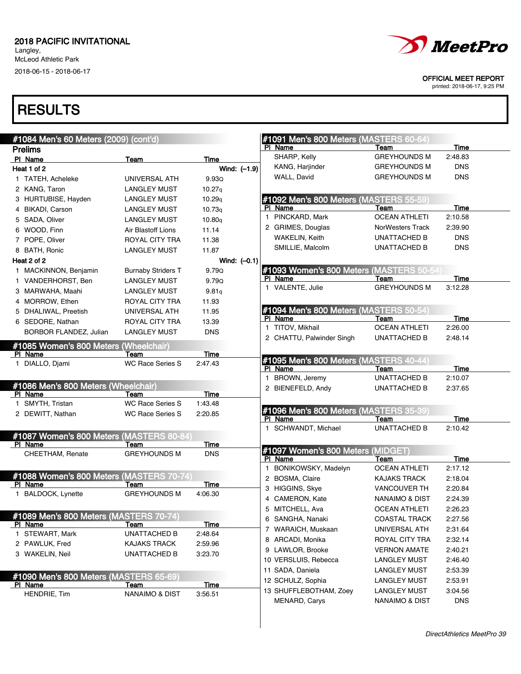Langley, McLeod Athletic Park 2018-06-15 - 2018-06-17



#### OFFICIAL MEET REPORT

printed: 2018-06-17, 9:25 PM

| #1084 Men's 60 Meters (2009) (cont'd)<br>#1091 Men's 800 Meters (MASTERS 60-64) |                                          |                |                                                  |                           |            |  |
|---------------------------------------------------------------------------------|------------------------------------------|----------------|--------------------------------------------------|---------------------------|------------|--|
| <b>Prelims</b>                                                                  |                                          |                | PI Name                                          | Team                      | Time       |  |
| PI Name                                                                         | Team                                     | Time           | SHARP, Kelly                                     | <b>GREYHOUNDS M</b>       | 2:48.83    |  |
| Heat 1 of 2                                                                     |                                          | Wind: (-1.9)   | KANG, Harjinder                                  | <b>GREYHOUNDS M</b>       | <b>DNS</b> |  |
| 1 TATEH, Acheleke                                                               | UNIVERSAL ATH                            | 9.93Q          | WALL, David                                      | <b>GREYHOUNDS M</b>       | <b>DNS</b> |  |
| 2 KANG, Taron                                                                   | <b>LANGLEY MUST</b>                      | 10.27q         |                                                  |                           |            |  |
| 3 HURTUBISE, Hayden                                                             | <b>LANGLEY MUST</b>                      | 10.29q         | #1092 Men's 800 Meters (MASTERS 55-59)           |                           |            |  |
| 4 BIKADI, Carson                                                                | <b>LANGLEY MUST</b>                      | 10.73q         | PI Name                                          | Team                      | Time       |  |
| 5 SADA, Oliver                                                                  | <b>LANGLEY MUST</b>                      | 10.80q         | 1 PINCKARD, Mark                                 | <b>OCEAN ATHLETI</b>      | 2:10.58    |  |
| 6 WOOD, Finn                                                                    | Air Blastoff Lions                       | 11.14          | 2 GRIMES, Douglas                                | <b>NorWesters Track</b>   | 2:39.90    |  |
| 7 POPE, Oliver                                                                  | ROYAL CITY TRA                           | 11.38          | <b>WAKELIN, Keith</b>                            | UNATTACHED B              | <b>DNS</b> |  |
| 8 BATH, Ronic                                                                   | <b>LANGLEY MUST</b>                      | 11.87          | SMILLIE, Malcolm                                 | <b>UNATTACHED B</b>       | <b>DNS</b> |  |
| Heat 2 of 2                                                                     |                                          | Wind: $(-0.1)$ |                                                  |                           |            |  |
| 1 MACKINNON, Benjamin                                                           | <b>Burnaby Striders T</b>                | 9.79Q          | #1093 Women's 800 Meters (MASTERS 50-54          |                           |            |  |
| 1 VANDERHORST, Ben                                                              | <b>LANGLEY MUST</b>                      | 9.79Q          | PI Name                                          | Team                      | Time       |  |
| 3 MARWAHA, Maahi                                                                | <b>LANGLEY MUST</b>                      | 9.81q          | 1 VALENTE, Julie                                 | <b>GREYHOUNDS M</b>       | 3:12.28    |  |
| 4 MORROW, Ethen                                                                 |                                          |                |                                                  |                           |            |  |
|                                                                                 | ROYAL CITY TRA                           | 11.93          | #1094 Men's 800 Meters (MASTERS 50-54)           |                           |            |  |
| 5 DHALIWAL, Preetish                                                            | UNIVERSAL ATH                            | 11.95          | PI Name                                          | Team                      | Time       |  |
| 6 SEDORE, Nathan                                                                | ROYAL CITY TRA                           | 13.39          | 1 TITOV, Mikhail                                 | <b>OCEAN ATHLETI</b>      | 2:26.00    |  |
| <b>BORBOR FLANDEZ, Julian</b>                                                   | <b>LANGLEY MUST</b>                      | <b>DNS</b>     | 2 CHATTU, Palwinder Singh                        | UNATTACHED B              | 2:48.14    |  |
| #1085 Women's 800 Meters (Wheelchair)                                           |                                          |                |                                                  |                           |            |  |
| PI Name                                                                         | Team                                     | Time           | #1095 Men's 800 Meters (MASTERS 40-44)           |                           |            |  |
| 1 DIALLO, Djami                                                                 | <b>WC Race Series S</b>                  | 2:47.43        | PI Name                                          | Team                      | Time       |  |
|                                                                                 |                                          |                | 1 BROWN, Jeremy                                  | <b>UNATTACHED B</b>       | 2:10.07    |  |
| #1086 Men's 800 Meters (Wheelchair)                                             |                                          |                | 2 BIENEFELD, Andy                                | UNATTACHED B              | 2:37.65    |  |
| PI Name                                                                         | Team                                     | Time           |                                                  |                           |            |  |
| 1 SMYTH, Tristan                                                                | <b>WC Race Series S</b>                  | 1:43.48        |                                                  |                           |            |  |
| 2 DEWITT, Nathan                                                                | <b>WC Race Series S</b>                  | 2:20.85        | #1096 Men's 800 Meters (MASTERS 35-39<br>PI Name | Team                      | Time       |  |
|                                                                                 |                                          |                | 1 SCHWANDT, Michael                              | UNATTACHED B              | 2:10.42    |  |
|                                                                                 | #1087 Women's 800 Meters (MASTERS 80-84) |                |                                                  |                           |            |  |
| PI Name                                                                         | Team                                     | Time           | #1097 Women's 800 Meters (MIDGET)                |                           |            |  |
| CHEETHAM, Renate                                                                | <b>GREYHOUNDS M</b>                      | <b>DNS</b>     | PI Name                                          | Team                      | Time       |  |
|                                                                                 |                                          |                | BONIKOWSKY, Madelyn                              | <b>OCEAN ATHLETI</b>      | 2:17.12    |  |
|                                                                                 | #1088 Women's 800 Meters (MASTERS 70-74  |                | 2 BOSMA, Claire                                  | <b>KAJAKS TRACK</b>       | 2:18.04    |  |
| PI Name                                                                         | Team                                     | Time           | 3 HIGGINS, Skye                                  | <b>VANCOUVER TH</b>       | 2:20.84    |  |
| 1 BALDOCK, Lynette                                                              | <b>GREYHOUNDS M</b>                      | 4:06.30        | 4 CAMERON, Kate                                  | <b>NANAIMO &amp; DIST</b> | 2:24.39    |  |
|                                                                                 |                                          |                | 5 MITCHELL, Ava                                  | <b>OCEAN ATHLETI</b>      | 2:26.23    |  |
|                                                                                 | #1089 Men's 800 Meters (MASTERS 70-74)   |                | 6 SANGHA, Nanaki                                 | <b>COASTAL TRACK</b>      | 2:27.56    |  |
| PI Name                                                                         | <u>Team</u>                              | <u>Time</u>    | 7 WARAICH, Muskaan                               | UNIVERSAL ATH             | 2:31.64    |  |
| 1 STEWART, Mark                                                                 | UNATTACHED B                             | 2:48.64        | 8 ARCADI, Monika                                 | ROYAL CITY TRA            | 2:32.14    |  |
| 2 PAWLUK, Fred                                                                  | <b>KAJAKS TRACK</b>                      | 2:59.96        | 9 LAWLOR, Brooke                                 | <b>VERNON AMATE</b>       | 2:40.21    |  |
| 3 WAKELIN, Neil                                                                 | <b>UNATTACHED B</b>                      | 3:23.70        | 10 VERSLUIS, Rebecca                             | <b>LANGLEY MUST</b>       | 2:46.40    |  |
|                                                                                 |                                          |                |                                                  |                           |            |  |
|                                                                                 | #1090 Men's 800 Meters (MASTERS 65-69)   |                | 11 SADA, Daniela                                 | <b>LANGLEY MUST</b>       | 2:53.39    |  |
| PI Name                                                                         | Team                                     | Time           | 12 SCHULZ, Sophia                                | <b>LANGLEY MUST</b>       | 2:53.91    |  |
| HENDRIE, Tim                                                                    | NANAIMO & DIST                           | 3:56.51        | 13 SHUFFLEBOTHAM, Zoey                           | <b>LANGLEY MUST</b>       | 3:04.56    |  |
|                                                                                 |                                          |                | MENARD, Carys                                    | NANAIMO & DIST            | <b>DNS</b> |  |
|                                                                                 |                                          |                |                                                  |                           |            |  |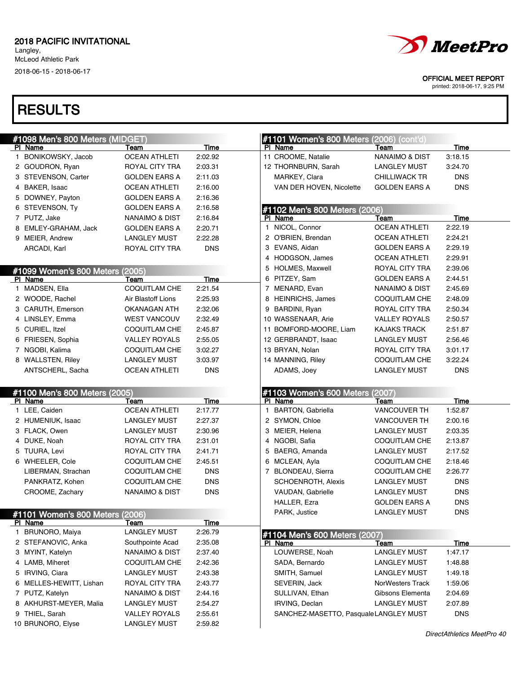Langley, McLeod Athletic Park

2018-06-15 - 2018-06-17





OFFICIAL MEET REPORT

| #1098 Men's 800 Meters (MIDGET)     |                                             |                    | #1101 Women's 800 Meters (2006) (cont'd)                       |  |
|-------------------------------------|---------------------------------------------|--------------------|----------------------------------------------------------------|--|
| PI Name                             | Team                                        | Time               | Time<br>PI Name<br>Team                                        |  |
| 1 BONIKOWSKY, Jacob                 | <b>OCEAN ATHLETI</b>                        | 2:02.92            | 11 CROOME, Natalie<br><b>NANAIMO &amp; DIST</b><br>3:18.15     |  |
| 2 GOUDRON, Ryan                     | ROYAL CITY TRA                              | 2:03.31            | 12 THORNBURN, Sarah<br>3:24.70<br>LANGLEY MUST                 |  |
| 3 STEVENSON, Carter                 | <b>GOLDEN EARS A</b>                        | 2:11.03            | <b>DNS</b><br>MARKEY, Clara<br><b>CHILLIWACK TR</b>            |  |
| 4 BAKER, Isaac                      | <b>OCEAN ATHLETI</b>                        | 2:16.00            | <b>DNS</b><br>VAN DER HOVEN, Nicolette<br><b>GOLDEN EARS A</b> |  |
| 5 DOWNEY, Payton                    | <b>GOLDEN EARS A</b>                        | 2:16.36            |                                                                |  |
| 6 STEVENSON, Ty                     | <b>GOLDEN EARS A</b>                        | 2:16.58            | #1102 Men's 800 Meters (2006)                                  |  |
| 7 PUTZ, Jake                        | <b>NANAIMO &amp; DIST</b>                   | 2:16.84            | PI Name<br>Team<br>Time                                        |  |
| 8 EMLEY-GRAHAM, Jack                | <b>GOLDEN EARS A</b>                        | 2:20.71            | 1 NICOL, Connor<br>2:22.19<br><b>OCEAN ATHLETI</b>             |  |
| 9 MEIER, Andrew                     | <b>LANGLEY MUST</b>                         | 2:22.28            | 2 O'BRIEN, Brendan<br><b>OCEAN ATHLETI</b><br>2:24.21          |  |
| ARCADI, Karl                        | ROYAL CITY TRA                              | <b>DNS</b>         | 3 EVANS, Aidan<br>2:29.19<br><b>GOLDEN EARS A</b>              |  |
|                                     |                                             |                    | 4 HODGSON, James<br>2:29.91<br><b>OCEAN ATHLETI</b>            |  |
| #1099 Women's 800 Meters (2005)     |                                             |                    | 5 HOLMES, Maxwell<br>ROYAL CITY TRA<br>2:39.06                 |  |
| PI Name                             | Team                                        | Time               | 6 PITZEY, Sam<br><b>GOLDEN EARS A</b><br>2:44.51               |  |
| 1 MADSEN, Ella                      | COQUITLAM CHE                               | 2:21.54            | 7 MENARD, Evan<br>NANAIMO & DIST<br>2:45.69                    |  |
| 2 WOODE, Rachel                     | Air Blastoff Lions                          | 2:25.93            | 8 HEINRICHS, James<br>2:48.09<br><b>COQUITLAM CHE</b>          |  |
| 3 CARUTH, Emerson                   | OKANAGAN ATH                                | 2:32.06            | 9 BARDINI, Ryan<br>ROYAL CITY TRA<br>2:50.34                   |  |
| 4 LINSLEY, Emma                     | <b>WEST VANCOUV</b>                         | 2:32.49            | 10 WASSENAAR, Arie<br><b>VALLEY ROYALS</b><br>2:50.57          |  |
| 5 CURIEL, Itzel                     | <b>COQUITLAM CHE</b>                        | 2:45.87            | 11 BOMFORD-MOORE, Liam<br><b>KAJAKS TRACK</b><br>2:51.87       |  |
| 6 FRIESEN, Sophia                   | <b>VALLEY ROYALS</b>                        | 2:55.05            | 12 GERBRANDT, Isaac<br>2:56.46<br><b>LANGLEY MUST</b>          |  |
| 7 NGOBI, Kalima                     | <b>COQUITLAM CHE</b>                        | 3:02.27            | 13 BRYAN, Nolan<br>3:01.17<br>ROYAL CITY TRA                   |  |
| 8 WALLSTEN, Riley                   | <b>LANGLEY MUST</b>                         | 3:03.97            | 14 MANNING, Riley<br><b>COQUITLAM CHE</b><br>3:22.24           |  |
| ANTSCHERL, Sacha                    | <b>OCEAN ATHLETI</b>                        | <b>DNS</b>         | <b>DNS</b><br>ADAMS, Joey<br><b>LANGLEY MUST</b>               |  |
|                                     |                                             |                    |                                                                |  |
|                                     |                                             |                    |                                                                |  |
| #1100 Men's 800 Meters (2005)       |                                             |                    | #1103 Women's 600 Meters (2007)                                |  |
| PI Name                             | Team                                        | Time               | PI Name<br>Time<br>Team                                        |  |
| 1 LEE, Caiden                       | <b>OCEAN ATHLETI</b>                        | 2:17.77            | BARTON, Gabriella<br>1:52.87<br>VANCOUVER TH<br>1.             |  |
| 2 HUMENIUK, Isaac                   | <b>LANGLEY MUST</b>                         | 2:27.37            | 2 SYMON, Chloe<br>2:00.16<br><b>VANCOUVER TH</b>               |  |
| 3 FLACK, Owen                       | <b>LANGLEY MUST</b>                         | 2:30.96            | 3 MEIER, Helena<br><b>LANGLEY MUST</b><br>2:03.35              |  |
| 4 DUKE, Noah                        | ROYAL CITY TRA                              | 2:31.01            | 4 NGOBI, Safia<br><b>COQUITLAM CHE</b><br>2:13.87              |  |
| 5 TUURA, Levi                       | ROYAL CITY TRA                              | 2:41.71            | 5 BAERG, Amanda<br><b>LANGLEY MUST</b><br>2:17.52              |  |
| 6 WHEELER, Cole                     | <b>COQUITLAM CHE</b>                        | 2:45.51            | 6 MCLEAN, Ayla<br><b>COQUITLAM CHE</b><br>2:18.46              |  |
| LIBERMAN, Strachan                  | COQUITLAM CHE                               | <b>DNS</b>         | 2:26.77<br>7 BLONDEAU, Sierra<br><b>COQUITLAM CHE</b>          |  |
| PANKRATZ, Kohen                     | <b>COQUITLAM CHE</b>                        | <b>DNS</b>         | <b>DNS</b><br>SCHOENROTH, Alexis<br>LANGLEY MUST               |  |
| CROOME, Zachary                     | NANAIMO & DIST                              | <b>DNS</b>         | <b>DNS</b><br>VAUDAN, Gabrielle<br><b>LANGLEY MUST</b>         |  |
|                                     |                                             |                    | <b>DNS</b><br>HALLER, Ezra<br><b>GOLDEN EARS A</b>             |  |
| #1101 Women's 800 Meters (2006)     |                                             |                    | PARK, Justice<br><b>LANGLEY MUST</b><br><b>DNS</b>             |  |
| <u>PI Name</u>                      | Team                                        | <b>Time</b>        |                                                                |  |
| 1 BRUNORO, Maiya                    | <b>LANGLEY MUST</b>                         | 2:26.79            | #1104 Men's 600 Meters (2007)                                  |  |
| 2 STEFANOVIC, Anka                  | Southpointe Acad                            | 2:35.08            | <u>Time</u><br>PI Name<br>Team                                 |  |
| 3 MYINT, Katelyn                    | NANAIMO & DIST                              | 2:37.40            | LOUWERSE, Noah<br><b>LANGLEY MUST</b><br>1:47.17               |  |
| 4 LAMB, Miheret                     | <b>COQUITLAM CHE</b>                        | 2:42.36            | SADA, Bernardo<br><b>LANGLEY MUST</b><br>1:48.88               |  |
| 5 IRVING, Ciara                     | <b>LANGLEY MUST</b>                         | 2:43.38            | SMITH, Samuel<br><b>LANGLEY MUST</b><br>1:49.18                |  |
| 6 MELLES-HEWITT, Lishan             | ROYAL CITY TRA                              | 2:43.77            | SEVERIN, Jack<br>1:59.06<br><b>NorWesters Track</b>            |  |
| 7 PUTZ, Katelyn                     | NANAIMO & DIST                              | 2:44.16            | SULLIVAN, Ethan<br>Gibsons Elementa<br>2:04.69                 |  |
| 8 AKHURST-MEYER, Malia              | <b>LANGLEY MUST</b>                         | 2:54.27            | IRVING, Declan<br><b>LANGLEY MUST</b><br>2:07.89               |  |
| 9 THIEL, Sarah<br>10 BRUNORO, Elyse | <b>VALLEY ROYALS</b><br><b>LANGLEY MUST</b> | 2:55.61<br>2:59.82 | SANCHEZ-MASETTO, PasqualeLANGLEY MUST<br><b>DNS</b>            |  |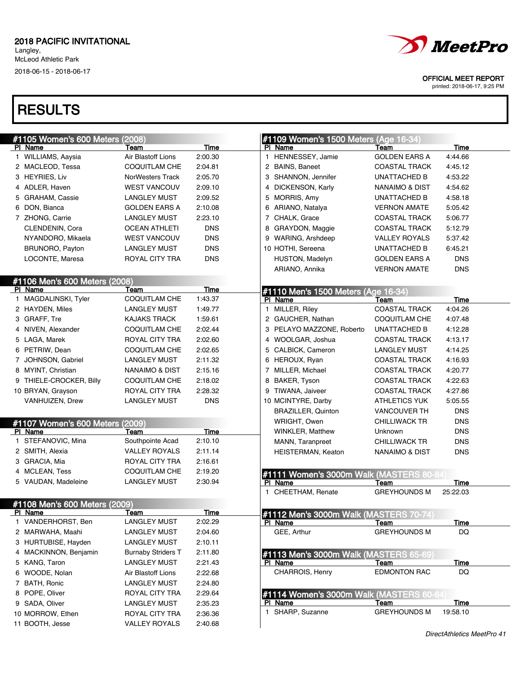Langley, McLeod Athletic Park 2018-06-15 - 2018-06-17

# **RESULTS**

| #1105 Women's 600 Meters (2008) |                           |             | #1109 Women's 1500 Meters (Age 16-34)    |                           |                            |
|---------------------------------|---------------------------|-------------|------------------------------------------|---------------------------|----------------------------|
| PI Name                         | Team                      | Time        | PI Name                                  | Team                      | Time                       |
| 1 WILLIAMS, Aaysia              | Air Blastoff Lions        | 2:00.30     | 1 HENNESSEY, Jamie                       | <b>GOLDEN EARS A</b>      | 4:44.66                    |
| 2 MACLEOD, Tessa                | <b>COQUITLAM CHE</b>      | 2:04.81     | 2 BAINS, Baneet                          | <b>COASTAL TRACK</b>      | 4:45.12                    |
| 3 HEYRIES, Liv                  | NorWesters Track          | 2:05.70     | 3 SHANNON, Jennifer                      | UNATTACHED B              | 4:53.22                    |
| 4 ADLER. Haven                  | <b>WEST VANCOUV</b>       | 2:09.10     | 4 DICKENSON, Karly                       | NANAIMO & DIST            | 4:54.62                    |
| 5 GRAHAM, Cassie                | <b>LANGLEY MUST</b>       | 2:09.52     | 5 MORRIS, Amy                            | UNATTACHED B              | 4:58.18                    |
| 6 DON, Bianca                   | <b>GOLDEN EARS A</b>      | 2:10.08     | 6 ARIANO, Natalya                        | <b>VERNON AMATE</b>       | 5:05.42                    |
| 7 ZHONG, Carrie                 | <b>LANGLEY MUST</b>       | 2:23.10     | 7 CHALK, Grace                           | <b>COASTAL TRACK</b>      | 5:06.77                    |
| CLENDENIN, Cora                 | <b>OCEAN ATHLETI</b>      | <b>DNS</b>  | 8 GRAYDON, Maggie                        | <b>COASTAL TRACK</b>      | 5:12.79                    |
| NYANDORO, Mikaela               | <b>WEST VANCOUV</b>       | <b>DNS</b>  | 9 WARING, Arshdeep                       | <b>VALLEY ROYALS</b>      | 5:37.42                    |
| <b>BRUNORO, Payton</b>          | <b>LANGLEY MUST</b>       | <b>DNS</b>  | 10 HOTHI, Sereena                        | UNATTACHED B              | 6:45.21                    |
| LOCONTE, Maresa                 | ROYAL CITY TRA            | <b>DNS</b>  | HUSTON, Madelyn                          | <b>GOLDEN EARS A</b>      | <b>DNS</b>                 |
|                                 |                           |             | ARIANO, Annika                           | <b>VERNON AMATE</b>       | <b>DNS</b>                 |
| #1106 Men's 600 Meters (2008)   |                           |             |                                          |                           |                            |
| PI Name                         | Team                      | <b>Time</b> | #1110 Men's 1500 Meters (Age 16-34)      |                           |                            |
| 1 MAGDALINSKI, Tyler            | <b>COQUITLAM CHE</b>      | 1:43.37     | PI Name                                  | Team                      | Time                       |
| 2 HAYDEN, Miles                 | <b>LANGLEY MUST</b>       | 1:49.77     | 1 MILLER, Riley                          | <b>COASTAL TRACK</b>      | 4:04.26                    |
| 3 GRAFF, Tre                    | <b>KAJAKS TRACK</b>       | 1:59.61     | 2 GAUCHER, Nathan                        | COQUITLAM CHE             | 4:07.48                    |
| 4 NIVEN, Alexander              | <b>COQUITLAM CHE</b>      | 2:02.44     | 3 PELAYO MAZZONE, Roberto                | <b>UNATTACHED B</b>       | 4:12.28                    |
| 5 LAGA, Marek                   | ROYAL CITY TRA            | 2:02.60     | 4 WOOLGAR, Joshua                        | <b>COASTAL TRACK</b>      | 4:13.17                    |
| 6 PETRIW, Dean                  | <b>COQUITLAM CHE</b>      | 2:02.65     | 5 CALBICK, Cameron                       | <b>LANGLEY MUST</b>       | 4:14.25                    |
| 7 JOHNSON, Gabriel              | <b>LANGLEY MUST</b>       | 2:11.32     | 6 HEROUX, Ryan                           | <b>COASTAL TRACK</b>      | 4:16.93                    |
| 8 MYINT, Christian              | <b>NANAIMO &amp; DIST</b> | 2:15.16     | 7 MILLER, Michael                        | <b>COASTAL TRACK</b>      | 4:20.77                    |
| 9 THIELE-CROCKER, Billy         | COQUITLAM CHE             | 2:18.02     | 8 BAKER, Tyson                           | <b>COASTAL TRACK</b>      | 4:22.63                    |
| 10 BRYAN, Grayson               | ROYAL CITY TRA            | 2:28.32     | 9 TIWANA, Jaiveer                        | <b>COASTAL TRACK</b>      | 4:27.86                    |
| VANHUIZEN, Drew                 | <b>LANGLEY MUST</b>       | <b>DNS</b>  | 10 MCINTYRE, Darby                       | <b>ATHLETICS YUK</b>      | 5:05.55                    |
|                                 |                           |             | <b>BRAZILLER, Quinton</b>                | <b>VANCOUVER TH</b>       | <b>DNS</b>                 |
| #1107 Women's 600 Meters (2009) |                           |             | WRIGHT, Owen                             | <b>CHILLIWACK TR</b>      | <b>DNS</b>                 |
| PI Name                         | Team                      | Time        | <b>WINKLER, Matthew</b>                  | Unknown                   | <b>DNS</b>                 |
| 1 STEFANOVIC, Mina              | Southpointe Acad          | 2:10.10     | MANN, Taranpreet                         | <b>CHILLIWACK TR</b>      | <b>DNS</b>                 |
| 2 SMITH, Alexia                 | <b>VALLEY ROYALS</b>      | 2:11.14     | HEISTERMAN, Keaton                       | <b>NANAIMO &amp; DIST</b> | <b>DNS</b>                 |
| 3 GRACIA, Mia                   | ROYAL CITY TRA            | 2:16.61     |                                          |                           |                            |
| 4 MCLEAN, Tess                  | <b>COQUITLAM CHE</b>      | 2:19.20     | #1111 Women's 3000m Walk (MASTERS 80-84) |                           |                            |
| 5 VAUDAN, Madeleine             | <b>LANGLEY MUST</b>       | 2:30.94     | PI Name                                  | Team                      | Time                       |
|                                 |                           |             | 1 CHEETHAM, Renate                       | <b>GREYHOUNDS M</b>       | 25:22.03                   |
| #1108 Men's 600 Meters (2009)   |                           |             |                                          |                           |                            |
| PI Name                         | Team                      | <b>Time</b> | #1112 Men's 3000m Walk (MASTERS 70-74)   |                           |                            |
| 1 VANDERHORST, Ben              | <b>LANGLEY MUST</b>       | 2:02.29     | PI Name                                  | Team                      | Time                       |
| 2 MARWAHA, Maahi                | <b>LANGLEY MUST</b>       | 2:04.60     | GEE, Arthur                              | <b>GREYHOUNDS M</b>       | DQ                         |
| 3 HURTUBISE, Hayden             | <b>LANGLEY MUST</b>       | 2:10.11     |                                          |                           |                            |
| 4 MACKINNON, Benjamin           | <b>Burnaby Striders T</b> | 2:11.80     | #1113 Men's 3000m Walk (MASTERS 65-69)   |                           |                            |
| 5 KANG, Taron                   | <b>LANGLEY MUST</b>       | 2:21.43     | PI Name                                  | Team                      | Time                       |
| 6 WOODE, Nolan                  | Air Blastoff Lions        | 2:22.68     | CHARROIS, Henry                          | <b>EDMONTON RAC</b>       | DQ                         |
| 7 BATH, Ronic                   | <b>LANGLEY MUST</b>       | 2:24.80     |                                          |                           |                            |
| 8 POPE, Oliver                  | ROYAL CITY TRA            | 2:29.64     | #1114 Women's 3000m Walk (MASTERS 60-64) |                           |                            |
| 9 SADA, Oliver                  | <b>LANGLEY MUST</b>       | 2:35.23     | PI Name                                  | Team                      | Time                       |
| 10 MORROW, Ethen                | ROYAL CITY TRA            | 2:36.36     | 1 SHARP, Suzanne                         | <b>GREYHOUNDS M</b>       | 19:58.10                   |
| 11 BOOTH, Jesse                 | <b>VALLEY ROYALS</b>      | 2:40.68     |                                          |                           |                            |
|                                 |                           |             |                                          |                           | DirectAthletics MeetPro 41 |



OFFICIAL MEET REPORT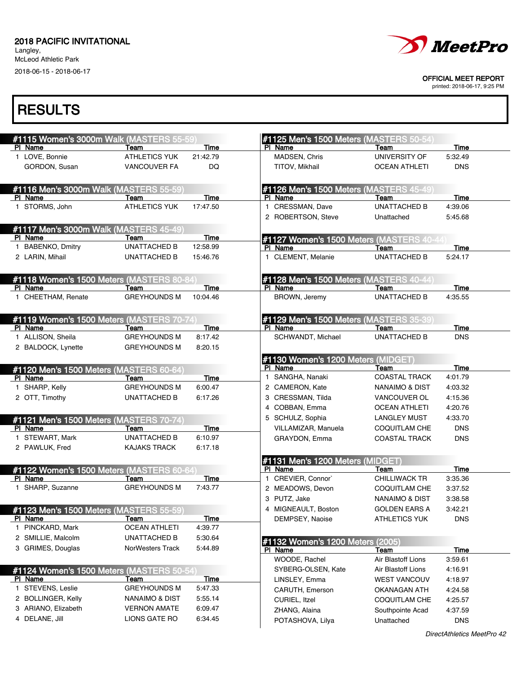Langley, McLeod Athletic Park 2018-06-15 - 2018-06-17



#### OFFICIAL MEET REPORT

printed: 2018-06-17, 9:25 PM

| #1115 Women's 3000m Walk (MASTERS 55-59)  |                              |                  | #1125 Men's 1500 Meters (MASTERS 50-54  |                       |                 |
|-------------------------------------------|------------------------------|------------------|-----------------------------------------|-----------------------|-----------------|
| PI Name<br>1 LOVE, Bonnie                 | Team<br><b>ATHLETICS YUK</b> | Time<br>21:42.79 | PI Name<br>MADSEN, Chris                | Team<br>UNIVERSITY OF | Time<br>5:32.49 |
| GORDON, Susan                             | <b>VANCOUVER FA</b>          | DQ               | TITOV, Mikhail                          | <b>OCEAN ATHLETI</b>  | <b>DNS</b>      |
|                                           |                              |                  |                                         |                       |                 |
| #1116 Men's 3000m Walk (MASTERS 55-59     |                              |                  | #1126 Men's 1500 Meters (MASTERS 45-49) |                       |                 |
| PI Name                                   | Team                         | Time             | PI Name                                 | Team                  | Time            |
| 1 STORMS, John                            | <b>ATHLETICS YUK</b>         | 17:47.50         | 1 CRESSMAN, Dave                        | <b>UNATTACHED B</b>   | 4:39.06         |
|                                           |                              |                  | 2 ROBERTSON, Steve                      | Unattached            | 5:45.68         |
| #1117 Men's 3000m Walk (MASTERS 45-49     |                              |                  |                                         |                       |                 |
| PI Name                                   | Team                         | Time             | #1127 Women's 1500 Meters (MASTERS 40-  |                       |                 |
| <b>BABENKO, Dmitry</b>                    | <b>UNATTACHED B</b>          | 12:58.99         | PI Name                                 | Team                  | Time            |
| 2 LARIN, Mihail                           | <b>UNATTACHED B</b>          | 15:46.76         | 1 CLEMENT, Melanie                      | <b>UNATTACHED B</b>   | 5:24.17         |
| #1118 Women's 1500 Meters (MASTERS 80-84  |                              |                  | #1128 Men's 1500 Meters (MASTERS 40-44  |                       |                 |
| PI Name                                   | Team                         | Time             | PI Name                                 | Team                  | Time            |
| 1 CHEETHAM, Renate                        | <b>GREYHOUNDS M</b>          | 10:04.46         | BROWN, Jeremy                           | <b>UNATTACHED B</b>   | 4:35.55         |
| #1119 Women's 1500 Meters (MASTERS 70-74  |                              |                  | #1129 Men's 1500 Meters (MASTERS 35-39  |                       |                 |
| PI Name                                   | Team                         | Time             | PI Name                                 | Team                  | Time            |
| 1 ALLISON, Sheila                         | <b>GREYHOUNDS M</b>          | 8:17.42          | SCHWANDT, Michael                       | <b>UNATTACHED B</b>   | <b>DNS</b>      |
| 2 BALDOCK, Lynette                        | <b>GREYHOUNDS M</b>          | 8:20.15          |                                         |                       |                 |
|                                           |                              |                  | #1130 Women's 1200 Meters (MIDGET)      |                       |                 |
| #1120 Men's 1500 Meters (MASTERS 60-64)   |                              |                  | PI Name                                 | Team                  | <b>Time</b>     |
| PI Name                                   | Team                         | Time             | SANGHA, Nanaki<br>$\mathbf{1}$          | <b>COASTAL TRACK</b>  | 4:01.79         |
| 1 SHARP, Kelly                            | <b>GREYHOUNDS M</b>          | 6:00.47          | 2 CAMERON, Kate                         | NANAIMO & DIST        | 4:03.32         |
| 2 OTT, Timothy                            | UNATTACHED B                 | 6:17.26          | 3 CRESSMAN, Tilda                       | <b>VANCOUVER OL</b>   | 4:15.36         |
|                                           |                              |                  | 4 COBBAN, Emma                          | <b>OCEAN ATHLETI</b>  | 4:20.76         |
| #1121 Men's 1500 Meters (MASTERS 70-74)   |                              |                  | 5 SCHULZ, Sophia                        | <b>LANGLEY MUST</b>   | 4:33.70         |
| PI Name                                   | Team                         | Time             | VILLAMIZAR, Manuela                     | <b>COQUITLAM CHE</b>  | <b>DNS</b>      |
| 1 STEWART, Mark                           | <b>UNATTACHED B</b>          | 6:10.97          | GRAYDON, Emma                           | <b>COASTAL TRACK</b>  | <b>DNS</b>      |
| 2 PAWLUK, Fred                            | <b>KAJAKS TRACK</b>          | 6:17.18          |                                         |                       |                 |
|                                           |                              |                  | #1131 Men's 1200 Meters (MIDGET)        |                       |                 |
| #1122 Women's 1500 Meters (MASTERS 60-64) |                              |                  | PI Name                                 | Team                  | Time            |
| PI Name                                   | Team                         | Time             | 1 CREVIER, Connor`                      | <b>CHILLIWACK TR</b>  | 3:35.36         |
| 1 SHARP, Suzanne                          | <b>GREYHOUNDS M</b>          | 7:43.77          | 2 MEADOWS, Devon                        | <b>COQUITLAM CHE</b>  | 3:37.52         |
|                                           |                              |                  | 3 PUTZ, Jake                            | NANAIMO & DIST        | 3:38.58         |
| #1123 Men's 1500 Meters (MASTERS 55-59)   |                              |                  | 4 MIGNEAULT, Boston                     | <b>GOLDEN EARS A</b>  | 3:42.21         |
| PI Name                                   | Team                         | Time             | DEMPSEY, Naoise                         | <b>ATHLETICS YUK</b>  | <b>DNS</b>      |
| PINCKARD, Mark<br>1.                      | <b>OCEAN ATHLETI</b>         | 4:39.77          |                                         |                       |                 |
| 2 SMILLIE, Malcolm                        | UNATTACHED B                 | 5:30.64          | #1132 Women's 1200 Meters (2005)        |                       |                 |
| 3 GRIMES, Douglas                         | NorWesters Track             | 5:44.89          | PI Name                                 | Team                  | Time            |
|                                           |                              |                  | WOODE, Rachel                           | Air Blastoff Lions    | 3:59.61         |
| #1124 Women's 1500 Meters (MASTERS 50-54) |                              |                  | SYBERG-OLSEN, Kate                      | Air Blastoff Lions    | 4:16.91         |
| PI Name                                   | <u>Team</u>                  | <u>Time</u>      | LINSLEY, Emma                           | <b>WEST VANCOUV</b>   | 4:18.97         |
| 1 STEVENS, Leslie                         | <b>GREYHOUNDS M</b>          | 5:47.33          | CARUTH, Emerson                         | OKANAGAN ATH          | 4:24.58         |
| 2 BOLLINGER, Kelly                        | NANAIMO & DIST               | 5:55.14          | CURIEL, Itzel                           | <b>COQUITLAM CHE</b>  | 4:25.57         |
| 3 ARIANO, Elizabeth                       | <b>VERNON AMATE</b>          | 6:09.47          | ZHANG, Alaina                           | Southpointe Acad      | 4:37.59         |
| 4 DELANE, Jill                            | <b>LIONS GATE RO</b>         | 6:34.45          | POTASHOVA, Lilya                        | Unattached            | <b>DNS</b>      |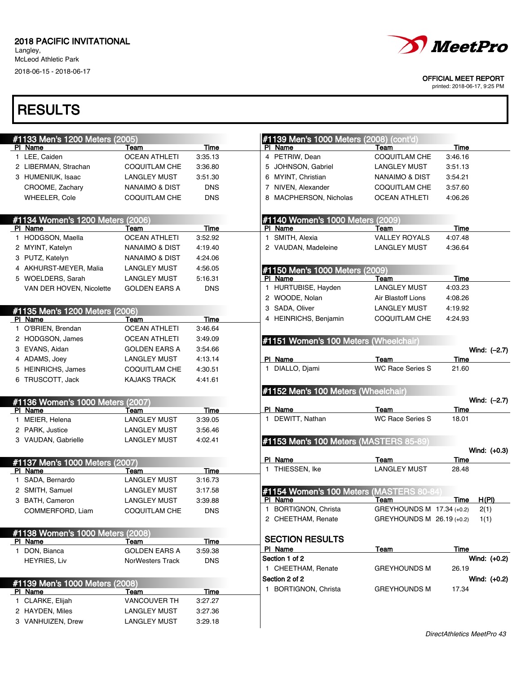Langley, McLeod Athletic Park 2018-06-15 - 2018-06-17



OFFICIAL MEET REPORT

printed: 2018-06-17, 9:25 PM

| #1133 Men's 1200 Meters (2005)       |                                            |                    |              | #1139 Men's 1000 Meters (2008) (cont'd)     |                              |                 |                |
|--------------------------------------|--------------------------------------------|--------------------|--------------|---------------------------------------------|------------------------------|-----------------|----------------|
| PI Name                              | Team                                       | Time               |              | PI Name                                     | Team                         | Time            |                |
| 1 LEE, Caiden                        | <b>OCEAN ATHLETI</b>                       | 3:35.13            |              | 4 PETRIW, Dean                              | <b>COQUITLAM CHE</b>         | 3:46.16         |                |
| 2 LIBERMAN, Strachan                 | <b>COQUITLAM CHE</b>                       | 3:36.80            |              | 5 JOHNSON, Gabriel                          | <b>LANGLEY MUST</b>          | 3:51.13         |                |
| 3 HUMENIUK, Isaac                    | <b>LANGLEY MUST</b>                        | 3:51.30            |              | 6 MYINT, Christian                          | <b>NANAIMO &amp; DIST</b>    | 3:54.21         |                |
| CROOME, Zachary                      | <b>NANAIMO &amp; DIST</b>                  | <b>DNS</b>         |              | 7 NIVEN, Alexander                          | <b>COQUITLAM CHE</b>         | 3:57.60         |                |
| WHEELER, Cole                        | <b>COQUITLAM CHE</b>                       | <b>DNS</b>         |              | 8 MACPHERSON, Nicholas                      | <b>OCEAN ATHLETI</b>         | 4:06.26         |                |
|                                      |                                            |                    |              |                                             |                              |                 |                |
| #1134 Women's 1200 Meters (2006)     |                                            | <b>Time</b>        |              | #1140 Women's 1000 Meters (2009)<br>PI Name |                              |                 |                |
| PI Name<br>1 HODGSON, Maella         | Team<br><b>OCEAN ATHLETI</b>               | 3:52.92            |              | 1 SMITH, Alexia                             | Team<br><b>VALLEY ROYALS</b> | Time<br>4:07.48 |                |
| 2 MYINT, Katelyn                     | NANAIMO & DIST                             |                    |              | 2 VAUDAN, Madeleine                         | <b>LANGLEY MUST</b>          | 4:36.64         |                |
|                                      |                                            | 4:19.40            |              |                                             |                              |                 |                |
| 3 PUTZ, Katelyn                      | NANAIMO & DIST                             | 4:24.06            |              |                                             |                              |                 |                |
| 4 AKHURST-MEYER, Malia               | <b>LANGLEY MUST</b>                        | 4:56.05            |              | #1150 Men's 1000 Meters (2009)              |                              |                 |                |
| 5 WOELDERS, Sarah                    | <b>LANGLEY MUST</b>                        | 5:16.31            |              | PI Name                                     | Team                         | Time            |                |
| VAN DER HOVEN, Nicolette             | <b>GOLDEN EARS A</b>                       | <b>DNS</b>         | $\mathbf{1}$ | HURTUBISE, Hayden                           | <b>LANGLEY MUST</b>          | 4:03.23         |                |
|                                      |                                            |                    |              | 2 WOODE, Nolan                              | Air Blastoff Lions           | 4:08.26         |                |
| #1135 Men's 1200 Meters (2006)       |                                            |                    |              | 3 SADA, Oliver                              | <b>LANGLEY MUST</b>          | 4:19.92         |                |
| PI Name                              | Team                                       | Time               |              | 4 HEINRICHS, Benjamin                       | <b>COQUITLAM CHE</b>         | 4:24.93         |                |
| 1 O'BRIEN, Brendan                   | <b>OCEAN ATHLETI</b>                       | 3:46.64            |              |                                             |                              |                 |                |
| 2 HODGSON, James                     | <b>OCEAN ATHLETI</b>                       | 3:49.09            |              | #1151 Women's 100 Meters (Wheelchair)       |                              |                 |                |
| 3 EVANS, Aidan                       | <b>GOLDEN EARS A</b>                       | 3:54.66            |              |                                             |                              |                 | Wind: $(-2.7)$ |
| 4 ADAMS, Joey                        | <b>LANGLEY MUST</b>                        | 4:13.14            |              | PI Name                                     | Team                         | Time            |                |
| 5 HEINRICHS, James                   | <b>COQUITLAM CHE</b>                       | 4:30.51            |              | 1 DIALLO, Djami                             | <b>WC Race Series S</b>      | 21.60           |                |
| 6 TRUSCOTT, Jack                     | <b>KAJAKS TRACK</b>                        | 4:41.61            |              |                                             |                              |                 |                |
|                                      |                                            |                    |              |                                             |                              |                 |                |
|                                      |                                            |                    |              | #1152 Men's 100 Meters (Wheelchair)         |                              |                 |                |
| #1136 Women's 1000 Meters (2007)     |                                            |                    |              |                                             |                              |                 | Wind: $(-2.7)$ |
| PI Name                              | Team                                       | Time               |              | PI Name                                     | Team                         | Time            |                |
| 1 MEIER, Helena                      | <b>LANGLEY MUST</b>                        | 3:39.05            |              | 1 DEWITT, Nathan                            | <b>WC Race Series S</b>      | 18.01           |                |
| 2 PARK, Justice                      | <b>LANGLEY MUST</b>                        | 3:56.46            |              |                                             |                              |                 |                |
| 3 VAUDAN, Gabrielle                  | <b>LANGLEY MUST</b>                        | 4:02.41            |              | #1153 Men's 100 Meters (MASTERS 85-89)      |                              |                 |                |
|                                      |                                            |                    |              |                                             |                              |                 | Wind: (+0.3)   |
| #1137 Men's 1000 Meters (2007)       |                                            |                    |              | PI Name                                     | Team                         | Time            |                |
| PI Name                              | Team                                       | Time               |              | 1 THIESSEN, Ike                             | <b>LANGLEY MUST</b>          | 28.48           |                |
| 1 SADA, Bernardo                     | <b>LANGLEY MUST</b>                        | 3:16.73            |              |                                             |                              |                 |                |
| 2 SMITH, Samuel                      | <b>LANGLEY MUST</b>                        | 3:17.58            |              | #1154 Women's 100 Meters (MASTERS 80-84     |                              |                 |                |
| 3 BATH, Cameron                      | <b>LANGLEY MUST</b>                        | 3:39.88            |              | PI Name                                     | Team                         | Time            | H(PI)          |
| COMMERFORD, Liam                     | COQUITLAM CHE                              | <b>DNS</b>         |              | 1 BORTIGNON, Christa                        | GREYHOUNDS M 17.34 (+0.2)    |                 | 2(1)           |
|                                      |                                            |                    |              | 2 CHEETHAM, Renate                          | GREYHOUNDS M 26.19 (+0.2)    |                 | 1(1)           |
| #1138 Women's 1000 Meters (2008)     |                                            |                    |              |                                             |                              |                 |                |
| PI Name                              | Team                                       | Time               |              | <b>SECTION RESULTS</b>                      |                              |                 |                |
| 1 DON, Bianca                        | <b>GOLDEN EARS A</b>                       | 3:59.38            |              | PI Name                                     | Team                         | Time            |                |
| <b>HEYRIES, Liv</b>                  | NorWesters Track                           | <b>DNS</b>         |              | Section 1 of 2                              |                              |                 | Wind: (+0.2)   |
|                                      |                                            |                    |              | 1 CHEETHAM, Renate                          | <b>GREYHOUNDS M</b>          | 26.19           |                |
| #1139 Men's 1000 Meters (2008)       |                                            |                    |              | Section 2 of 2                              |                              |                 | Wind: (+0.2)   |
| PI Name                              | Team                                       | Time               |              | 1 BORTIGNON, Christa                        | <b>GREYHOUNDS M</b>          | 17.34           |                |
| 1 CLARKE, Elijah                     | <b>VANCOUVER TH</b>                        | 3:27.27            |              |                                             |                              |                 |                |
| 2 HAYDEN, Miles<br>3 VANHUIZEN, Drew | <b>LANGLEY MUST</b><br><b>LANGLEY MUST</b> | 3:27.36<br>3:29.18 |              |                                             |                              |                 |                |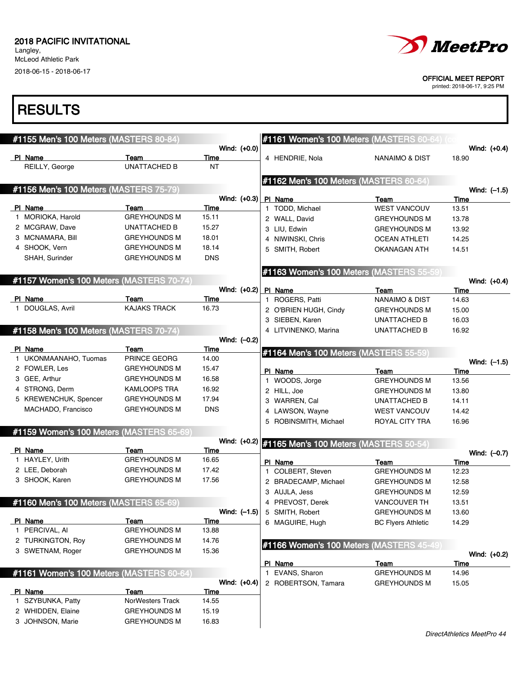Langley, McLeod Athletic Park 2018-06-15 - 2018-06-17

# **RESULTS**

| <i>MeetPro</i> |
|----------------|
|                |

#### OFFICIAL MEET REPORT

| #1155 Men's 100 Meters (MASTERS 80-84)   |                     |             |                | #1161 Women's 100 Meters (MASTERS 60-64) (or |                           |                |
|------------------------------------------|---------------------|-------------|----------------|----------------------------------------------|---------------------------|----------------|
|                                          |                     |             | Wind: (+0.0)   |                                              |                           | Wind: $(+0.4)$ |
| PI Name                                  | Team                | <b>Time</b> |                | 4 HENDRIE, Nola                              | NANAIMO & DIST            | 18.90          |
| REILLY, George                           | <b>UNATTACHED B</b> | ΝT          |                |                                              |                           |                |
|                                          |                     |             |                | #1162 Men's 100 Meters (MASTERS 60-64)       |                           |                |
| #1156 Men's 100 Meters (MASTERS 75-79)   |                     |             |                |                                              |                           | Wind: $(-1.5)$ |
|                                          |                     |             | Wind: $(+0.3)$ | <b>PI Name</b>                               | Team                      | Time           |
| PI Name                                  | Team                | Time        |                | 1 TODD, Michael                              | <b>WEST VANCOUV</b>       | 13.51          |
| 1 MORIOKA, Harold                        | <b>GREYHOUNDS M</b> | 15.11       |                | 2 WALL, David                                | <b>GREYHOUNDS M</b>       | 13.78          |
| 2 MCGRAW, Dave                           | <b>UNATTACHED B</b> | 15.27       |                | 3 LIU, Edwin                                 | <b>GREYHOUNDS M</b>       | 13.92          |
| 3 MCNAMARA, Bill                         | <b>GREYHOUNDS M</b> | 18.01       |                | 4 NIWINSKI, Chris                            | <b>OCEAN ATHLETI</b>      | 14.25          |
| 4 SHOOK, Vern                            | <b>GREYHOUNDS M</b> | 18.14       |                | 5 SMITH, Robert                              | OKANAGAN ATH              | 14.51          |
| SHAH, Surinder                           | <b>GREYHOUNDS M</b> | <b>DNS</b>  |                |                                              |                           |                |
|                                          |                     |             |                | #1163 Women's 100 Meters (MASTERS 55-59)     |                           |                |
| #1157 Women's 100 Meters (MASTERS 70-74) |                     |             |                |                                              |                           | Wind: $(+0.4)$ |
|                                          |                     |             | Wind: (+0.2)   | PI Name                                      | Team                      | Time           |
| PI Name                                  | Team                | Time        |                | 1 ROGERS, Patti                              | <b>NANAIMO &amp; DIST</b> | 14.63          |
| 1 DOUGLAS, Avril                         | <b>KAJAKS TRACK</b> | 16.73       |                | 2 O'BRIEN HUGH, Cindy                        | <b>GREYHOUNDS M</b>       | 15.00          |
|                                          |                     |             |                | 3 SIEBEN, Karen                              | <b>UNATTACHED B</b>       | 16.03          |
| #1158 Men's 100 Meters (MASTERS 70-74)   |                     |             |                | 4 LITVINENKO, Marina                         | <b>UNATTACHED B</b>       | 16.92          |
|                                          |                     |             | Wind: (-0.2)   |                                              |                           |                |
| PI Name                                  | Team                | <b>Time</b> |                | #1164 Men's 100 Meters (MASTERS 55-59)       |                           |                |
| 1 UKONMAANAHO, Tuomas                    | PRINCE GEORG        | 14.00       |                |                                              |                           | Wind: $(-1.5)$ |
| 2 FOWLER, Les                            | <b>GREYHOUNDS M</b> | 15.47       |                | PI Name                                      | Team                      | Time           |
| 3 GEE, Arthur                            | <b>GREYHOUNDS M</b> | 16.58       |                | 1 WOODS, Jorge                               | <b>GREYHOUNDS M</b>       | 13.56          |
| 4 STRONG, Derm                           | <b>KAMLOOPS TRA</b> | 16.92       |                | 2 HILL, Joe                                  | <b>GREYHOUNDS M</b>       | 13.80          |
| 5 KREWENCHUK, Spencer                    | <b>GREYHOUNDS M</b> | 17.94       |                | 3 WARREN, Cal                                | UNATTACHED B              | 14.11          |
| MACHADO, Francisco                       | <b>GREYHOUNDS M</b> | <b>DNS</b>  |                | 4 LAWSON, Wayne                              | <b>WEST VANCOUV</b>       | 14.42          |
|                                          |                     |             |                | 5 ROBINSMITH, Michael                        | ROYAL CITY TRA            | 16.96          |
| #1159 Women's 100 Meters (MASTERS 65-69) |                     |             |                |                                              |                           |                |
|                                          |                     |             | Wind: (+0.2)   | #1165 Men's 100 Meters (MASTERS 50-54)       |                           |                |
| PI Name                                  | Team                | <b>Time</b> |                |                                              |                           | Wind: (-0.7)   |
| 1 HAYLEY, Urith                          | <b>GREYHOUNDS M</b> | 16.65       |                | PI Name                                      | Team                      | Time           |
| 2 LEE, Deborah                           | <b>GREYHOUNDS M</b> | 17.42       |                | 1 COLBERT, Steven                            | <b>GREYHOUNDS M</b>       | 12.23          |
| 3 SHOOK, Karen                           | <b>GREYHOUNDS M</b> | 17.56       |                | 2 BRADECAMP, Michael                         | <b>GREYHOUNDS M</b>       | 12.58          |
|                                          |                     |             |                | 3 AUJLA, Jess                                | <b>GREYHOUNDS M</b>       | 12.59          |
| #1160 Men's 100 Meters (MASTERS 65-69    |                     |             |                | 4 PREVOST, Derek                             | <b>VANCOUVER TH</b>       | 13.51          |
|                                          |                     |             | Wind: $(-1.5)$ | 5 SMITH, Robert                              | <b>GREYHOUNDS M</b>       | 13.60          |
| PI Name                                  | Team                | Time        |                | 6 MAGUIRE, Hugh                              | <b>BC Flyers Athletic</b> | 14.29          |
| 1 PERCIVAL, AI                           | <b>GREYHOUNDS M</b> | 13.88       |                |                                              |                           |                |
| 2 TURKINGTON, Roy                        | <b>GREYHOUNDS M</b> | 14.76       |                | #1166 Women's 100 Meters (MASTERS 45-49)     |                           |                |
| 3 SWETNAM, Roger                         | <b>GREYHOUNDS M</b> | 15.36       |                |                                              |                           | Wind: $(+0.2)$ |
|                                          |                     |             |                | PI Name                                      | Team                      | <b>Time</b>    |
| #1161 Women's 100 Meters (MASTERS 60-64) |                     |             |                | 1 EVANS, Sharon                              | <b>GREYHOUNDS M</b>       | 14.96          |
|                                          |                     |             | Wind: (+0.4)   | 2 ROBERTSON, Tamara                          | <b>GREYHOUNDS M</b>       | 15.05          |
| PI Name                                  | Team                | <u>Time</u> |                |                                              |                           |                |
| 1 SZYBUNKA, Patty                        | NorWesters Track    | 14.55       |                |                                              |                           |                |
| 2 WHIDDEN, Elaine                        | <b>GREYHOUNDS M</b> | 15.19       |                |                                              |                           |                |
| 3 JOHNSON, Marie                         | <b>GREYHOUNDS M</b> | 16.83       |                |                                              |                           |                |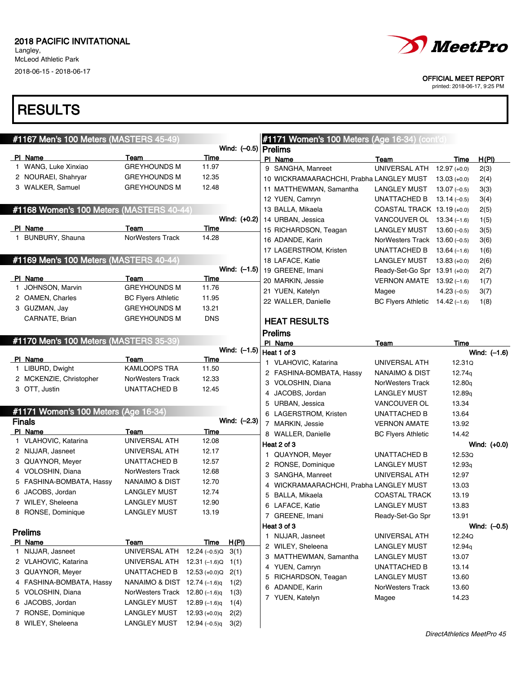# **RESULTS**

| #1167 Men's 100 Meters (MASTERS 45-49)   |                                |                         |                        |   | <b>#1171 Women's 100 Meters (Age 16-34) (cont'd)</b> |                                   |                    |                |
|------------------------------------------|--------------------------------|-------------------------|------------------------|---|------------------------------------------------------|-----------------------------------|--------------------|----------------|
|                                          |                                |                         | Wind: $(-0.5)$ Prelims |   |                                                      |                                   |                    |                |
| PI Name                                  | Team                           | Time                    |                        |   | PI Name                                              | Team                              | Time               | H(PI)          |
| 1 WANG, Luke Xinxiao                     | <b>GREYHOUNDS M</b>            | 11.97                   |                        |   | 9 SANGHA, Manreet                                    | UNIVERSAL ATH                     | $12.97 (+0.0)$     | 2(3)           |
| 2 NOURAEI, Shahryar                      | <b>GREYHOUNDS M</b>            | 12.35                   |                        |   | 10 WICKRAMAARACHCHI, Prabha LANGLEY MUST             |                                   | $13.03 (+0.0)$     | 2(4)           |
| 3 WALKER, Samuel                         | <b>GREYHOUNDS M</b>            | 12.48                   |                        |   | 11 MATTHEWMAN, Samantha                              | LANGLEY MUST                      | $13.07(-0.5)$      | 3(3)           |
|                                          |                                |                         |                        |   | 12 YUEN, Camryn                                      | UNATTACHED B                      | $13.14(-0.5)$      | 3(4)           |
| #1168 Women's 100 Meters (MASTERS 40-44) |                                |                         |                        |   | 13 BALLA, Mikaela                                    | COASTAL TRACK $13.19 (+0.0)$      |                    | 2(5)           |
|                                          |                                |                         | Wind: (+0.2)           |   | 14 URBAN, Jessica                                    | VANCOUVER OL $13.34$ (-1.6)       |                    | 1(5)           |
| PI Name                                  | Team                           | Time                    |                        |   | 15 RICHARDSON, Teagan                                | LANGLEY MUST                      | $13.60(-0.5)$      | 3(5)           |
| 1 BUNBURY, Shauna                        | NorWesters Track               | 14.28                   |                        |   | 16 ADANDE, Karin                                     | NorWesters Track $13.60$ (-0.5)   |                    | 3(6)           |
|                                          |                                |                         |                        |   | 17 LAGERSTROM, Kristen                               | UNATTACHED B                      | $13.64(-1.6)$      | 1(6)           |
| #1169 Men's 100 Meters (MASTERS 40-44)   |                                |                         |                        |   | 18 LAFACE, Katie                                     | LANGLEY MUST                      | $13.83 (+0.0)$     | 2(6)           |
|                                          |                                |                         | Wind: $(-1.5)$         |   | 19 GREENE, Imani                                     | Ready-Set-Go Spr 13.91 (+0.0)     |                    | 2(7)           |
| PI Name                                  | Team                           | Time                    |                        |   | 20 MARKIN, Jessie                                    | VERNON AMATE $13.92(-1.6)$        |                    | 1(7)           |
| 1 JOHNSON, Marvin                        | <b>GREYHOUNDS M</b>            | 11.76                   |                        |   | 21 YUEN, Katelyn                                     | Magee                             | $14.23(-0.5)$      | 3(7)           |
| 2 OAMEN, Charles                         | <b>BC Flyers Athletic</b>      | 11.95                   |                        |   | 22 WALLER, Danielle                                  | BC Flyers Athletic $14.42$ (-1.6) |                    | 1(8)           |
| 3 GUZMAN, Jay                            | <b>GREYHOUNDS M</b>            | 13.21                   |                        |   |                                                      |                                   |                    |                |
| CARNATE, Brian                           | <b>GREYHOUNDS M</b>            | <b>DNS</b>              |                        |   | <b>HEAT RESULTS</b>                                  |                                   |                    |                |
|                                          |                                |                         |                        |   | <b>Prelims</b>                                       |                                   |                    |                |
| #1170 Men's 100 Meters (MASTERS 35-39)   |                                |                         |                        |   | PI Name                                              | Team                              | Time               |                |
|                                          |                                |                         | Wind: $(-1.5)$         |   | Heat 1 of 3                                          |                                   |                    | Wind: (-1.6)   |
| PI Name                                  | Team                           | Time                    |                        |   | 1 VLAHOVIC, Katarina                                 | UNIVERSAL ATH                     | 12.31Q             |                |
| 1 LIBURD, Dwight                         | KAMLOOPS TRA                   | 11.50                   |                        |   | 2 FASHINA-BOMBATA, Hassy                             | <b>NANAIMO &amp; DIST</b>         | 12.74g             |                |
| 2 MCKENZIE, Christopher                  | NorWesters Track               | 12.33                   |                        |   | 3 VOLOSHIN, Diana                                    | NorWesters Track                  | 12.80q             |                |
| 3 OTT, Justin                            | UNATTACHED B                   | 12.45                   |                        |   |                                                      |                                   |                    |                |
|                                          |                                |                         |                        | 4 | JACOBS, Jordan                                       | <b>LANGLEY MUST</b>               | 12.89 <sub>g</sub> |                |
| #1171 Women's 100 Meters (Age 16-34)     |                                |                         |                        |   | 5 URBAN, Jessica                                     | VANCOUVER OL                      | 13.34              |                |
| <b>Finals</b>                            |                                |                         | Wind: (-2.3)           |   | 6 LAGERSTROM, Kristen                                | UNATTACHED B                      | 13.64              |                |
| PI Name                                  | Team                           | <b>Time</b>             |                        |   | 7 MARKIN, Jessie                                     | <b>VERNON AMATE</b>               | 13.92              |                |
| 1 VLAHOVIC, Katarina                     | UNIVERSAL ATH                  | 12.08                   |                        |   | 8 WALLER, Danielle                                   | <b>BC Flyers Athletic</b>         | 14.42              |                |
| 2 NIJJAR, Jasneet                        | UNIVERSAL ATH                  | 12.17                   |                        |   | Heat 2 of 3                                          |                                   |                    | Wind: (+0.0)   |
| 3 QUAYNOR, Meyer                         | UNATTACHED B                   | 12.57                   |                        |   | 1 QUAYNOR, Meyer                                     | UNATTACHED B                      | 12.53Q             |                |
| 4 VOLOSHIN, Diana                        | <b>NorWesters Track</b>        | 12.68                   |                        |   | 2 RONSE, Dominique                                   | <b>LANGLEY MUST</b>               | 12.93q             |                |
| 5 FASHINA-BOMBATA, Hassy                 | NANAIMO & DIST                 | 12.70                   |                        |   | 3 SANGHA, Manreet                                    | UNIVERSAL ATH                     | 12.97              |                |
| 6 JACOBS, Jordan                         | <b>LANGLEY MUST</b>            | 12.74                   |                        |   | 4 WICKRAMAARACHCHI, Prabha LANGLEY MUST              |                                   | 13.03              |                |
| 7 WILEY, Sheleena                        | <b>LANGLEY MUST</b>            | 12.90                   |                        | 5 | BALLA, Mikaela                                       | <b>COASTAL TRACK</b>              | 13.19              |                |
|                                          | <b>LANGLEY MUST</b>            |                         |                        |   | 6 LAFACE, Katie                                      | <b>LANGLEY MUST</b>               | 13.83              |                |
| 8 RONSE, Dominique                       |                                | 13.19                   |                        |   | 7 GREENE, Imani                                      | Ready-Set-Go Spr                  | 13.91              |                |
|                                          |                                |                         |                        |   | Heat 3 of 3                                          |                                   |                    | Wind: $(-0.5)$ |
| <b>Prelims</b>                           |                                |                         |                        |   | 1 NIJJAR, Jasneet                                    | UNIVERSAL ATH                     | 12.24Q             |                |
| PI Name<br>1 NIJJAR, Jasneet             | Team<br>UNIVERSAL ATH          | Time<br>$12.24 (-0.5)Q$ | H(PI)                  |   | 2 WILEY, Sheleena                                    | <b>LANGLEY MUST</b>               | 12.94 <sub>q</sub> |                |
|                                          |                                |                         | 3(1)                   |   | 3 MATTHEWMAN, Samantha                               | LANGLEY MUST                      | 13.07              |                |
| 2 VLAHOVIC, Katarina                     | UNIVERSAL ATH                  | $12.31(-1.6)Q$          | 1(1)                   |   | 4 YUEN, Camryn                                       | UNATTACHED B                      | 13.14              |                |
| 3 QUAYNOR, Meyer                         | UNATTACHED B                   | $12.53 (+0.0)Q$         | 2(1)                   |   | 5 RICHARDSON, Teagan                                 | <b>LANGLEY MUST</b>               | 13.60              |                |
| 4 FASHINA-BOMBATA, Hassy                 | NANAIMO & DIST 12.74 (-1.6)q   |                         | 1(2)                   |   | 6 ADANDE, Karin                                      | <b>NorWesters Track</b>           | 13.60              |                |
| 5 VOLOSHIN, Diana                        | NorWesters Track 12.80 (-1.6)q |                         | 1(3)                   |   | 7 YUEN, Katelyn                                      | Magee                             | 14.23              |                |
| 6 JACOBS, Jordan                         | <b>LANGLEY MUST</b>            | 12.89 $(-1.6)q$         | 1(4)                   |   |                                                      |                                   |                    |                |
| 7 RONSE, Dominique                       | <b>LANGLEY MUST</b>            | $12.93 (+0.0)q$         | 2(2)                   |   |                                                      |                                   |                    |                |
| 8 WILEY, Sheleena                        | <b>LANGLEY MUST</b>            | $12.94(-0.5)q$          | 3(2)                   |   |                                                      |                                   |                    |                |



OFFICIAL MEET REPORT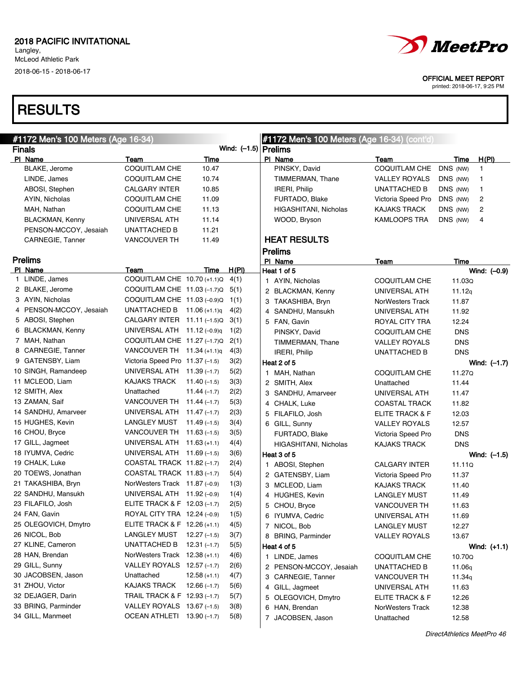# **RESULTS**



OFFICIAL MEET REPORT

| #1172 Men's 100 Meters (Age 16-34) |                                 | #1172 Men's 100 Meters (Age 16-34) (cont'd) |                        |   |                         |                      |            |                |
|------------------------------------|---------------------------------|---------------------------------------------|------------------------|---|-------------------------|----------------------|------------|----------------|
| <b>Finals</b>                      |                                 |                                             | Wind: $(-1.5)$ Prelims |   |                         |                      |            |                |
| PI Name                            | Team                            | Time                                        |                        |   | PI Name                 | Team                 | Time       | <u>H(PI)</u>   |
| BLAKE, Jerome                      | <b>COQUITLAM CHE</b>            | 10.47                                       |                        |   | PINSKY, David           | COQUITLAM CHE        | DNS (NW)   | 1              |
| LINDE, James                       | COQUITLAM CHE                   | 10.74                                       |                        |   | TIMMERMAN, Thane        | VALLEY ROYALS        | DNS (NW)   | 1              |
| ABOSI, Stephen                     | CALGARY INTER                   | 10.85                                       |                        |   | IRERI, Philip           | UNATTACHED B         | DNS (NW)   | 1              |
| AYIN, Nicholas                     | COQUITLAM CHE                   | 11.09                                       |                        |   | FURTADO, Blake          | Victoria Speed Pro   | DNS (NW)   | 2              |
| MAH, Nathan                        | COQUITLAM CHE                   | 11.13                                       |                        |   | HIGASHITANI, Nicholas   | <b>KAJAKS TRACK</b>  | DNS (NW)   | 2              |
| BLACKMAN, Kenny                    | UNIVERSAL ATH                   | 11.14                                       |                        |   | WOOD, Bryson            | <b>KAMLOOPS TRA</b>  | DNS (NW)   | 4              |
| PENSON-MCCOY, Jesaiah              | UNATTACHED B                    | 11.21                                       |                        |   |                         |                      |            |                |
| CARNEGIE, Tanner                   | <b>VANCOUVER TH</b>             | 11.49                                       |                        |   | <b>HEAT RESULTS</b>     |                      |            |                |
|                                    |                                 |                                             |                        |   | <b>Prelims</b>          |                      |            |                |
| <b>Prelims</b>                     |                                 |                                             |                        |   | PI Name                 | Team                 | Time       |                |
| PI Name                            | Team                            | Time                                        | <u>H(PI)</u>           |   | Heat 1 of 5             |                      |            | Wind: $(-0.9)$ |
| 1 LINDE, James                     | COQUITLAM CHE 10.70 (+1.1)Q     |                                             | 4(1)                   |   | 1 AYIN, Nicholas        | COQUITLAM CHE        | 11.03Q     |                |
| 2 BLAKE, Jerome                    | COQUITLAM CHE 11.03 (-1.7)Q     |                                             | 5(1)                   |   | 2 BLACKMAN, Kenny       | UNIVERSAL ATH        | 11.12q     |                |
| 3 AYIN, Nicholas                   | COQUITLAM CHE 11.03 (-0.9)Q     |                                             | 1(1)                   |   | 3 TAKASHIBA, Bryn       | NorWesters Track     | 11.87      |                |
| 4 PENSON-MCCOY, Jesaiah            | UNATTACHED B $11.06 (+1.1)q$    |                                             | 4(2)                   |   | 4 SANDHU, Mansukh       | UNIVERSAL ATH        | 11.92      |                |
| 5 ABOSI, Stephen                   | CALGARY INTER 11.11 (-1.5)Q     |                                             | 3(1)                   |   | 5 FAN, Gavin            | ROYAL CITY TRA       | 12.24      |                |
| 6 BLACKMAN, Kenny                  | UNIVERSAL ATH $11.12$ (-0.9)q   |                                             | 1(2)                   |   | PINSKY, David           | COQUITLAM CHE        | <b>DNS</b> |                |
| 7 MAH, Nathan                      | COQUITLAM CHE 11.27 (-1.7)Q     |                                             | 2(1)                   |   | TIMMERMAN, Thane        | <b>VALLEY ROYALS</b> | <b>DNS</b> |                |
| 8 CARNEGIE, Tanner                 | VANCOUVER TH $11.34$ (+1.1)g    |                                             | 4(3)                   |   | IRERI, Philip           | UNATTACHED B         | <b>DNS</b> |                |
| 9 GATENSBY, Liam                   | Victoria Speed Pro 11.37 (-1.5) |                                             | 3(2)                   |   | Heat 2 of 5             |                      |            | Wind: $(-1.7)$ |
| 10 SINGH, Ramandeep                | UNIVERSAL ATH 11.39 (-1.7)      |                                             | 5(2)                   |   | 1 MAH, Nathan           | COQUITLAM CHE        | 11.27Q     |                |
| 11 MCLEOD, Liam                    | <b>KAJAKS TRACK</b>             | $11.40(-1.5)$                               | 3(3)                   |   | 2 SMITH, Alex           | Unattached           | 11.44      |                |
| 12 SMITH, Alex                     | Unattached                      | $11.44(-1.7)$                               | 2(2)                   |   | 3 SANDHU, Amarveer      | UNIVERSAL ATH        | 11.47      |                |
| 13 ZAMAN, Saif                     | VANCOUVER TH 11.44 (-1.7)       |                                             | 5(3)                   |   | 4 CHALK, Luke           | <b>COASTAL TRACK</b> | 11.82      |                |
| 14 SANDHU, Amarveer                | UNIVERSAL ATH 11.47 (-1.7)      |                                             | 2(3)                   |   | 5 FILAFILO, Josh        | ELITE TRACK & F      | 12.03      |                |
| 15 HUGHES, Kevin                   | LANGLEY MUST                    | $11.49(-1.5)$                               | 3(4)                   |   | 6 GILL, Sunny           | <b>VALLEY ROYALS</b> | 12.57      |                |
| 16 CHOU, Bryce                     | VANCOUVER TH $11.63$ (-1.5)     |                                             | 3(5)                   |   | FURTADO, Blake          | Victoria Speed Pro   | <b>DNS</b> |                |
| 17 GILL, Jagmeet                   | UNIVERSAL ATH 11.63 (+1.1)      |                                             | 4(4)                   |   | HIGASHITANI, Nicholas   | <b>KAJAKS TRACK</b>  | <b>DNS</b> |                |
| 18 IYUMVA, Cedric                  | UNIVERSAL ATH 11.69 (-1.5)      |                                             | 3(6)                   |   | Heat 3 of 5             |                      |            | Wind: $(-1.5)$ |
| 19 CHALK, Luke                     | COASTAL TRACK 11.82 (-1.7)      |                                             | 2(4)                   |   | 1 ABOSI, Stephen        | <b>CALGARY INTER</b> | 11.11Q     |                |
| 20 TOEWS, Jonathan                 | COASTAL TRACK 11.83 (-1.7)      |                                             | 5(4)                   |   | 2 GATENSBY, Liam        | Victoria Speed Pro   | 11.37      |                |
| 21 TAKASHIBA, Bryn                 | NorWesters Track 11.87 (-0.9)   |                                             | 1(3)                   |   | 3 MCLEOD, Liam          | <b>KAJAKS TRACK</b>  | 11.40      |                |
| 22 SANDHU, Mansukh                 | UNIVERSAL ATH 11.92 (-0.9)      |                                             | 1(4)                   |   | 4 HUGHES, Kevin         | LANGLEY MUST         | 11.49      |                |
| 23 FILAFILO, Josh                  | ELITE TRACK & F 12.03 (-1.7)    |                                             | 2(5)                   |   | 5 CHOU, Bryce           | VANCOUVER TH         | 11.63      |                |
| 24 FAN, Gavin                      | ROYAL CITY TRA 12.24 (-0.9)     |                                             | 1(5)                   |   |                         |                      |            |                |
| 25 OLEGOVICH, Dmytro               | ELITE TRACK & F 12.26 (+1.1)    |                                             | 4(5)                   |   | 6 IYUMVA, Cedric        | UNIVERSAL ATH        | 11.69      |                |
| 26 NICOL, Bob                      | LANGLEY MUST 12.27 (-1.5)       |                                             | 3(7)                   |   | 7 NICOL, Bob            | <b>LANGLEY MUST</b>  | 12.27      |                |
| 27 KLINE, Cameron                  | UNATTACHED B                    | $12.31(-1.7)$                               | 5(5)                   |   | 8 BRING, Parminder      | <b>VALLEY ROYALS</b> | 13.67      |                |
| 28 HAN, Brendan                    | NorWesters Track 12.38 (+1.1)   |                                             | 4(6)                   |   | Heat 4 of 5             |                      |            | Wind: (+1.1)   |
| 29 GILL, Sunny                     | VALLEY ROYALS 12.57 (-1.7)      |                                             |                        |   | 1 LINDE, James          | COQUITLAM CHE        | 10.70Q     |                |
| 30 JACOBSEN, Jason                 | Unattached                      | $12.58(+1.1)$                               | 2(6)<br>4(7)           |   | 2 PENSON-MCCOY, Jesaiah | UNATTACHED B         | 11.06q     |                |
| 31 ZHOU, Victor                    | KAJAKS TRACK                    | $12.66(-1.7)$                               |                        |   | 3 CARNEGIE, Tanner      | <b>VANCOUVER TH</b>  | 11.34q     |                |
| 32 DEJAGER, Darin                  | TRAIL TRACK & F 12.93 (-1.7)    |                                             | 5(6)                   |   | 4 GILL, Jagmeet         | UNIVERSAL ATH        | 11.63      |                |
|                                    |                                 |                                             | 5(7)                   |   | 5 OLEGOVICH, Dmytro     | ELITE TRACK & F      | 12.26      |                |
| 33 BRING, Parminder                | VALLEY ROYALS 13.67 (-1.5)      |                                             | 3(8)                   |   | 6 HAN, Brendan          | NorWesters Track     | 12.38      |                |
| 34 GILL, Manmeet                   | OCEAN ATHLETI 13.90 (-1.7)      |                                             | 5(8)                   | 7 | JACOBSEN, Jason         | Unattached           | 12.58      |                |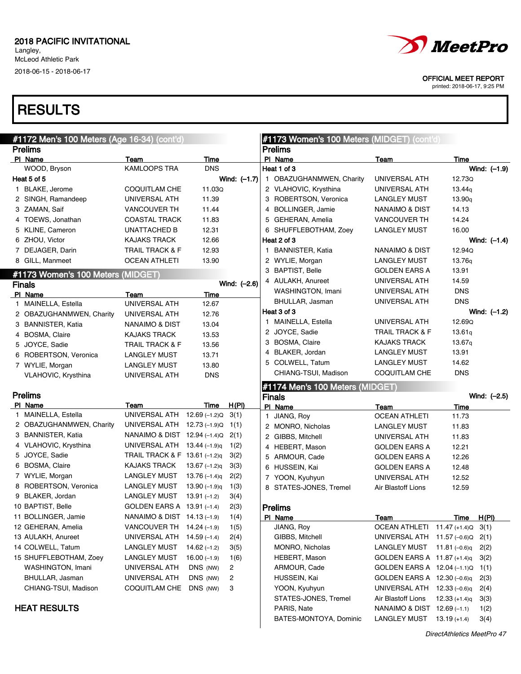# **RESULTS**

| #1172 Men's 100 Meters (Age 16-34) (cont'd) |                               |                 |                |              | #1173 Women's 100 Meters (MIDGET) (cont'd) |                                   |                    |                |
|---------------------------------------------|-------------------------------|-----------------|----------------|--------------|--------------------------------------------|-----------------------------------|--------------------|----------------|
| <b>Prelims</b>                              |                               |                 |                |              | <b>Prelims</b>                             |                                   |                    |                |
| PI Name                                     | Team                          | Time            |                |              | PI Name                                    | <b>Team</b>                       | Time               |                |
| WOOD, Bryson                                | <b>KAMLOOPS TRA</b>           | <b>DNS</b>      |                |              | Heat 1 of 3                                |                                   |                    | Wind: (-1.9)   |
| Heat 5 of 5                                 |                               |                 | Wind: $(-1.7)$ |              | 1 OBAZUGHANMWEN, Charity                   | UNIVERSAL ATH                     | 12.73Q             |                |
| 1 BLAKE, Jerome                             | COQUITLAM CHE                 | 11.03Q          |                |              | 2 VLAHOVIC, Krysthina                      | UNIVERSAL ATH                     | 13.44 <sub>g</sub> |                |
| 2 SINGH, Ramandeep                          | UNIVERSAL ATH                 | 11.39           |                |              | 3 ROBERTSON, Veronica                      | <b>LANGLEY MUST</b>               | 13.90 <sub>q</sub> |                |
| 3 ZAMAN, Saif                               | <b>VANCOUVER TH</b>           | 11.44           |                |              | 4 BOLLINGER, Jamie                         | NANAIMO & DIST                    | 14.13              |                |
| 4 TOEWS, Jonathan                           | <b>COASTAL TRACK</b>          | 11.83           |                |              | 5 GEHERAN, Amelia                          | <b>VANCOUVER TH</b>               | 14.24              |                |
| 5 KLINE, Cameron                            | <b>UNATTACHED B</b>           | 12.31           |                |              | 6 SHUFFLEBOTHAM, Zoey                      | LANGLEY MUST                      | 16.00              |                |
| 6 ZHOU, Victor                              | <b>KAJAKS TRACK</b>           | 12.66           |                |              | Heat 2 of 3                                |                                   |                    | Wind: $(-1.4)$ |
| 7 DEJAGER, Darin                            | <b>TRAIL TRACK &amp; F</b>    | 12.93           |                |              | 1 BANNISTER, Katia                         | NANAIMO & DIST                    | 12.94Q             |                |
| 8 GILL, Manmeet                             | <b>OCEAN ATHLETI</b>          | 13.90           |                |              | 2 WYLIE, Morgan                            | <b>LANGLEY MUST</b>               | 13.76 <sub>g</sub> |                |
| #1173 Women's 100 Meters (MIDGET)           |                               |                 |                |              | 3 BAPTIST, Belle                           | <b>GOLDEN EARS A</b>              | 13.91              |                |
| <b>Finals</b>                               |                               |                 | Wind: (-2.6)   |              | 4 AULAKH, Anureet                          | UNIVERSAL ATH                     | 14.59              |                |
| PI Name                                     | Team                          | Time            |                |              | WASHINGTON, Imani                          | UNIVERSAL ATH                     | <b>DNS</b>         |                |
| 1 MAINELLA, Estella                         | UNIVERSAL ATH                 | 12.67           |                |              | BHULLAR, Jasman                            | UNIVERSAL ATH                     | <b>DNS</b>         |                |
| 2 OBAZUGHANMWEN, Charity                    | UNIVERSAL ATH                 | 12.76           |                |              | Heat 3 of 3                                |                                   |                    | Wind: $(-1.2)$ |
| 3 BANNISTER, Katia                          | <b>NANAIMO &amp; DIST</b>     | 13.04           |                |              | 1 MAINELLA, Estella                        | UNIVERSAL ATH                     | 12.69Q             |                |
| 4 BOSMA, Claire                             | <b>KAJAKS TRACK</b>           | 13.53           |                |              | 2 JOYCE, Sadie                             | <b>TRAIL TRACK &amp; F</b>        | 13.61q             |                |
| 5 JOYCE, Sadie                              | <b>TRAIL TRACK &amp; F</b>    | 13.56           |                |              | 3 BOSMA, Claire                            | <b>KAJAKS TRACK</b>               | 13.67q             |                |
| 6 ROBERTSON, Veronica                       | <b>LANGLEY MUST</b>           | 13.71           |                |              | 4 BLAKER, Jordan                           | <b>LANGLEY MUST</b>               | 13.91              |                |
| 7 WYLIE, Morgan                             | <b>LANGLEY MUST</b>           | 13.80           |                |              | 5 COLWELL, Tatum                           | <b>LANGLEY MUST</b>               | 14.62              |                |
| VLAHOVIC, Krysthina                         | UNIVERSAL ATH                 | <b>DNS</b>      |                |              | CHIANG-TSUI, Madison                       | <b>COQUITLAM CHE</b>              | <b>DNS</b>         |                |
|                                             |                               |                 |                |              | #1174 Men's 100 Meters (MIDGET)            |                                   |                    |                |
| <b>Prelims</b>                              |                               |                 |                |              | <b>Finals</b>                              |                                   |                    | Wind: (-2.5)   |
| PI Name                                     | Team                          | Time            | H(PI)          |              | PI Name                                    | Team                              | Time               |                |
| 1 MAINELLA, Estella                         | UNIVERSAL ATH 12.69 (-1.2)Q   |                 | 3(1)           | $\mathbf{1}$ | JIANG, Roy                                 | <b>OCEAN ATHLETI</b>              | 11.73              |                |
| 2 OBAZUGHANMWEN, Charity                    | UNIVERSAL ATH 12.73 (-1.9)Q   |                 | 1(1)           |              | 2 MONRO, Nicholas                          | <b>LANGLEY MUST</b>               | 11.83              |                |
| 3 BANNISTER, Katia                          | NANAIMO & DIST 12.94 (-1.4)Q  |                 | 2(1)           |              | 2 GIBBS, Mitchell                          | UNIVERSAL ATH                     | 11.83              |                |
| 4 VLAHOVIC, Krysthina                       | UNIVERSAL ATH 13.44 (-1.9)q   |                 | 1(2)           |              | 4 HEBERT, Mason                            | <b>GOLDEN EARS A</b>              | 12.21              |                |
| 5 JOYCE, Sadie                              | TRAIL TRACK & F 13.61 (-1.2)q |                 | 3(2)           |              | 5 ARMOUR, Cade                             | <b>GOLDEN EARS A</b>              | 12.26              |                |
| 6 BOSMA, Claire                             | <b>KAJAKS TRACK</b>           | 13.67 $(-1.2)q$ | 3(3)           |              | 6 HUSSEIN, Kai                             | <b>GOLDEN EARS A</b>              | 12.48              |                |
| 7 WYLIE, Morgan                             | <b>LANGLEY MUST</b>           | $13.76(-1.4)q$  | 2(2)           |              | 7 YOON, Kyuhyun                            | UNIVERSAL ATH                     | 12.52              |                |
| 8 ROBERTSON, Veronica                       | <b>LANGLEY MUST</b>           | $13.90(-1.9)q$  | 1(3)           |              | 8 STATES-JONES, Tremel                     | Air Blastoff Lions                | 12.59              |                |
| 9 BLAKER, Jordan                            | <b>LANGLEY MUST</b>           | $13.91(-1.2)$   | 3(4)           |              |                                            |                                   |                    |                |
| 10 BAPTIST, Belle                           | GOLDEN EARS A 13.91 (-1.4)    |                 | 2(3)           |              | <b>Prelims</b>                             |                                   |                    |                |
| 11 BOLLINGER, Jamie                         | NANAIMO & DIST 14.13 (-1.9)   |                 | 1(4)           |              | PI Name                                    | Team                              | <u>Time</u>        | H(PI)          |
| 12 GEHERAN, Amelia                          | VANCOUVER TH $14.24$ (-1.9)   |                 | 1(5)           |              | JIANG, Roy                                 | OCEAN ATHLETI 11.47 (+1.4)Q       |                    | 3(1)           |
| 13 AULAKH, Anureet                          | UNIVERSAL ATH                 | $14.59(-1.4)$   | 2(4)           |              | GIBBS, Mitchell                            | UNIVERSAL ATH 11.57 (-0.6) Q 2(1) |                    |                |
| 14 COLWELL, Tatum                           | <b>LANGLEY MUST</b>           | $14.62(-1.2)$   | 3(5)           |              | MONRO, Nicholas                            | LANGLEY MUST $11.81$ (-0.6)q      |                    | 2(2)           |
| 15 SHUFFLEBOTHAM, Zoey                      | <b>LANGLEY MUST</b>           | $16.00(-1.9)$   | 1(6)           |              | HEBERT, Mason                              | GOLDEN EARS A 11.87 (+1.4)q       |                    | 3(2)           |
| WASHINGTON, Imani                           | UNIVERSAL ATH                 | DNS (NW)        | 2              |              | ARMOUR, Cade                               | GOLDEN EARS A 12.04 (-1.1)Q       |                    | 1(1)           |
| BHULLAR, Jasman                             | UNIVERSAL ATH                 | DNS (NW)        | 2              |              | HUSSEIN, Kai                               | GOLDEN EARS A 12.30 (-0.6)q       |                    | 2(3)           |
| CHIANG-TSUI, Madison                        | COQUITLAM CHE                 | DNS (NW)        | 3              |              | YOON, Kyuhyun                              | UNIVERSAL ATH 12.33 (-0.6)q       |                    | 2(4)           |
|                                             |                               |                 |                |              | STATES-JONES, Tremel                       | Air Blastoff Lions                | $12.33 (+1.4)q$    | 3(3)           |
| <b>HEAT RESULTS</b>                         |                               |                 |                |              | PARIS, Nate                                | NANAIMO & DIST 12.69 (-1.1)       |                    | 1(2)           |
|                                             |                               |                 |                |              | BATES-MONTOYA, Dominic                     | LANGLEY MUST $13.19 (+1.4)$       |                    | 3(4)           |
|                                             |                               |                 |                |              |                                            |                                   |                    |                |



OFFICIAL MEET REPORT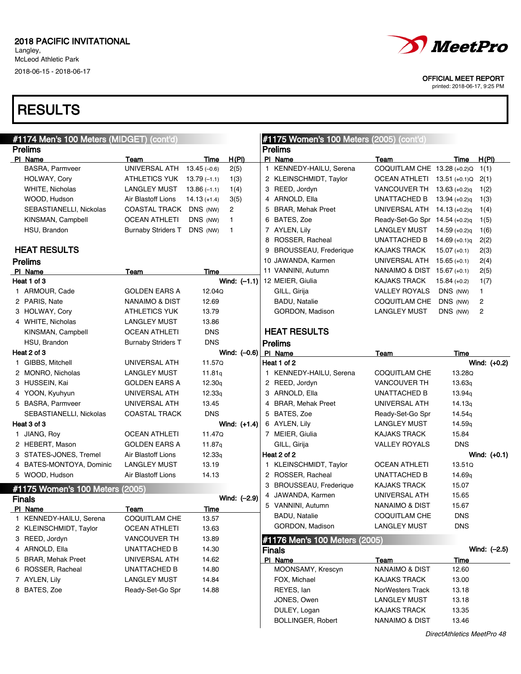# **RESULTS**

| #1174 Men's 100 Meters (MIDGET) (cont'd) |                            |                |                | #1175 Women's 100 Meters (2005) (cont'd) |                                |                    |                |
|------------------------------------------|----------------------------|----------------|----------------|------------------------------------------|--------------------------------|--------------------|----------------|
| <b>Prelims</b>                           |                            |                |                | <b>Prelims</b>                           |                                |                    |                |
| PI Name                                  | Team                       | Time           | H(PI)          | PI Name                                  | Team                           | Time               | H(PI)          |
| <b>BASRA, Parmveer</b>                   | UNIVERSAL ATH              | $13.45(-0.6)$  | 2(5)           | 1 KENNEDY-HAILU, Serena                  | COQUITLAM CHE 13.28 (+0.2)Q    |                    | 1(1)           |
| HOLWAY, Cory                             | ATHLETICS YUK 13.79 (-1.1) |                | 1(3)           | 2 KLEINSCHMIDT, Taylor                   | OCEAN ATHLETI 13.51 (+0.1)Q    |                    | 2(1)           |
| WHITE, Nicholas                          | LANGLEY MUST               | $13.86(-1.1)$  | 1(4)           | 3 REED, Jordyn                           | VANCOUVER TH                   | $13.63 (+0.2)q$    | 1(2)           |
| WOOD, Hudson                             | Air Blastoff Lions         | $14.13 (+1.4)$ | 3(5)           | 4 ARNOLD, Ella                           | UNATTACHED B                   | $13.94 (+0.2)q$    | 1(3)           |
| SEBASTIANELLI, Nickolas                  | COASTAL TRACK              | DNS (NW)       | 2              | 5 BRAR, Mehak Preet                      | UNIVERSAL ATH $14.13$ (+0.2)q  |                    | 1(4)           |
| KINSMAN, Campbell                        | <b>OCEAN ATHLETI</b>       | DNS (NW)       | $\mathbf{1}$   | 6 BATES, Zoe                             | Ready-Set-Go Spr 14.54 (+0.2)q |                    | 1(5)           |
| HSU, Brandon                             | <b>Burnaby Striders T</b>  | DNS (NW)       | $\mathbf{1}$   | 7 AYLEN, Lily                            | <b>LANGLEY MUST</b>            | $14.59 (+0.2)q$    | 1(6)           |
|                                          |                            |                |                | 8 ROSSER, Racheal                        | UNATTACHED B                   | $14.69 (+0.1)q$    | 2(2)           |
| <b>HEAT RESULTS</b>                      |                            |                |                | 9 BROUSSEAU, Frederique                  | KAJAKS TRACK                   | $15.07 (+0.1)$     | 2(3)           |
| <b>Prelims</b>                           |                            |                |                | 10 JAWANDA, Karmen                       | UNIVERSAL ATH                  | $15.65 (+0.1)$     | 2(4)           |
| PI Name                                  | Team                       | Time           |                | 11 VANNINI, Autumn                       | NANAIMO & DIST 15.67 (+0.1)    |                    | 2(5)           |
| Heat 1 of 3                              |                            |                | Wind: $(-1.1)$ | 12 MEIER, Giulia                         | <b>KAJAKS TRACK</b>            | $15.84 (+0.2)$     | 1(7)           |
| 1 ARMOUR, Cade                           | GOLDEN EARS A              | 12.04Q         |                | GILL, Girija                             | <b>VALLEY ROYALS</b>           | DNS (NW)           | $\mathbf{1}$   |
| 2 PARIS, Nate                            | NANAIMO & DIST             | 12.69          |                | <b>BADU, Natalie</b>                     | COQUITLAM CHE                  | DNS (NW)           | $\overline{c}$ |
| 3 HOLWAY, Cory                           | <b>ATHLETICS YUK</b>       | 13.79          |                | GORDON, Madison                          | <b>LANGLEY MUST</b>            | DNS (NW)           | $\overline{c}$ |
| 4 WHITE, Nicholas                        | LANGLEY MUST               | 13.86          |                |                                          |                                |                    |                |
| KINSMAN, Campbell                        | <b>OCEAN ATHLETI</b>       | <b>DNS</b>     |                | <b>HEAT RESULTS</b>                      |                                |                    |                |
| HSU, Brandon                             | <b>Burnaby Striders T</b>  | <b>DNS</b>     |                | <b>Prelims</b>                           |                                |                    |                |
| Heat 2 of 3                              |                            |                | Wind: $(-0.6)$ | PI Name                                  | Team                           | Time               |                |
| 1 GIBBS, Mitchell                        | UNIVERSAL ATH              | 11.57Q         |                | Heat 1 of 2                              |                                |                    | Wind: $(+0.2)$ |
| 2 MONRO, Nicholas                        | <b>LANGLEY MUST</b>        | 11.81q         |                | 1 KENNEDY-HAILU, Serena                  | <b>COQUITLAM CHE</b>           | 13.28Q             |                |
| 3 HUSSEIN, Kai                           | GOLDEN EARS A              | 12.30q         |                | 2 REED, Jordyn                           | <b>VANCOUVER TH</b>            | 13.63q             |                |
| 4 YOON, Kyuhyun                          | UNIVERSAL ATH              | 12.33q         |                | 3 ARNOLD, Ella                           | UNATTACHED B                   | 13.94g             |                |
| 5 BASRA, Parmveer                        | UNIVERSAL ATH              | 13.45          |                | 4 BRAR, Mehak Preet                      | UNIVERSAL ATH                  | 14.13q             |                |
| SEBASTIANELLI, Nickolas                  | <b>COASTAL TRACK</b>       | <b>DNS</b>     |                | 5 BATES, Zoe                             | Ready-Set-Go Spr               | 14.54g             |                |
| Heat 3 of 3                              |                            |                | Wind: (+1.4)   | 6 AYLEN, Lily                            | LANGLEY MUST                   | 14.59 <sub>g</sub> |                |
| 1 JIANG, Roy                             | <b>OCEAN ATHLETI</b>       | 11.47Q         |                | 7 MEIER, Giulia                          | KAJAKS TRACK                   | 15.84              |                |
| 2 HEBERT, Mason                          | <b>GOLDEN EARS A</b>       | 11.87g         |                | GILL, Girija                             | <b>VALLEY ROYALS</b>           | <b>DNS</b>         |                |
| 3 STATES-JONES, Tremel                   | Air Blastoff Lions         | 12.33q         |                | Heat 2 of 2                              |                                |                    | Wind: $(+0.1)$ |
| 4 BATES-MONTOYA, Dominic                 | <b>LANGLEY MUST</b>        | 13.19          |                | 1 KLEINSCHMIDT, Taylor                   | <b>OCEAN ATHLETI</b>           | 13.51Q             |                |
| 5 WOOD, Hudson                           | Air Blastoff Lions         | 14.13          |                | 2 ROSSER, Racheal                        | UNATTACHED B                   | 14.69 <sub>q</sub> |                |
|                                          |                            |                |                | 3 BROUSSEAU, Frederique                  | KAJAKS TRACK                   | 15.07              |                |
| #1175 Women's 100 Meters (2005)          |                            |                |                | 4 JAWANDA, Karmen                        | UNIVERSAL ATH                  | 15.65              |                |
| <b>Finals</b>                            |                            |                | Wind: (-2.9)   | 5 VANNINI, Autumn                        | <b>NANAIMO &amp; DIST</b>      | 15.67              |                |
| PI Name                                  | Team                       | Time           |                | <b>BADU, Natalie</b>                     | COQUITLAM CHE                  | <b>DNS</b>         |                |
| 1 KENNEDY-HAILU, Serena                  | COQUITLAM CHE              | 13.57          |                | GORDON, Madison                          | LANGLEY MUST                   | <b>DNS</b>         |                |
| 2 KLEINSCHMIDT, Taylor                   | <b>OCEAN ATHLETI</b>       | 13.63          |                |                                          |                                |                    |                |
| 3 REED, Jordyn                           | VANCOUVER TH               | 13.89          |                | #1176 Men's 100 Meters (2005)            |                                |                    |                |
| 4 ARNOLD, Ella                           | UNATTACHED B               | 14.30          |                | <b>Finals</b>                            |                                |                    | Wind: $(-2.5)$ |
| 5 BRAR, Mehak Preet                      | UNIVERSAL ATH              | 14.62          |                | PI Name                                  | Team                           | <b>Time</b>        |                |
| 6 ROSSER, Racheal                        | <b>UNATTACHED B</b>        | 14.80          |                | MOONSAMY, Krescyn                        | <b>NANAIMO &amp; DIST</b>      | 12.60              |                |
| 7 AYLEN, Lily                            | <b>LANGLEY MUST</b>        | 14.84          |                | FOX, Michael                             | KAJAKS TRACK                   | 13.00              |                |
| 8 BATES, Zoe                             | Ready-Set-Go Spr           | 14.88          |                | REYES, Ian                               | NorWesters Track               | 13.18              |                |
|                                          |                            |                |                | JONES, Owen                              | <b>LANGLEY MUST</b>            | 13.18              |                |
|                                          |                            |                |                | DULEY, Logan                             | KAJAKS TRACK                   | 13.35              |                |
|                                          |                            |                |                | <b>BOLLINGER, Robert</b>                 | <b>NANAIMO &amp; DIST</b>      | 13.46              |                |



OFFICIAL MEET REPORT

printed: 2018-06-17, 9:25 PM

DirectAthletics MeetPro 48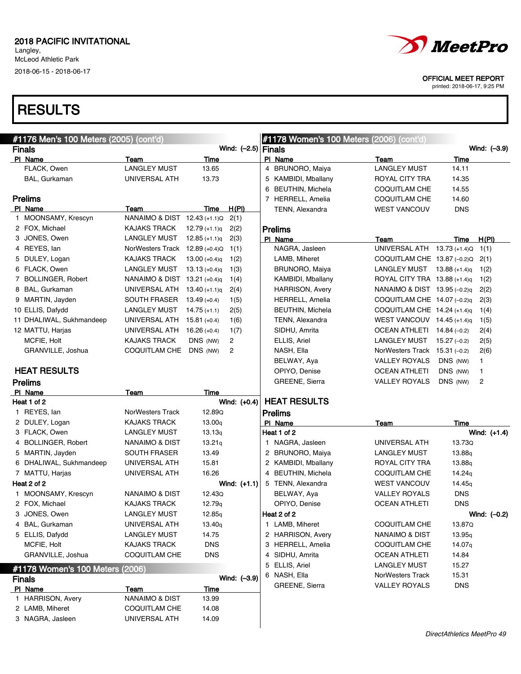

OFFICIAL MEET REPORT

printed: 2018-06-17, 9:25 PM

| #1176 Men's 100 Meters (2005) (cont'd) |                                                       |                      |                       |   | #1178 Women's 100 Meters (2006) (cont'd) |      |                                              |                      |                                |
|----------------------------------------|-------------------------------------------------------|----------------------|-----------------------|---|------------------------------------------|------|----------------------------------------------|----------------------|--------------------------------|
| <b>Finals</b>                          |                                                       |                      | Wind: $(-2.5)$ Finals |   |                                          |      |                                              |                      | Wind: (-3.9)                   |
| PI Name                                | Team                                                  | Time                 |                       |   | PI Name                                  | Team |                                              | Time                 |                                |
| FLACK, Owen                            | <b>LANGLEY MUST</b>                                   | 13.65                |                       |   | 4 BRUNORO, Maiya                         |      | <b>LANGLEY MUST</b>                          | 14.11                |                                |
| BAL, Gurkaman                          | UNIVERSAL ATH                                         | 13.73                |                       |   | 5 KAMBIDI, Mballany                      |      | ROYAL CITY TRA                               | 14.35                |                                |
|                                        |                                                       |                      |                       | 6 | <b>BEUTHIN, Michela</b>                  |      | COQUITLAM CHE                                | 14.55                |                                |
| <b>Prelims</b>                         |                                                       |                      |                       |   | 7 HERRELL, Amelia                        |      | <b>COQUITLAM CHE</b>                         | 14.60                |                                |
| PI Name                                | Team                                                  | Time                 | H(PI)                 |   | TENN, Alexandra                          |      | <b>WEST VANCOUV</b>                          | <b>DNS</b>           |                                |
| 1 MOONSAMY, Krescyn                    | NANAIMO & DIST 12.43 (+1.1)Q                          |                      | 2(1)                  |   |                                          |      |                                              |                      |                                |
| 2 FOX, Michael                         | <b>KAJAKS TRACK</b>                                   | $12.79 (+1.1)q$      | 2(2)                  |   | <b>Prelims</b>                           |      |                                              |                      |                                |
| 3 JONES, Owen<br>4 REYES, lan          | <b>LANGLEY MUST</b><br>NorWesters Track 12.89 (+0.4)Q | $12.85 (+1.1)q$      | 2(3)                  |   | PI Name<br>NAGRA, Jasleen                | Team | UNIVERSAL ATH 13.73 (+1.4)Q                  | Time                 | H(PI)                          |
|                                        |                                                       |                      | 1(1)                  |   |                                          |      |                                              |                      | 1(1)                           |
| 5 DULEY, Logan                         | <b>KAJAKS TRACK</b>                                   | $13.00 (+0.4)q$      | 1(2)                  |   | LAMB, Miheret                            |      | COQUITLAM CHE 13.87 (-0.2)Q                  |                      | 2(1)                           |
| 6 FLACK, Owen                          | <b>LANGLEY MUST</b>                                   | $13.13 (+0.4)q$      | 1(3)                  |   | <b>BRUNORO, Maiya</b>                    |      | LANGLEY MUST $13.88$ (+1.4)q                 |                      | 1(2)                           |
| 7 BOLLINGER, Robert                    | NANAIMO & DIST 13.21 (+0.4)q                          |                      | 1(4)                  |   | KAMBIDI, Mballany                        |      | ROYAL CITY TRA 13.88 (+1.4)q                 |                      | 1(2)                           |
| 8 BAL, Gurkaman                        | UNIVERSAL ATH                                         | $13.40 (+1.1)q$      | 2(4)                  |   | <b>HARRISON, Avery</b>                   |      | NANAIMO & DIST 13.95 (-0.2)q                 |                      | 2(2)                           |
| 9 MARTIN, Jayden                       | <b>SOUTH FRASER</b>                                   | $13.49 (+0.4)$       | 1(5)                  |   | <b>HERRELL, Amelia</b>                   |      | COQUITLAM CHE $14.07$ (-0.2)q                |                      | 2(3)                           |
| 10 ELLIS, Dafydd                       | <b>LANGLEY MUST</b>                                   | $14.75 (+1.1)$       | 2(5)                  |   | <b>BEUTHIN, Michela</b>                  |      | COQUITLAM CHE 14.24 $(+1.4)q$                |                      | 1(4)                           |
| 11 DHALIWAL, Sukhmandeep               | UNIVERSAL ATH                                         | $15.81 (+0.4)$       | 1(6)                  |   | TENN, Alexandra                          |      | WEST VANCOUV 14.45 (+1.4)q                   |                      | 1(5)                           |
| 12 MATTU, Harjas                       | UNIVERSAL ATH                                         | $16.26 (+0.4)$       | 1(7)                  |   | SIDHU, Amrita                            |      | OCEAN ATHLETI 14.84 (-0.2)                   |                      | 2(4)                           |
| MCFIE, Holt                            | <b>KAJAKS TRACK</b>                                   | DNS (NW)             | 2                     |   | ELLIS, Ariel                             |      | LANGLEY MUST                                 | $15.27(-0.2)$        | 2(5)                           |
| GRANVILLE, Joshua                      | COQUITLAM CHE                                         | DNS (NW)             | 2                     |   | NASH, Ella                               |      | NorWesters Track 15.31 (-0.2)                |                      | 2(6)                           |
| <b>HEAT RESULTS</b>                    |                                                       |                      |                       |   | BELWAY, Aya                              |      | <b>VALLEY ROYALS</b>                         | DNS (NW)             | 1                              |
|                                        |                                                       |                      |                       |   | OPIYO, Denise<br>GREENE, Sierra          |      | <b>OCEAN ATHLETI</b><br><b>VALLEY ROYALS</b> | DNS (NW)<br>DNS (NW) | $\mathbf{1}$<br>$\overline{c}$ |
| <b>Prelims</b>                         |                                                       |                      |                       |   |                                          |      |                                              |                      |                                |
| PI Name<br>Heat 1 of 2                 | Team                                                  | Time                 | Wind: (+0.4)          |   | <b>HEAT RESULTS</b>                      |      |                                              |                      |                                |
| 1 REYES, lan                           | NorWesters Track                                      | 12.89Q               |                       |   | <b>Prelims</b>                           |      |                                              |                      |                                |
| 2 DULEY, Logan                         | <b>KAJAKS TRACK</b>                                   | 13.00q               |                       |   | PI Name                                  | Team |                                              | Time                 |                                |
| 3 FLACK, Owen                          | <b>LANGLEY MUST</b>                                   | 13.13q               |                       |   | Heat 1 of 2                              |      |                                              |                      | Wind: (+1.4)                   |
| 4 BOLLINGER, Robert                    | NANAIMO & DIST                                        | 13.21q               |                       |   | 1 NAGRA, Jasleen                         |      | UNIVERSAL ATH                                | 13.73Q               |                                |
| 5 MARTIN, Jayden                       | <b>SOUTH FRASER</b>                                   | 13.49                |                       |   | 2 BRUNORO, Maiya                         |      | LANGLEY MUST                                 | 13.88g               |                                |
| 6 DHALIWAL, Sukhmandeep                | UNIVERSAL ATH                                         | 15.81                |                       |   | 2 KAMBIDI, Mballany                      |      | ROYAL CITY TRA                               | 13.88q               |                                |
| 7 MATTU, Harjas                        | UNIVERSAL ATH                                         | 16.26                |                       |   | 4 BEUTHIN, Michela                       |      | COQUITLAM CHE                                | 14.24g               |                                |
| Heat 2 of 2                            |                                                       |                      | Wind: $(+1.1)$        |   | 5 TENN, Alexandra                        |      | <b>WEST VANCOUV</b>                          | 14.45 <sub>q</sub>   |                                |
| 1 MOONSAMY, Krescyn                    | NANAIMO & DIST                                        | 12.43Q               |                       |   | BELWAY, Aya                              |      | VALLEY ROYALS                                | <b>DNS</b>           |                                |
| 2 FOX, Michael                         | <b>KAJAKS TRACK</b>                                   | 12.79 <sub>q</sub>   |                       |   | OPIYO, Denise                            |      | <b>OCEAN ATHLETI</b>                         | <b>DNS</b>           |                                |
| 3 JONES, Owen                          | <b>LANGLEY MUST</b>                                   | 12.85q               |                       |   | Heat 2 of 2                              |      |                                              |                      | Wind: $(-0.2)$                 |
| 4 BAL, Gurkaman                        | UNIVERSAL ATH                                         | 13.40q               |                       |   | 1 LAMB, Miheret                          |      | <b>COQUITLAM CHE</b>                         | 13.87Q               |                                |
| 5 ELLIS, Dafydd                        | <b>LANGLEY MUST</b>                                   | 14.75                |                       |   | 2 HARRISON, Avery                        |      | NANAIMO & DIST                               | 13.95 <sub>q</sub>   |                                |
| MCFIE, Holt                            | KAJAKS TRACK                                          | <b>DNS</b>           |                       |   | 3 HERRELL, Amelia                        |      | <b>COQUITLAM CHE</b>                         | 14.07q               |                                |
| GRANVILLE, Joshua                      | <b>COQUITLAM CHE</b>                                  | <b>DNS</b>           |                       |   | 4 SIDHU, Amrita                          |      | OCEAN ATHLETI                                | 14.84                |                                |
|                                        |                                                       |                      |                       |   | 5 ELLIS, Ariel                           |      | <b>LANGLEY MUST</b>                          | 15.27                |                                |
| #1178 Women's 100 Meters (2006)        |                                                       |                      | Wind: (-3.9)          |   | 6 NASH, Ella                             |      | NorWesters Track                             | 15.31                |                                |
| <b>Finals</b>                          |                                                       |                      |                       |   | GREENE, Sierra                           |      | <b>VALLEY ROYALS</b>                         | <b>DNS</b>           |                                |
| PI Name<br>1 HARRISON, Avery           | <b>Team</b><br><b>NANAIMO &amp; DIST</b>              | <b>Time</b><br>13.99 |                       |   |                                          |      |                                              |                      |                                |
| 2 LAMB, Miheret                        | <b>COQUITLAM CHE</b>                                  | 14.08                |                       |   |                                          |      |                                              |                      |                                |
| 3 NAGRA, Jasleen                       | UNIVERSAL ATH                                         | 14.09                |                       |   |                                          |      |                                              |                      |                                |
|                                        |                                                       |                      |                       |   |                                          |      |                                              |                      |                                |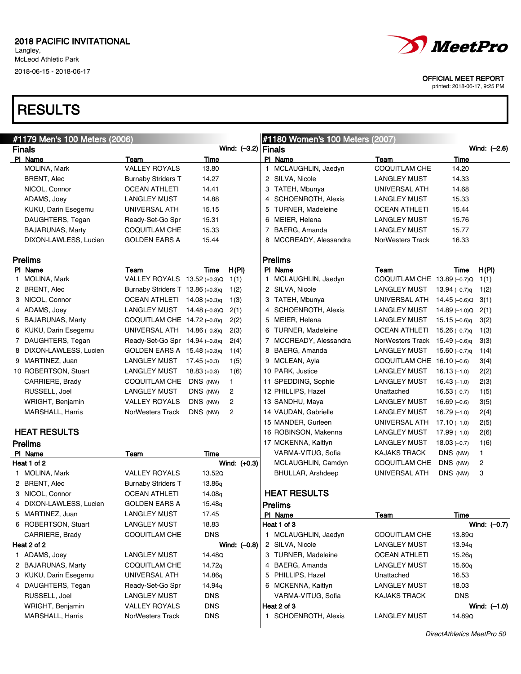# **RESULTS**



OFFICIAL MEET REPORT

| #1179 Men's 100 Meters (2006) |                                  |                    |                       | #1180 Women's 100 Meters (2007) |                                |                 |                |
|-------------------------------|----------------------------------|--------------------|-----------------------|---------------------------------|--------------------------------|-----------------|----------------|
| <b>Finals</b>                 |                                  |                    | Wind: $(-3.2)$ Finals |                                 |                                |                 | Wind: (-2.6)   |
| PI Name                       | Team                             | Time               |                       | PI Name                         | Team                           | Time            |                |
| MOLINA, Mark                  | <b>VALLEY ROYALS</b>             | 13.80              |                       | 1 MCLAUGHLIN, Jaedyn            | COQUITLAM CHE                  | 14.20           |                |
| <b>BRENT, Alec</b>            | <b>Burnaby Striders T</b>        | 14.27              |                       | 2 SILVA, Nicole                 | <b>LANGLEY MUST</b>            | 14.33           |                |
| NICOL, Connor                 | <b>OCEAN ATHLETI</b>             | 14.41              |                       | 3 TATEH, Mbunya                 | UNIVERSAL ATH                  | 14.68           |                |
| ADAMS, Joey                   | <b>LANGLEY MUST</b>              | 14.88              |                       | 4 SCHOENROTH, Alexis            | <b>LANGLEY MUST</b>            | 15.33           |                |
| KUKU, Darin Esegemu           | UNIVERSAL ATH                    | 15.15              |                       | 5 TURNER, Madeleine             | <b>OCEAN ATHLETI</b>           | 15.44           |                |
| DAUGHTERS, Tegan              | Ready-Set-Go Spr                 | 15.31              |                       | 6 MEIER, Helena                 | <b>LANGLEY MUST</b>            | 15.76           |                |
| <b>BAJARUNAS, Marty</b>       | COQUITLAM CHE                    | 15.33              |                       | 7 BAERG, Amanda                 | <b>LANGLEY MUST</b>            | 15.77           |                |
| DIXON-LAWLESS, Lucien         | <b>GOLDEN EARS A</b>             | 15.44              |                       | 8 MCCREADY, Alessandra          | NorWesters Track               | 16.33           |                |
| <b>Prelims</b>                |                                  |                    |                       | <b>Prelims</b>                  |                                |                 |                |
| PI Name                       | Team                             | Time               | <u>H(PI)</u>          | PI Name                         | Team                           | Time            | H(P)           |
| 1 MOLINA, Mark                | VALLEY ROYALS 13.52 (+0.3)Q      |                    | 1(1)                  | 1 MCLAUGHLIN, Jaedyn            | COQUITLAM CHE 13.89 (-0.7)Q    |                 | 1(1)           |
| 2 BRENT, Alec                 | Burnaby Striders T 13.86 (+0.3)q |                    | 1(2)                  | 2 SILVA, Nicole                 | LANGLEY MUST                   | 13.94 $(-0.7)q$ | 1(2)           |
| 3 NICOL, Connor               | OCEAN ATHLETI $14.08$ (+0.3)q    |                    | 1(3)                  | 3 TATEH, Mbunya                 | UNIVERSAL ATH $14.45$ (-0.6)Q  |                 | 3(1)           |
| 4 ADAMS, Joey                 | LANGLEY MUST                     | 14.48 (–0.8)Q      | 2(1)                  | 4 SCHOENROTH, Alexis            | LANGLEY MUST                   | $14.89(-1.0)Q$  | 2(1)           |
| 5 BAJARUNAS, Marty            | COQUITLAM CHE 14.72 (-0.8)q      |                    | 2(2)                  | 5 MEIER, Helena                 | <b>LANGLEY MUST</b>            | $15.15(-0.6)q$  | 3(2)           |
| 6 KUKU, Darin Esegemu         | UNIVERSAL ATH $14.86$ (-0.8)q    |                    | 2(3)                  | 6 TURNER, Madeleine             | OCEAN ATHLETI $15.26$ (-0.7)g  |                 | 1(3)           |
| 7 DAUGHTERS, Tegan            | Ready-Set-Go Spr 14.94 (-0.8)q   |                    | 2(4)                  | 7 MCCREADY, Alessandra          | NorWesters Track 15.49 (-0.6)q |                 | 3(3)           |
| 8 DIXON-LAWLESS, Lucien       | GOLDEN EARS A 15.48 (+0.3)q      |                    | 1(4)                  | 8 BAERG, Amanda                 | <b>LANGLEY MUST</b>            | 15.60 $(-0.7)q$ | 1(4)           |
| 9 MARTINEZ, Juan              | LANGLEY MUST                     | $17.45 (+0.3)$     | 1(5)                  | 9 MCLEAN, Ayla                  | COQUITLAM CHE $16.10$ (-0.6)   |                 | 3(4)           |
| 10 ROBERTSON, Stuart          | LANGLEY MUST                     | $18.83 (+0.3)$     | 1(6)                  | 10 PARK, Justice                | LANGLEY MUST                   | $16.13(-1.0)$   | 2(2)           |
| CARRIERE, Brady               | COQUITLAM CHE                    | DNS (NW)           | 1.                    | 11 SPEDDING, Sophie             | <b>LANGLEY MUST</b>            | $16.43(-1.0)$   | 2(3)           |
| RUSSELL, Joel                 | LANGLEY MUST                     | DNS (NW)           | 2                     | 12 PHILLIPS, Hazel              | Unattached                     | $16.53(-0.7)$   | 1(5)           |
| WRIGHT, Benjamin              | <b>VALLEY ROYALS</b>             | DNS (NW)           | 2                     | 13 SANDHU, Maya                 | <b>LANGLEY MUST</b>            | $16.69(-0.6)$   | 3(5)           |
| <b>MARSHALL, Harris</b>       | NorWesters Track                 | DNS (NW)           | 2                     | 14 VAUDAN, Gabrielle            | <b>LANGLEY MUST</b>            | $16.79(-1.0)$   | 2(4)           |
|                               |                                  |                    |                       | 15 MANDER, Gurleen              | UNIVERSAL ATH                  | $17.10(-1.0)$   | 2(5)           |
| <b>HEAT RESULTS</b>           |                                  |                    |                       | 16 ROBINSON, Makenna            | <b>LANGLEY MUST</b>            | $17.99(-1.0)$   | 2(6)           |
| <b>Prelims</b>                |                                  |                    |                       | 17 MCKENNA, Kaitlyn             | <b>LANGLEY MUST</b>            | $18.03(-0.7)$   | 1(6)           |
| PI Name                       | Team                             | Time               |                       | VARMA-VITUG, Sofia              | <b>KAJAKS TRACK</b>            | DNS (NW)        | 1              |
| Heat 1 of 2                   |                                  |                    | Wind: $(+0.3)$        | MCLAUGHLIN, Camdyn              | COQUITLAM CHE                  | DNS (NW)        | 2              |
| 1 MOLINA, Mark                | <b>VALLEY ROYALS</b>             | 13.52Q             |                       | BHULLAR, Arshdeep               | <b>UNIVERSAL ATH</b>           | DNS (NW)        | 3              |
| 2 BRENT, Alec                 | <b>Burnaby Striders T</b>        | 13.86 <sub>g</sub> |                       |                                 |                                |                 |                |
| 3 NICOL, Connor               | <b>OCEAN ATHLETI</b>             | 14.08 <sub>q</sub> |                       | <b>HEAT RESULTS</b>             |                                |                 |                |
| 4 DIXON-LAWLESS, Lucien       | <b>GOLDEN EARS A</b>             | 15.48 <sub>g</sub> |                       | <b>Prelims</b>                  |                                |                 |                |
| 5 MARTINEZ, Juan              | <b>LANGLEY MUST</b>              | 17.45              |                       | PI Name                         | <b>Team</b>                    | <u>Time</u>     |                |
| 6 ROBERTSON, Stuart           | <b>LANGLEY MUST</b>              | 18.83              |                       | Heat 1 of 3                     |                                |                 | Wind: (-0.7)   |
| CARRIERE, Brady               | COQUITLAM CHE                    | <b>DNS</b>         |                       | 1 MCLAUGHLIN, Jaedyn            | COQUITLAM CHE                  | 13.89Q          |                |
| Heat 2 of 2                   |                                  |                    | Wind: (-0.8)          | 2 SILVA, Nicole                 | <b>LANGLEY MUST</b>            | 13.94q          |                |
| 1 ADAMS, Joey                 | <b>LANGLEY MUST</b>              | 14.48Q             |                       | 3 TURNER, Madeleine             | <b>OCEAN ATHLETI</b>           | 15.26q          |                |
| 2 BAJARUNAS, Marty            | <b>COQUITLAM CHE</b>             | 14.72 <sub>q</sub> |                       | 4 BAERG, Amanda                 | <b>LANGLEY MUST</b>            | 15.60q          |                |
| 3 KUKU, Darin Esegemu         | UNIVERSAL ATH                    | 14.86 <sub>g</sub> |                       | 5 PHILLIPS, Hazel               | Unattached                     | 16.53           |                |
| 4 DAUGHTERS, Tegan            | Ready-Set-Go Spr                 | 14.94q             |                       | 6 MCKENNA, Kaitlyn              | <b>LANGLEY MUST</b>            | 18.03           |                |
| RUSSELL, Joel                 | <b>LANGLEY MUST</b>              | <b>DNS</b>         |                       | VARMA-VITUG, Sofia              | KAJAKS TRACK                   | <b>DNS</b>      |                |
| WRIGHT, Benjamin              | <b>VALLEY ROYALS</b>             | <b>DNS</b>         |                       | Heat 2 of 3                     |                                |                 | Wind: $(-1.0)$ |
| MARSHALL, Harris              | <b>NorWesters Track</b>          | <b>DNS</b>         |                       | 1 SCHOENROTH, Alexis            | <b>LANGLEY MUST</b>            | 14.89Q          |                |
|                               |                                  |                    |                       |                                 |                                |                 |                |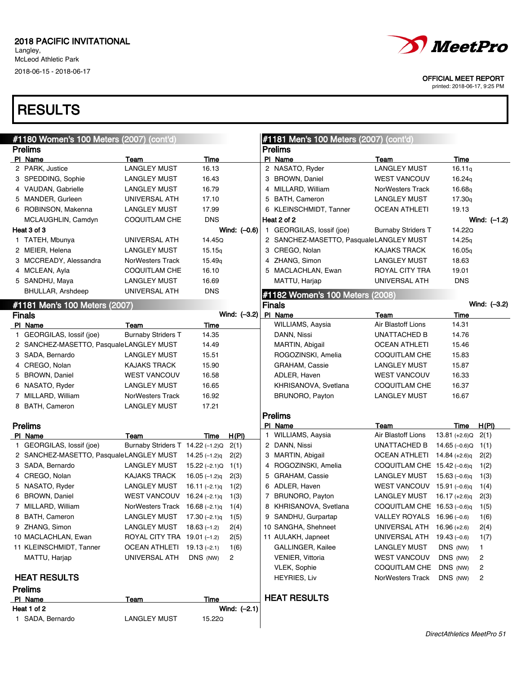# **RESULTS**



OFFICIAL MEET REPORT

| #1180 Women's 100 Meters (2007) (cont'd) |                                     |                 |                | #1181 Men's 100 Meters (2007) (cont'd)  |                                  |                    |                |
|------------------------------------------|-------------------------------------|-----------------|----------------|-----------------------------------------|----------------------------------|--------------------|----------------|
| <b>Prelims</b>                           |                                     |                 |                | <b>Prelims</b>                          |                                  |                    |                |
| PI Name                                  | Team                                | Time            |                | PI Name                                 | <b>Team</b>                      | Time               |                |
| 2 PARK, Justice                          | <b>LANGLEY MUST</b>                 | 16.13           |                | 2 NASATO, Ryder                         | <b>LANGLEY MUST</b>              | 16.11q             |                |
| 3 SPEDDING, Sophie                       | <b>LANGLEY MUST</b>                 | 16.43           |                | 3 BROWN, Daniel                         | <b>WEST VANCOUV</b>              | 16.24q             |                |
| 4 VAUDAN, Gabrielle                      | <b>LANGLEY MUST</b>                 | 16.79           |                | 4 MILLARD, William                      | <b>NorWesters Track</b>          | 16.68g             |                |
| 5 MANDER, Gurleen                        | UNIVERSAL ATH                       | 17.10           |                | 5 BATH, Cameron                         | <b>LANGLEY MUST</b>              | 17.30 <sub>g</sub> |                |
| 6 ROBINSON, Makenna                      | <b>LANGLEY MUST</b>                 | 17.99           |                | 6 KLEINSCHMIDT, Tanner                  | OCEAN ATHLETI                    | 19.13              |                |
| MCLAUGHLIN, Camdyn                       | COQUITLAM CHE                       | <b>DNS</b>      |                | Heat 2 of 2                             |                                  |                    | Wind: $(-1.2)$ |
| Heat 3 of 3                              |                                     |                 | Wind: (-0.6)   | 1 GEORGILAS, lossif (joe)               | <b>Burnaby Striders T</b>        | 14.22Q             |                |
| 1 TATEH, Mbunya                          | UNIVERSAL ATH                       | 14.45Q          |                | 2 SANCHEZ-MASETTO, PasqualeLANGLEY MUST |                                  | 14.25q             |                |
| 2 MEIER, Helena                          | <b>LANGLEY MUST</b>                 | 15.15q          |                | 3 CREGO, Nolan                          | <b>KAJAKS TRACK</b>              | 16.05q             |                |
| 3 MCCREADY, Alessandra                   | NorWesters Track                    | 15.49q          |                | 4 ZHANG, Simon                          | <b>LANGLEY MUST</b>              | 18.63              |                |
| 4 MCLEAN, Ayla                           | COQUITLAM CHE                       | 16.10           |                | 5 MACLACHLAN, Ewan                      | ROYAL CITY TRA                   | 19.01              |                |
| 5 SANDHU, Maya                           | <b>LANGLEY MUST</b>                 | 16.69           |                | MATTU, Harjap                           | UNIVERSAL ATH                    | <b>DNS</b>         |                |
| BHULLAR, Arshdeep                        | UNIVERSAL ATH                       | <b>DNS</b>      |                | #1182 Women's 100 Meters (2008)         |                                  |                    |                |
| #1181 Men's 100 Meters (2007)            |                                     |                 |                | <b>Finals</b>                           |                                  |                    | Wind: $(-3.2)$ |
| <b>Finals</b>                            |                                     |                 | Wind: $(-3.2)$ | PI Name                                 | <b>Team</b>                      | Time               |                |
| PI Name                                  | Team                                | Time            |                | <b>WILLIAMS, Aaysia</b>                 | Air Blastoff Lions               | 14.31              |                |
| 1 GEORGILAS, lossif (joe)                | <b>Burnaby Striders T</b>           | 14.35           |                | DANN, Nissi                             | UNATTACHED B                     | 14.76              |                |
| 2 SANCHEZ-MASETTO, PasqualeLANGLEY MUST  |                                     | 14.49           |                | MARTIN, Abigail                         | <b>OCEAN ATHLETI</b>             | 15.46              |                |
| 3 SADA, Bernardo                         | <b>LANGLEY MUST</b>                 | 15.51           |                | ROGOZINSKI, Amelia                      | COQUITLAM CHE                    | 15.83              |                |
| 4 CREGO, Nolan                           | <b>KAJAKS TRACK</b>                 | 15.90           |                | GRAHAM, Cassie                          | <b>LANGLEY MUST</b>              | 15.87              |                |
| 5 BROWN, Daniel                          | <b>WEST VANCOUV</b>                 | 16.58           |                | ADLER, Haven                            | <b>WEST VANCOUV</b>              | 16.33              |                |
| 6 NASATO, Ryder                          | <b>LANGLEY MUST</b>                 | 16.65           |                | KHRISANOVA, Svetlana                    | COQUITLAM CHE                    | 16.37              |                |
| 7 MILLARD, William                       | NorWesters Track                    | 16.92           |                | BRUNORO, Payton                         | <b>LANGLEY MUST</b>              | 16.67              |                |
| 8 BATH, Cameron                          | <b>LANGLEY MUST</b>                 | 17.21           |                |                                         |                                  |                    |                |
|                                          |                                     |                 |                | <b>Prelims</b>                          |                                  |                    |                |
| <b>Prelims</b>                           |                                     |                 |                | PI Name                                 | Team                             | Time               | H(PI)          |
| PI Name                                  | Team                                | Time            | H(PI)          | 1 WILLIAMS, Aaysia                      | Air Blastoff Lions               | $13.81 (+2.6)Q$    | 2(1)           |
| 1 GEORGILAS, lossif (joe)                | Burnaby Striders T 14.22 (-1.2)Q    |                 | 2(1)           | 2 DANN, Nissi                           | UNATTACHED B                     | 14.65 $(-0.6)Q$    | 1(1)           |
| 2 SANCHEZ-MASETTO, PasqualeLANGLEY MUST  |                                     | $14.25(-1.2)q$  | 2(2)           | 3 MARTIN, Abigail                       | OCEAN ATHLETI 14.84 (+2.6)q      |                    | 2(2)           |
| 3 SADA, Bernardo                         | <b>LANGLEY MUST</b>                 | $15.22(-2.1)Q$  | 1(1)           | 4 ROGOZINSKI, Amelia                    | COQUITLAM CHE $15.42$ (-0.6)q    |                    | 1(2)           |
| 4 CREGO, Nolan                           | <b>KAJAKS TRACK</b>                 | 16.05 $(-1.2)q$ | 2(3)           | 5 GRAHAM, Cassie                        | <b>LANGLEY MUST</b>              | 15.63 $(-0.6)q$    | 1(3)           |
| 5 NASATO, Ryder                          | LANGLEY MUST                        | 16.11 $(-2.1)q$ | 1(2)           | 6 ADLER, Haven                          | WEST VANCOUV 15.91 (-0.6)q       |                    | 1(4)           |
| 6 BROWN, Daniel                          | WEST VANCOUV 16.24 $(-2.1)q$        |                 | 1(3)           | 7 BRUNORO, Payton                       | LANGLEY MUST                     | 16.17 (+2.6)q      | 2(3)           |
| 7 MILLARD, William                       | NorWesters Track 16.68 (-2.1)q 1(4) |                 |                | 8 KHRISANOVA, Svetlana                  | COQUITLAM CHE 16.53 (-0.6)q 1(5) |                    |                |
| 8 BATH, Cameron                          | LANGLEY MUST $17.30$ (-2.1)q        |                 | 1(5)           | 9 SANDHU, Gurpartap                     | VALLEY ROYALS 16.96 (-0.6)       |                    | 1(6)           |
| 9 ZHANG, Simon                           | LANGLEY MUST                        | $18.63(-1.2)$   | 2(4)           | 10 SANGHA, Shehneet                     | UNIVERSAL ATH                    | $16.96 (+2.6)$     | 2(4)           |
| 10 MACLACHLAN, Ewan                      | ROYAL CITY TRA 19.01 (-1.2)         |                 | 2(5)           | 11 AULAKH, Japneet                      | UNIVERSAL ATH                    | $19.43(-0.6)$      | 1(7)           |
| 11 KLEINSCHMIDT, Tanner                  | OCEAN ATHLETI 19.13 (-2.1)          |                 | 1(6)           | GALLINGER, Kailee                       | <b>LANGLEY MUST</b>              | DNS (NW)           | 1              |
| MATTU, Harjap                            | UNIVERSAL ATH                       | DNS (NW)        | 2              | <b>VENIER, Vittoria</b>                 | <b>WEST VANCOUV</b>              | DNS (NW)           | 2              |
|                                          |                                     |                 |                | VLEK, Sophie                            | COQUITLAM CHE                    | DNS (NW)           | 2              |
| <b>HEAT RESULTS</b>                      |                                     |                 |                | <b>HEYRIES, Liv</b>                     | NorWesters Track                 | DNS (NW)           | 2              |
| <b>Prelims</b>                           |                                     |                 |                |                                         |                                  |                    |                |
| PI Name                                  | Team                                | Time            |                | <b>HEAT RESULTS</b>                     |                                  |                    |                |
| Heat 1 of 2                              |                                     |                 | Wind: (-2.1)   |                                         |                                  |                    |                |
| 1 SADA, Bernardo                         | <b>LANGLEY MUST</b>                 | 15.22Q          |                |                                         |                                  |                    |                |
|                                          |                                     |                 |                |                                         |                                  |                    |                |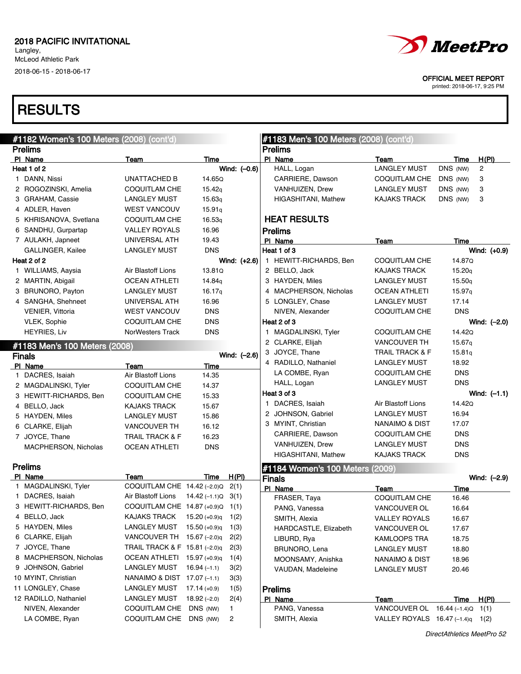Langley, McLeod Athletic Park 2018-06-15 - 2018-06-17

| <i><b><i>MeetPro</i></b></i>                                |
|-------------------------------------------------------------|
| <b>OFFICIAL MEET REPORT</b><br>printed: 2018-06-17, 9:25 PM |
|                                                             |

| #1182 Women's 100 Meters (2008) (cont'd) |                                             |                     |                | #1183 Men's 100 Meters (2008) (cont'd) |                                  |               |                |
|------------------------------------------|---------------------------------------------|---------------------|----------------|----------------------------------------|----------------------------------|---------------|----------------|
| <b>Prelims</b>                           |                                             |                     |                | <b>Prelims</b>                         |                                  |               |                |
| PI Name                                  | Team                                        | Time                |                | PI Name                                | Team                             | Time          | H(PI)          |
| Heat 1 of 2                              |                                             |                     | Wind: (-0.6)   | HALL, Logan                            | <b>LANGLEY MUST</b>              | DNS (NW)      | $\overline{c}$ |
| 1 DANN, Nissi                            | <b>UNATTACHED B</b>                         | 14.65Q              |                | CARRIERE, Dawson                       | COQUITLAM CHE                    | DNS (NW)      | 3              |
| 2 ROGOZINSKI, Amelia                     | <b>COQUITLAM CHE</b>                        | 15.42q              |                | VANHUIZEN, Drew                        | <b>LANGLEY MUST</b>              | DNS (NW)      | 3              |
| 3 GRAHAM, Cassie                         | <b>LANGLEY MUST</b>                         | 15.63q              |                | HIGASHITANI, Mathew                    | <b>KAJAKS TRACK</b>              | DNS (NW)      | 3              |
| 4 ADLER, Haven                           | <b>WEST VANCOUV</b>                         | 15.91q              |                |                                        |                                  |               |                |
| 5 KHRISANOVA, Svetlana                   | <b>COQUITLAM CHE</b>                        | 16.53q              |                | <b>HEAT RESULTS</b>                    |                                  |               |                |
| 6 SANDHU, Gurpartap                      | <b>VALLEY ROYALS</b>                        | 16.96               |                | <b>Prelims</b>                         |                                  |               |                |
| 7 AULAKH, Japneet                        | UNIVERSAL ATH                               | 19.43               |                | PI Name                                | Team                             | Time          |                |
| GALLINGER, Kailee                        | <b>LANGLEY MUST</b>                         | <b>DNS</b>          |                | Heat 1 of 3                            |                                  |               | Wind: $(+0.9)$ |
| Heat 2 of 2                              |                                             |                     | Wind: $(+2.6)$ | 1 HEWITT-RICHARDS, Ben                 | <b>COQUITLAM CHE</b>             | 14.87Q        |                |
| 1 WILLIAMS, Aaysia                       | Air Blastoff Lions                          | 13.81Q              |                | 2 BELLO, Jack                          | <b>KAJAKS TRACK</b>              | 15.20q        |                |
| 2 MARTIN, Abigail                        | <b>OCEAN ATHLETI</b>                        | 14.84 <sub>g</sub>  |                | 3 HAYDEN, Miles                        | <b>LANGLEY MUST</b>              | 15.50q        |                |
| 3 BRUNORO, Payton                        | <b>LANGLEY MUST</b>                         | 16.17q              |                | 4 MACPHERSON, Nicholas                 | <b>OCEAN ATHLETI</b>             | 15.97q        |                |
| 4 SANGHA, Shehneet                       | UNIVERSAL ATH                               | 16.96               |                | 5 LONGLEY, Chase                       | <b>LANGLEY MUST</b>              | 17.14         |                |
| <b>VENIER, Vittoria</b>                  | <b>WEST VANCOUV</b>                         | <b>DNS</b>          |                | NIVEN, Alexander                       | <b>COQUITLAM CHE</b>             | <b>DNS</b>    |                |
| <b>VLEK, Sophie</b>                      | <b>COQUITLAM CHE</b>                        | <b>DNS</b>          |                | Heat 2 of 3                            |                                  |               | Wind: (-2.0)   |
| <b>HEYRIES, Liv</b>                      | <b>NorWesters Track</b>                     | <b>DNS</b>          |                | 1 MAGDALINSKI, Tyler                   | <b>COQUITLAM CHE</b>             | 14.42Q        |                |
|                                          |                                             |                     |                | 2 CLARKE, Elijah                       | <b>VANCOUVER TH</b>              | 15.67g        |                |
| #1183 Men's 100 Meters (2008)            |                                             |                     |                | 3 JOYCE, Thane                         | <b>TRAIL TRACK &amp; F</b>       | 15.81q        |                |
| <b>Finals</b>                            |                                             |                     | Wind: $(-2.6)$ | 4 RADILLO, Nathaniel                   | <b>LANGLEY MUST</b>              | 18.92         |                |
| PI Name                                  | Team                                        | Time                |                | LA COMBE, Ryan                         | <b>COQUITLAM CHE</b>             | <b>DNS</b>    |                |
| 1 DACRES, Isaiah                         | Air Blastoff Lions<br>COQUITLAM CHE         | 14.35               |                | HALL, Logan                            | <b>LANGLEY MUST</b>              | <b>DNS</b>    |                |
| 2 MAGDALINSKI, Tyler                     |                                             | 14.37               |                | Heat 3 of 3                            |                                  |               | Wind: $(-1.1)$ |
| 3 HEWITT-RICHARDS, Ben<br>4 BELLO, Jack  | <b>COQUITLAM CHE</b><br><b>KAJAKS TRACK</b> | 15.33<br>15.67      |                | 1 DACRES, Isaiah                       | Air Blastoff Lions               | 14.42Q        |                |
| 5 HAYDEN, Miles                          | <b>LANGLEY MUST</b>                         | 15.86               |                | 2 JOHNSON, Gabriel                     | <b>LANGLEY MUST</b>              | 16.94         |                |
| 6 CLARKE, Elijah                         | <b>VANCOUVER TH</b>                         |                     |                | 3 MYINT, Christian                     | <b>NANAIMO &amp; DIST</b>        | 17.07         |                |
| 7 JOYCE, Thane                           | <b>TRAIL TRACK &amp; F</b>                  | 16.12<br>16.23      |                | CARRIERE, Dawson                       | <b>COQUITLAM CHE</b>             | <b>DNS</b>    |                |
| MACPHERSON, Nicholas                     | <b>OCEAN ATHLETI</b>                        | <b>DNS</b>          |                | VANHUIZEN, Drew                        | <b>LANGLEY MUST</b>              | <b>DNS</b>    |                |
|                                          |                                             |                     |                | HIGASHITANI, Mathew                    | <b>KAJAKS TRACK</b>              | <b>DNS</b>    |                |
| <b>Prelims</b>                           |                                             |                     |                |                                        |                                  |               |                |
| PI Name                                  | Team                                        | Time                | H(PI)          | #1184 Women's 100 Meters (2009)        |                                  |               |                |
| 1 MAGDALINSKI, Tyler                     | COQUITLAM CHE 14.42 (-2.0)Q                 |                     | 2(1)           | <b>Finals</b>                          |                                  |               | Wind: (-2.9)   |
| 1 DACRES, Isaiah                         | Air Blastoff Lions                          | $14.42(-1.1)Q$ 3(1) |                | PI Name<br>FRASER, Taya                | Team<br><b>COQUITLAM CHE</b>     | Time<br>16.46 |                |
| 3 HEWITT-RICHARDS, Ben                   | COQUITLAM CHE 14.87 (+0.9)Q 1(1)            |                     |                | PANG, Vanessa                          | VANCOUVER OL                     | 16.64         |                |
| 4 BELLO, Jack                            | KAJAKS TRACK                                | $15.20 (+0.9)q$     | 1(2)           | SMITH, Alexia                          | <b>VALLEY ROYALS</b>             | 16.67         |                |
| 5 HAYDEN, Miles                          | <b>LANGLEY MUST</b>                         | $15.50 (+0.9)q$     | 1(3)           | HARDCASTLE, Elizabeth                  | VANCOUVER OL                     | 17.67         |                |
| 6 CLARKE, Elijah                         | VANCOUVER TH 15.67 (-2.0)q                  |                     | 2(2)           | LIBURD, Rya                            | KAMLOOPS TRA                     | 18.75         |                |
| 7 JOYCE, Thane                           | TRAIL TRACK & F 15.81 (-2.0)q               |                     | 2(3)           | BRUNORO, Lena                          | <b>LANGLEY MUST</b>              | 18.80         |                |
| 8 MACPHERSON, Nicholas                   | OCEAN ATHLETI 15.97 (+0.9)q                 |                     | 1(4)           | MOONSAMY, Anishka                      | <b>NANAIMO &amp; DIST</b>        | 18.96         |                |
| 9 JOHNSON, Gabriel                       | <b>LANGLEY MUST</b>                         | $16.94(-1.1)$       | 3(2)           | VAUDAN, Madeleine                      | <b>LANGLEY MUST</b>              | 20.46         |                |
| 10 MYINT, Christian                      | NANAIMO & DIST 17.07 (-1.1)                 |                     | 3(3)           |                                        |                                  |               |                |
| 11 LONGLEY, Chase                        | <b>LANGLEY MUST</b>                         | $17.14 (+0.9)$      | 1(5)           | <b>Prelims</b>                         |                                  |               |                |
| 12 RADILLO, Nathaniel                    | <b>LANGLEY MUST</b>                         | $18.92(-2.0)$       | 2(4)           | PI Name                                | Team                             | Time          | H(P)           |
| NIVEN, Alexander                         | <b>COQUITLAM CHE</b>                        | DNS (NW)            | $\mathbf{1}$   | PANG, Vanessa                          | VANCOUVER OL 16.44 (-1.4) Q 1(1) |               |                |
| LA COMBE, Ryan                           | COQUITLAM CHE                               | DNS (NW)            | 2              | SMITH, Alexia                          | VALLEY ROYALS 16.47 (-1.4)q 1(2) |               |                |
|                                          |                                             |                     |                |                                        |                                  |               |                |

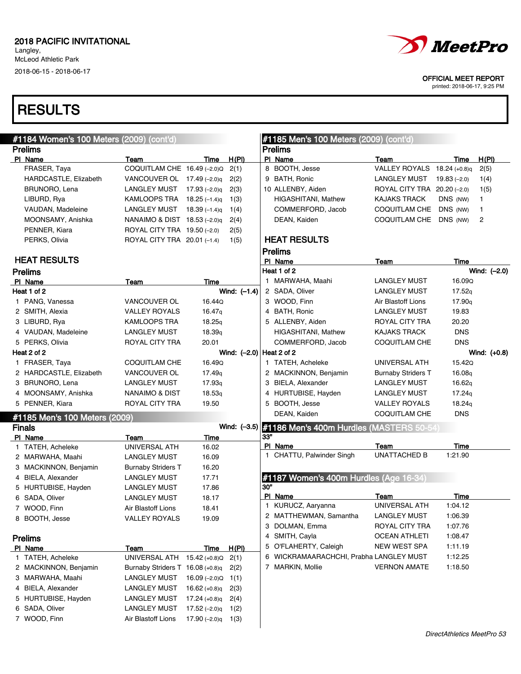# **RESULTS**

OFFICIAL MEET REPORT

| #1184 Women's 100 Meters (2009) (cont'd) |                                  |                    |                            |     | #1185 Men's 100 Meters (2009) (cont'd)                |                             |                    |              |
|------------------------------------------|----------------------------------|--------------------|----------------------------|-----|-------------------------------------------------------|-----------------------------|--------------------|--------------|
| <b>Prelims</b>                           |                                  |                    |                            |     | <b>Prelims</b>                                        |                             |                    |              |
| PI Name                                  | Team                             | Time               | H(PI)                      |     | PI Name                                               | Team                        | Time               | H(PI)        |
| FRASER, Taya                             | COQUITLAM CHE 16.49 (-2.0)Q      |                    | 2(1)                       |     | 8 BOOTH, Jesse                                        | VALLEY ROYALS               | 18.24 (+0.8)q      | 2(5)         |
| HARDCASTLE, Elizabeth                    | VANCOUVER OL $17.49$ (-2.0)g     |                    | 2(2)                       |     | 9 BATH, Ronic                                         | <b>LANGLEY MUST</b>         | $19.83(-2.0)$      | 1(4)         |
| BRUNORO, Lena                            | LANGLEY MUST                     | 17.93 (–2.0) q     | 2(3)                       |     | 10 ALLENBY, Aiden                                     | ROYAL CITY TRA 20.20 (-2.0) |                    | 1(5)         |
| LIBURD, Rya                              | KAMLOOPS TRA 18.25 (-1.4)g       |                    | 1(3)                       |     | <b>HIGASHITANI, Mathew</b>                            | <b>KAJAKS TRACK</b>         | DNS (NW)           | 1            |
| VAUDAN, Madeleine                        | LANGLEY MUST                     | 18.39 $(-1.4)q$    | 1(4)                       |     | COMMERFORD, Jacob                                     | COQUITLAM CHE               | DNS (NW)           | 1            |
| MOONSAMY, Anishka                        | NANAIMO & DIST 18.53 (-2.0)q     |                    | 2(4)                       |     | DEAN, Kaiden                                          | COQUITLAM CHE               | DNS (NW)           | 2            |
| PENNER, Kiara                            | ROYAL CITY TRA 19.50 (-2.0)      |                    | 2(5)                       |     |                                                       |                             |                    |              |
| PERKS, Olivia                            | ROYAL CITY TRA 20.01 (-1.4)      |                    | 1(5)                       |     | <b>HEAT RESULTS</b>                                   |                             |                    |              |
| <b>HEAT RESULTS</b>                      |                                  |                    |                            |     | <b>Prelims</b><br>PI Name                             | Team                        | Time               |              |
| <b>Prelims</b>                           |                                  |                    |                            |     | Heat 1 of 2                                           |                             |                    | Wind: (-2.0) |
| PI Name                                  | Team                             | Time               |                            |     | 1 MARWAHA, Maahi                                      | <b>LANGLEY MUST</b>         | 16.09Q             |              |
| Heat 1 of 2                              |                                  |                    | Wind: $(-1.4)$             |     | 2 SADA, Oliver                                        | <b>LANGLEY MUST</b>         | 17.52q             |              |
| 1 PANG, Vanessa                          | <b>VANCOUVER OL</b>              | 16.44Q             |                            |     | 3 WOOD, Finn                                          | Air Blastoff Lions          | 17.90 <sub>q</sub> |              |
| 2 SMITH, Alexia                          | <b>VALLEY ROYALS</b>             | 16.47 <sub>g</sub> |                            |     | 4 BATH, Ronic                                         | <b>LANGLEY MUST</b>         | 19.83              |              |
| 3 LIBURD, Rya                            | <b>KAMLOOPS TRA</b>              | 18.25q             |                            |     | 5 ALLENBY, Aiden                                      | ROYAL CITY TRA              | 20.20              |              |
| 4 VAUDAN, Madeleine                      | LANGLEY MUST                     | 18.39 <sub>q</sub> |                            |     | HIGASHITANI, Mathew                                   | <b>KAJAKS TRACK</b>         | <b>DNS</b>         |              |
| 5 PERKS, Olivia                          | ROYAL CITY TRA                   | 20.01              |                            |     | COMMERFORD, Jacob                                     | COQUITLAM CHE               | <b>DNS</b>         |              |
| Heat 2 of 2                              |                                  |                    | Wind: (-2.0)   Heat 2 of 2 |     |                                                       |                             |                    | Wind: (+0.8) |
| 1 FRASER, Taya                           | COQUITLAM CHE                    | 16.49Q             |                            |     | 1 TATEH, Acheleke                                     | UNIVERSAL ATH               | 15.420             |              |
| 2 HARDCASTLE, Elizabeth                  | <b>VANCOUVER OL</b>              | 17.49 <sub>q</sub> |                            |     | 2 MACKINNON, Benjamin                                 | <b>Burnaby Striders T</b>   | 16.08q             |              |
| 3 BRUNORO, Lena                          | LANGLEY MUST                     | 17.93 <sub>q</sub> |                            |     | 3 BIELA, Alexander                                    | LANGLEY MUST                | 16.62g             |              |
| 4 MOONSAMY, Anishka                      | NANAIMO & DIST                   | 18.53q             |                            |     | 4 HURTUBISE, Hayden                                   | <b>LANGLEY MUST</b>         | 17.24g             |              |
| 5 PENNER, Kiara                          | ROYAL CITY TRA                   | 19.50              |                            |     | 5 BOOTH, Jesse                                        | <b>VALLEY ROYALS</b>        | 18.24g             |              |
| #1185 Men's 100 Meters (2009)            |                                  |                    |                            |     | DEAN, Kaiden                                          | COQUITLAM CHE               | <b>DNS</b>         |              |
| <b>Finals</b>                            |                                  |                    |                            |     | Wind: (-3.5) #1186 Men's 400m Hurdles (MASTERS 50-54) |                             |                    |              |
| PI Name                                  | Team                             | Time               |                            | 33" |                                                       |                             |                    |              |
| 1 TATEH, Acheleke                        | UNIVERSAL ATH                    | 16.02              |                            |     | PI Name                                               | Team                        | Time               |              |
| 2 MARWAHA, Maahi                         | <b>LANGLEY MUST</b>              | 16.09              |                            |     | 1 CHATTU, Palwinder Singh                             | <b>UNATTACHED B</b>         | 1:21.90            |              |
| 3 MACKINNON, Benjamin                    | <b>Burnaby Striders T</b>        | 16.20              |                            |     |                                                       |                             |                    |              |
| 4 BIELA, Alexander                       | <b>LANGLEY MUST</b>              | 17.71              |                            |     | #1187 Women's 400m Hurdles (Age 16-34)                |                             |                    |              |
| 5 HURTUBISE, Hayden                      | LANGLEY MUST                     | 17.86              |                            | 30" |                                                       |                             |                    |              |
| 6 SADA, Oliver                           | <b>LANGLEY MUST</b>              | 18.17              |                            |     | PI Name                                               | Team                        | Time               |              |
| 7 WOOD, Finn                             | Air Blastoff Lions               | 18.41              |                            |     | 1 KURUCZ, Aaryanna                                    | UNIVERSAL ATH               | 1:04.12            |              |
| 8 BOOTH, Jesse                           | <b>VALLEY ROYALS</b>             | 19.09              |                            |     | 2 MATTHEWMAN, Samantha                                | <b>LANGLEY MUST</b>         | 1:06.39            |              |
|                                          |                                  |                    |                            |     | 3 DOLMAN, Emma                                        | ROYAL CITY TRA              | 1:07.76            |              |
| <b>Prelims</b>                           |                                  |                    |                            |     | 4 SMITH, Cayla                                        | <b>OCEAN ATHLETI</b>        | 1:08.47            |              |
| PI Name                                  | <b>Team</b>                      | <u>Time</u>        | H(PI)                      | 5   | O'FLAHERTY, Caleigh                                   | NEW WEST SPA                | 1:11.19            |              |
| 1 TATEH, Acheleke                        | UNIVERSAL ATH                    | $15.42 (+0.8)Q$    | 2(1)                       |     | 6 WICKRAMAARACHCHI, Prabha LANGLEY MUST               |                             | 1:12.25            |              |
| 2 MACKINNON, Benjamin                    | Burnaby Striders T 16.08 (+0.8)q |                    | 2(2)                       |     | 7 MARKIN, Mollie                                      | <b>VERNON AMATE</b>         | 1:18.50            |              |
| 3 MARWAHA, Maahi                         | LANGLEY MUST                     | 16.09 $(-2.0)Q$    | 1(1)                       |     |                                                       |                             |                    |              |
| 4 BIELA, Alexander                       | <b>LANGLEY MUST</b>              | $16.62 (+0.8)q$    | 2(3)                       |     |                                                       |                             |                    |              |
| 5 HURTUBISE, Hayden                      | <b>LANGLEY MUST</b>              | $17.24 (+0.8)q$    | 2(4)                       |     |                                                       |                             |                    |              |
| 6 SADA, Oliver                           | <b>LANGLEY MUST</b>              | $17.52(-2.0)q$     | 1(2)                       |     |                                                       |                             |                    |              |
| 7 WOOD, Finn                             | Air Blastoff Lions               | 17.90 $(-2.0)q$    | 1(3)                       |     |                                                       |                             |                    |              |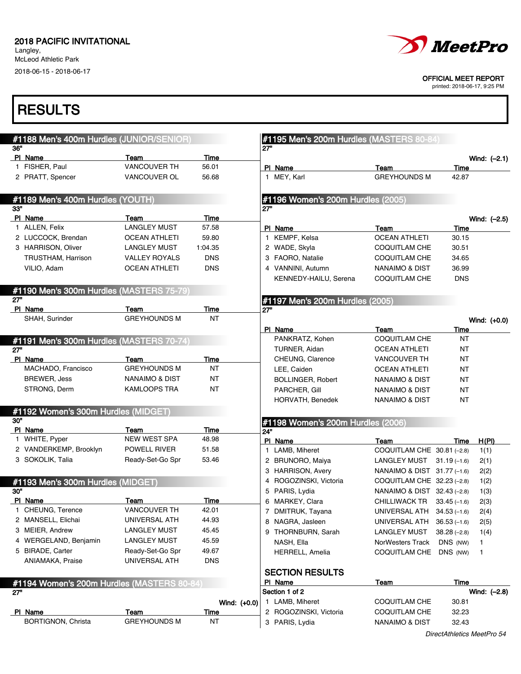Langley, McLeod Athletic Park 2018-06-15 - 2018-06-17



OFFICIAL MEET REPORT

printed: 2018-06-17, 9:25 PM

| #1188 Men's 400m Hurdles (JUNIOR/SENIOR)          |                             |             |              | #1195 Men's 200m Hurdles (MASTERS 80-84)   |                                                   |                     |  |
|---------------------------------------------------|-----------------------------|-------------|--------------|--------------------------------------------|---------------------------------------------------|---------------------|--|
| 36"<br>PI Name                                    | Team                        | Time        |              | 27"                                        |                                                   | Wind: $(-2.1)$      |  |
| 1 FISHER, Paul                                    | <b>VANCOUVER TH</b>         | 56.01       |              | PI Name                                    | Team                                              | Time                |  |
| 2 PRATT, Spencer                                  | VANCOUVER OL                | 56.68       |              | 1 MEY, Karl                                | <b>GREYHOUNDS M</b>                               | 42.87               |  |
| #1189 Men's 400m Hurdles (YOUTH)                  |                             |             |              | #1196 Women's 200m Hurdles (2005)          |                                                   |                     |  |
| 33"                                               |                             |             |              | 27"                                        |                                                   |                     |  |
| PI Name                                           | Team<br><b>LANGLEY MUST</b> | Time        |              |                                            |                                                   | Wind: (-2.5)        |  |
| 1 ALLEN, Felix<br>2 LUCCOCK, Brendan              |                             | 57.58       |              | PI Name                                    | Team                                              | Time                |  |
|                                                   | <b>OCEAN ATHLETI</b>        | 59.80       |              | 1 KEMPF, Kelsa                             | <b>OCEAN ATHLETI</b>                              | 30.15               |  |
| 3 HARRISON, Oliver                                | <b>LANGLEY MUST</b>         | 1:04.35     |              | 2 WADE, Skyla                              | <b>COQUITLAM CHE</b>                              | 30.51               |  |
| TRUSTHAM, Harrison                                | <b>VALLEY ROYALS</b>        | <b>DNS</b>  |              | 3 FAORO, Natalie                           | <b>COQUITLAM CHE</b>                              | 34.65               |  |
| VILIO, Adam                                       | <b>OCEAN ATHLETI</b>        | <b>DNS</b>  |              | 4 VANNINI, Autumn<br>KENNEDY-HAILU, Serena | <b>NANAIMO &amp; DIST</b><br><b>COQUITLAM CHE</b> | 36.99<br><b>DNS</b> |  |
| #1190 Men's 300m Hurdles (MASTERS 75-79)          |                             |             |              |                                            |                                                   |                     |  |
| 27"<br>PI Name                                    | Team                        | <b>Time</b> |              | #1197 Men's 200m Hurdles (2005)<br>27"     |                                                   |                     |  |
| SHAH, Surinder                                    | <b>GREYHOUNDS M</b>         | <b>NT</b>   |              |                                            |                                                   | Wind: (+0.0)        |  |
|                                                   |                             |             |              | PI Name                                    | Team                                              | Time                |  |
| #1191 Men's 300m Hurdles (MASTERS 70-74)          |                             |             |              | PANKRATZ, Kohen                            | COQUITLAM CHE                                     | <b>NT</b>           |  |
| 27"                                               |                             |             |              | TURNER, Aidan                              | <b>OCEAN ATHLETI</b>                              | <b>NT</b>           |  |
| PI Name                                           | Team                        | Time        |              | CHEUNG, Clarence                           | VANCOUVER TH                                      | <b>NT</b>           |  |
| MACHADO, Francisco                                | <b>GREYHOUNDS M</b>         | ΝT          |              | LEE, Caiden                                | <b>OCEAN ATHLETI</b>                              | <b>NT</b>           |  |
| <b>BREWER, Jess</b>                               | <b>NANAIMO &amp; DIST</b>   | ΝT          |              | <b>BOLLINGER, Robert</b>                   | <b>NANAIMO &amp; DIST</b>                         | <b>NT</b>           |  |
| STRONG, Derm                                      | <b>KAMLOOPS TRA</b>         | ΝT          |              | PARCHER, Gill                              | <b>NANAIMO &amp; DIST</b>                         | <b>NT</b>           |  |
|                                                   |                             |             |              | HORVATH, Benedek                           | <b>NANAIMO &amp; DIST</b>                         | <b>NT</b>           |  |
| #1192 Women's 300m Hurdles (MIDGET)<br>30"        |                             |             |              | #1198 Women's 200m Hurdles (2006)          |                                                   |                     |  |
| PI Name                                           | Team                        | Time        |              | 24"                                        |                                                   |                     |  |
| 1 WHITE, Pyper                                    | NEW WEST SPA                | 48.98       |              | PI Name                                    | Team                                              | Time                |  |
| 2 VANDERKEMP, Brooklyn                            | <b>POWELL RIVER</b>         | 51.58       |              | 1 LAMB, Miheret                            | COQUITLAM CHE 30.81 (-2.8)                        |                     |  |
| 3 SOKOLIK, Talia                                  | Ready-Set-Go Spr            | 53.46       |              | 2 BRUNORO, Maiya                           | LANGLEY MUST $31.19(-1.6)$                        |                     |  |
|                                                   |                             |             |              | 3 HARRISON, Avery                          | NANAIMO & DIST $31.77$ (-1.6)                     |                     |  |
| #1193 Men's 300m Hurdles (MIDGET)                 |                             |             |              | 4 ROGOZINSKI, Victoria                     | COQUITLAM CHE 32.23 (-2.8)                        |                     |  |
| 30"                                               |                             |             |              | 5 PARIS, Lydia                             | NANAIMO & DIST 32.43 (-2.8)                       |                     |  |
| PI Name                                           | Team                        | Time        |              | 6 MARKEY, Clara                            | CHILLIWACK TR 33.45 (-1.6)                        |                     |  |
| CHEUNG, Terence                                   | <b>VANCOUVER TH</b>         | 42.01       |              | 7 DMITRUK, Tayana                          | UNIVERSAL ATH 34.53 (-1.6)                        |                     |  |
| 2 MANSELL, Elichai                                | UNIVERSAL ATH               | 44.93       |              | 8 NAGRA, Jasleen                           | UNIVERSAL ATH 36.53 (-1.6)                        |                     |  |
| 3 MEIER, Andrew                                   | <b>LANGLEY MUST</b>         | 45.45       |              | 9 THORNBURN, Sarah                         | LANGLEY MUST                                      | $38.28(-2.8)$       |  |
| 4 WERGELAND, Benjamin                             | <b>LANGLEY MUST</b>         | 45.59       |              | NASH, Ella                                 | NorWesters Track                                  | DNS (NW)            |  |
| 5 BIRADE, Carter                                  | Ready-Set-Go Spr            | 49.67       |              | <b>HERRELL, Amelia</b>                     | COQUITLAM CHE                                     | DNS (NW)            |  |
| ANIAMAKA, Praise                                  | UNIVERSAL ATH               | <b>DNS</b>  |              |                                            |                                                   |                     |  |
|                                                   |                             |             |              | <b>SECTION RESULTS</b><br>PI Name          | Team                                              | Time                |  |
| #1194 Women's 200m Hurdles (MASTERS 80-84)<br>27" |                             |             |              | Section 1 of 2                             |                                                   | Wind: (-2.8)        |  |
|                                                   |                             |             |              | 1 LAMB, Miheret                            | <b>COQUITLAM CHE</b>                              | 30.81               |  |
| PI Name                                           | Team                        | Time        | Wind: (+0.0) | 2 ROGOZINSKI, Victoria                     | <b>COQUITLAM CHE</b>                              | 32.23               |  |
| BORTIGNON, Christa                                | <b>GREYHOUNDS M</b>         | ΝT          |              | 3 PARIS, Lydia                             |                                                   |                     |  |
|                                                   |                             |             |              |                                            | NANAIMO & DIST                                    | 32.43               |  |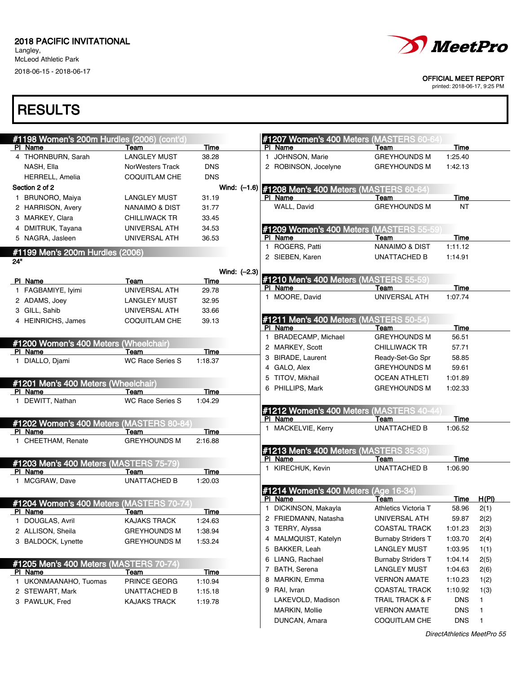Langley, McLeod Athletic Park

2018-06-15 - 2018-06-17



#### OFFICIAL MEET REPORT

printed: 2018-06-17, 9:25 PM

|     | #1198 Women's 200m Hurdles (2006) (cont'd)     |                         |             |                |   | #1207 Women's 400 Meters (MASTERS 60-64)            |                           |            |              |
|-----|------------------------------------------------|-------------------------|-------------|----------------|---|-----------------------------------------------------|---------------------------|------------|--------------|
|     | PI Name                                        | Team                    | Time        |                |   | PI Name                                             | Team                      | Time       |              |
|     | 4 THORNBURN, Sarah                             | <b>LANGLEY MUST</b>     | 38.28       |                |   | 1 JOHNSON, Marie                                    | <b>GREYHOUNDS M</b>       | 1:25.40    |              |
|     | NASH, Ella                                     | <b>NorWesters Track</b> | <b>DNS</b>  |                |   | 2 ROBINSON, Jocelyne                                | <b>GREYHOUNDS M</b>       | 1:42.13    |              |
|     | <b>HERRELL, Amelia</b>                         | COQUITLAM CHE           | <b>DNS</b>  |                |   |                                                     |                           |            |              |
|     | Section 2 of 2                                 |                         |             |                |   | Wind: (-1.6) #1208 Men's 400 Meters (MASTERS 60-64) |                           |            |              |
|     | 1 BRUNORO, Maiya                               | <b>LANGLEY MUST</b>     | 31.19       |                |   | PI Name                                             | Team                      | Time       |              |
|     | 2 HARRISON, Avery                              | NANAIMO & DIST          | 31.77       |                |   | WALL, David                                         | <b>GREYHOUNDS M</b>       | ΝT         |              |
|     | 3 MARKEY, Clara                                | <b>CHILLIWACK TR</b>    | 33.45       |                |   |                                                     |                           |            |              |
|     | 4 DMITRUK, Tayana                              | UNIVERSAL ATH           | 34.53       |                |   | #1209 Women's 400 Meters (MASTERS 55-59             |                           |            |              |
|     | 5 NAGRA, Jasleen                               | UNIVERSAL ATH           | 36.53       |                |   | PI Name                                             | Team                      | Time       |              |
|     | #1199 Men's 200m Hurdles (2006)                |                         |             |                |   | 1 ROGERS, Patti                                     | <b>NANAIMO &amp; DIST</b> | 1:11.12    |              |
| 24" |                                                |                         |             |                |   | 2 SIEBEN, Karen                                     | UNATTACHED B              | 1:14.91    |              |
|     |                                                |                         |             | Wind: $(-2.3)$ |   |                                                     |                           |            |              |
|     | PI Name                                        | Team                    | Time        |                |   | #1210 Men's 400 Meters (MASTERS 55-59)              |                           |            |              |
|     | 1 FAGBAMIYE, lyimi                             | UNIVERSAL ATH           | 29.78       |                |   | PI Name                                             | Team                      | Time       |              |
|     | 2 ADAMS, Joey                                  | <b>LANGLEY MUST</b>     | 32.95       |                |   | 1 MOORE, David                                      | UNIVERSAL ATH             | 1:07.74    |              |
|     | 3 GILL, Sahib                                  | UNIVERSAL ATH           | 33.66       |                |   |                                                     |                           |            |              |
|     | 4 HEINRICHS, James                             | <b>COQUITLAM CHE</b>    | 39.13       |                |   | <b>#1211 Men's 400 Meters (MASTERS 50-54)</b>       |                           |            |              |
|     |                                                |                         |             |                |   | PI Name                                             | Team                      | Time       |              |
|     | #1200 Women's 400 Meters (Wheelchair)          |                         |             |                |   | 1 BRADECAMP, Michael                                | <b>GREYHOUNDS M</b>       | 56.51      |              |
|     | PI Name                                        | Team                    | Time        |                |   | 2 MARKEY, Scott                                     | <b>CHILLIWACK TR</b>      | 57.71      |              |
|     | 1 DIALLO, Djami                                | <b>WC Race Series S</b> | 1:18.37     |                |   | 3 BIRADE, Laurent                                   | Ready-Set-Go Spr          | 58.85      |              |
|     |                                                |                         |             |                |   | 4 GALO, Alex                                        | <b>GREYHOUNDS M</b>       | 59.61      |              |
|     |                                                |                         |             |                |   | 5 TITOV, Mikhail                                    | OCEAN ATHLETI             | 1:01.89    |              |
|     | #1201 Men's 400 Meters (Wheelchair)<br>PI Name | Team                    | Time        |                |   | 6 PHILLIPS, Mark                                    | <b>GREYHOUNDS M</b>       | 1:02.33    |              |
|     | 1 DEWITT, Nathan                               | <b>WC Race Series S</b> | 1:04.29     |                |   |                                                     |                           |            |              |
|     |                                                |                         |             |                |   | #1212 Women's 400 Meters (MASTERS 40-44             |                           |            |              |
|     | #1202 Women's 400 Meters (MASTERS 80-84        |                         |             |                |   | PI Name                                             | Team                      | Time       |              |
|     | PI Name                                        | Team                    | Time        |                |   | 1 MACKELVIE, Kerry                                  | <b>UNATTACHED B</b>       | 1:06.52    |              |
|     | 1 CHEETHAM, Renate                             | <b>GREYHOUNDS M</b>     | 2:16.88     |                |   |                                                     |                           |            |              |
|     |                                                |                         |             |                |   | #1213 Men's 400 Meters (MASTERS 35-39)              |                           |            |              |
|     | #1203 Men's 400 Meters (MASTERS 75-79)         |                         |             |                |   | PI Name                                             | Team                      | Time       |              |
|     | PI Name                                        | Team                    | Time        |                |   | 1 KIRECHUK, Kevin                                   | UNATTACHED B              | 1:06.90    |              |
|     | 1 MCGRAW, Dave                                 | <b>UNATTACHED B</b>     | 1:20.03     |                |   |                                                     |                           |            |              |
|     |                                                |                         |             |                |   | #1214 Women's 400 Meters (Age 16-34)                |                           |            |              |
|     | #1204 Women's 400 Meters (MASTERS 70-74        |                         |             |                |   | PI Name                                             | Team                      | Time       | H(PI)        |
|     | PI Name                                        | Team                    | Time        |                |   | 1 DICKINSON, Makayla                                | Athletics Victoria T      | 58.96      | 2(1)         |
|     | 1 DOUGLAS, Avril                               | KAJAKS TRACK            | 1:24.63     |                |   | 2 FRIEDMANN, Natasha                                | UNIVERSAL ATH             | 59.87      | 2(2)         |
|     | 2 ALLISON, Sheila                              | <b>GREYHOUNDS M</b>     | 1:38.94     |                |   | 3 TERRY, Alyssa                                     | <b>COASTAL TRACK</b>      | 1:01.23    | 2(3)         |
|     | 3 BALDOCK, Lynette                             | <b>GREYHOUNDS M</b>     | 1:53.24     |                |   | 4 MALMQUIST, Katelyn                                | <b>Burnaby Striders T</b> | 1:03.70    | 2(4)         |
|     |                                                |                         |             |                | 5 | BAKKER, Leah                                        | <b>LANGLEY MUST</b>       | 1:03.95    | 1(1)         |
|     | #1205 Men's 400 Meters (MASTERS 70-74)         |                         |             |                |   | 6 LIANG, Rachael                                    | <b>Burnaby Striders T</b> | 1:04.14    | 2(5)         |
|     | PI Name                                        | Team                    | <b>Time</b> |                |   | 7 BATH, Serena                                      | LANGLEY MUST              | 1:04.63    | 2(6)         |
|     | 1 UKONMAANAHO, Tuomas                          | PRINCE GEORG            | 1:10.94     |                | 8 | MARKIN, Emma                                        | <b>VERNON AMATE</b>       | 1:10.23    | 1(2)         |
|     | 2 STEWART, Mark                                | <b>UNATTACHED B</b>     | 1:15.18     |                | 9 | RAI, Ivran                                          | COASTAL TRACK             | 1:10.92    | 1(3)         |
|     | 3 PAWLUK, Fred                                 | <b>KAJAKS TRACK</b>     | 1:19.78     |                |   | LAKEVOLD, Madison                                   | TRAIL TRACK & F           | <b>DNS</b> | 1            |
|     |                                                |                         |             |                |   | <b>MARKIN, Mollie</b>                               | <b>VERNON AMATE</b>       | <b>DNS</b> | 1            |
|     |                                                |                         |             |                |   | DUNCAN, Amara                                       | COQUITLAM CHE             | <b>DNS</b> | $\mathbf{1}$ |
|     |                                                |                         |             |                |   |                                                     |                           |            |              |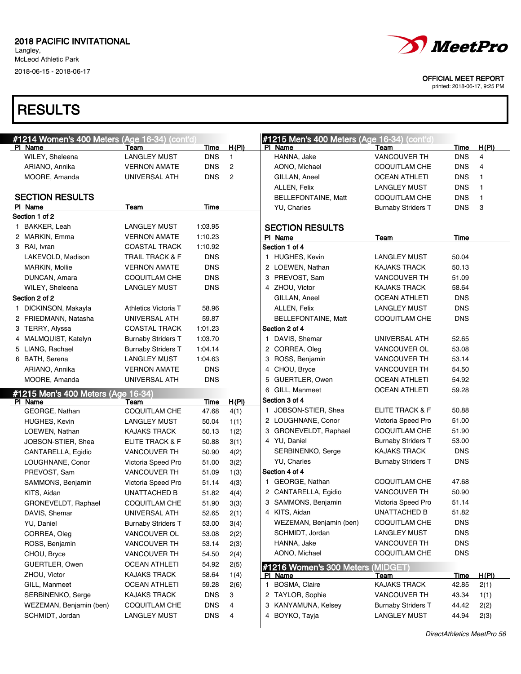Langley, McLeod Athletic Park 2018-06-15 - 2018-06-17

# **RESULTS**

| <i>MeetPro</i>              |
|-----------------------------|
| <b>OFFICIAL MEET REPORT</b> |

| #1214 Women's 400 Meters (Age 16-34) (cont'd) |                            |             |                | #1215 Men's 400 Meters (Age 16-34) (cont'd) |                           |             |                         |
|-----------------------------------------------|----------------------------|-------------|----------------|---------------------------------------------|---------------------------|-------------|-------------------------|
| PI Name                                       | Team                       | Time        | H(PI)          | PI Name                                     | Team                      | <b>Time</b> | H(PI)                   |
| WILEY, Sheleena                               | <b>LANGLEY MUST</b>        | <b>DNS</b>  | $\mathbf{1}$   | HANNA, Jake                                 | <b>VANCOUVER TH</b>       | <b>DNS</b>  | $\overline{\mathbf{4}}$ |
| ARIANO, Annika                                | <b>VERNON AMATE</b>        | <b>DNS</b>  | 2              | AONO, Michael                               | <b>COQUITLAM CHE</b>      | <b>DNS</b>  | 4                       |
| MOORE, Amanda                                 | UNIVERSAL ATH              | <b>DNS</b>  | $\overline{c}$ | GILLAN, Aneel                               | OCEAN ATHLETI             | <b>DNS</b>  | 1                       |
|                                               |                            |             |                | ALLEN, Felix                                | <b>LANGLEY MUST</b>       | <b>DNS</b>  | 1                       |
| <b>SECTION RESULTS</b>                        |                            |             |                | BELLEFONTAINE, Matt                         | <b>COQUITLAM CHE</b>      | <b>DNS</b>  | 1                       |
| PI Name                                       | Team                       | <b>Time</b> |                | YU, Charles                                 | <b>Burnaby Striders T</b> | <b>DNS</b>  | 3                       |
| Section 1 of 2                                |                            |             |                |                                             |                           |             |                         |
| 1 BAKKER, Leah                                | LANGLEY MUST               | 1:03.95     |                | <b>SECTION RESULTS</b>                      |                           |             |                         |
| 2 MARKIN, Emma                                | <b>VERNON AMATE</b>        | 1:10.23     |                | PI Name                                     | Team                      | Time        |                         |
| 3 RAI, Ivran                                  | <b>COASTAL TRACK</b>       | 1:10.92     |                | Section 1 of 4                              |                           |             |                         |
| LAKEVOLD, Madison                             | <b>TRAIL TRACK &amp; F</b> | <b>DNS</b>  |                | 1 HUGHES, Kevin                             | <b>LANGLEY MUST</b>       | 50.04       |                         |
| <b>MARKIN, Mollie</b>                         | <b>VERNON AMATE</b>        | <b>DNS</b>  |                | 2 LOEWEN, Nathan                            | <b>KAJAKS TRACK</b>       | 50.13       |                         |
| DUNCAN, Amara                                 | <b>COQUITLAM CHE</b>       | <b>DNS</b>  |                | 3 PREVOST, Sam                              | <b>VANCOUVER TH</b>       | 51.09       |                         |
| WILEY, Sheleena                               | <b>LANGLEY MUST</b>        | <b>DNS</b>  |                | 4 ZHOU, Victor                              | <b>KAJAKS TRACK</b>       | 58.64       |                         |
| Section 2 of 2                                |                            |             |                | GILLAN, Aneel                               | <b>OCEAN ATHLETI</b>      | <b>DNS</b>  |                         |
| 1 DICKINSON, Makayla                          | Athletics Victoria T       | 58.96       |                | ALLEN, Felix                                | <b>LANGLEY MUST</b>       | <b>DNS</b>  |                         |
| 2 FRIEDMANN, Natasha                          | UNIVERSAL ATH              | 59.87       |                | BELLEFONTAINE, Matt                         | <b>COQUITLAM CHE</b>      | <b>DNS</b>  |                         |
| 3 TERRY, Alyssa                               | <b>COASTAL TRACK</b>       | 1:01.23     |                | Section 2 of 4                              |                           |             |                         |
| 4 MALMQUIST, Katelyn                          | <b>Burnaby Striders T</b>  | 1:03.70     |                | 1 DAVIS, Shemar                             | UNIVERSAL ATH             | 52.65       |                         |
| 5 LIANG, Rachael                              | <b>Burnaby Striders T</b>  | 1:04.14     |                | 2 CORREA, Oleg                              | VANCOUVER OL              | 53.08       |                         |
| 6 BATH, Serena                                | <b>LANGLEY MUST</b>        | 1:04.63     |                | 3 ROSS, Benjamin                            | <b>VANCOUVER TH</b>       | 53.14       |                         |
| ARIANO, Annika                                | <b>VERNON AMATE</b>        | <b>DNS</b>  |                | 4 CHOU, Bryce                               | <b>VANCOUVER TH</b>       | 54.50       |                         |
| MOORE, Amanda                                 | UNIVERSAL ATH              | <b>DNS</b>  |                | 5 GUERTLER, Owen                            | <b>OCEAN ATHLETI</b>      | 54.92       |                         |
|                                               |                            |             |                | 6 GILL, Manmeet                             | <b>OCEAN ATHLETI</b>      | 59.28       |                         |
| #1215 Men's 400 Meters (Age 16-34)<br>PI Name | Team                       | Time        | H(PI)          | Section 3 of 4                              |                           |             |                         |
| GEORGE, Nathan                                | <b>COQUITLAM CHE</b>       | 47.68       | 4(1)           | 1 JOBSON-STIER, Shea                        | ELITE TRACK & F           | 50.88       |                         |
| <b>HUGHES, Kevin</b>                          | LANGLEY MUST               | 50.04       | 1(1)           | 2 LOUGHNANE, Conor                          | Victoria Speed Pro        | 51.00       |                         |
| LOEWEN, Nathan                                | <b>KAJAKS TRACK</b>        | 50.13       | 1(2)           | 3 GRONEVELDT, Raphael                       | COQUITLAM CHE             | 51.90       |                         |
| JOBSON-STIER, Shea                            | ELITE TRACK & F            | 50.88       | 3(1)           | 4 YU, Daniel                                | <b>Burnaby Striders T</b> | 53.00       |                         |
| CANTARELLA, Egidio                            | <b>VANCOUVER TH</b>        | 50.90       | 4(2)           | SERBINENKO, Serge                           | <b>KAJAKS TRACK</b>       | <b>DNS</b>  |                         |
| LOUGHNANE, Conor                              | Victoria Speed Pro         | 51.00       | 3(2)           | YU, Charles                                 | <b>Burnaby Striders T</b> | <b>DNS</b>  |                         |
| PREVOST, Sam                                  | <b>VANCOUVER TH</b>        | 51.09       | 1(3)           | Section 4 of 4                              |                           |             |                         |
| SAMMONS, Benjamin                             | Victoria Speed Pro         | 51.14       | 4(3)           | 1 GEORGE, Nathan                            | <b>COQUITLAM CHE</b>      | 47.68       |                         |
| KITS, Aidan                                   | <b>UNATTACHED B</b>        | 51.82       | 4(4)           | 2 CANTARELLA, Egidio                        | <b>VANCOUVER TH</b>       | 50.90       |                         |
| GRONEVELDT, Raphael                           | <b>COQUITLAM CHE</b>       | 51.90       | 3(3)           | 3 SAMMONS, Benjamin                         | Victoria Speed Pro        | 51.14       |                         |
| DAVIS, Shemar                                 | UNIVERSAL ATH              | 52.65       | 2(1)           | 4 KITS, Aidan                               | UNATTACHED B              | 51.82       |                         |
| YU, Daniel                                    | <b>Burnaby Striders T</b>  | 53.00       | 3(4)           | WEZEMAN, Benjamin (ben)                     | <b>COQUITLAM CHE</b>      | <b>DNS</b>  |                         |
| CORREA, Oleg                                  | VANCOUVER OL               | 53.08       | 2(2)           | SCHMIDT, Jordan                             | LANGLEY MUST              | <b>DNS</b>  |                         |
| ROSS, Benjamin                                | VANCOUVER TH               | 53.14       | 2(3)           | HANNA, Jake                                 | <b>VANCOUVER TH</b>       | <b>DNS</b>  |                         |
| CHOU, Bryce                                   |                            |             |                | AONO, Michael                               | COQUITLAM CHE             | <b>DNS</b>  |                         |
|                                               | <b>VANCOUVER TH</b>        | 54.50       | 2(4)           |                                             |                           |             |                         |
| GUERTLER, Owen                                | <b>OCEAN ATHLETI</b>       | 54.92       | 2(5)           | #1216 Women's 300 Meters                    | (MIDGET)                  |             |                         |
| ZHOU, Victor                                  | KAJAKS TRACK               | 58.64       | 1(4)           | PI Name                                     | <u>Team</u>               | <u>Time</u> | H(PI)                   |
| GILL, Manmeet                                 | <b>OCEAN ATHLETI</b>       | 59.28       | 2(6)           | BOSMA, Claire<br>$\mathbf{1}$               | <b>KAJAKS TRACK</b>       | 42.85       | 2(1)                    |
| SERBINENKO, Serge                             | KAJAKS TRACK               | <b>DNS</b>  | 3              | 2 TAYLOR, Sophie                            | VANCOUVER TH              | 43.34       | 1(1)                    |
| WEZEMAN, Benjamin (ben)                       | COQUITLAM CHE              | <b>DNS</b>  | 4              | 3 KANYAMUNA, Kelsey                         | <b>Burnaby Striders T</b> | 44.42       | 2(2)                    |
| SCHMIDT, Jordan                               | <b>LANGLEY MUST</b>        | <b>DNS</b>  | 4              | 4 BOYKO, Tayja                              | <b>LANGLEY MUST</b>       | 44.94       | 2(3)                    |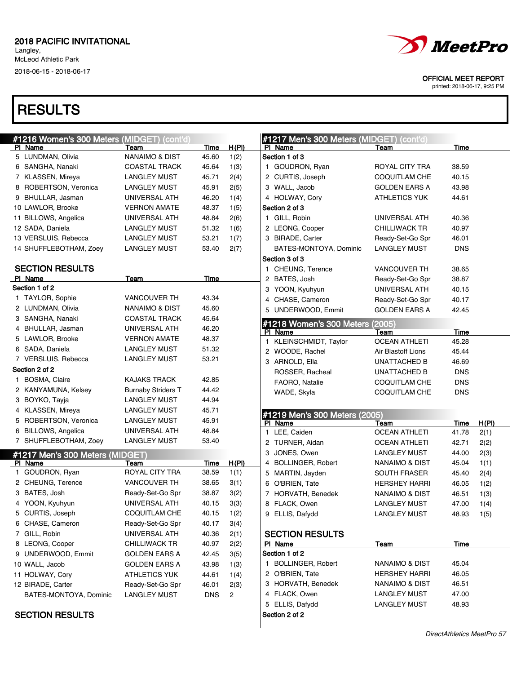Langley, McLeod Athletic Park 2018-06-15 - 2018-06-17

# **RESULTS**

| <b>#1216 Women's 300 Meters (MIDGET) (cont'd)</b> |                                 |                           |             |              |  |  |  |  |
|---------------------------------------------------|---------------------------------|---------------------------|-------------|--------------|--|--|--|--|
|                                                   | PI Name                         | Team                      | <u>Time</u> | <u>H(PI)</u> |  |  |  |  |
|                                                   | 5 LUNDMAN, Olivia               | NANAIMO & DIST            | 45.60       | 1(2)         |  |  |  |  |
| 6                                                 | SANGHA, Nanaki                  | <b>COASTAL TRACK</b>      | 45.64       | 1(3)         |  |  |  |  |
|                                                   | 7 KLASSEN, Mireya               | <b>LANGLEY MUST</b>       | 45.71       | 2(4)         |  |  |  |  |
| 8                                                 | ROBERTSON, Veronica             | <b>LANGLEY MUST</b>       | 45.91       | 2(5)         |  |  |  |  |
| 9                                                 | BHULLAR, Jasman                 | UNIVERSAL ATH             | 46.20       | 1(4)         |  |  |  |  |
|                                                   | 10 LAWLOR, Brooke               | <b>VERNON AMATE</b>       | 48.37       | 1(5)         |  |  |  |  |
|                                                   | 11 BILLOWS, Angelica            | UNIVERSAL ATH             | 48.84       | 2(6)         |  |  |  |  |
|                                                   | 12 SADA, Daniela                | <b>LANGLEY MUST</b>       | 51.32       | 1(6)         |  |  |  |  |
|                                                   | 13 VERSLUIS, Rebecca            | <b>LANGLEY MUST</b>       | 53.21       | 1(7)         |  |  |  |  |
|                                                   | 14 SHUFFLEBOTHAM, Zoey          | <b>LANGLEY MUST</b>       | 53.40       | 2(7)         |  |  |  |  |
|                                                   | <b>SECTION RESULTS</b>          |                           |             |              |  |  |  |  |
|                                                   | PI Name                         | Team                      | Time        |              |  |  |  |  |
|                                                   | Section 1 of 2                  |                           |             |              |  |  |  |  |
| 1                                                 | <b>TAYLOR, Sophie</b>           | VANCOUVER TH              | 43.34       |              |  |  |  |  |
| 2                                                 | LUNDMAN, Olivia                 | <b>NANAIMO &amp; DIST</b> | 45.60       |              |  |  |  |  |
| 3                                                 | SANGHA, Nanaki                  | <b>COASTAL TRACK</b>      | 45.64       |              |  |  |  |  |
|                                                   | 4 BHULLAR, Jasman               | UNIVERSAL ATH             | 46.20       |              |  |  |  |  |
| 5                                                 | LAWLOR, Brooke                  | <b>VERNON AMATE</b>       | 48.37       |              |  |  |  |  |
| 6                                                 | SADA, Daniela                   | <b>LANGLEY MUST</b>       | 51.32       |              |  |  |  |  |
|                                                   | 7 VERSLUIS, Rebecca             | <b>LANGLEY MUST</b>       | 53.21       |              |  |  |  |  |
|                                                   | Section 2 of 2                  |                           |             |              |  |  |  |  |
| 1                                                 | BOSMA, Claire                   | <b>KAJAKS TRACK</b>       | 42.85       |              |  |  |  |  |
| 2                                                 | KANYAMUNA, Kelsey               | <b>Burnaby Striders T</b> | 44.42       |              |  |  |  |  |
| 3                                                 | BOYKO, Tayja                    | <b>LANGLEY MUST</b>       | 44.94       |              |  |  |  |  |
| 4                                                 | KLASSEN, Mireya                 | <b>LANGLEY MUST</b>       | 45.71       |              |  |  |  |  |
| 5                                                 | ROBERTSON, Veronica             | <b>LANGLEY MUST</b>       | 45.91       |              |  |  |  |  |
| 6                                                 | <b>BILLOWS, Angelica</b>        | UNIVERSAL ATH             | 48.84       |              |  |  |  |  |
| 7                                                 | SHUFFLEBOTHAM, Zoey             | <b>LANGLEY MUST</b>       | 53.40       |              |  |  |  |  |
|                                                   | #1217 Men's 300 Meters (MIDGET) |                           |             |              |  |  |  |  |
| <u>PI</u>                                         | <b>Name</b>                     | <u>Team</u>               | <u>Time</u> | <u>H(PI)</u> |  |  |  |  |
| 1                                                 | GOUDRON, Ryan                   | ROYAL CITY TRA            | 38.59       | 1(1)         |  |  |  |  |
| 2                                                 | CHEUNG, Terence                 | <b>VANCOUVER TH</b>       | 38.65       | 3(1)         |  |  |  |  |
| 3                                                 | BATES, Josh                     | Ready-Set-Go Spr          | 38.87       | 3(2)         |  |  |  |  |
| 4                                                 | YOON, Kyuhyun                   | UNIVERSAL ATH             | 40.15       | 3(3)         |  |  |  |  |
| 5                                                 | CURTIS, Joseph                  | <b>COQUITLAM CHE</b>      | 40.15       | 1(2)         |  |  |  |  |
| 6                                                 | CHASE, Cameron                  | Ready-Set-Go Spr          | 40.17       | 3(4)         |  |  |  |  |
| 7                                                 | GILL, Robin                     | UNIVERSAL ATH             | 40.36       | 2(1)         |  |  |  |  |
| 8                                                 | LEONG, Cooper                   | <b>CHILLIWACK TR</b>      | 40.97       | 2(2)         |  |  |  |  |
| 9                                                 | UNDERWOOD, Emmit                | <b>GOLDEN EARS A</b>      | 42.45       | 3(5)         |  |  |  |  |
|                                                   | 10 WALL, Jacob                  | <b>GOLDEN EARS A</b>      | 43.98       | 1(3)         |  |  |  |  |
|                                                   | 11 HOLWAY, Cory                 | <b>ATHLETICS YUK</b>      | 44.61       | 1(4)         |  |  |  |  |
|                                                   | 12 BIRADE, Carter               | Ready-Set-Go Spr          | 46.01       | 2(3)         |  |  |  |  |
|                                                   | BATES-MONTOYA, Dominic          | <b>LANGLEY MUST</b>       | <b>DNS</b>  | 2            |  |  |  |  |
|                                                   |                                 |                           |             |              |  |  |  |  |

SECTION RESULTS



OFFICIAL MEET REPORT

|                        | #1217 Men's 300 Meters (MIDGET) (cont'd)<br>PI Name | <b>Team</b>               | <u>Time</u> |       |  |  |  |  |  |  |
|------------------------|-----------------------------------------------------|---------------------------|-------------|-------|--|--|--|--|--|--|
| Section 1 of 3         |                                                     |                           |             |       |  |  |  |  |  |  |
| 1                      | GOUDRON, Ryan                                       | ROYAL CITY TRA            | 38.59       |       |  |  |  |  |  |  |
|                        | 2 CURTIS, Joseph                                    | <b>COQUITLAM CHE</b>      | 40.15       |       |  |  |  |  |  |  |
|                        | 3 WALL, Jacob                                       | <b>GOLDEN EARS A</b>      | 43.98       |       |  |  |  |  |  |  |
|                        | 4 HOLWAY, Cory                                      | <b>ATHLETICS YUK</b>      | 44.61       |       |  |  |  |  |  |  |
|                        | Section 2 of 3                                      |                           |             |       |  |  |  |  |  |  |
|                        | 1 GILL, Robin                                       | UNIVERSAL ATH             | 40.36       |       |  |  |  |  |  |  |
|                        | 2 LEONG, Cooper                                     | <b>CHILLIWACK TR</b>      | 40.97       |       |  |  |  |  |  |  |
|                        | 3 BIRADE, Carter                                    | Ready-Set-Go Spr          | 46.01       |       |  |  |  |  |  |  |
|                        | BATES-MONTOYA, Dominic                              | <b>LANGLEY MUST</b>       | DNS         |       |  |  |  |  |  |  |
|                        | Section 3 of 3                                      |                           |             |       |  |  |  |  |  |  |
| 1.                     | CHEUNG, Terence                                     | <b>VANCOUVER TH</b>       | 38.65       |       |  |  |  |  |  |  |
|                        | 2 BATES, Josh                                       | Ready-Set-Go Spr          | 38.87       |       |  |  |  |  |  |  |
|                        | 3 YOON, Kyuhyun                                     | UNIVERSAL ATH             | 40.15       |       |  |  |  |  |  |  |
|                        | 4 CHASE, Cameron                                    | Ready-Set-Go Spr          | 40.17       |       |  |  |  |  |  |  |
|                        | 5 UNDERWOOD, Emmit                                  | <b>GOLDEN EARS A</b>      | 42.45       |       |  |  |  |  |  |  |
|                        | #1218 Women's 300 Meters (2005)                     |                           |             |       |  |  |  |  |  |  |
|                        | PI Name                                             | Team                      | <u>Time</u> |       |  |  |  |  |  |  |
| 1                      | KLEINSCHMIDT, Taylor                                | <b>OCEAN ATHLETI</b>      | 45.28       |       |  |  |  |  |  |  |
|                        | 2 WOODE, Rachel                                     | Air Blastoff Lions        | 45.44       |       |  |  |  |  |  |  |
|                        | 3 ARNOLD, Ella                                      | <b>UNATTACHED B</b>       | 46.69       |       |  |  |  |  |  |  |
|                        | ROSSER, Racheal                                     | UNATTACHED B              | DNS         |       |  |  |  |  |  |  |
|                        | FAORO, Natalie                                      | COQUITLAM CHE             | DNS         |       |  |  |  |  |  |  |
|                        | WADE, Skyla                                         | COQUITLAM CHE             | DNS         |       |  |  |  |  |  |  |
|                        |                                                     |                           |             |       |  |  |  |  |  |  |
|                        | #1219 Men's 300 Meters (2005)                       |                           |             |       |  |  |  |  |  |  |
|                        | PI Name                                             | Team                      | <u>Time</u> | H(PI) |  |  |  |  |  |  |
| 1.                     | LEE, Caiden                                         | <b>OCEAN ATHLETI</b>      | 41.78       | 2(1)  |  |  |  |  |  |  |
|                        | 2 TURNER, Aidan                                     | <b>OCEAN ATHLETI</b>      | 42.71       | 2(2)  |  |  |  |  |  |  |
| 3.                     | JONES, Owen                                         | <b>LANGLEY MUST</b>       | 44.00       | 2(3)  |  |  |  |  |  |  |
|                        | 4 BOLLINGER, Robert                                 | <b>NANAIMO &amp; DIST</b> | 45.04       | 1(1)  |  |  |  |  |  |  |
|                        | 5 MARTIN, Jayden                                    | <b>SOUTH FRASER</b>       | 45.40       | 2(4)  |  |  |  |  |  |  |
|                        | 6 O'BRIEN, Tate                                     | <b>HERSHEY HARRI</b>      | 46.05       | 1(2)  |  |  |  |  |  |  |
|                        | 7 HORVATH, Benedek                                  | <b>NANAIMO &amp; DIST</b> | 46.51       | 1(3)  |  |  |  |  |  |  |
|                        | 8 FLACK, Owen                                       | LANGLEY MUST              | 47.00       | 1(4)  |  |  |  |  |  |  |
|                        | 9 ELLIS, Dafydd                                     | LANGLEY MUST              | 48.93       | 1(5)  |  |  |  |  |  |  |
| <b>SECTION RESULTS</b> |                                                     |                           |             |       |  |  |  |  |  |  |
|                        | PI Name                                             | <u>Team</u>               | <u>Time</u> |       |  |  |  |  |  |  |
|                        | Section 1 of 2                                      |                           |             |       |  |  |  |  |  |  |
|                        | 1 BOLLINGER, Robert                                 | NANAIMO & DIST            | 45.04       |       |  |  |  |  |  |  |
|                        | 2 O'BRIEN, Tate                                     | <b>HERSHEY HARRI</b>      | 46.05       |       |  |  |  |  |  |  |
|                        | 3 HORVATH, Benedek                                  | NANAIMO & DIST            | 46.51       |       |  |  |  |  |  |  |
|                        | 4 FLACK, Owen                                       | LANGLEY MUST              | 47.00       |       |  |  |  |  |  |  |
|                        | 5 ELLIS, Dafydd                                     | LANGLEY MUST              | 48.93       |       |  |  |  |  |  |  |
|                        | Section 2 of 2                                      |                           |             |       |  |  |  |  |  |  |
|                        |                                                     |                           |             |       |  |  |  |  |  |  |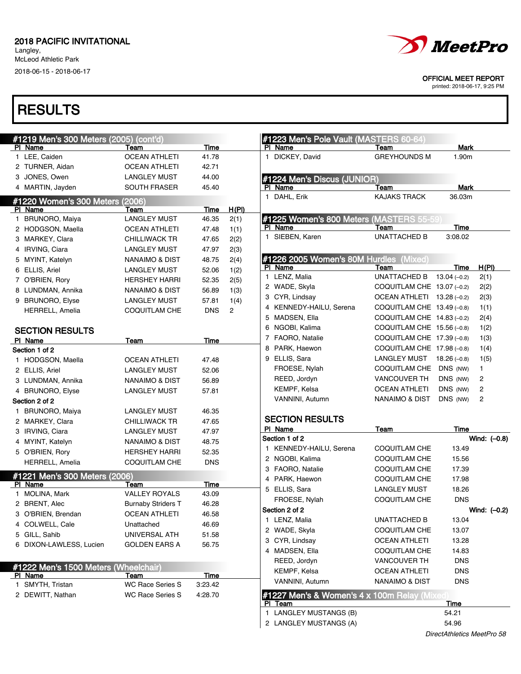Langley, McLeod Athletic Park

2018-06-15 - 2018-06-17

### **RESULTS**

| #1219 Men's 300 Meters (2005) (cont'd) |                           |            |                | #1223 Men's Pole Vault (MASTERS 60-64)                  |                            |                |                |
|----------------------------------------|---------------------------|------------|----------------|---------------------------------------------------------|----------------------------|----------------|----------------|
| PI Name                                | Team                      | Time       |                | PI Name                                                 | Team                       | Mark           |                |
| 1 LEE, Caiden                          | <b>OCEAN ATHLETI</b>      | 41.78      |                | 1 DICKEY, David                                         | <b>GREYHOUNDS M</b>        | 1.90m          |                |
| 2 TURNER, Aidan                        | <b>OCEAN ATHLETI</b>      | 42.71      |                |                                                         |                            |                |                |
| 3 JONES, Owen                          | <b>LANGLEY MUST</b>       | 44.00      |                | #1224 Men's Discus (JUNIOR)                             |                            |                |                |
| 4 MARTIN, Jayden                       | SOUTH FRASER              | 45.40      |                | PI Name                                                 | Team                       | Mark           |                |
| #1220 Women's 300 Meters (2006)        |                           |            |                | 1 DAHL, Erik                                            | <b>KAJAKS TRACK</b>        | 36.03m         |                |
| PI Name                                | Team                      | Time       | H(PI)          |                                                         |                            |                |                |
| 1 BRUNORO, Maiya                       | <b>LANGLEY MUST</b>       | 46.35      | 2(1)           | #1225 Women's 800 Meters (MASTERS 55-59                 |                            |                |                |
| 2 HODGSON, Maella                      | OCEAN ATHLETI             | 47.48      | 1(1)           | PI Name                                                 | Team                       | <b>Time</b>    |                |
| 3 MARKEY, Clara                        | <b>CHILLIWACK TR</b>      | 47.65      | 2(2)           | 1 SIEBEN, Karen                                         | <b>UNATTACHED B</b>        | 3:08.02        |                |
| 4 IRVING, Ciara                        | <b>LANGLEY MUST</b>       | 47.97      | 2(3)           |                                                         |                            |                |                |
| 5 MYINT, Katelyn                       | NANAIMO & DIST            | 48.75      | 2(4)           | #1226 2005 Women's 80M Hurdles (Mixed)                  |                            |                |                |
| 6 ELLIS, Ariel                         | LANGLEY MUST              | 52.06      | 1(2)           | PI Name                                                 | Team                       | Time           | H(PI)          |
| 7 O'BRIEN, Rory                        | <b>HERSHEY HARRI</b>      | 52.35      | 2(5)           | 1 LENZ, Malia                                           | UNATTACHED B               | $13.04(-0.2)$  | 2(1)           |
| 8 LUNDMAN, Annika                      | NANAIMO & DIST            | 56.89      | 1(3)           | 2 WADE, Skyla                                           | COQUITLAM CHE 13.07 (-0.2) |                | 2(2)           |
| 9 BRUNORO, Elyse                       | <b>LANGLEY MUST</b>       | 57.81      | 1(4)           | 3 CYR, Lindsay                                          | OCEAN ATHLETI 13.28 (-0.2) |                | 2(3)           |
| HERRELL, Amelia                        | COQUITLAM CHE             | <b>DNS</b> | $\overline{c}$ | 4 KENNEDY-HAILU, Serena                                 | COQUITLAM CHE 13.49 (-0.8) |                | 1(1)           |
|                                        |                           |            |                | 5 MADSEN, Ella                                          | COQUITLAM CHE 14.83 (-0.2) |                | 2(4)           |
| <b>SECTION RESULTS</b>                 |                           |            |                | 6 NGOBI, Kalima                                         | COQUITLAM CHE 15.56 (-0.8) |                | 1(2)           |
| PI Name                                | Team                      | Time       |                | 7 FAORO, Natalie                                        | COQUITLAM CHE 17.39 (-0.8) |                | 1(3)           |
| Section 1 of 2                         |                           |            |                | 8 PARK, Haewon                                          | COQUITLAM CHE 17.98 (-0.8) |                | 1(4)           |
| 1 HODGSON, Maella                      | <b>OCEAN ATHLETI</b>      | 47.48      |                | 9 ELLIS, Sara                                           | LANGLEY MUST 18.26 (-0.8)  |                | 1(5)           |
| 2 ELLIS, Ariel                         | <b>LANGLEY MUST</b>       | 52.06      |                | FROESE, Nylah                                           | COQUITLAM CHE DNS (NW)     |                | $\mathbf{1}$   |
| 3 LUNDMAN, Annika                      | <b>NANAIMO &amp; DIST</b> | 56.89      |                | REED, Jordyn                                            | <b>VANCOUVER TH</b>        | DNS (NW)       | $\overline{c}$ |
| 4 BRUNORO, Elyse                       | <b>LANGLEY MUST</b>       | 57.81      |                | KEMPF, Kelsa                                            | <b>OCEAN ATHLETI</b>       | DNS (NW)       | $\overline{c}$ |
| Section 2 of 2                         |                           |            |                | VANNINI, Autumn                                         | NANAIMO & DIST             | DNS (NW)       | $\overline{c}$ |
| 1 BRUNORO, Maiya                       | <b>LANGLEY MUST</b>       | 46.35      |                |                                                         |                            |                |                |
| 2 MARKEY, Clara                        | <b>CHILLIWACK TR</b>      | 47.65      |                | <b>SECTION RESULTS</b>                                  |                            |                |                |
| 3 IRVING, Ciara                        | <b>LANGLEY MUST</b>       | 47.97      |                | PI Name                                                 | Team                       | Time           |                |
| 4 MYINT, Katelyn                       | <b>NANAIMO &amp; DIST</b> | 48.75      |                | Section 1 of 2                                          |                            |                | Wind: (-0.8)   |
| 5 O'BRIEN, Rory                        | <b>HERSHEY HARRI</b>      | 52.35      |                | 1 KENNEDY-HAILU, Serena                                 | COQUITLAM CHE              | 13.49          |                |
| HERRELL, Amelia                        | <b>COQUITLAM CHE</b>      | <b>DNS</b> |                | 2 NGOBI, Kalima                                         | COQUITLAM CHE              | 15.56          |                |
| #1221 Men's 300 Meters (2006)          |                           |            |                | 3 FAORO, Natalie                                        | <b>COQUITLAM CHE</b>       | 17.39          |                |
| PI Name                                | Team                      | Time       |                | 4 PARK, Haewon                                          | <b>COQUITLAM CHE</b>       | 17.98<br>18.26 |                |
| 1 MOLINA, Mark                         | <b>VALLEY ROYALS</b>      | 43.09      |                | 5 ELLIS, Sara<br>FROESE, Nylah                          | <b>LANGLEY MUST</b>        | <b>DNS</b>     |                |
| 2 BRENT, Alec                          | <b>Burnaby Striders T</b> | 46.28      |                |                                                         | <b>COQUITLAM CHE</b>       |                |                |
| 3 O'BRIEN, Brendan                     | <b>OCEAN ATHLETI</b>      | 46.58      |                | Section 2 of 2                                          |                            |                | Wind: (-0.2)   |
| 4 COLWELL, Cale                        | Unattached                | 46.69      |                | 1 LENZ, Malia                                           | UNATTACHED B               | 13.04          |                |
| 5 GILL, Sahib                          | UNIVERSAL ATH             | 51.58      |                | 2 WADE, Skyla                                           | COQUITLAM CHE              | 13.07          |                |
| 6 DIXON-LAWLESS, Lucien                | <b>GOLDEN EARS A</b>      | 56.75      |                | 3 CYR, Lindsay                                          | OCEAN ATHLETI              | 13.28          |                |
|                                        |                           |            |                | 4 MADSEN, Ella                                          | <b>COQUITLAM CHE</b>       | 14.83          |                |
| #1222 Men's 1500 Meters (Wheelchair)   |                           |            |                | REED, Jordyn                                            | VANCOUVER TH               | <b>DNS</b>     |                |
| PI Name                                | Team                      | Time       |                | KEMPF, Kelsa                                            | <b>OCEAN ATHLETI</b>       | <b>DNS</b>     |                |
| 1 SMYTH, Tristan                       | <b>WC Race Series S</b>   | 3:23.42    |                | VANNINI, Autumn                                         | <b>NANAIMO &amp; DIST</b>  | <b>DNS</b>     |                |
| 2 DEWITT, Nathan                       | <b>WC Race Series S</b>   | 4:28.70    |                | #1227 Men's & Women's 4 x 100m Relay (Mixed)<br>PI Team |                            | <b>Time</b>    |                |
|                                        |                           |            |                | 1 LANGLEY MUSTANGS (B)                                  |                            | 54.21          |                |
|                                        |                           |            |                | 2 LANGLEY MUSTANGS (A)                                  |                            | 54.96          |                |
|                                        |                           |            |                |                                                         |                            |                |                |



OFFICIAL MEET REPORT

printed: 2018-06-17, 9:25 PM

DirectAthletics MeetPro 58